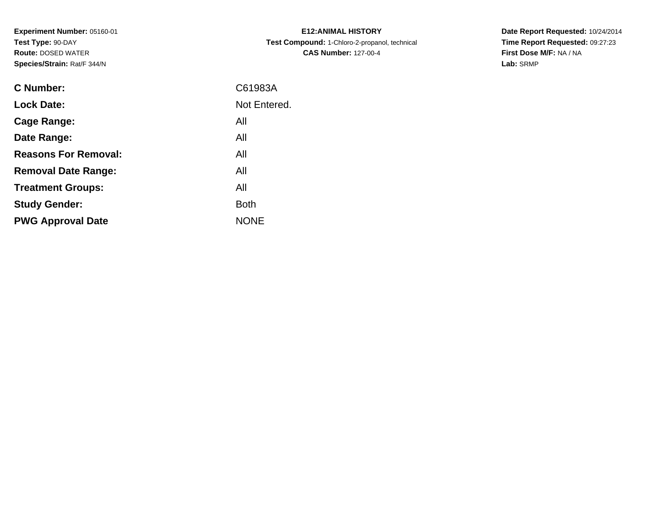**Experiment Number:** 05160-01**Test Type:** 90-DAY **Route:** DOSED WATER**Species/Strain:** Rat/F 344/N

| <b>E12:ANIMAL HISTORY</b>                     |
|-----------------------------------------------|
| Test Compound: 1-Chloro-2-propanol, technical |
| <b>CAS Number: 127-00-4</b>                   |

**Date Report Requested:** 10/24/2014 **Time Report Requested:** 09:27:23**First Dose M/F:** NA / NA**Lab:** SRMP

| <b>C</b> Number:            | C61983A      |
|-----------------------------|--------------|
| <b>Lock Date:</b>           | Not Entered. |
| Cage Range:                 | All          |
| Date Range:                 | All          |
| <b>Reasons For Removal:</b> | All          |
| <b>Removal Date Range:</b>  | All          |
| <b>Treatment Groups:</b>    | All          |
| <b>Study Gender:</b>        | <b>Both</b>  |
| <b>PWG Approval Date</b>    | <b>NONE</b>  |
|                             |              |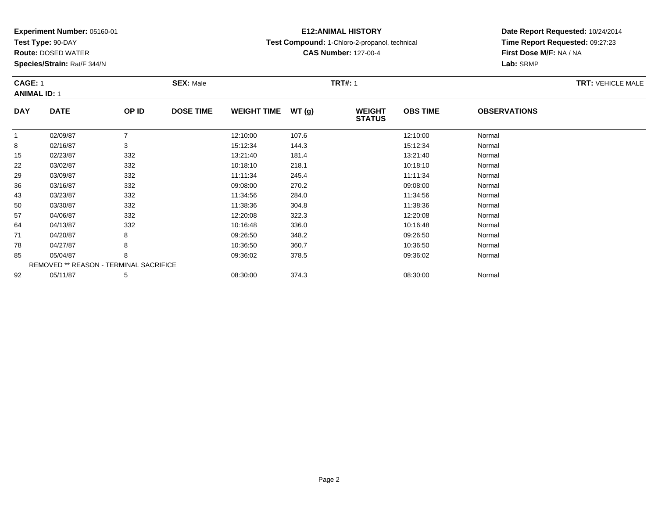**Test Type:** 90-DAY

**Route:** DOSED WATER

**Species/Strain:** Rat/F 344/N

# **E12:ANIMAL HISTORY**

**Test Compound:** 1-Chloro-2-propanol, technical

**CAS Number:** 127-00-4

**Date Report Requested:** 10/24/2014 **Time Report Requested:** 09:27:23**First Dose M/F:** NA / NA**Lab:** SRMP

#### **CAGE:** 1**SEX:** Male **SEX:** Male **TRT#:** 1 **ANIMAL ID:** 1**DAY DATE OP IDDOSE TIME WEIGHT TIME WT** (g) **STATUSOBS TIME OBSERVATIONS** 11 02/09/87 7 12:10:00 107.6 12:10:00 Normal 88 02/16/87 3 3 15:12:34 144.3 144.3 15:12:34 Normal 155 02/23/87 332 332 13:21:40 181.4 151.4 13:21:40 181.4 13:21:40 Normal 2203/02/87 <sup>332</sup> 10:18:10 218.1 10:18:10 Normal

| 15 | 02/23/87                                      | 332 | 13:21:40 | 181.4 | 13:21:40 | Normal |
|----|-----------------------------------------------|-----|----------|-------|----------|--------|
| 22 | 03/02/87                                      | 332 | 10:18:10 | 218.1 | 10:18:10 | Normal |
| 29 | 03/09/87                                      | 332 | 11:11:34 | 245.4 | 11:11:34 | Normal |
| 36 | 03/16/87                                      | 332 | 09:08:00 | 270.2 | 09:08:00 | Normal |
| 43 | 03/23/87                                      | 332 | 11:34:56 | 284.0 | 11:34:56 | Normal |
| 50 | 03/30/87                                      | 332 | 11:38:36 | 304.8 | 11:38:36 | Normal |
| 57 | 04/06/87                                      | 332 | 12:20:08 | 322.3 | 12:20:08 | Normal |
| 64 | 04/13/87                                      | 332 | 10:16:48 | 336.0 | 10:16:48 | Normal |
| 71 | 04/20/87                                      | 8   | 09:26:50 | 348.2 | 09:26:50 | Normal |
| 78 | 04/27/87                                      | 8   | 10:36:50 | 360.7 | 10:36:50 | Normal |
| 85 | 05/04/87                                      | 8   | 09:36:02 | 378.5 | 09:36:02 | Normal |
|    | <b>REMOVED ** REASON - TERMINAL SACRIFICE</b> |     |          |       |          |        |
| 92 | 05/11/87                                      | 5   | 08:30:00 | 374.3 | 08:30:00 | Normal |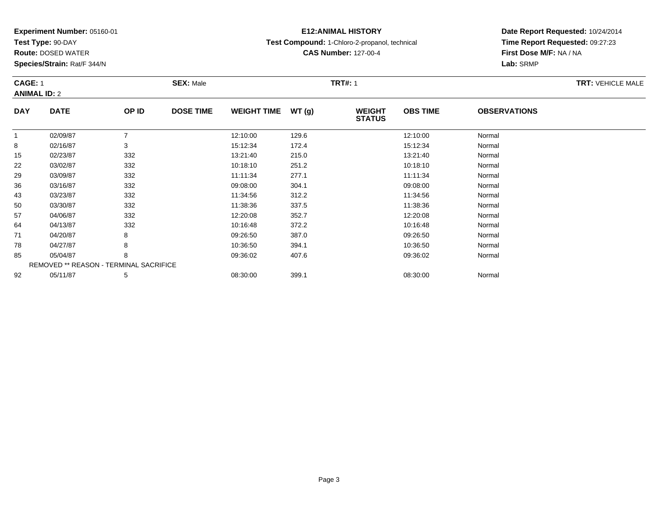**Test Type:** 90-DAY

**Route:** DOSED WATER

**Species/Strain:** Rat/F 344/N

# **E12:ANIMAL HISTORY**

**Test Compound:** 1-Chloro-2-propanol, technical

**CAS Number:** 127-00-4

**Date Report Requested:** 10/24/2014 **Time Report Requested:** 09:27:23**First Dose M/F:** NA / NA**Lab:** SRMP

#### **CAGE:** 1**SEX:** Male **SEX:** Male **TRT#:** 1 **ANIMAL ID:** 2**DAY DATE OP IDDOSE TIME WEIGHT TIME WT** (g) **STATUSOBS TIME OBSERVATIONS** 11 02/09/87 7 12:10:00 129.6 12:10:00 Normal 88 02/16/87 3 3 15:12:34 172.4 172.4 15:12:34 Normal 155 02/23/87 332 332 13:21:40 215.0 35.0 13:21:40 32/23/87 Normal 22

| 15 | 02/23/87                                      | 332 | 13:21:40 | 215.0 | 13:21:40 | Normal |
|----|-----------------------------------------------|-----|----------|-------|----------|--------|
| 22 | 03/02/87                                      | 332 | 10:18:10 | 251.2 | 10:18:10 | Normal |
| 29 | 03/09/87                                      | 332 | 11:11:34 | 277.1 | 11:11:34 | Normal |
| 36 | 03/16/87                                      | 332 | 09:08:00 | 304.1 | 09:08:00 | Normal |
| 43 | 03/23/87                                      | 332 | 11:34:56 | 312.2 | 11:34:56 | Normal |
| 50 | 03/30/87                                      | 332 | 11:38:36 | 337.5 | 11:38:36 | Normal |
| 57 | 04/06/87                                      | 332 | 12:20:08 | 352.7 | 12:20:08 | Normal |
| 64 | 04/13/87                                      | 332 | 10:16:48 | 372.2 | 10:16:48 | Normal |
| 71 | 04/20/87                                      | 8   | 09:26:50 | 387.0 | 09:26:50 | Normal |
| 78 | 04/27/87                                      | 8   | 10:36:50 | 394.1 | 10:36:50 | Normal |
| 85 | 05/04/87                                      | 8   | 09:36:02 | 407.6 | 09:36:02 | Normal |
|    | <b>REMOVED ** REASON - TERMINAL SACRIFICE</b> |     |          |       |          |        |
| 92 | 05/11/87                                      | 5   | 08:30:00 | 399.1 | 08:30:00 | Normal |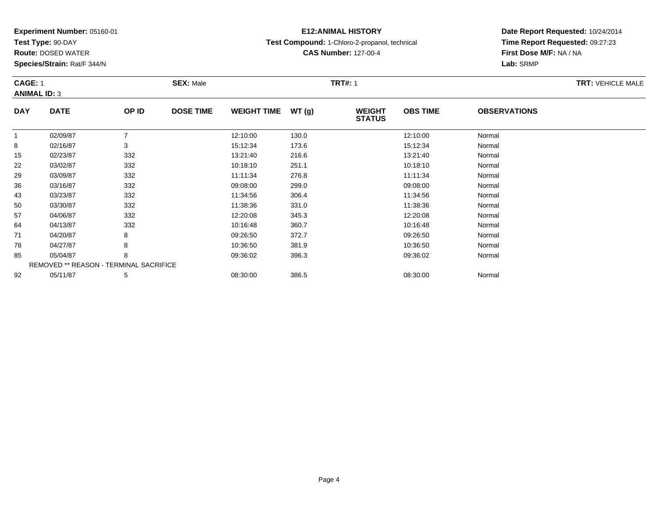**Test Type:** 90-DAY

**Route:** DOSED WATER

**Species/Strain:** Rat/F 344/N

# **E12:ANIMAL HISTORY**

**Test Compound:** 1-Chloro-2-propanol, technical

**CAS Number:** 127-00-4

**Date Report Requested:** 10/24/2014**Time Report Requested:** 09:27:23**First Dose M/F:** NA / NA**Lab:** SRMP

#### **CAGE:** 1**SEX:** Male **SEX:** Male **TRT#:** 1 **ANIMAL ID:** 3**DAY DATE OP IDDOSE TIME WEIGHT TIME WT** (g) **STATUSOBS TIME OBSERVATIONS** 11 02/09/87 7 12:10:00 130.0 12:10:00 Normal 88 02/16/87 3 3 15:12:34 173.6 173.6 15:12:34 Normal 155 02/23/87 332 332 13:21:40 216.6 5 13:21:40 13:21:40 Normal 222 03/02/87 332 332 10:18:10 251.1 251.1 10:18:10 33/02/87 299 03/09/87 332 11:11:34 276.8 11:11:34 Normal

| 10 | UZ/ZJ/OI | ാാ∠                                           | 15.21.40 | <b>210.0</b> | 13.21.40 | <b>INUITII</b> dI |
|----|----------|-----------------------------------------------|----------|--------------|----------|-------------------|
| 22 | 03/02/87 | 332                                           | 10:18:10 | 251.1        | 10:18:10 | Normal            |
| 29 | 03/09/87 | 332                                           | 11:11:34 | 276.8        | 11:11:34 | Normal            |
| 36 | 03/16/87 | 332                                           | 09:08:00 | 299.0        | 09:08:00 | Normal            |
| 43 | 03/23/87 | 332                                           | 11:34:56 | 306.4        | 11:34:56 | Normal            |
| 50 | 03/30/87 | 332                                           | 11:38:36 | 331.0        | 11:38:36 | Normal            |
| 57 | 04/06/87 | 332                                           | 12:20:08 | 345.3        | 12:20:08 | Normal            |
| 64 | 04/13/87 | 332                                           | 10:16:48 | 360.7        | 10:16:48 | Normal            |
| 71 | 04/20/87 | 8                                             | 09:26:50 | 372.7        | 09:26:50 | Normal            |
| 78 | 04/27/87 | 8                                             | 10:36:50 | 381.9        | 10:36:50 | Normal            |
| 85 | 05/04/87 |                                               | 09:36:02 | 396.3        | 09:36:02 | Normal            |
|    |          | <b>REMOVED ** REASON - TERMINAL SACRIFICE</b> |          |              |          |                   |
| 92 | 05/11/87 |                                               | 08:30:00 | 386.5        | 08:30:00 | Normal            |
|    |          |                                               |          |              |          |                   |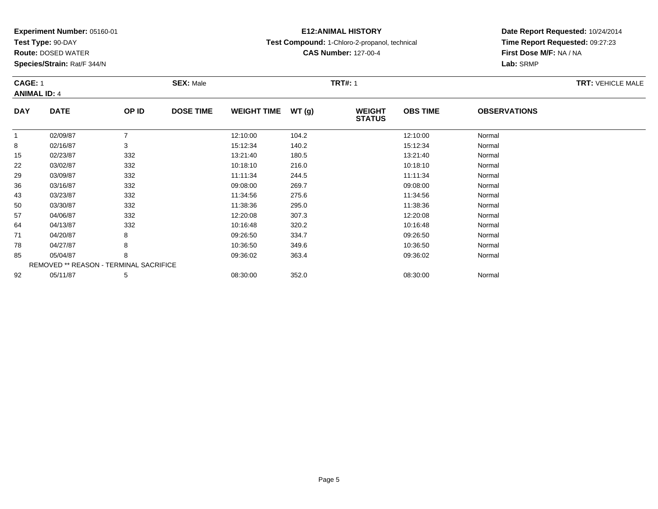**Test Type:** 90-DAY

57

64

71

78

85

92

**Route:** DOSED WATER

**Species/Strain:** Rat/F 344/N

REMOVED \*\* REASON - TERMINAL SACRIFICE

# **E12:ANIMAL HISTORY**

**Test Compound:** 1-Chloro-2-propanol, technical

**CAS Number:** 127-00-4

**Date Report Requested:** 10/24/2014**Time Report Requested:** 09:27:23**First Dose M/F:** NA / NA**Lab:** SRMP

#### **CAGE:** 1**SEX:** Male **SEX:** Male **TRT#:** 1 **ANIMAL ID:** 4**DAY DATE OP IDDOSE TIME WEIGHT TIME WT** (g) **STATUSOBS TIME OBSERVATIONS** 11 02/09/87 7 12:10:00 104.2 12:10:00 Normal 88 02/16/87 3 3 15:12:34 140.2 15:12:34 15:12:34 Normal 155 02/23/87 332 332 13:21:40 180.5 380 13:21:40 180.5 13:21:40 Normal 222 03/02/87 332 32 10:18:10 216.0 2010 10:18:10 33/02/87 Normal 29 03/09/87 <sup>332</sup> 11:11:34 244.5 11:11:34 Normal 366 03/16/87 332 09:08:00 269.7 09:08:00 Normal 433 03/23/87 332 11:34:56 275.6 11:34:56 Normal 500 03/30/87 332 11:38:36 295.0 11:38:36 Normal

7 04/06/87 332 32 12:20:08 307.3 307.3 12:20:08 5 12:20:08 Normal

4 04/13/87 332 30 10:16:48 320.2 10:16:48 350.2 54/13/87 10:16:48

04/20/87 <sup>8</sup> 09:26:50 334.7 09:26:50 Normal

8 04/27/87 8 8 10:36:50 349.6 10:36:50 349.6 10:36:50 Normal

05/04/87 <sup>8</sup> 09:36:02 363.4 09:36:02 Normal

2 05/11/87 5 5 08:30:00 352.0 352.0 08:30:00 08:30:00 08:30:00 08:30:00 08:30:00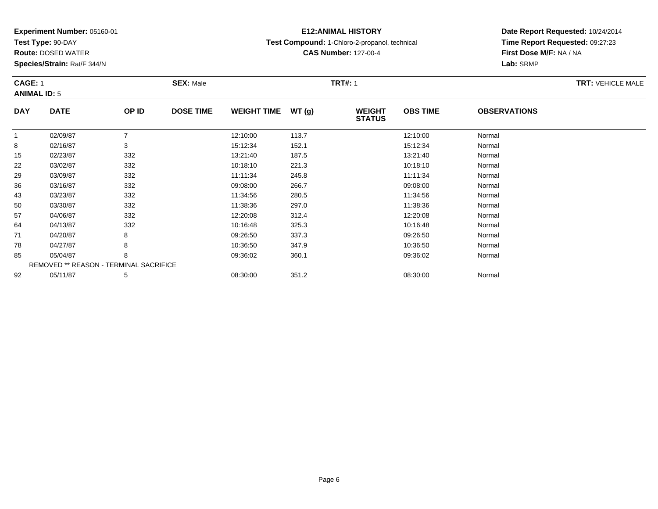**Test Type:** 90-DAY

**Route:** DOSED WATER

**Species/Strain:** Rat/F 344/N

# **E12:ANIMAL HISTORY**

**Test Compound:** 1-Chloro-2-propanol, technical

**CAS Number:** 127-00-4

**Date Report Requested:** 10/24/2014**Time Report Requested:** 09:27:23**First Dose M/F:** NA / NA**Lab:** SRMP

#### **CAGE:** 1**SEX:** Male **SEX:** Male **TRT#:** 1 **ANIMAL ID:** 5**DAY DATE OP IDDOSE TIME WEIGHT TIME WT** (g) **STATUSOBS TIME OBSERVATIONS** 11 02/09/87 7 12:10:00 113.7 12:10:00 Normal 88 02/16/87 3 3 15:12:34 15:12:34 152.1 15:12:34 Normal 15 02/23/87 <sup>332</sup> 13:21:40 187.5 13:21:40 Normal 222 03/02/87 332 32 10:18:10 221.3 30 10:18:10 221.3 299 03/09/87 332 11:11:34 245.8 11:11:34 Normal

| 15. | 02/23/87 | 332                                           | 13.21.40 | 187.5 | 13.21.40 | <b>Normal</b> |  |
|-----|----------|-----------------------------------------------|----------|-------|----------|---------------|--|
| 22  | 03/02/87 | 332                                           | 10:18:10 | 221.3 | 10:18:10 | Normal        |  |
| 29  | 03/09/87 | 332                                           | 11:11:34 | 245.8 | 11:11:34 | Normal        |  |
| 36  | 03/16/87 | 332                                           | 09:08:00 | 266.7 | 09:08:00 | Normal        |  |
| 43  | 03/23/87 | 332                                           | 11:34:56 | 280.5 | 11:34:56 | Normal        |  |
| 50  | 03/30/87 | 332                                           | 11:38:36 | 297.0 | 11:38:36 | Normal        |  |
| 57  | 04/06/87 | 332                                           | 12:20:08 | 312.4 | 12:20:08 | Normal        |  |
| 64  | 04/13/87 | 332                                           | 10:16:48 | 325.3 | 10:16:48 | Normal        |  |
| 71  | 04/20/87 | 8                                             | 09:26:50 | 337.3 | 09:26:50 | Normal        |  |
| 78  | 04/27/87 | 8                                             | 10:36:50 | 347.9 | 10:36:50 | Normal        |  |
| 85  | 05/04/87 | 8                                             | 09:36:02 | 360.1 | 09:36:02 | Normal        |  |
|     |          | <b>REMOVED ** REASON - TERMINAL SACRIFICE</b> |          |       |          |               |  |
| 92  | 05/11/87 | 5                                             | 08:30:00 | 351.2 | 08:30:00 | Normal        |  |
|     |          |                                               |          |       |          |               |  |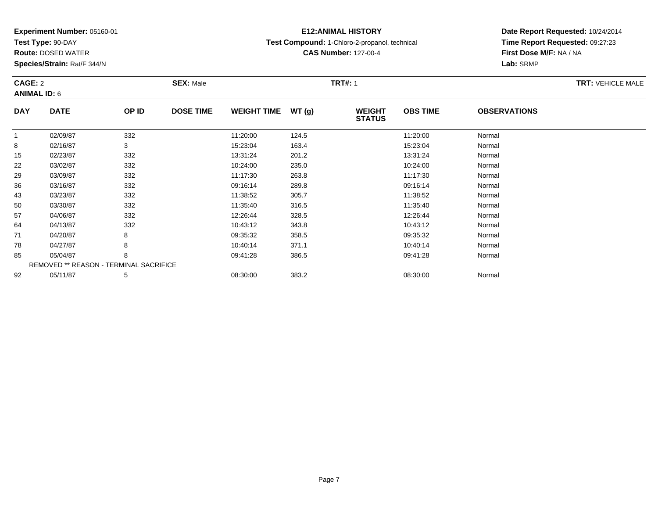**Test Type:** 90-DAY

**Route:** DOSED WATER

**Species/Strain:** Rat/F 344/N

# **E12:ANIMAL HISTORY**

**Test Compound:** 1-Chloro-2-propanol, technical

**CAS Number:** 127-00-4

**Date Report Requested:** 10/24/2014**Time Report Requested:** 09:27:23**First Dose M/F:** NA / NA**Lab:** SRMP

#### **CAGE:** 2 **SEX:** Male **TRT#:** <sup>1</sup> **TRT:** VEHICLE MALE**ANIMAL ID:** 6**DAY DATE OP IDDOSE TIME WEIGHT TIME WT** (g) **STATUSOBS TIME OBSERVATIONS** 11 02/09/87 332 11:20:00 124.5 11:20:00 Normal 88 02/16/87 3 3 15:23:04 163.4 163.4 163.4 15:23:04 Normal 155 02/23/87 332 332 13:31:24 201.2 201.2 13:31:24 Normal 22

| ن ا | UZ/ZUU   | ےںں                                           | 10.01.24 | 201.Z | 10.01.24 | <b>INUITIE</b> |
|-----|----------|-----------------------------------------------|----------|-------|----------|----------------|
| 22  | 03/02/87 | 332                                           | 10:24:00 | 235.0 | 10:24:00 | Normal         |
| 29  | 03/09/87 | 332                                           | 11:17:30 | 263.8 | 11:17:30 | Normal         |
| 36  | 03/16/87 | 332                                           | 09:16:14 | 289.8 | 09:16:14 | Normal         |
| 43  | 03/23/87 | 332                                           | 11:38:52 | 305.7 | 11:38:52 | Normal         |
| 50  | 03/30/87 | 332                                           | 11:35:40 | 316.5 | 11:35:40 | Normal         |
| 57  | 04/06/87 | 332                                           | 12:26:44 | 328.5 | 12:26:44 | Normal         |
| 64  | 04/13/87 | 332                                           | 10:43:12 | 343.8 | 10:43:12 | Normal         |
| 71  | 04/20/87 | 8                                             | 09:35:32 | 358.5 | 09:35:32 | Normal         |
| 78  | 04/27/87 | 8                                             | 10:40:14 | 371.1 | 10:40:14 | Normal         |
| 85  | 05/04/87 | 8                                             | 09:41:28 | 386.5 | 09:41:28 | Normal         |
|     |          | <b>REMOVED ** REASON - TERMINAL SACRIFICE</b> |          |       |          |                |
| 92  | 05/11/87 | 5                                             | 08:30:00 | 383.2 | 08:30:00 | Normal         |
|     |          |                                               |          |       |          |                |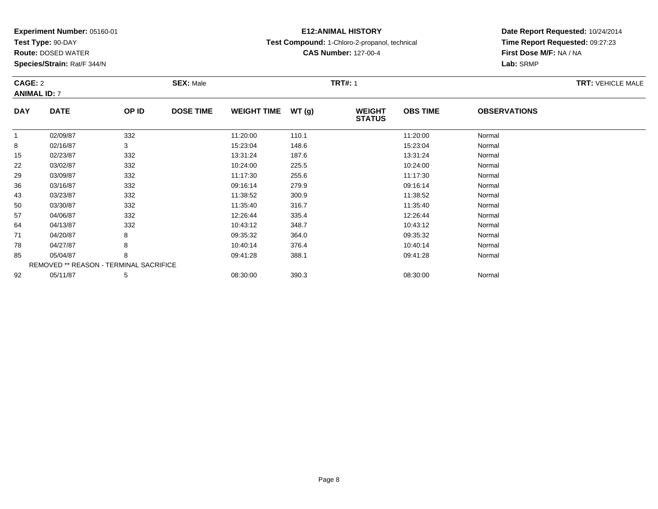**Test Type:** 90-DAY

**Route:** DOSED WATER

**Species/Strain:** Rat/F 344/N

# **E12:ANIMAL HISTORY**

**Test Compound:** 1-Chloro-2-propanol, technical

**CAS Number:** 127-00-4

**Date Report Requested:** 10/24/2014 **Time Report Requested:** 09:27:23**First Dose M/F:** NA / NA**Lab:** SRMP

### **CAGE:** 2 **SEX:** Male **TRT#:** <sup>1</sup> **TRT:** VEHICLE MALE**ANIMAL ID:** 7**DAY DATE OP IDDOSE TIME WEIGHT TIME WT** (g) **STATUSOBS TIME OBSERVATIONS** 1

| 148.6<br>Normal<br>8<br>02/16/87<br>3<br>15:23:04<br>15:23:04<br>332<br>13:31:24<br>187.6<br>13:31:24<br>Normal<br>15<br>02/23/87<br>332<br>22<br>225.5<br>Normal<br>03/02/87<br>10:24:00<br>10:24:00<br>332<br>29<br>11:17:30<br>255.6<br>Normal<br>03/09/87<br>11:17:30<br>36<br>332<br>09:16:14<br>279.9<br>09:16:14<br>03/16/87<br>Normal |
|-----------------------------------------------------------------------------------------------------------------------------------------------------------------------------------------------------------------------------------------------------------------------------------------------------------------------------------------------|
|                                                                                                                                                                                                                                                                                                                                               |
|                                                                                                                                                                                                                                                                                                                                               |
|                                                                                                                                                                                                                                                                                                                                               |
|                                                                                                                                                                                                                                                                                                                                               |
|                                                                                                                                                                                                                                                                                                                                               |
| 332<br>Normal<br>43<br>03/23/87<br>11:38:52<br>300.9<br>11:38:52                                                                                                                                                                                                                                                                              |
| 50<br>332<br>03/30/87<br>11:35:40<br>316.7<br>11:35:40<br>Normal                                                                                                                                                                                                                                                                              |
| 57<br>332<br>Normal<br>04/06/87<br>12:26:44<br>335.4<br>12:26:44                                                                                                                                                                                                                                                                              |
| 332<br>64<br>348.7<br>Normal<br>04/13/87<br>10:43:12<br>10:43:12                                                                                                                                                                                                                                                                              |
| 71<br>8<br>09:35:32<br>364.0<br>09:35:32<br>Normal<br>04/20/87                                                                                                                                                                                                                                                                                |
| 8<br>78<br>04/27/87<br>10:40:14<br>376.4<br>10:40:14<br>Normal                                                                                                                                                                                                                                                                                |
| 85<br>8<br>388.1<br>Normal<br>05/04/87<br>09:41:28<br>09:41:28                                                                                                                                                                                                                                                                                |
| <b>REMOVED ** REASON - TERMINAL SACRIFICE</b>                                                                                                                                                                                                                                                                                                 |
| 92<br>5<br>390.3<br>08:30:00<br>Normal<br>05/11/87<br>08:30:00                                                                                                                                                                                                                                                                                |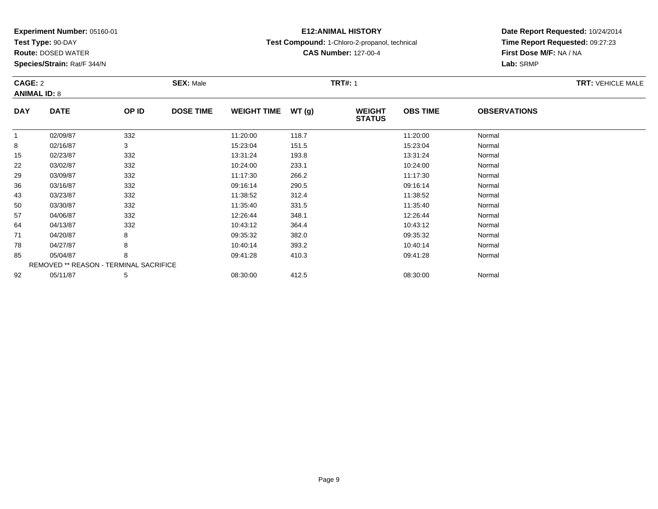**Test Type:** 90-DAY

**Route:** DOSED WATER

**Species/Strain:** Rat/F 344/N

# **E12:ANIMAL HISTORY**

**Test Compound:** 1-Chloro-2-propanol, technical

**CAS Number:** 127-00-4

**Date Report Requested:** 10/24/2014 **Time Report Requested:** 09:27:23**First Dose M/F:** NA / NA**Lab:** SRMP

#### **CAGE:** 2 **SEX:** Male **TRT#:** <sup>1</sup> **TRT:** VEHICLE MALE**ANIMAL ID:** 8**DAY DATE OP IDDOSE TIME WEIGHT TIME WT** (g) **STATUSOBS TIME OBSERVATIONS** 11 02/09/87 332 11:20:00 118.7 11:20:00 Normal 88 02/16/87 3 3 15:23:04 15:23:04 151.5 15:23:04 Normal 155 02/23/87 332 332 13:31:24 193.8 5 13:31:24 Normal

| 15 | 02/23/87 | 332                                           | 13:31:24 | 193.8 | 13:31:24 | Normal |  |
|----|----------|-----------------------------------------------|----------|-------|----------|--------|--|
| 22 | 03/02/87 | 332                                           | 10:24:00 | 233.1 | 10:24:00 | Normal |  |
| 29 | 03/09/87 | 332                                           | 11:17:30 | 266.2 | 11:17:30 | Normal |  |
| 36 | 03/16/87 | 332                                           | 09:16:14 | 290.5 | 09:16:14 | Normal |  |
| 43 | 03/23/87 | 332                                           | 11:38:52 | 312.4 | 11:38:52 | Normal |  |
| 50 | 03/30/87 | 332                                           | 11:35:40 | 331.5 | 11:35:40 | Normal |  |
| 57 | 04/06/87 | 332                                           | 12:26:44 | 348.1 | 12:26:44 | Normal |  |
| 64 | 04/13/87 | 332                                           | 10:43:12 | 364.4 | 10:43:12 | Normal |  |
| 71 | 04/20/87 | 8                                             | 09:35:32 | 382.0 | 09:35:32 | Normal |  |
| 78 | 04/27/87 | 8                                             | 10:40:14 | 393.2 | 10:40:14 | Normal |  |
| 85 | 05/04/87 | 8                                             | 09:41:28 | 410.3 | 09:41:28 | Normal |  |
|    |          | <b>REMOVED ** REASON - TERMINAL SACRIFICE</b> |          |       |          |        |  |
| 92 | 05/11/87 | 5                                             | 08:30:00 | 412.5 | 08:30:00 | Normal |  |
|    |          |                                               |          |       |          |        |  |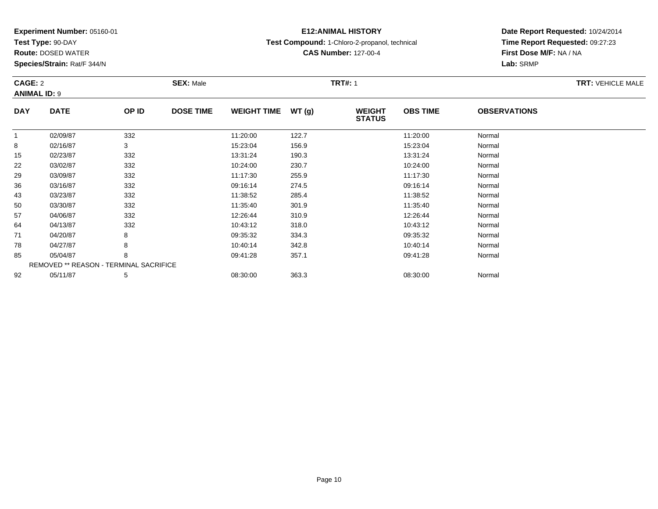**Test Type:** 90-DAY

**Route:** DOSED WATER

**Species/Strain:** Rat/F 344/N

# **E12:ANIMAL HISTORY**

**Test Compound:** 1-Chloro-2-propanol, technical

**CAS Number:** 127-00-4

**Date Report Requested:** 10/24/2014 **Time Report Requested:** 09:27:23**First Dose M/F:** NA / NA**Lab:** SRMP

#### **CAGE:** 2 **SEX:** Male **TRT#:** <sup>1</sup> **TRT:** VEHICLE MALE**ANIMAL ID:** 9**DAY DATE OP IDDOSE TIME WEIGHT TIME WT** (g) **STATUSOBS TIME OBSERVATIONS** 11 02/09/87 332 11:20:00 122.7 11:20:00 Normal 88 02/16/87 3 3 15:23:04 156.9 156.9 15:23:04 156.9 15:23:04 Normal 155 02/23/87 332 332 13:31:24 190.3 5 13:31:24 Normal 222 03/02/87 332 32 10:24:00 230.7 2017 10:24:00 3/02/4:00 10:24:00 Normal

|    | 02/09/87 | 332                                           | 11:20:00 | 122.7 | 11:20:00 | Normal |  |
|----|----------|-----------------------------------------------|----------|-------|----------|--------|--|
| 8  | 02/16/87 | 3                                             | 15:23:04 | 156.9 | 15:23:04 | Normal |  |
| 15 | 02/23/87 | 332                                           | 13:31:24 | 190.3 | 13:31:24 | Normal |  |
| 22 | 03/02/87 | 332                                           | 10:24:00 | 230.7 | 10:24:00 | Normal |  |
| 29 | 03/09/87 | 332                                           | 11:17:30 | 255.9 | 11:17:30 | Normal |  |
| 36 | 03/16/87 | 332                                           | 09:16:14 | 274.5 | 09:16:14 | Normal |  |
| 43 | 03/23/87 | 332                                           | 11:38:52 | 285.4 | 11:38:52 | Normal |  |
| 50 | 03/30/87 | 332                                           | 11:35:40 | 301.9 | 11:35:40 | Normal |  |
| 57 | 04/06/87 | 332                                           | 12:26:44 | 310.9 | 12:26:44 | Normal |  |
| 64 | 04/13/87 | 332                                           | 10:43:12 | 318.0 | 10:43:12 | Normal |  |
| 71 | 04/20/87 | 8                                             | 09:35:32 | 334.3 | 09:35:32 | Normal |  |
| 78 | 04/27/87 | 8                                             | 10:40:14 | 342.8 | 10:40:14 | Normal |  |
| 85 | 05/04/87 | 8                                             | 09:41:28 | 357.1 | 09:41:28 | Normal |  |
|    |          | <b>REMOVED ** REASON - TERMINAL SACRIFICE</b> |          |       |          |        |  |
| 92 | 05/11/87 | 5                                             | 08:30:00 | 363.3 | 08:30:00 | Normal |  |
|    |          |                                               |          |       |          |        |  |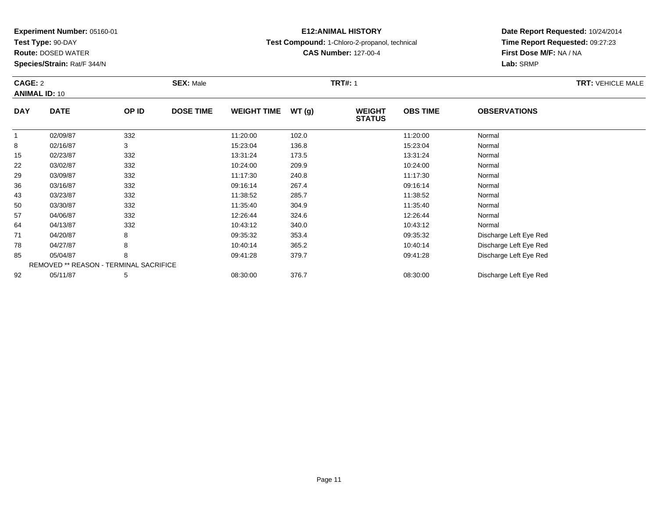**Test Type:** 90-DAY

71

78

85

92

**Route:** DOSED WATER

**Species/Strain:** Rat/F 344/N

REMOVED \*\* REASON - TERMINAL SACRIFICE

# **E12:ANIMAL HISTORY**

**Test Compound:** 1-Chloro-2-propanol, technical

**CAS Number:** 127-00-4

**Date Report Requested:** 10/24/2014**Time Report Requested:** 09:27:23**First Dose M/F:** NA / NA**Lab:** SRMP

#### **CAGE:** 2 **SEX:** Male **TRT#:** <sup>1</sup> **TRT:** VEHICLE MALE**ANIMAL ID:** 10**DAY DATE OP ID DOSE TIME WEIGHT TIME WT (g) WEIGHT STATUSOBS TIME OBSERVATIONS** 11 02/09/87 332 11:20:00 102.0 11:20:00 Normal 88 02/16/87 3 3 15:23:04 136.8 136.8 15:23:04 136.8 155 02/23/87 332 332 13:31:24 173.5 373 13:31:24 Normal 222 03/02/87 332 32 10:24:00 209.9 209.9 10:24:00 3/02/4:00 10:24:00 Normal 29 03/09/87 <sup>332</sup> 11:17:30 240.8 11:17:30 Normal 366 03/16/87 332 09:16:14 267.4 09:16:14 Normal 433 03/23/87 332 11:38:52 285.7 11:38:52 Normal 500 03/30/87 332 11:35:40 304.9 11:35:40 Normal 577 04/06/87 332 332 12:26:44 324.6 324.6 12:26:44 Normal 644 04/13/87 332 32 10:43:12 340.0 10:43 10:43 10:43 10:43 10:43 10:43 10:43:12

04/20/87 <sup>8</sup> 09:35:32 353.4 09:35:32 Discharge Left Eye Red

04/27/87 <sup>8</sup> 10:40:14 365.2 10:40:14 Discharge Left Eye Red

05/04/87 <sup>8</sup> 09:41:28 379.7 09:41:28 Discharge Left Eye Red

05/11/87 <sup>5</sup> 08:30:00 376.7 08:30:00 Discharge Left Eye Red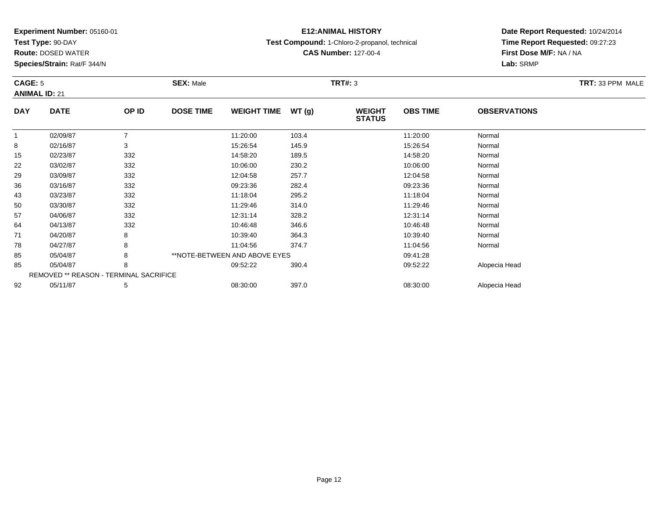**Test Type:** 90-DAY

92

**Route:** DOSED WATER

**Species/Strain:** Rat/F 344/N

# **E12:ANIMAL HISTORY**

**Test Compound:** 1-Chloro-2-propanol, technical

**CAS Number:** 127-00-4

**Date Report Requested:** 10/24/2014**Time Report Requested:** 09:27:23**First Dose M/F:** NA / NA**Lab:** SRMP

| CAGE: 5<br><b>ANIMAL ID: 21</b> |             | <b>SEX: Male</b>                              |                               |                    | <b>TRT#: 3</b> |                                |                 | TRT: 33 PPM MALE    |  |
|---------------------------------|-------------|-----------------------------------------------|-------------------------------|--------------------|----------------|--------------------------------|-----------------|---------------------|--|
| <b>DAY</b>                      | <b>DATE</b> | OP ID                                         | <b>DOSE TIME</b>              | <b>WEIGHT TIME</b> | WT(g)          | <b>WEIGHT</b><br><b>STATUS</b> | <b>OBS TIME</b> | <b>OBSERVATIONS</b> |  |
| 1                               | 02/09/87    |                                               |                               | 11:20:00           | 103.4          |                                | 11:20:00        | Normal              |  |
| 8                               | 02/16/87    | 3                                             |                               | 15:26:54           | 145.9          |                                | 15:26:54        | Normal              |  |
| 15                              | 02/23/87    | 332                                           |                               | 14:58:20           | 189.5          |                                | 14:58:20        | Normal              |  |
| 22                              | 03/02/87    | 332                                           |                               | 10:06:00           | 230.2          |                                | 10:06:00        | Normal              |  |
| 29                              | 03/09/87    | 332                                           |                               | 12:04:58           | 257.7          |                                | 12:04:58        | Normal              |  |
| 36                              | 03/16/87    | 332                                           |                               | 09:23:36           | 282.4          |                                | 09:23:36        | Normal              |  |
| 43                              | 03/23/87    | 332                                           |                               | 11:18:04           | 295.2          |                                | 11:18:04        | Normal              |  |
| 50                              | 03/30/87    | 332                                           |                               | 11:29:46           | 314.0          |                                | 11:29:46        | Normal              |  |
| 57                              | 04/06/87    | 332                                           |                               | 12:31:14           | 328.2          |                                | 12:31:14        | Normal              |  |
| 64                              | 04/13/87    | 332                                           |                               | 10:46:48           | 346.6          |                                | 10:46:48        | Normal              |  |
| 71                              | 04/20/87    | 8                                             |                               | 10:39:40           | 364.3          |                                | 10:39:40        | Normal              |  |
| 78                              | 04/27/87    | 8                                             |                               | 11:04:56           | 374.7          |                                | 11:04:56        | Normal              |  |
| 85                              | 05/04/87    | 8                                             | **NOTE-BETWEEN AND ABOVE EYES |                    |                |                                | 09:41:28        |                     |  |
| 85                              | 05/04/87    | 8                                             |                               | 09:52:22           | 390.4          |                                | 09:52:22        | Alopecia Head       |  |
|                                 |             | <b>REMOVED ** REASON - TERMINAL SACRIFICE</b> |                               |                    |                |                                |                 |                     |  |

2 05/11/87 5 08:30:00 08:30:00 Alopecia Head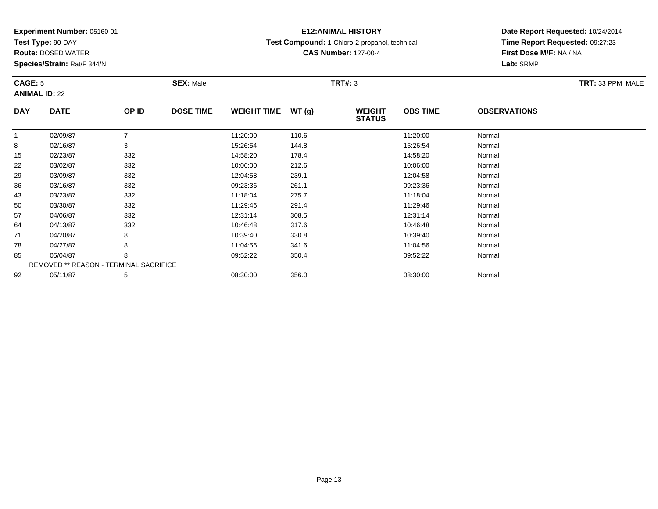**Test Type:** 90-DAY

64

71

78

85

92

**Route:** DOSED WATER

**Species/Strain:** Rat/F 344/N

REMOVED \*\* REASON - TERMINAL SACRIFICE

## **E12:ANIMAL HISTORY**

**Test Compound:** 1-Chloro-2-propanol, technical

**CAS Number:** 127-00-4

**Date Report Requested:** 10/24/2014**Time Report Requested:** 09:27:23**First Dose M/F:** NA / NA**Lab:** SRMP

#### **CAGE:** 5 **SEX:** Male **TRT#:** <sup>3</sup> **TRT:** 33 PPM MALE**ANIMAL ID:** 22**DAY DATE OP IDDOSE TIME WEIGHT TIME WT** (g) **STATUSOBS TIME OBSERVATIONS** 11 02/09/87 7 11:20:00 110.6 11:20:00 Normal 88 02/16/87 3 3 15:26:54 144.8 15:26:54 15:26:54 Normal 155 02/23/87 332 14:58:20 178.4 14:58:20 Normal 222 03/02/87 332 32 10:06:00 212.6 33/02/87 10:06:00 3/02/87 29 03/09/87 <sup>332</sup> 12:04:58 239.1 12:04:58 Normal 366 03/16/87 332 09:23:36 261.1 09:23:36 Normal 433 03/23/87 332 11:18:04 275.7 11:18:04 Normal 500 03/30/87 332 11:29:46 291.4 11:29:46 Normal 5704/06/87 <sup>332</sup> 12:31:14 308.5 12:31:14 Normal

4 04/13/87 332 30 10:46:48 317.6 317.6 10:46:48 Normal

1 04/20/87 8 8 10:39:40 330.8 130.8 10:39:40 330.8

8 04/27/87 8 8 11:04:56 341.6 11:04:56 341.6 11:04:56 Normal

05/04/87 <sup>8</sup> 09:52:22 350.4 09:52:22 Normal

2 05/11/87 5 5 08:30:00 356.0 08:00 356.0 08:30:00 08:30:00 08:30:00 08:30:00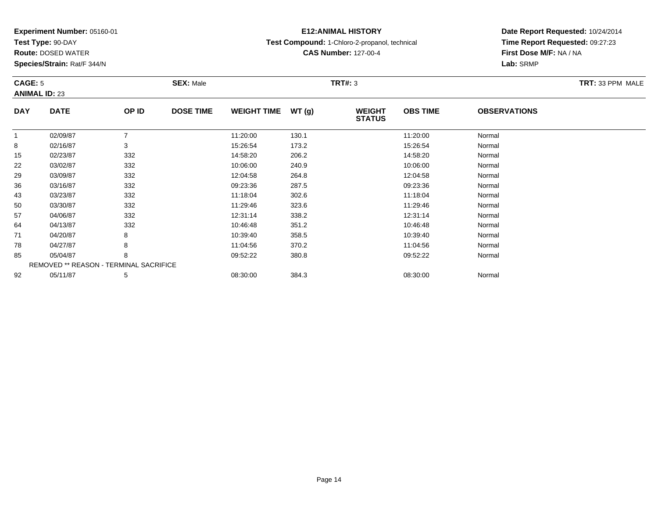**Test Type:** 90-DAY

64

71

78

85

92

**Route:** DOSED WATER

**Species/Strain:** Rat/F 344/N

REMOVED \*\* REASON - TERMINAL SACRIFICE

## **E12:ANIMAL HISTORY**

**Test Compound:** 1-Chloro-2-propanol, technical

**CAS Number:** 127-00-4

**Date Report Requested:** 10/24/2014**Time Report Requested:** 09:27:23**First Dose M/F:** NA / NA**Lab:** SRMP

| CAGE: 5<br><b>ANIMAL ID: 23</b> |             |       | <b>SEX: Male</b> |                    |       | TRT#: 3                        |                 |                     | TRT: 33 PPM MALE |
|---------------------------------|-------------|-------|------------------|--------------------|-------|--------------------------------|-----------------|---------------------|------------------|
| <b>DAY</b>                      | <b>DATE</b> | OP ID | <b>DOSE TIME</b> | <b>WEIGHT TIME</b> | WT(q) | <b>WEIGHT</b><br><b>STATUS</b> | <b>OBS TIME</b> | <b>OBSERVATIONS</b> |                  |
|                                 | 02/09/87    |       |                  | 11:20:00           | 130.1 |                                | 11:20:00        | Normal              |                  |
| 8                               | 02/16/87    | 3     |                  | 15:26:54           | 173.2 |                                | 15:26:54        | Normal              |                  |
| 15                              | 02/23/87    | 332   |                  | 14:58:20           | 206.2 |                                | 14:58:20        | Normal              |                  |
| 22                              | 03/02/87    | 332   |                  | 10:06:00           | 240.9 |                                | 10:06:00        | Normal              |                  |
| 29                              | 03/09/87    | 332   |                  | 12:04:58           | 264.8 |                                | 12:04:58        | Normal              |                  |
| 36                              | 03/16/87    | 332   |                  | 09:23:36           | 287.5 |                                | 09:23:36        | Normal              |                  |
| 43                              | 03/23/87    | 332   |                  | 11:18:04           | 302.6 |                                | 11:18:04        | Normal              |                  |
| 50                              | 03/30/87    | 332   |                  | 11:29:46           | 323.6 |                                | 11:29:46        | Normal              |                  |
| 57                              | 04/06/87    | 332   |                  | 12:31:14           | 338.2 |                                | 12:31:14        | Normal              |                  |

4 04/13/87 332 30 10:46:48 351.2 351.2 10:46:48 Normal

1 04/20/87 8 8 10:39:40 358.5 10:39:40 358.5 10:39:40 Normal

8 04/27/87 8 8 11:04:56 370.2 12 11:04:56 370.2

05/04/87 <sup>8</sup> 09:52:22 380.8 09:52:22 Normal

2 05/11/87 5 5 08:30:00 384.3 08:30 08 08:30:00 384.3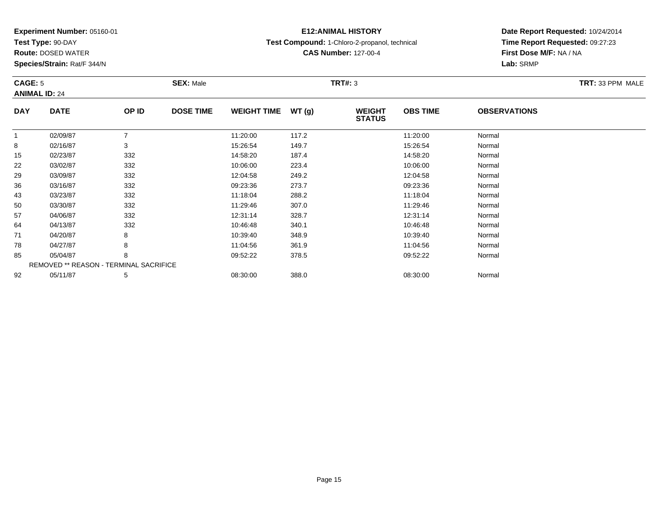**Test Type:** 90-DAY

71

78

85

92

**Route:** DOSED WATER

**Species/Strain:** Rat/F 344/N

REMOVED \*\* REASON - TERMINAL SACRIFICE

## **E12:ANIMAL HISTORY**

**Test Compound:** 1-Chloro-2-propanol, technical

**CAS Number:** 127-00-4

**Date Report Requested:** 10/24/2014**Time Report Requested:** 09:27:23**First Dose M/F:** NA / NA**Lab:** SRMP

| CAGE: 5    | <b>ANIMAL ID: 24</b> |       | <b>SEX: Male</b> |                    |       | <b>TRT#: 3</b>                 | TRT: 33 PPM MALE |                     |  |
|------------|----------------------|-------|------------------|--------------------|-------|--------------------------------|------------------|---------------------|--|
| <b>DAY</b> | <b>DATE</b>          | OP ID | <b>DOSE TIME</b> | <b>WEIGHT TIME</b> | WT(g) | <b>WEIGHT</b><br><b>STATUS</b> | <b>OBS TIME</b>  | <b>OBSERVATIONS</b> |  |
|            | 02/09/87             |       |                  | 11:20:00           | 117.2 |                                | 11:20:00         | Normal              |  |
| 8          | 02/16/87             | 3     |                  | 15:26:54           | 149.7 |                                | 15:26:54         | Normal              |  |
| 15         | 02/23/87             | 332   |                  | 14:58:20           | 187.4 |                                | 14:58:20         | Normal              |  |
| 22         | 03/02/87             | 332   |                  | 10:06:00           | 223.4 |                                | 10:06:00         | Normal              |  |
| 29         | 03/09/87             | 332   |                  | 12:04:58           | 249.2 |                                | 12:04:58         | Normal              |  |
| 36         | 03/16/87             | 332   |                  | 09:23:36           | 273.7 |                                | 09:23:36         | Normal              |  |
| 43         | 03/23/87             | 332   |                  | 11:18:04           | 288.2 |                                | 11:18:04         | Normal              |  |
| 50         | 03/30/87             | 332   |                  | 11:29:46           | 307.0 |                                | 11:29:46         | Normal              |  |
| 57         | 04/06/87             | 332   |                  | 12:31:14           | 328.7 |                                | 12:31:14         | Normal              |  |
| 64         | 04/13/87             | 332   |                  | 10:46:48           | 340.1 |                                | 10:46:48         | Normal              |  |

1 04/20/87 8 8 10:39:40 348.9 1 348.9 10:39:40 35 10:39:40 1 10:39:40 1 10:39:40

8 04/27/87 8 8 11:04:56 361.9 15 11:04:56 361.9 11:04:56 Normal

05/04/87 <sup>8</sup> 09:52:22 378.5 09:52:22 Normal

2 05/11/87 5 5 08:30:00 388.0 08:30 08 08:00 08:00 08:30:00 08:30:00 08:30:00 08:30:00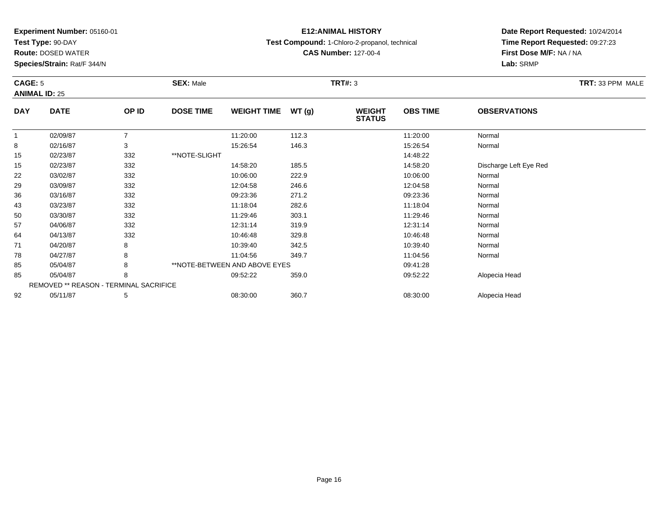**Test Type:** 90-DAY

92

**Route:** DOSED WATER

**Species/Strain:** Rat/F 344/N

REMOVED \*\* REASON - TERMINAL SACRIFICE

### **E12:ANIMAL HISTORY**

**Test Compound:** 1-Chloro-2-propanol, technical

**CAS Number:** 127-00-4

### **Date Report Requested:** 10/24/2014**Time Report Requested:** 09:27:23**First Dose M/F:** NA / NA**Lab:** SRMP

#### **CAGE:** 5 **SEX:** Male **TRT#:** <sup>3</sup> **TRT:** 33 PPM MALE**ANIMAL ID:** 25**DAY DATE OP ID DOSE TIME WEIGHT TIME WT (g) WEIGHT STATUSOBS TIME OBSERVATIONS** 11 02/09/87 7 11:20:00 112.3 11:20:00 Normal 88 02/16/87 3 3 15:26:54 146.3 15:26:54 15:26:54 15:26:54 Normal 1502/23/87 332 \*\*NOTE-SLIGHT<br>02/23/87 332 332 14:48:22 15 02/23/87 <sup>332</sup> 14:58:20 185.5 14:58:20 Discharge Left Eye Red 222 03/02/87 332 32 10:06:00 222.9 10:06:00 33/02/87 Normal 29 03/09/87 <sup>332</sup> 12:04:58 246.6 12:04:58 Normal 36 03/16/87 <sup>332</sup> 09:23:36 271.2 09:23:36 Normal 433 03/23/87 332 11:18:04 282.6 11:18:04 Normal 500 03/30/87 332 11:29:46 303.1 11:29:46 Normal 57 04/06/87 <sup>332</sup> 12:31:14 319.9 12:31:14 Normal 644 04/13/87 332 30 10:46:48 329.8 10:46:48 329.8 10:46:48 Normal 711 04/20/87 8 8 10:39:40 342.5 10:39 10:39:40 342.5 10:39:40 788 04/27/87 8 8 11:04:56 349.7 11:04:56 349.7 11:04:56 Normal 85 05/04/87 <sup>8</sup> \*\*NOTE-BETWEEN AND ABOVE EYESS 09:41:28 85

05/04/87 <sup>8</sup> 09:52:22 359.0 09:52:22 Alopecia Head

2 05/11/87 5 5 08:30:00 360.7 06:30 08 08:30:00 360.7 08:30:00 Alopecia Head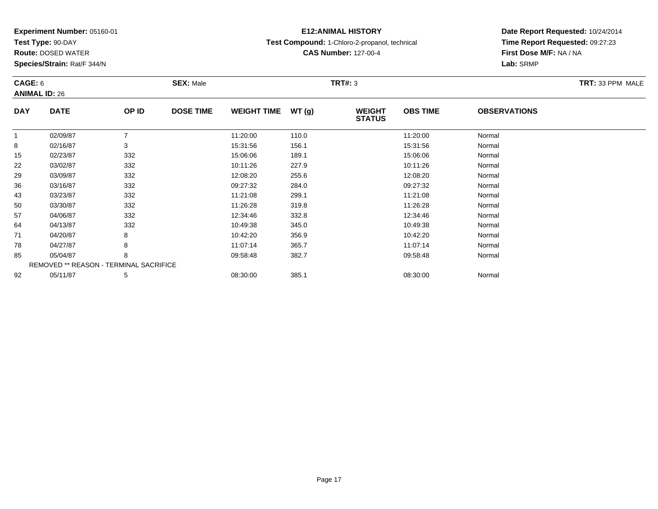**Test Type:** 90-DAY

92

**Route:** DOSED WATER

**Species/Strain:** Rat/F 344/N

REMOVED \*\* REASON - TERMINAL SACRIFICE

# **E12:ANIMAL HISTORY**

**Test Compound:** 1-Chloro-2-propanol, technical

**CAS Number:** 127-00-4

**Date Report Requested:** 10/24/2014**Time Report Requested:** 09:27:23**First Dose M/F:** NA / NA**Lab:** SRMP

| CAGE: 6<br><b>ANIMAL ID: 26</b> |             |       | <b>SEX: Male</b> |                    |       | <b>TRT#: 3</b>                 |                 |                     | TRT: 33 PPM MALE |
|---------------------------------|-------------|-------|------------------|--------------------|-------|--------------------------------|-----------------|---------------------|------------------|
| <b>DAY</b>                      | <b>DATE</b> | OP ID | <b>DOSE TIME</b> | <b>WEIGHT TIME</b> | WT(g) | <b>WEIGHT</b><br><b>STATUS</b> | <b>OBS TIME</b> | <b>OBSERVATIONS</b> |                  |
| 1                               | 02/09/87    | 7     |                  | 11:20:00           | 110.0 |                                | 11:20:00        | Normal              |                  |
| 8                               | 02/16/87    | 3     |                  | 15:31:56           | 156.1 |                                | 15:31:56        | Normal              |                  |
| 15                              | 02/23/87    | 332   |                  | 15:06:06           | 189.1 |                                | 15:06:06        | Normal              |                  |
| 22                              | 03/02/87    | 332   |                  | 10:11:26           | 227.9 |                                | 10:11:26        | Normal              |                  |
| 29                              | 03/09/87    | 332   |                  | 12:08:20           | 255.6 |                                | 12:08:20        | Normal              |                  |
| 36                              | 03/16/87    | 332   |                  | 09:27:32           | 284.0 |                                | 09:27:32        | Normal              |                  |
| 43                              | 03/23/87    | 332   |                  | 11:21:08           | 299.1 |                                | 11:21:08        | Normal              |                  |
| 50                              | 03/30/87    | 332   |                  | 11:26:28           | 319.8 |                                | 11:26:28        | Normal              |                  |
| 57                              | 04/06/87    | 332   |                  | 12:34:46           | 332.8 |                                | 12:34:46        | Normal              |                  |
| 64                              | 04/13/87    | 332   |                  | 10:49:38           | 345.0 |                                | 10:49:38        | Normal              |                  |
| 71                              | 04/20/87    | 8     |                  | 10:42:20           | 356.9 |                                | 10:42:20        | Normal              |                  |
| 78                              | 04/27/87    | 8     |                  | 11:07:14           | 365.7 |                                | 11:07:14        | Normal              |                  |
| 85                              | 05/04/87    | 8     |                  | 09:58:48           | 382.7 |                                | 09:58:48        | Normal              |                  |

2 05/11/87 5 5 08:30:00 385.1 08:30 08 08:00 385.1 08:30:00 Normal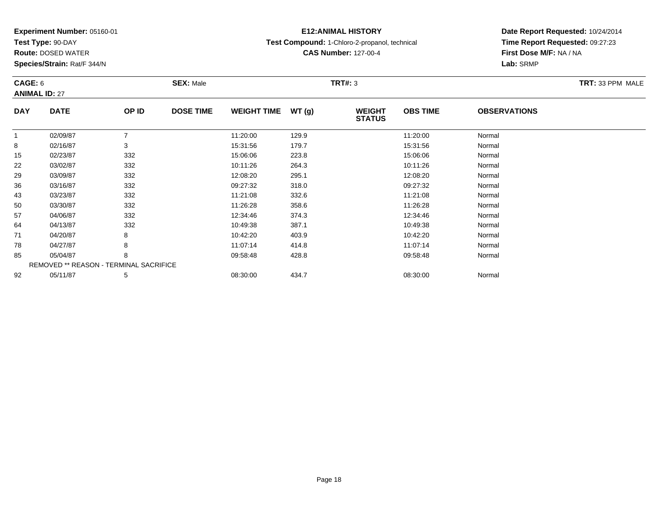**Test Type:** 90-DAY

57

64

71

78

85

92

**Route:** DOSED WATER

**Species/Strain:** Rat/F 344/N

REMOVED \*\* REASON - TERMINAL SACRIFICE

### **E12:ANIMAL HISTORY**

**Test Compound:** 1-Chloro-2-propanol, technical

**CAS Number:** 127-00-4

**Date Report Requested:** 10/24/2014**Time Report Requested:** 09:27:23**First Dose M/F:** NA / NA**Lab:** SRMP

#### **CAGE:** 6 **SEX:** Male **TRT#:** <sup>3</sup> **TRT:** 33 PPM MALE**ANIMAL ID:** 27**DAY DATE OP IDDOSE TIME WEIGHT TIME WT** (g) **STATUSOBS TIME OBSERVATIONS** 11 02/09/87 7 11:20:00 129.9 11:20:00 Normal 88 02/16/87 3 15:31:56 179.7 15:31:56 Normal 155 02/23/87 332 332 15:06:06 223.8 5 15:06:06 15:06:06 15:06:06 15:06:06 15:06:06 222 03/02/87 332 382 10:11:26 264.3 364.3 10:11:26 264.3 29 03/09/87 <sup>332</sup> 12:08:20 295.1 12:08:20 Normal 36 03/16/87 <sup>332</sup> 09:27:32 318.0 09:27:32 Normal 433 03/23/87 332 11:21:08 332.6 11:21:08 Normal 500 03/30/87 332 11:26:28 358.6 11:26:28 Normal

04/06/87 <sup>332</sup> 12:34:46 374.3 12:34:46 Normal

4 04/13/87 332 30 10:49:38 387.1 397.1 10:49:38 397.1 397.1 397.1 397.1 4 10:49:38 397.1 397.1 397.1 397.1 397

1 04/20/87 8 8 10:42:20 403.9 10:42:20 10:42 10:42 10:42 10:42:20 Normal

8 04/27/87 8 8 11:07:14 414.8 11:07 11:07:14 11:07:14 11:07:14 11:07:14

05/04/87 <sup>8</sup> 09:58:48 428.8 09:58:48 Normal

2 05/11/87 5 5 08:30:00 434.7 08:30 08:30:00 08:00 08:30:00 08:30:00 08:30:00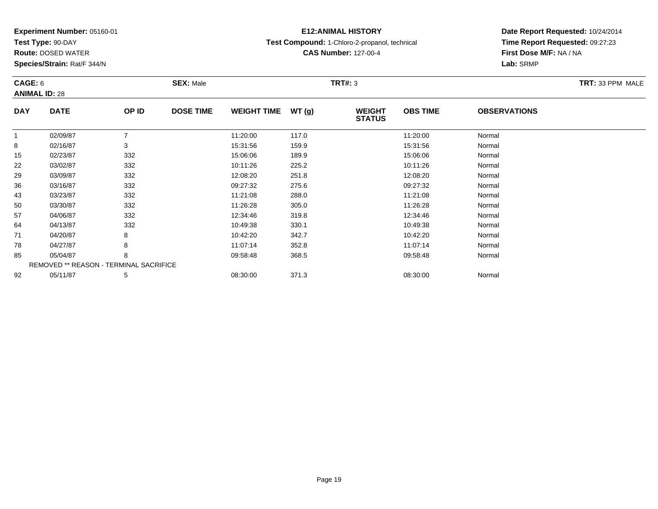**Test Type:** 90-DAY

85

92

**Route:** DOSED WATER

**Species/Strain:** Rat/F 344/N

REMOVED \*\* REASON - TERMINAL SACRIFICE

### **E12:ANIMAL HISTORY**

**Test Compound:** 1-Chloro-2-propanol, technical

**Date Report Requested:** 10/24/2014**Time Report Requested:** 09:27:23**First Dose M/F:** NA / NA**Lab:** SRMP

#### **CAGE:** 6 **SEX:** Male **TRT#:** <sup>3</sup> **TRT:** 33 PPM MALE**ANIMAL ID:** 28**DAY DATE OP IDDOSE TIME WEIGHT TIME WT** (g) **STATUSOBS TIME OBSERVATIONS** 11 02/09/87 7 11:20:00 117.0 11:20:00 Normal 88 02/16/87 3 15:31:56 159.9 15:31:56 Normal 155 02/23/87 332 15:06:06 189.9 15:06:06 Normal 222 03/02/87 332 332 10:11:26 225.2 10:30 10:30 10:11:26 Normal 29 03/09/87 <sup>332</sup> 12:08:20 251.8 12:08:20 Normal 36 03/16/87 <sup>332</sup> 09:27:32 275.6 09:27:32 Normal 433 03/23/87 332 11:21:08 288.0 11:21:08 Normal 500 03/30/87 332 11:26:28 305.0 11:26:28 Normal 577 04/06/87 332 32 12:34:46 319.8 119.8 12:34:46 349.8 319.8 12:34:46 Normal 644 04/13/87 332 30 10:49:38 330.1 10:49:38 330.1 10:49:38 530.1 330.1 10:49:38 Normal 711 04/20/87 8 8 10:42:20 342.7 10:42:20 10:42:20 10:42:20 Normal 788 04/27/87 8 8 11:07:14 352.8 11:07:14 11:07:14 11:07:14 Normal

05/04/87 <sup>8</sup> 09:58:48 368.5 09:58:48 Normal

2 05/11/87 5 5 08:30:00 371.3 08:30 08 08:30:00 5/11/87 Normal

**CAS Number:** 127-00-4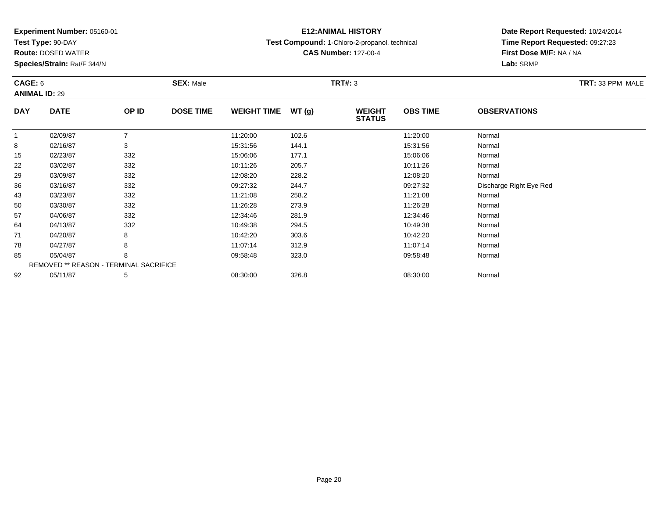**Test Type:** 90-DAY

**Route:** DOSED WATER

**Species/Strain:** Rat/F 344/N

### **E12:ANIMAL HISTORY**

**Test Compound:** 1-Chloro-2-propanol, technical

**CAS Number:** 127-00-4

### **Date Report Requested:** 10/24/2014**Time Report Requested:** 09:27:23**First Dose M/F:** NA / NA**Lab:** SRMP

#### **CAGE:** 6 **SEX:** Male **TRT#:** <sup>3</sup> **TRT:** 33 PPM MALE**ANIMAL ID:** 29**DAY DATE OP ID DOSE TIME WEIGHT TIME WT (g) WEIGHT STATUSOBS TIME OBSERVATIONS** 11 02/09/87 7 11:20:00 102.6 11:20:00 Normal 88 02/16/87 3 15:31:56 144.1 15:31:56 Normal 155 02/23/87 332 15:06:06 177.1 15:06:06 Normal 222 03/02/87 332 332 10:11:26 205.7 33/2 10:11:26 332 332 29 03/09/87 <sup>332</sup> 12:08:20 228.2 12:08:20 Normal 36 03/16/87 <sup>332</sup> 09:27:32 244.7 09:27:32 Discharge Right Eye Red 433 03/23/87 332 11:21:08 258.2 11:21:08 Normal 500 03/30/87 332 11:26:28 273.9 11:26:28 Normal 57 04/06/87 <sup>332</sup> 12:34:46 281.9 12:34:46 Normal 644 04/13/87 332 38 10:49:38 294.5 394.5 10:49:38 10:49:38 10:49 711 04/20/87 8 8 10:42:20 303.6 10:42:20 10:42:20 10:42:20 Normal 788 04/27/87 8 8 11:07:14 312.9 12.9 11:07:14 Normal 85 05/04/87 <sup>8</sup> 09:58:48 323.0 09:58:48 Normal REMOVED \*\* REASON - TERMINAL SACRIFICE92

2 05/11/87 5 5 08:30:00 326.8 08:30 08 08:30:00 326.8 08:30:00 08:30:00 08:30:00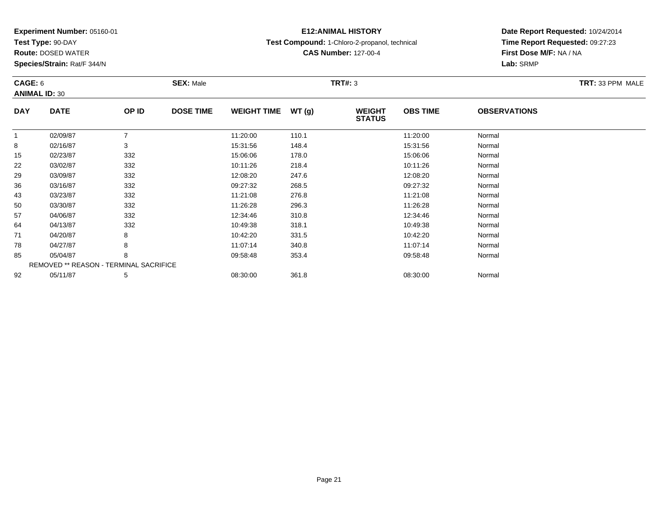**Test Type:** 90-DAY

92

**Route:** DOSED WATER

**Species/Strain:** Rat/F 344/N

# **E12:ANIMAL HISTORY**

**Test Compound:** 1-Chloro-2-propanol, technical

**CAS Number:** 127-00-4

**Date Report Requested:** 10/24/2014**Time Report Requested:** 09:27:23**First Dose M/F:** NA / NA**Lab:** SRMP

|              | CAGE: 6<br><b>ANIMAL ID: 30</b> |                                               | <b>SEX: Male</b> |                    |       | <b>TRT#: 3</b>                 | TRT: 33 PPM MALE |                     |  |
|--------------|---------------------------------|-----------------------------------------------|------------------|--------------------|-------|--------------------------------|------------------|---------------------|--|
| <b>DAY</b>   | <b>DATE</b>                     | OP ID                                         | <b>DOSE TIME</b> | <b>WEIGHT TIME</b> | WT(g) | <b>WEIGHT</b><br><b>STATUS</b> | <b>OBS TIME</b>  | <b>OBSERVATIONS</b> |  |
| $\mathbf{1}$ | 02/09/87                        |                                               |                  | 11:20:00           | 110.1 |                                | 11:20:00         | Normal              |  |
| 8            | 02/16/87                        | 3                                             |                  | 15:31:56           | 148.4 |                                | 15:31:56         | Normal              |  |
| 15           | 02/23/87                        | 332                                           |                  | 15:06:06           | 178.0 |                                | 15:06:06         | Normal              |  |
| 22           | 03/02/87                        | 332                                           |                  | 10:11:26           | 218.4 |                                | 10:11:26         | Normal              |  |
| 29           | 03/09/87                        | 332                                           |                  | 12:08:20           | 247.6 |                                | 12:08:20         | Normal              |  |
| 36           | 03/16/87                        | 332                                           |                  | 09:27:32           | 268.5 |                                | 09:27:32         | Normal              |  |
| 43           | 03/23/87                        | 332                                           |                  | 11:21:08           | 276.8 |                                | 11:21:08         | Normal              |  |
| 50           | 03/30/87                        | 332                                           |                  | 11:26:28           | 296.3 |                                | 11:26:28         | Normal              |  |
| 57           | 04/06/87                        | 332                                           |                  | 12:34:46           | 310.8 |                                | 12:34:46         | Normal              |  |
| 64           | 04/13/87                        | 332                                           |                  | 10:49:38           | 318.1 |                                | 10:49:38         | Normal              |  |
| 71           | 04/20/87                        | 8                                             |                  | 10:42:20           | 331.5 |                                | 10:42:20         | Normal              |  |
| 78           | 04/27/87                        | 8                                             |                  | 11:07:14           | 340.8 |                                | 11:07:14         | Normal              |  |
| 85           | 05/04/87                        | 8                                             |                  | 09:58:48           | 353.4 |                                | 09:58:48         | Normal              |  |
|              |                                 | <b>REMOVED ** REASON - TERMINAL SACRIFICE</b> |                  |                    |       |                                |                  |                     |  |

2 05/11/87 5 5 08:30:00 361.8 06 08:30:00 361.8 08:30:00 08:30:00 Normal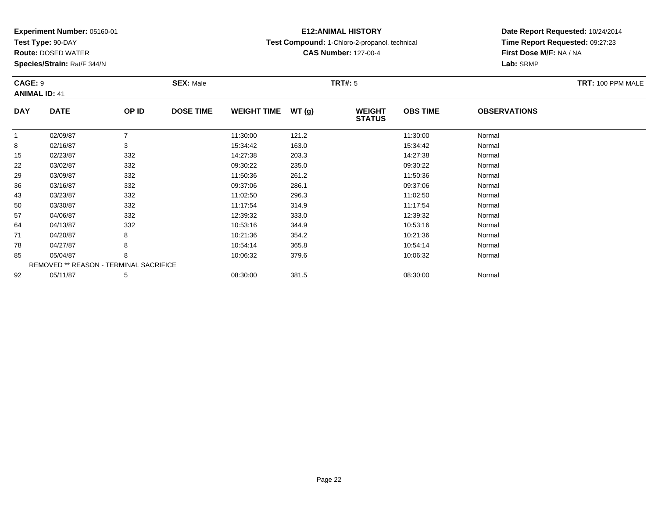**Test Type:** 90-DAY

78

85

92

**Route:** DOSED WATER

**Species/Strain:** Rat/F 344/N

REMOVED \*\* REASON - TERMINAL SACRIFICE

## **E12:ANIMAL HISTORY**

**Test Compound:** 1-Chloro-2-propanol, technical

**CAS Number:** 127-00-4

**Date Report Requested:** 10/24/2014**Time Report Requested:** 09:27:23**First Dose M/F:** NA / NA**Lab:** SRMP

| CAGE: 9    | <b>ANIMAL ID: 41</b> |       | <b>SEX: Male</b> |                    |       | <b>TRT#: 5</b>                 | TRT: 100 PPM MALE |                     |  |
|------------|----------------------|-------|------------------|--------------------|-------|--------------------------------|-------------------|---------------------|--|
| <b>DAY</b> | <b>DATE</b>          | OP ID | <b>DOSE TIME</b> | <b>WEIGHT TIME</b> | WT(g) | <b>WEIGHT</b><br><b>STATUS</b> | <b>OBS TIME</b>   | <b>OBSERVATIONS</b> |  |
|            | 02/09/87             |       |                  | 11:30:00           | 121.2 |                                | 11:30:00          | Normal              |  |
| 8          | 02/16/87             | 3     |                  | 15:34:42           | 163.0 |                                | 15:34:42          | Normal              |  |
| 15         | 02/23/87             | 332   |                  | 14:27:38           | 203.3 |                                | 14:27:38          | Normal              |  |
| 22         | 03/02/87             | 332   |                  | 09:30:22           | 235.0 |                                | 09:30:22          | Normal              |  |
| 29         | 03/09/87             | 332   |                  | 11:50:36           | 261.2 |                                | 11:50:36          | Normal              |  |
| 36         | 03/16/87             | 332   |                  | 09:37:06           | 286.1 |                                | 09:37:06          | Normal              |  |
| 43         | 03/23/87             | 332   |                  | 11:02:50           | 296.3 |                                | 11:02:50          | Normal              |  |
| 50         | 03/30/87             | 332   |                  | 11:17:54           | 314.9 |                                | 11:17:54          | Normal              |  |
| 57         | 04/06/87             | 332   |                  | 12:39:32           | 333.0 |                                | 12:39:32          | Normal              |  |
| 64         | 04/13/87             | 332   |                  | 10:53:16           | 344.9 |                                | 10:53:16          | Normal              |  |
| 71         | 04/20/87             | 8     |                  | 10:21:36           | 354.2 |                                | 10:21:36          | Normal              |  |

8 04/27/87 8 8 10:54:14 365.8 10:54:14 365.8 10:54:14 Normal

05/04/87 <sup>8</sup> 10:06:32 379.6 10:06:32 Normal

2 05/11/87 5 5 08:30:00 381.5 08:30 08 08:00 08:00 08:00 08:30:00 08:30:00 08:30:00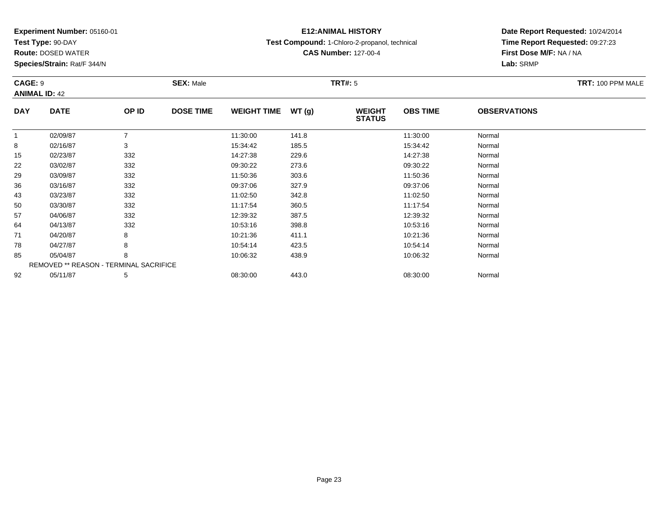**Test Type:** 90-DAY

71

78

85

92

**Route:** DOSED WATER

**Species/Strain:** Rat/F 344/N

REMOVED \*\* REASON - TERMINAL SACRIFICE

# **E12:ANIMAL HISTORY**

**Test Compound:** 1-Chloro-2-propanol, technical

**CAS Number:** 127-00-4

**Date Report Requested:** 10/24/2014**Time Report Requested:** 09:27:23**First Dose M/F:** NA / NA**Lab:** SRMP

| <b>CAGE: 9</b> | <b>ANIMAL ID: 42</b> |       | <b>SEX: Male</b> |                    |       | <b>TRT#: 5</b>                 |                 | TRT: 100 PPM MALE   |  |
|----------------|----------------------|-------|------------------|--------------------|-------|--------------------------------|-----------------|---------------------|--|
| <b>DAY</b>     | <b>DATE</b>          | OP ID | <b>DOSE TIME</b> | <b>WEIGHT TIME</b> | WT(g) | <b>WEIGHT</b><br><b>STATUS</b> | <b>OBS TIME</b> | <b>OBSERVATIONS</b> |  |
|                | 02/09/87             |       |                  | 11:30:00           | 141.8 |                                | 11:30:00        | Normal              |  |
| 8              | 02/16/87             | 3     |                  | 15:34:42           | 185.5 |                                | 15:34:42        | Normal              |  |
| 15             | 02/23/87             | 332   |                  | 14:27:38           | 229.6 |                                | 14:27:38        | Normal              |  |
| 22             | 03/02/87             | 332   |                  | 09:30:22           | 273.6 |                                | 09:30:22        | Normal              |  |
| 29             | 03/09/87             | 332   |                  | 11:50:36           | 303.6 |                                | 11:50:36        | Normal              |  |
| 36             | 03/16/87             | 332   |                  | 09:37:06           | 327.9 |                                | 09:37:06        | Normal              |  |
| 43             | 03/23/87             | 332   |                  | 11:02:50           | 342.8 |                                | 11:02:50        | Normal              |  |
| 50             | 03/30/87             | 332   |                  | 11:17:54           | 360.5 |                                | 11:17:54        | Normal              |  |
| 57             | 04/06/87             | 332   |                  | 12:39:32           | 387.5 |                                | 12:39:32        | Normal              |  |
| 64             | 04/13/87             | 332   |                  | 10:53:16           | 398.8 |                                | 10:53:16        | Normal              |  |

1 04/20/87 8 8 10:21:36 411.1 10:21:36 40:21 10:21:36 Normal

8 04/27/87 8 8 10:54:14 423.5 10:54:14 10:54:14 10:54:14 10:54:14

05/04/87 <sup>8</sup> 10:06:32 438.9 10:06:32 Normal

2 05/11/87 5 5 08:30:00 443.0 08:30 08 08:00 08:00 08:30:00 08:30:00 08:30:00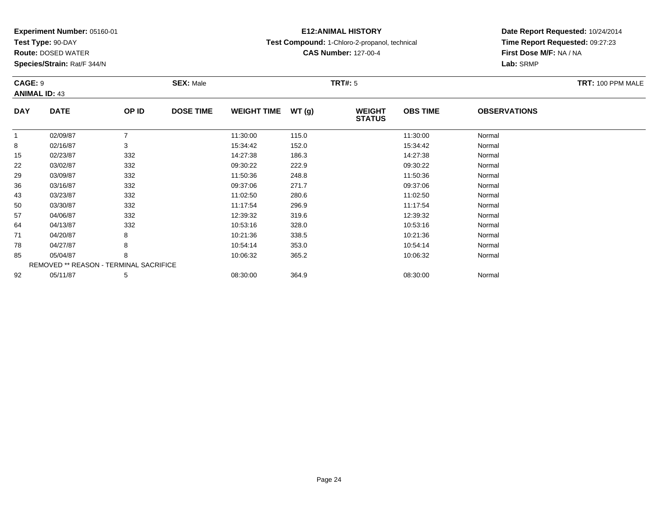**Test Type:** 90-DAY

85

92

**Route:** DOSED WATER

**Species/Strain:** Rat/F 344/N

REMOVED \*\* REASON - TERMINAL SACRIFICE

### **E12:ANIMAL HISTORY**

**Test Compound:** 1-Chloro-2-propanol, technical

**CAS Number:** 127-00-4

**Date Report Requested:** 10/24/2014**Time Report Requested:** 09:27:23**First Dose M/F:** NA / NA**Lab:** SRMP

| CAGE: 9    | <b>ANIMAL ID: 43</b> |       | <b>SEX: Male</b> |                    |       | TRT#: 5                        | TRT: 100 PPM MALE |                     |  |
|------------|----------------------|-------|------------------|--------------------|-------|--------------------------------|-------------------|---------------------|--|
| <b>DAY</b> | <b>DATE</b>          | OP ID | <b>DOSE TIME</b> | <b>WEIGHT TIME</b> | WT(g) | <b>WEIGHT</b><br><b>STATUS</b> | <b>OBS TIME</b>   | <b>OBSERVATIONS</b> |  |
| 1          | 02/09/87             |       |                  | 11:30:00           | 115.0 |                                | 11:30:00          | Normal              |  |
| 8          | 02/16/87             | 3     |                  | 15:34:42           | 152.0 |                                | 15:34:42          | Normal              |  |
| 15         | 02/23/87             | 332   |                  | 14:27:38           | 186.3 |                                | 14:27:38          | Normal              |  |
| 22         | 03/02/87             | 332   |                  | 09:30:22           | 222.9 |                                | 09:30:22          | Normal              |  |
| 29         | 03/09/87             | 332   |                  | 11:50:36           | 248.8 |                                | 11:50:36          | Normal              |  |
| 36         | 03/16/87             | 332   |                  | 09:37:06           | 271.7 |                                | 09:37:06          | Normal              |  |
| 43         | 03/23/87             | 332   |                  | 11:02:50           | 280.6 |                                | 11:02:50          | Normal              |  |
| 50         | 03/30/87             | 332   |                  | 11:17:54           | 296.9 |                                | 11:17:54          | Normal              |  |
| 57         | 04/06/87             | 332   |                  | 12:39:32           | 319.6 |                                | 12:39:32          | Normal              |  |
| 64         | 04/13/87             | 332   |                  | 10:53:16           | 328.0 |                                | 10:53:16          | Normal              |  |
| 71         | 04/20/87             | 8     |                  | 10:21:36           | 338.5 |                                | 10:21:36          | Normal              |  |
| 78         | 04/27/87             | 8     |                  | 10:54:14           | 353.0 |                                | 10:54:14          | Normal              |  |

05/04/87 <sup>8</sup> 10:06:32 365.2 10:06:32 Normal

2 05/11/87 5 5 08:30:00 364.9 08:30 00 364.9 08:30:00 08:30:00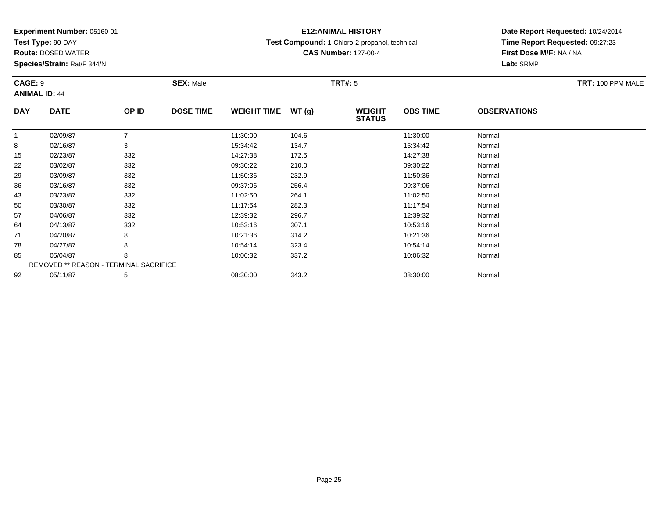**Test Type:** 90-DAY

92

**Route:** DOSED WATER

**Species/Strain:** Rat/F 344/N

REMOVED \*\* REASON - TERMINAL SACRIFICE

# **E12:ANIMAL HISTORY**

**Test Compound:** 1-Chloro-2-propanol, technical

**CAS Number:** 127-00-4

**Date Report Requested:** 10/24/2014**Time Report Requested:** 09:27:23**First Dose M/F:** NA / NA**Lab:** SRMP

| CAGE: 9    | <b>ANIMAL ID: 44</b> |       | <b>SEX: Male</b> |                    |       | <b>TRT#: 5</b>                 | TRT: 100 PPM MALE |                     |  |
|------------|----------------------|-------|------------------|--------------------|-------|--------------------------------|-------------------|---------------------|--|
| <b>DAY</b> | <b>DATE</b>          | OP ID | <b>DOSE TIME</b> | <b>WEIGHT TIME</b> | WT(g) | <b>WEIGHT</b><br><b>STATUS</b> | <b>OBS TIME</b>   | <b>OBSERVATIONS</b> |  |
|            | 02/09/87             |       |                  | 11:30:00           | 104.6 |                                | 11:30:00          | Normal              |  |
| 8          | 02/16/87             | 3     |                  | 15:34:42           | 134.7 |                                | 15:34:42          | Normal              |  |
| 15         | 02/23/87             | 332   |                  | 14:27:38           | 172.5 |                                | 14:27:38          | Normal              |  |
| 22         | 03/02/87             | 332   |                  | 09:30:22           | 210.0 |                                | 09:30:22          | Normal              |  |
| 29         | 03/09/87             | 332   |                  | 11:50:36           | 232.9 |                                | 11:50:36          | Normal              |  |
| 36         | 03/16/87             | 332   |                  | 09:37:06           | 256.4 |                                | 09:37:06          | Normal              |  |
| 43         | 03/23/87             | 332   |                  | 11:02:50           | 264.1 |                                | 11:02:50          | Normal              |  |
| 50         | 03/30/87             | 332   |                  | 11:17:54           | 282.3 |                                | 11:17:54          | Normal              |  |
| 57         | 04/06/87             | 332   |                  | 12:39:32           | 296.7 |                                | 12:39:32          | Normal              |  |
| 64         | 04/13/87             | 332   |                  | 10:53:16           | 307.1 |                                | 10:53:16          | Normal              |  |
| 71         | 04/20/87             | 8     |                  | 10:21:36           | 314.2 |                                | 10:21:36          | Normal              |  |
| 78         | 04/27/87             | 8     |                  | 10:54:14           | 323.4 |                                | 10:54:14          | Normal              |  |
| 85         | 05/04/87             | 8     |                  | 10:06:32           | 337.2 |                                | 10:06:32          | Normal              |  |

2 05/11/87 5 5 08:30:00 343.2 08:30:00 08:00 08:00 08:00 08:00 08:30:00 08:30:00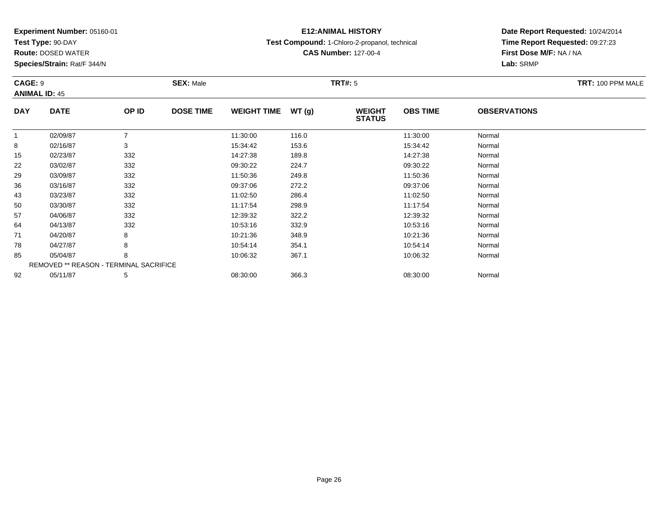**Test Type:** 90-DAY

85

92

**Route:** DOSED WATER

**Species/Strain:** Rat/F 344/N

REMOVED \*\* REASON - TERMINAL SACRIFICE

### **E12:ANIMAL HISTORY**

**Test Compound:** 1-Chloro-2-propanol, technical

**CAS Number:** 127-00-4

**Date Report Requested:** 10/24/2014**Time Report Requested:** 09:27:23**First Dose M/F:** NA / NA**Lab:** SRMP

| CAGE: 9    | <b>ANIMAL ID: 45</b> |       | <b>SEX: Male</b> |                    |       | <b>TRT#: 5</b>                 | TRT: 100 PPM MALE |                     |  |
|------------|----------------------|-------|------------------|--------------------|-------|--------------------------------|-------------------|---------------------|--|
| <b>DAY</b> | <b>DATE</b>          | OP ID | <b>DOSE TIME</b> | <b>WEIGHT TIME</b> | WT(g) | <b>WEIGHT</b><br><b>STATUS</b> | <b>OBS TIME</b>   | <b>OBSERVATIONS</b> |  |
| 1          | 02/09/87             |       |                  | 11:30:00           | 116.0 |                                | 11:30:00          | Normal              |  |
| 8          | 02/16/87             | 3     |                  | 15:34:42           | 153.6 |                                | 15:34:42          | Normal              |  |
| 15         | 02/23/87             | 332   |                  | 14:27:38           | 189.8 |                                | 14:27:38          | Normal              |  |
| 22         | 03/02/87             | 332   |                  | 09:30:22           | 224.7 |                                | 09:30:22          | Normal              |  |
| 29         | 03/09/87             | 332   |                  | 11:50:36           | 249.8 |                                | 11:50:36          | Normal              |  |
| 36         | 03/16/87             | 332   |                  | 09:37:06           | 272.2 |                                | 09:37:06          | Normal              |  |
| 43         | 03/23/87             | 332   |                  | 11:02:50           | 286.4 |                                | 11:02:50          | Normal              |  |
| 50         | 03/30/87             | 332   |                  | 11:17:54           | 298.9 |                                | 11:17:54          | Normal              |  |
| 57         | 04/06/87             | 332   |                  | 12:39:32           | 322.2 |                                | 12:39:32          | Normal              |  |
| 64         | 04/13/87             | 332   |                  | 10:53:16           | 332.9 |                                | 10:53:16          | Normal              |  |
| 71         | 04/20/87             | 8     |                  | 10:21:36           | 348.9 |                                | 10:21:36          | Normal              |  |
| 78         | 04/27/87             | 8     |                  | 10:54:14           | 354.1 |                                | 10:54:14          | Normal              |  |

05/04/87 <sup>8</sup> 10:06:32 367.1 10:06:32 Normal

2 05/11/87 5 5 08:30:00 366.3 08:30 00 366.3 08:30:00 08:30:00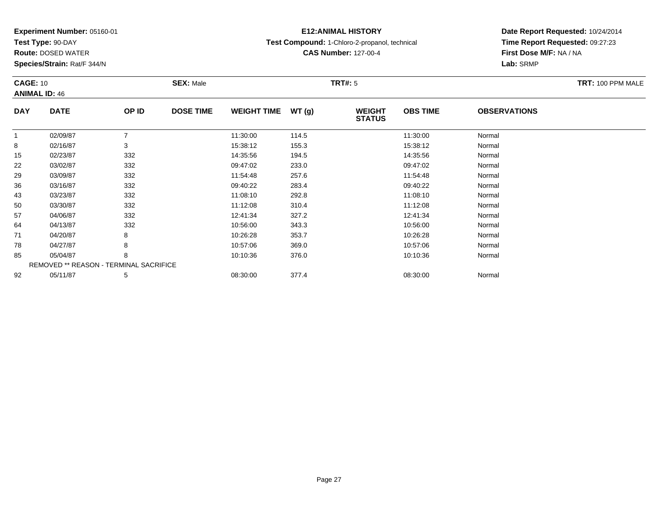**Test Type:** 90-DAY

92

**Route:** DOSED WATER

**Species/Strain:** Rat/F 344/N

# **E12:ANIMAL HISTORY**

**Test Compound:** 1-Chloro-2-propanol, technical

**CAS Number:** 127-00-4

**Date Report Requested:** 10/24/2014**Time Report Requested:** 09:27:23**First Dose M/F:** NA / NA**Lab:** SRMP

|            | <b>CAGE: 10</b><br><b>ANIMAL ID: 46</b>       |       | <b>SEX: Male</b> |                    |       | <b>TRT#: 5</b>                 | TRT: 100 PPM MALE |                     |  |
|------------|-----------------------------------------------|-------|------------------|--------------------|-------|--------------------------------|-------------------|---------------------|--|
|            |                                               |       |                  |                    |       |                                |                   |                     |  |
| <b>DAY</b> | <b>DATE</b>                                   | OP ID | <b>DOSE TIME</b> | <b>WEIGHT TIME</b> | WT(g) | <b>WEIGHT</b><br><b>STATUS</b> | <b>OBS TIME</b>   | <b>OBSERVATIONS</b> |  |
|            | 02/09/87                                      |       |                  | 11:30:00           | 114.5 |                                | 11:30:00          | Normal              |  |
| 8          | 02/16/87                                      | 3     |                  | 15:38:12           | 155.3 |                                | 15:38:12          | Normal              |  |
| 15         | 02/23/87                                      | 332   |                  | 14:35:56           | 194.5 |                                | 14:35:56          | Normal              |  |
| 22         | 03/02/87                                      | 332   |                  | 09:47:02           | 233.0 |                                | 09:47:02          | Normal              |  |
| 29         | 03/09/87                                      | 332   |                  | 11:54:48           | 257.6 |                                | 11:54:48          | Normal              |  |
| 36         | 03/16/87                                      | 332   |                  | 09:40:22           | 283.4 |                                | 09:40:22          | Normal              |  |
| 43         | 03/23/87                                      | 332   |                  | 11:08:10           | 292.8 |                                | 11:08:10          | Normal              |  |
| 50         | 03/30/87                                      | 332   |                  | 11:12:08           | 310.4 |                                | 11:12:08          | Normal              |  |
| 57         | 04/06/87                                      | 332   |                  | 12:41:34           | 327.2 |                                | 12:41:34          | Normal              |  |
| 64         | 04/13/87                                      | 332   |                  | 10:56:00           | 343.3 |                                | 10:56:00          | Normal              |  |
| 71         | 04/20/87                                      | 8     |                  | 10:26:28           | 353.7 |                                | 10:26:28          | Normal              |  |
| 78         | 04/27/87                                      | 8     |                  | 10:57:06           | 369.0 |                                | 10:57:06          | Normal              |  |
| 85         | 05/04/87                                      | 8     |                  | 10:10:36           | 376.0 |                                | 10:10:36          | Normal              |  |
|            | <b>REMOVED ** REASON - TERMINAL SACRIFICE</b> |       |                  |                    |       |                                |                   |                     |  |

2 05/11/87 5 5 08:30:00 377.4 08:30:00 08:30:00 08:30:00 Normal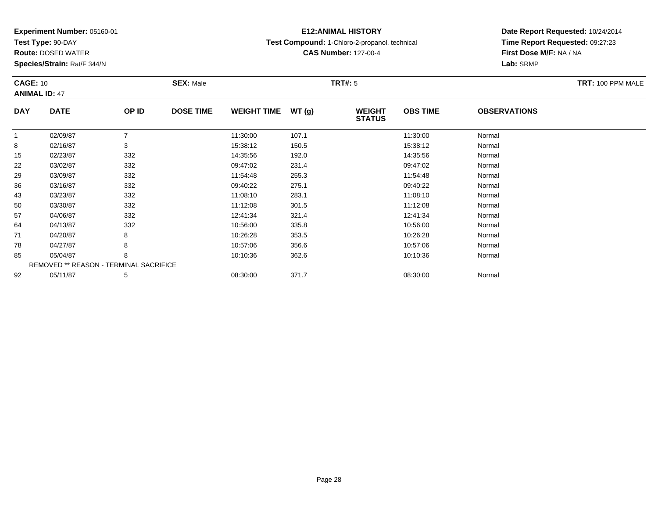**Test Type:** 90-DAY

71

78

85

92

**Route:** DOSED WATER

**Species/Strain:** Rat/F 344/N

REMOVED \*\* REASON - TERMINAL SACRIFICE

### **E12:ANIMAL HISTORY**

**Test Compound:** 1-Chloro-2-propanol, technical

**CAS Number:** 127-00-4

**Date Report Requested:** 10/24/2014**Time Report Requested:** 09:27:23**First Dose M/F:** NA / NA**Lab:** SRMP

|            | <b>CAGE: 10</b><br><b>ANIMAL ID: 47</b> |       | <b>SEX: Male</b> |                    |       | TRT#: 5                        | TRT: 100 PPM MALE |                     |  |
|------------|-----------------------------------------|-------|------------------|--------------------|-------|--------------------------------|-------------------|---------------------|--|
| <b>DAY</b> | <b>DATE</b>                             | OP ID | <b>DOSE TIME</b> | <b>WEIGHT TIME</b> | WT(g) | <b>WEIGHT</b><br><b>STATUS</b> | <b>OBS TIME</b>   | <b>OBSERVATIONS</b> |  |
|            | 02/09/87                                |       |                  | 11:30:00           | 107.1 |                                | 11:30:00          | Normal              |  |
| 8          | 02/16/87                                | 3     |                  | 15:38:12           | 150.5 |                                | 15:38:12          | Normal              |  |
| 15         | 02/23/87                                | 332   |                  | 14:35:56           | 192.0 |                                | 14:35:56          | Normal              |  |
| 22         | 03/02/87                                | 332   |                  | 09:47:02           | 231.4 |                                | 09:47:02          | Normal              |  |
| 29         | 03/09/87                                | 332   |                  | 11:54:48           | 255.3 |                                | 11:54:48          | Normal              |  |
| 36         | 03/16/87                                | 332   |                  | 09:40:22           | 275.1 |                                | 09:40:22          | Normal              |  |
| 43         | 03/23/87                                | 332   |                  | 11:08:10           | 283.1 |                                | 11:08:10          | Normal              |  |
| 50         | 03/30/87                                | 332   |                  | 11:12:08           | 301.5 |                                | 11:12:08          | Normal              |  |
| 57         | 04/06/87                                | 332   |                  | 12:41:34           | 321.4 |                                | 12:41:34          | Normal              |  |
| 64         | 04/13/87                                | 332   |                  | 10:56:00           | 335.8 |                                | 10:56:00          | Normal              |  |

4 04/13/87 332 32 10:56:00 335.8 10:56:00 335.8 10:56:00 Normal

1 04/20/87 8 8 10:26:28 353.5 10:26:28 10:26:28 Normal

8 04/27/87 8 8 10:57:06 356.6 10:57:06 10:57:06 Normal

05/04/87 <sup>8</sup> 10:10:36 362.6 10:10:36 Normal

2 05/11/87 5 5 08:30:00 371.7 08:30 08:30:00 08:30:00 08:30:00 08:30:00 08:30:00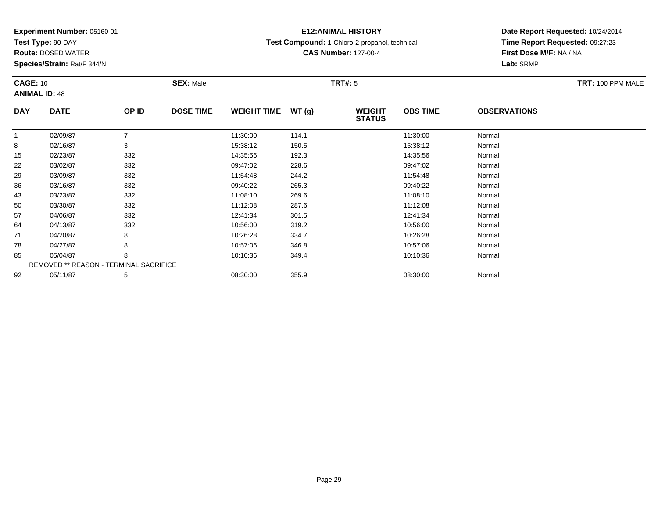**Test Type:** 90-DAY

92

**Route:** DOSED WATER

**Species/Strain:** Rat/F 344/N

# **E12:ANIMAL HISTORY**

**Test Compound:** 1-Chloro-2-propanol, technical

**CAS Number:** 127-00-4

**Date Report Requested:** 10/24/2014**Time Report Requested:** 09:27:23**First Dose M/F:** NA / NA**Lab:** SRMP

| <b>CAGE: 10</b> | <b>ANIMAL ID: 48</b>                          |       | <b>SEX: Male</b> |                    |       | <b>TRT#: 5</b>                 |                 |                     | TRT: 100 PPM MALE |
|-----------------|-----------------------------------------------|-------|------------------|--------------------|-------|--------------------------------|-----------------|---------------------|-------------------|
| <b>DAY</b>      | <b>DATE</b>                                   | OP ID | <b>DOSE TIME</b> | <b>WEIGHT TIME</b> | WT(g) | <b>WEIGHT</b><br><b>STATUS</b> | <b>OBS TIME</b> | <b>OBSERVATIONS</b> |                   |
|                 | 02/09/87                                      |       |                  | 11:30:00           | 114.1 |                                | 11:30:00        | Normal              |                   |
| 8               | 02/16/87                                      | 3     |                  | 15:38:12           | 150.5 |                                | 15:38:12        | Normal              |                   |
| 15              | 02/23/87                                      | 332   |                  | 14:35:56           | 192.3 |                                | 14:35:56        | Normal              |                   |
| 22              | 03/02/87                                      | 332   |                  | 09:47:02           | 228.6 |                                | 09:47:02        | Normal              |                   |
| 29              | 03/09/87                                      | 332   |                  | 11:54:48           | 244.2 |                                | 11:54:48        | Normal              |                   |
| 36              | 03/16/87                                      | 332   |                  | 09:40:22           | 265.3 |                                | 09:40:22        | Normal              |                   |
| 43              | 03/23/87                                      | 332   |                  | 11:08:10           | 269.6 |                                | 11:08:10        | Normal              |                   |
| 50              | 03/30/87                                      | 332   |                  | 11:12:08           | 287.6 |                                | 11:12:08        | Normal              |                   |
| 57              | 04/06/87                                      | 332   |                  | 12:41:34           | 301.5 |                                | 12:41:34        | Normal              |                   |
| 64              | 04/13/87                                      | 332   |                  | 10:56:00           | 319.2 |                                | 10:56:00        | Normal              |                   |
| 71              | 04/20/87                                      | 8     |                  | 10:26:28           | 334.7 |                                | 10:26:28        | Normal              |                   |
| 78              | 04/27/87                                      | 8     |                  | 10:57:06           | 346.8 |                                | 10:57:06        | Normal              |                   |
| 85              | 05/04/87                                      | 8     |                  | 10:10:36           | 349.4 |                                | 10:10:36        | Normal              |                   |
|                 | <b>REMOVED ** REASON - TERMINAL SACRIFICE</b> |       |                  |                    |       |                                |                 |                     |                   |

2 05/11/87 5 5 08:30:00 355.9 08:30 08 08:00 08:00 08:00 08:30:00 08:30:00 08:30:00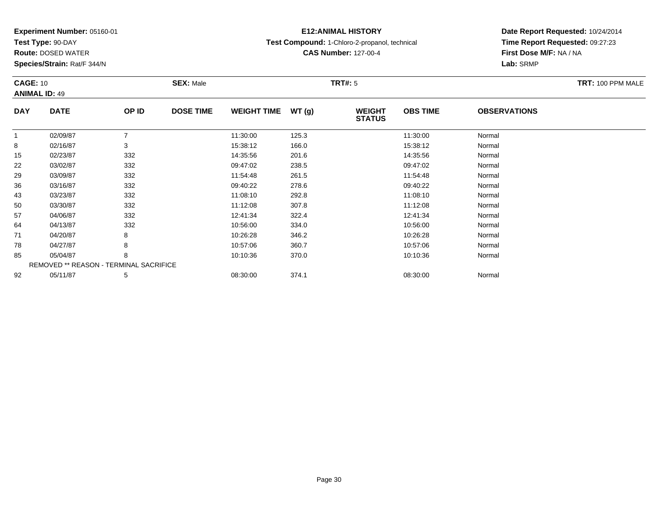**Test Type:** 90-DAY

**Route:** DOSED WATER

**Species/Strain:** Rat/F 344/N

# **E12:ANIMAL HISTORY**

**Test Compound:** 1-Chloro-2-propanol, technical

**CAS Number:** 127-00-4

### **Date Report Requested:** 10/24/2014 **Time Report Requested:** 09:27:23**First Dose M/F:** NA / NA**Lab:** SRMP

|            | <b>CAGE: 10</b><br><b>ANIMAL ID: 49</b>       |                | <b>SEX: Male</b> |                    |       | <b>TRT#: 5</b>                 | TRT: 100 PPM MALE |                     |  |
|------------|-----------------------------------------------|----------------|------------------|--------------------|-------|--------------------------------|-------------------|---------------------|--|
| <b>DAY</b> | <b>DATE</b>                                   | OP ID          | <b>DOSE TIME</b> | <b>WEIGHT TIME</b> | WT(g) | <b>WEIGHT</b><br><b>STATUS</b> | <b>OBS TIME</b>   | <b>OBSERVATIONS</b> |  |
| -1         | 02/09/87                                      | $\overline{ }$ |                  | 11:30:00           | 125.3 |                                | 11:30:00          | Normal              |  |
| 8          | 02/16/87                                      | 3              |                  | 15:38:12           | 166.0 |                                | 15:38:12          | Normal              |  |
| 15         | 02/23/87                                      | 332            |                  | 14:35:56           | 201.6 |                                | 14:35:56          | Normal              |  |
| 22         | 03/02/87                                      | 332            |                  | 09:47:02           | 238.5 |                                | 09:47:02          | Normal              |  |
| 29         | 03/09/87                                      | 332            |                  | 11:54:48           | 261.5 |                                | 11:54:48          | Normal              |  |
| 36         | 03/16/87                                      | 332            |                  | 09:40:22           | 278.6 |                                | 09:40:22          | Normal              |  |
| 43         | 03/23/87                                      | 332            |                  | 11:08:10           | 292.8 |                                | 11:08:10          | Normal              |  |
| 50         | 03/30/87                                      | 332            |                  | 11:12:08           | 307.8 |                                | 11:12:08          | Normal              |  |
| 57         | 04/06/87                                      | 332            |                  | 12:41:34           | 322.4 |                                | 12:41:34          | Normal              |  |
| 64         | 04/13/87                                      | 332            |                  | 10:56:00           | 334.0 |                                | 10:56:00          | Normal              |  |
| 71         | 04/20/87                                      | 8              |                  | 10:26:28           | 346.2 |                                | 10:26:28          | Normal              |  |
| 78         | 04/27/87                                      | 8              |                  | 10:57:06           | 360.7 |                                | 10:57:06          | Normal              |  |
| 85         | 05/04/87                                      | 8              |                  | 10:10:36           | 370.0 |                                | 10:10:36          | Normal              |  |
|            | <b>REMOVED ** REASON - TERMINAL SACRIFICE</b> |                |                  |                    |       |                                |                   |                     |  |
| 92         | 05/11/87                                      | 5              |                  | 08:30:00           | 374.1 |                                | 08:30:00          | Normal              |  |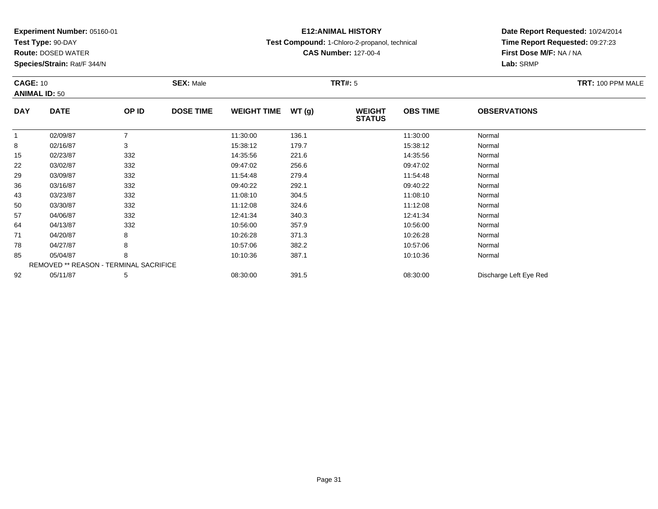**Test Type:** 90-DAY

92

**Route:** DOSED WATER

**Species/Strain:** Rat/F 344/N

REMOVED \*\* REASON - TERMINAL SACRIFICE

# **E12:ANIMAL HISTORY**

**Test Compound:** 1-Chloro-2-propanol, technical

**CAS Number:** 127-00-4

**Date Report Requested:** 10/24/2014**Time Report Requested:** 09:27:23**First Dose M/F:** NA / NA**Lab:** SRMP

| <b>CAGE: 10</b><br><b>ANIMAL ID: 50</b> |             | <b>SEX: Male</b> |                  | <b>TRT#: 5</b>     |       |                                | TRT: 100 PPM MALE |                     |  |
|-----------------------------------------|-------------|------------------|------------------|--------------------|-------|--------------------------------|-------------------|---------------------|--|
| <b>DAY</b>                              | <b>DATE</b> | OP ID            | <b>DOSE TIME</b> | <b>WEIGHT TIME</b> | WT(g) | <b>WEIGHT</b><br><b>STATUS</b> | <b>OBS TIME</b>   | <b>OBSERVATIONS</b> |  |
|                                         | 02/09/87    |                  |                  | 11:30:00           | 136.1 |                                | 11:30:00          | Normal              |  |
| 8                                       | 02/16/87    | 3                |                  | 15:38:12           | 179.7 |                                | 15:38:12          | Normal              |  |
| 15                                      | 02/23/87    | 332              |                  | 14:35:56           | 221.6 |                                | 14:35:56          | Normal              |  |
| 22                                      | 03/02/87    | 332              |                  | 09:47:02           | 256.6 |                                | 09:47:02          | Normal              |  |
| 29                                      | 03/09/87    | 332              |                  | 11:54:48           | 279.4 |                                | 11:54:48          | Normal              |  |
| 36                                      | 03/16/87    | 332              |                  | 09:40:22           | 292.1 |                                | 09:40:22          | Normal              |  |
| 43                                      | 03/23/87    | 332              |                  | 11:08:10           | 304.5 |                                | 11:08:10          | Normal              |  |
| 50                                      | 03/30/87    | 332              |                  | 11:12:08           | 324.6 |                                | 11:12:08          | Normal              |  |
| 57                                      | 04/06/87    | 332              |                  | 12:41:34           | 340.3 |                                | 12:41:34          | Normal              |  |
| 64                                      | 04/13/87    | 332              |                  | 10:56:00           | 357.9 |                                | 10:56:00          | Normal              |  |
| 71                                      | 04/20/87    | 8                |                  | 10:26:28           | 371.3 |                                | 10:26:28          | Normal              |  |
| 78                                      | 04/27/87    | 8                |                  | 10:57:06           | 382.2 |                                | 10:57:06          | Normal              |  |
| 85                                      | 05/04/87    | 8                |                  | 10:10:36           | 387.1 |                                | 10:10:36          | Normal              |  |

05/11/87 <sup>5</sup> 08:30:00 391.5 08:30:00 Discharge Left Eye Red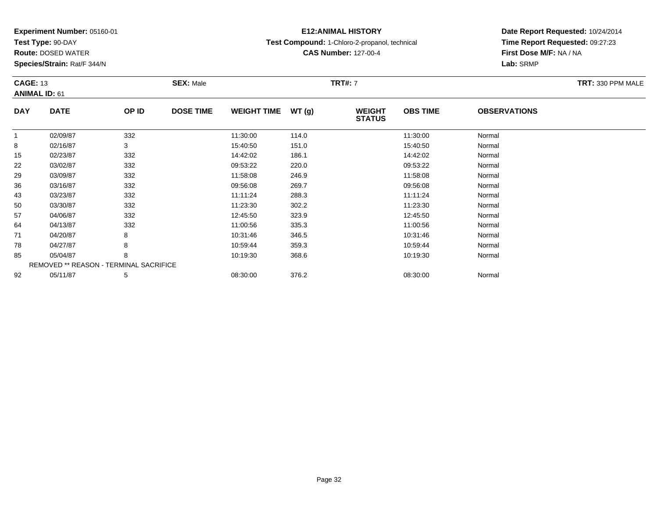**Test Type:** 90-DAY

78

85

92

**Route:** DOSED WATER

**Species/Strain:** Rat/F 344/N

REMOVED \*\* REASON - TERMINAL SACRIFICE

### **E12:ANIMAL HISTORY**

**Test Compound:** 1-Chloro-2-propanol, technical

**CAS Number:** 127-00-4

### **Date Report Requested:** 10/24/2014**Time Report Requested:** 09:27:23**First Dose M/F:** NA / NA**Lab:** SRMP

#### **CAGE:** 13 **SEX:** Male **TRT#:** <sup>7</sup> **TRT:** 330 PPM MALE**ANIMAL ID:** 61**DAY DATE OP IDDOSE TIME WEIGHT TIME WT** (g) **STATUSOBS TIME OBSERVATIONS** 11 02/09/87 332 11:30:00 114.0 11:30:00 Normal 88 02/16/87 3 15:40:50 151.0 15:40:50 Normal 155 02/23/87 332 332 14:42:02 186.1 5 14:42:02 14:42 332 22 03/02/87 <sup>332</sup> 09:53:22 220.0 09:53:22 Normal 299 03/09/87 332 11:58:08 246.9 11:58:08 Normal 366 03/16/87 332 09:56:08 269.7 09:56:08 Normal 433 03/23/87 332 11:11:24 288.3 11:11:24 Normal 500 03/30/87 332 11:23:30 302.2 11:23:30 Normal 577 04/06/87 332 32 12:45:50 323.9 323.9 12:45:50 5323.9 34/06/87 Normal 644 04/13/87 332 32 11:00:56 335.3 11:00:56 11:00:56 935.3 11:00:56 Normal 71

1 04/20/87 8 8 10:31:46 346.5 10:50 10:31:46 Normal

8 04/27/87 8 8 10:59:44 359.3 10:59:44 359.3

05/04/87 <sup>8</sup> 10:19:30 368.6 10:19:30 Normal

2 05/11/87 5 5 08:30:00 376.2 5 08:30:00 08:30:00 376.2 08:30:00 08:30:00 08:30:00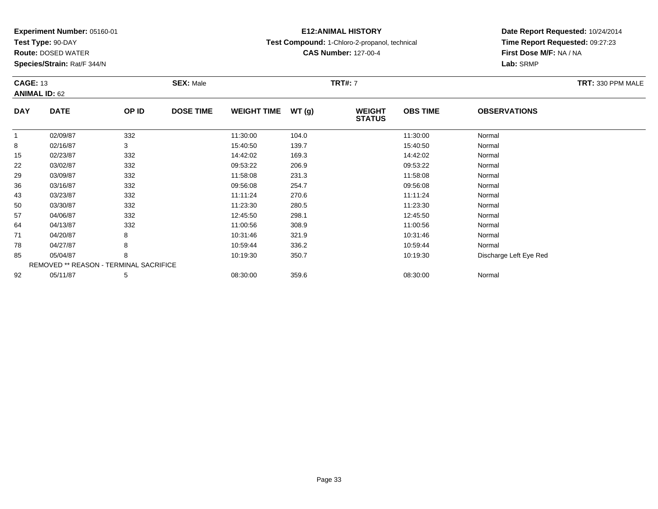**Test Type:** 90-DAY

57

64

71

78

85

92

**Route:** DOSED WATER

**Species/Strain:** Rat/F 344/N

REMOVED \*\* REASON - TERMINAL SACRIFICE

## **E12:ANIMAL HISTORY**

**Test Compound:** 1-Chloro-2-propanol, technical

**CAS Number:** 127-00-4

**Date Report Requested:** 10/24/2014**Time Report Requested:** 09:27:23**First Dose M/F:** NA / NA**Lab:** SRMP

#### **CAGE:** 13 **SEX:** Male **TRT#:** <sup>7</sup> **TRT:** 330 PPM MALE**ANIMAL ID:** 62**DAY DATE OP IDDOSE TIME WEIGHT TIME WT** (g) **STATUSOBS TIME OBSERVATIONS** 11 02/09/87 332 11:30:00 104.0 11:30:00 Normal 88 02/16/87 3 3 15:40:50 139.7 139.7 15:40:50 Normal 155 02/23/87 332 332 14:42:02 169.3 169.3 169.3 14:42:02 Normal 222 03/02/87 332 332 09:53:22 206.9 206.9 09:53:22 326.9 206.9 206.9 206.9 206.9 206.9 206.9 206.9 206.9 206.9 206.9 206.9 206.9 206.9 206.9 206.9 206.9 206.9 206.9 206.9 206.9 206.9 206.9 206.9 207.0 207.0 207.0 207.0 207.0 299 03/09/87 332 11:58:08 231.3 11:58:08 Normal 36 03/16/87 <sup>332</sup> 09:56:08 254.7 09:56:08 Normal 433 03/23/87 332 312 11:11:24 270.6 11:11:24 11:11:24 Normal 500 03/30/87 332 11:23:30 280.5 11:23:30 Normal

7 04/06/87 332 32 12:45:50 298.1 12:45:50 34/06/87 Normal

4 04/13/87 332 308.9 308.9 308.9 11:00:56 308.9 308.9 11:00:56

1 04/20/87 8 8 10:31:46 321.9 12 10:31:46 321.9 10:31:46 Normal

8 04/27/87 8 8 10:59:44 336.2 10:59:44 336.2

2 05/11/87 5 5 08:30:00 359.6 08:30 08 08:00 08:00 08:30:00 08:30:00 08:30:00 08:30:00

05/04/87 <sup>8</sup> 10:19:30 350.7 10:19:30 Discharge Left Eye Red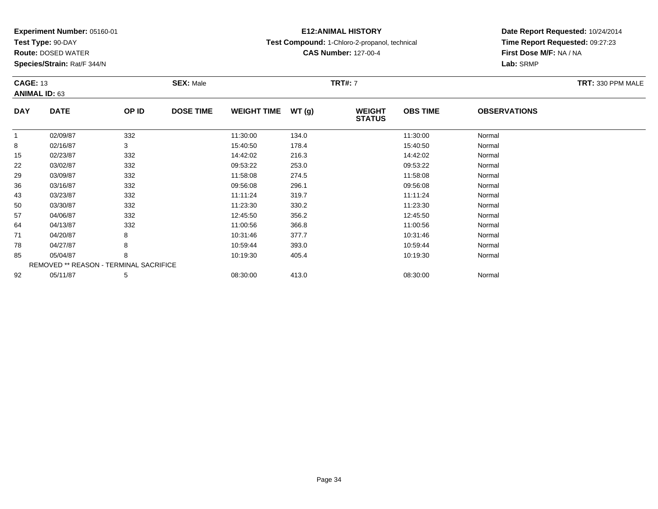**Test Type:** 90-DAY

57

64

71

78

85

92

**Route:** DOSED WATER

**Species/Strain:** Rat/F 344/N

REMOVED \*\* REASON - TERMINAL SACRIFICE

### **E12:ANIMAL HISTORY**

**Test Compound:** 1-Chloro-2-propanol, technical

**CAS Number:** 127-00-4

**Date Report Requested:** 10/24/2014**Time Report Requested:** 09:27:23**First Dose M/F:** NA / NA**Lab:** SRMP

#### **CAGE:** 13 **SEX:** Male **TRT#:** <sup>7</sup> **TRT:** 330 PPM MALE**ANIMAL ID:** 63**DAY DATE OP IDDOSE TIME WEIGHT TIME WT** (g) **STATUSOBS TIME OBSERVATIONS** 11 02/09/87 332 11:30:00 134.0 11:30:00 Normal 88 02/16/87 3 15:40:50 178.4 15:40:50 Normal 155 02/23/87 332 332 14:42:02 216.3 316 14:42:02 5 02/23/87 222 03/02/87 332 332 09:53:22 253.0 9 09:53:22 09:53:22 Normal 299 03/09/87 332 11:58:08 274.5 11:58:08 Normal 366 03/16/87 332 09:56:08 296.1 09:56:08 Normal 433 03/23/87 332 11:11:24 319.7 11:11:24 Normal 500 03/30/87 332 11:23:30 330.2 11:23:30 Normal

7 04/06/87 332 32 12:45:50 356.2 356.2 12:45:50 356.2 356.2 356.2 356.2 356.2 356.2 356.2 356.2 356.2 356.2 356.2 356.2 356.2 356.2 356.2 356.2 356.2 356.2 356.2 356.2 356.2 356.2 356.2 356.2 356.2 356.2 356.2 356.2 356.3

4 04/13/87 332 332 11:00:56 366.8 366.8 11:00:56 366.8 11:00:56

1 04/20/87 8 8 10:31:46 377.7 10:31:46 10:31:46 Normal

8 04/27/87 8 8 10:59:44 393.0 10:59:44 393.0 10:59:44 Normal

05/04/87 <sup>8</sup> 10:19:30 405.4 10:19:30 Normal

2 05/11/87 5 5 08:30:00 413.0 05/11/87 Normal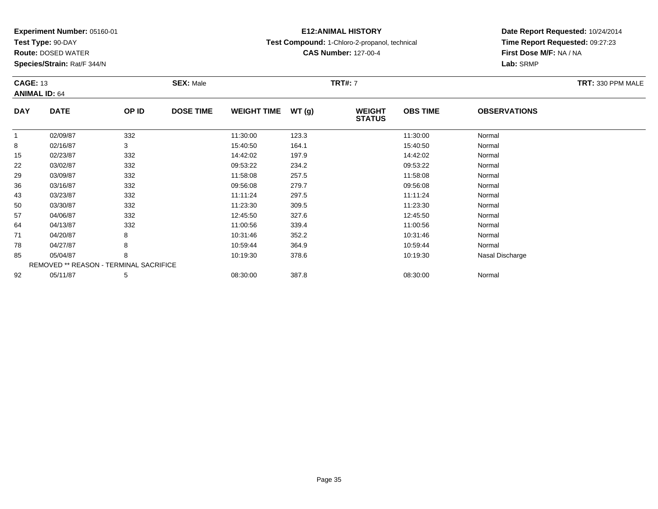**Test Type:** 90-DAY

71

78

85

92

**Route:** DOSED WATER

**Species/Strain:** Rat/F 344/N

REMOVED \*\* REASON - TERMINAL SACRIFICE

### **E12:ANIMAL HISTORY**

**Test Compound:** 1-Chloro-2-propanol, technical

**CAS Number:** 127-00-4

### **Date Report Requested:** 10/24/2014**Time Report Requested:** 09:27:23**First Dose M/F:** NA / NA**Lab:** SRMP

#### **CAGE:** 13 **SEX:** Male **TRT#:** <sup>7</sup> **TRT:** 330 PPM MALE**ANIMAL ID:** 64**DAY DATE OP IDDOSE TIME WEIGHT TIME WT** (g) **STATUSOBS TIME OBSERVATIONS** 11 02/09/87 332 11:30:00 123.3 11:30:00 Normal 88 02/16/87 3 3 15:40:50 164.1 15:40:50 164.1 15:40:50 Normal 15 02/23/87 <sup>332</sup> 14:42:02 197.9 14:42:02 Normal 222 03/02/87 332 332 09:53:22 234.2 33/09:53:22 09:53:22 Normal 299 03/09/87 332 11:58:08 257.5 11:58:08 Normal 366 03/16/87 332 09:56:08 279.7 09:56:08 Normal 433 03/23/87 332 11:11:24 297.5 11:11:24 Normal 500 03/30/87 332 11:23:30 309.5 11:23:30 Normal 577 04/06/87 332 32 12:45:50 327.6 327.6 12:45:50 Normal 64

4 04/13/87 332 32 11:00:56 339.4 11:00:56 11:00:56 5 11:00:56

1 04/20/87 8 8 10:31:46 352.2 10:31:46 10:31:46 Normal

8 04/27/87 8 8 10:59:44 364.9 10:59:44 364.9 10:59:44 Normal

2 05/11/87 5 5 08:30:00 387.8 08:30 08 08:30:00 387.8 08:30:00 08:30:00 08:30:00

05/04/87 <sup>8</sup> 10:19:30 378.6 10:19:30 Nasal Discharge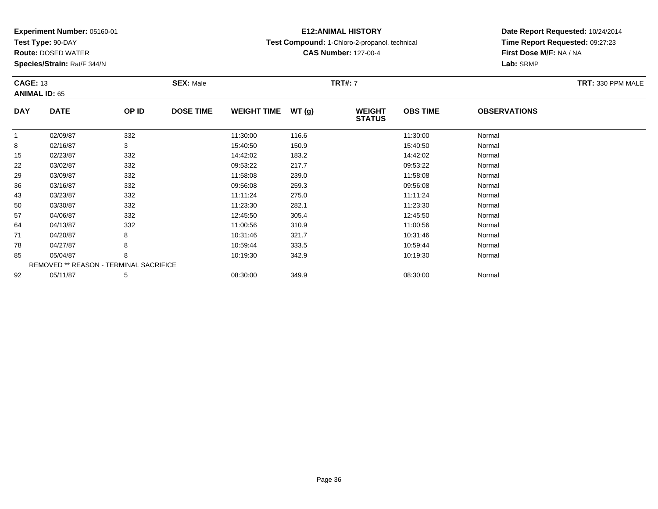**Test Type:** 90-DAY

43

50

57

64

71

78

85

92

**Route:** DOSED WATER

**Species/Strain:** Rat/F 344/N

REMOVED \*\* REASON - TERMINAL SACRIFICE

### **E12:ANIMAL HISTORY**

**Test Compound:** 1-Chloro-2-propanol, technical

**CAS Number:** 127-00-4

**Date Report Requested:** 10/24/2014**Time Report Requested:** 09:27:23**First Dose M/F:** NA / NA**Lab:** SRMP

#### **CAGE:** 13 **SEX:** Male **TRT#:** <sup>7</sup> **TRT:** 330 PPM MALE**ANIMAL ID:** 65**DAY DATE OP IDDOSE TIME WEIGHT TIME WT** (g) **STATUSOBS TIME OBSERVATIONS** 11 02/09/87 332 11:30:00 116.6 11:30:00 Normal 88 02/16/87 3 3 15:40:50 150.9 150.9 15:40:50 Normal 155 02/23/87 332 332 14:42:02 183.2 183.2 183.2 14:42:02 Normal 22 03/02/87 <sup>332</sup> 09:53:22 217.7 09:53:22 Normal 29 03/09/87 <sup>332</sup> 11:58:08 239.0 11:58:08 Normal 366 03/16/87 332 09:56:08 259.3 09:56:08 Normal

3 03/23/87 332 312 11:11:24 275.0 11:11:24 11:11:24 Normal

0 03/30/87 332 11:23:30 282.1 11:23:30 Normal

7 04/06/87 332 32 12:45:50 305.4 12:45:50 305.4 12:45:50 Normal

4 04/13/87 332 332 11:00:56 310.9 310.9 11:00:56 5 310.9 11:00:56 Normal

1 04/20/87 8 8 10:31:46 321.7 10:31:46 321.7 10:31:46 Normal

8 04/27/87 8 8 10:59:44 333.5 10:59:44 10:59:44 10:59:44 Normal

05/04/87 <sup>8</sup> 10:19:30 342.9 10:19:30 Normal

2 05/11/87 5 5 08:30:00 349.9 08:30 00 349.9 08:30:00 08:30:00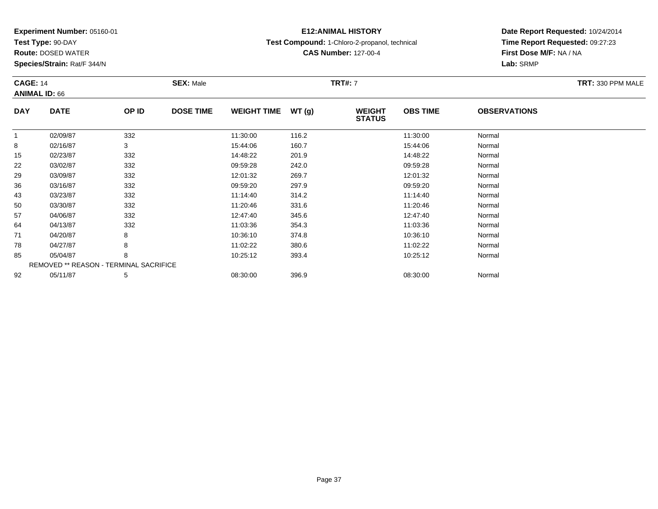**Test Type:** 90-DAY

71

78

85

92

**Route:** DOSED WATER

**Species/Strain:** Rat/F 344/N

REMOVED \*\* REASON - TERMINAL SACRIFICE

### **E12:ANIMAL HISTORY**

**Test Compound:** 1-Chloro-2-propanol, technical

**CAS Number:** 127-00-4

**Date Report Requested:** 10/24/2014**Time Report Requested:** 09:27:23**First Dose M/F:** NA / NA**Lab:** SRMP

#### **CAGE:** 14 **SEX:** Male **TRT#:** <sup>7</sup> **TRT:** 330 PPM MALE**ANIMAL ID:** 66**DAY DATE OP IDDOSE TIME WEIGHT TIME WT** (g) **STATUSOBS TIME OBSERVATIONS** 11 02/09/87 332 11:30:00 116.2 11:30:00 Normal 88 02/16/87 3 15:44:06 160.7 15:44:06 Normal 15 02/23/87 <sup>332</sup> 14:48:22 201.9 14:48:22 Normal 22 03/02/87 <sup>332</sup> 09:59:28 242.0 09:59:28 Normal 29 03/09/87 <sup>332</sup> 12:01:32 269.7 12:01:32 Normal 366 03/16/87 332 09:59:20 297.9 09:59:20 Normal 433 03/23/87 332 11:14:40 Normal 500 03/30/87 332 11:20:46 331.6 11:20:46 Normal 577 04/06/87 332 32 12:47:40 345.6 12:47:40 345.6 12:47:40 Normal 644 04/13/87 332 36 11:03:36 354.3 11:03:36 354.3 11:03:36 Normal

04/20/87 <sup>8</sup> 10:36:10 374.8 10:36:10 Normal

8 04/27/87 8 8 11:02:22 380.6 11:02:22 11:02:20 360.6

05/04/87 <sup>8</sup> 10:25:12 393.4 10:25:12 Normal

2 05/11/87 5 5 08:30:00 396.9 08:00 396.9 08:30:00 08:30:00 08:30:00 08:30:00 08:30:00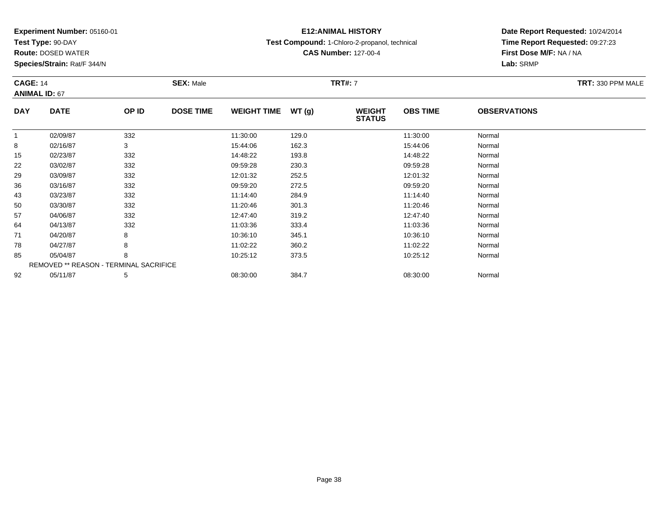**Test Type:** 90-DAY

57

64

71

78

85

92

**Route:** DOSED WATER

**Species/Strain:** Rat/F 344/N

REMOVED \*\* REASON - TERMINAL SACRIFICE

## **E12:ANIMAL HISTORY**

**Test Compound:** 1-Chloro-2-propanol, technical

**CAS Number:** 127-00-4

### **Date Report Requested:** 10/24/2014**Time Report Requested:** 09:27:23**First Dose M/F:** NA / NA**Lab:** SRMP

#### **CAGE:** 14 **SEX:** Male **TRT#:** <sup>7</sup> **TRT:** 330 PPM MALE**ANIMAL ID:** 67**DAY DATE OP IDDOSE TIME WEIGHT TIME WT** (g) **STATUSOBS TIME OBSERVATIONS** 11 02/09/87 332 11:30:00 129.0 11:30:00 Normal 88 02/16/87 3 3 15:44:06 162.3 15:45 15:44:06 15:44:06 15:44:06 15:44:06 15:44:06 15 02/23/87 <sup>332</sup> 14:48:22 193.8 14:48:22 Normal 222 03/02/87 332 32 09:59:28 230.3 250.3 09:59:28 250.3 32 29 03/09/87 <sup>332</sup> 12:01:32 252.5 12:01:32 Normal 36 03/16/87 <sup>332</sup> 09:59:20 272.5 09:59:20 Normal 433 03/23/87 332 11:14:40 284.9 11:14:40 Normal 500 03/30/87 332 11:20:46 301.3 11:20:46 Normal

7 04/06/87 332 332 12:47:40 319.2 319.2 12:47:40 319.2 319.2 319.2 12:47:40 Normal

4 04/13/87 332 36 11:03:36 333.4 11:03:36 Normal

04/20/87 <sup>8</sup> 10:36:10 345.1 10:36:10 Normal

8 04/27/87 8 8 11:02:22 360.2 13 11:02:22 11:02:22 Normal

05/04/87 <sup>8</sup> 10:25:12 373.5 10:25:12 Normal

2 05/11/87 5 5 08:30:00 384.7 08:30 08 08:30:00 384.7 08:30:00 08:30:00 08:30:00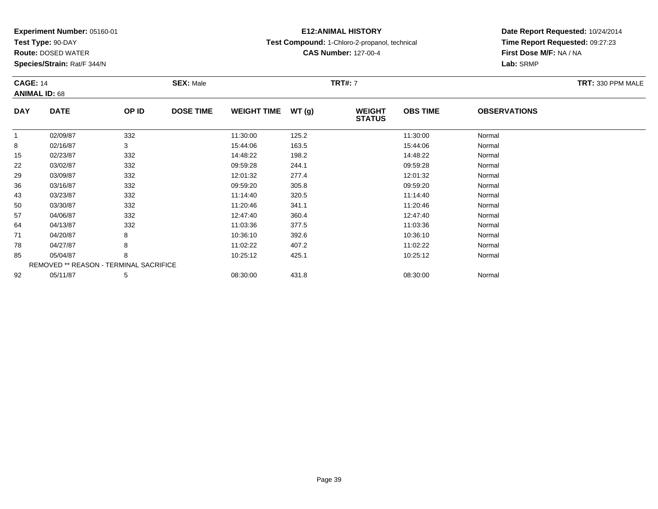**Test Type:** 90-DAY

92

**Route:** DOSED WATER

**Species/Strain:** Rat/F 344/N

# **E12:ANIMAL HISTORY**

**Test Compound:** 1-Chloro-2-propanol, technical

**CAS Number:** 127-00-4

**Date Report Requested:** 10/24/2014**Time Report Requested:** 09:27:23**First Dose M/F:** NA / NA**Lab:** SRMP

| <b>CAGE: 14</b><br><b>ANIMAL ID: 68</b> |                                               | <b>SEX: Male</b> |                  |                    | <b>TRT#: 7</b> | TRT: 330 PPM MALE              |                 |                     |  |
|-----------------------------------------|-----------------------------------------------|------------------|------------------|--------------------|----------------|--------------------------------|-----------------|---------------------|--|
| <b>DAY</b>                              | <b>DATE</b>                                   | OP ID            | <b>DOSE TIME</b> | <b>WEIGHT TIME</b> | WT(g)          | <b>WEIGHT</b><br><b>STATUS</b> | <b>OBS TIME</b> | <b>OBSERVATIONS</b> |  |
|                                         | 02/09/87                                      | 332              |                  | 11:30:00           | 125.2          |                                | 11:30:00        | Normal              |  |
| 8                                       | 02/16/87                                      | 3                |                  | 15:44:06           | 163.5          |                                | 15:44:06        | Normal              |  |
| 15                                      | 02/23/87                                      | 332              |                  | 14:48:22           | 198.2          |                                | 14:48:22        | Normal              |  |
| 22                                      | 03/02/87                                      | 332              |                  | 09:59:28           | 244.1          |                                | 09:59:28        | Normal              |  |
| 29                                      | 03/09/87                                      | 332              |                  | 12:01:32           | 277.4          |                                | 12:01:32        | Normal              |  |
| 36                                      | 03/16/87                                      | 332              |                  | 09:59:20           | 305.8          |                                | 09:59:20        | Normal              |  |
| 43                                      | 03/23/87                                      | 332              |                  | 11:14:40           | 320.5          |                                | 11:14:40        | Normal              |  |
| 50                                      | 03/30/87                                      | 332              |                  | 11:20:46           | 341.1          |                                | 11:20:46        | Normal              |  |
| 57                                      | 04/06/87                                      | 332              |                  | 12:47:40           | 360.4          |                                | 12:47:40        | Normal              |  |
| 64                                      | 04/13/87                                      | 332              |                  | 11:03:36           | 377.5          |                                | 11:03:36        | Normal              |  |
| 71                                      | 04/20/87                                      | 8                |                  | 10:36:10           | 392.6          |                                | 10:36:10        | Normal              |  |
| 78                                      | 04/27/87                                      | 8                |                  | 11:02:22           | 407.2          |                                | 11:02:22        | Normal              |  |
| 85                                      | 05/04/87                                      | 8                |                  | 10:25:12           | 425.1          |                                | 10:25:12        | Normal              |  |
|                                         | <b>REMOVED ** REASON - TERMINAL SACRIFICE</b> |                  |                  |                    |                |                                |                 |                     |  |

2 05/11/87 5 5 08:30:00 431.8 05/11/87 08:30:00 08:30:00 05/11/87 5 05/11/87 05/11/87 05/11/87 05/11/87 05/11/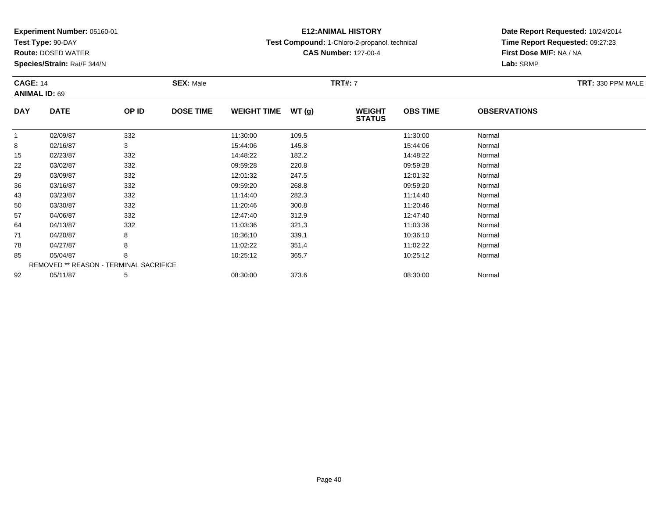**Test Type:** 90-DAY

78

85

92

**Route:** DOSED WATER

**Species/Strain:** Rat/F 344/N

REMOVED \*\* REASON - TERMINAL SACRIFICE

### **E12:ANIMAL HISTORY**

**Test Compound:** 1-Chloro-2-propanol, technical

**CAS Number:** 127-00-4

**Date Report Requested:** 10/24/2014**Time Report Requested:** 09:27:23**First Dose M/F:** NA / NA**Lab:** SRMP

#### **CAGE:** 14 **SEX:** Male **TRT#:** <sup>7</sup> **TRT:** 330 PPM MALE**ANIMAL ID:** 69**DAY DATE OP IDDOSE TIME WEIGHT TIME WT** (g) **STATUSOBS TIME OBSERVATIONS** 11 02/09/87 332 11:30:00 109.5 11:30:00 Normal 88 02/16/87 3 3 15:44:06 145.8 15:44:06 15:44:06 15:44:06 Normal 15 02/23/87 <sup>332</sup> 14:48:22 182.2 14:48:22 Normal 22 03/02/87 <sup>332</sup> 09:59:28 220.8 09:59:28 Normal 29 03/09/87 <sup>332</sup> 12:01:32 247.5 12:01:32 Normal 366 03/16/87 332 09:59:20 268.8 09:59:20 Normal 433 03/23/87 332 11:14:40 282.3 11:14:40 Normal 500 03/30/87 332 11:20:46 300.8 11:20:46 Normal 577 04/06/87 332 332 12:47:40 312.9 312.9 12:47:40 3532 Normal 644 04/13/87 332 36 11:03:36 321.3 11:03:36 36 11:03:36 Normal 7104/20/87 <sup>8</sup> 10:36:10 339.1 10:36:10 Normal

8 04/27/87 8 8 11:02:22 351.4 11:02:22 11:02 11:02 11:02 11:02:22 Normal

05/04/87 <sup>8</sup> 10:25:12 365.7 10:25:12 Normal

2 05/11/87 5 5 08:30:00 373.6 08:30:00 08:30:00 08:30:00 08:30:00 08:30:00 08:30:00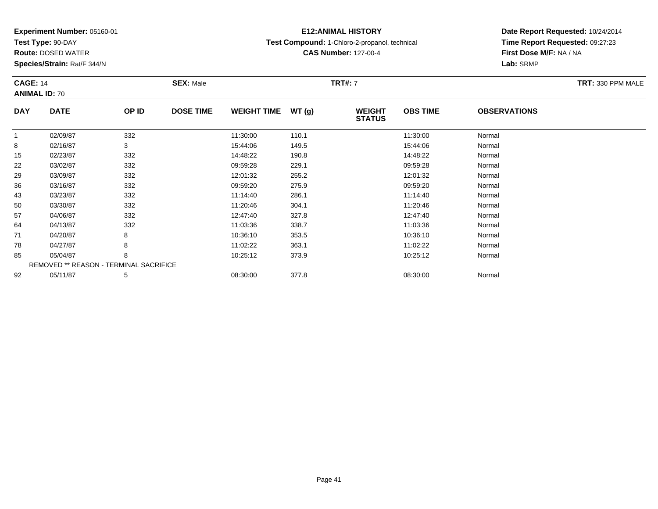**Test Type:** 90-DAY

85

92

**Route:** DOSED WATER

**Species/Strain:** Rat/F 344/N

REMOVED \*\* REASON - TERMINAL SACRIFICE

## **E12:ANIMAL HISTORY**

**Test Compound:** 1-Chloro-2-propanol, technical

**CAS Number:** 127-00-4

### **Date Report Requested:** 10/24/2014**Time Report Requested:** 09:27:23**First Dose M/F:** NA / NA**Lab:** SRMP

#### **CAGE:** 14 **SEX:** Male **TRT#:** <sup>7</sup> **TRT:** 330 PPM MALE**ANIMAL ID:** 70**DAY DATE OP IDDOSE TIME WEIGHT TIME WT** (g) **STATUSOBS TIME OBSERVATIONS** 11 02/09/87 332 11:30:00 110.1 11:30:00 Normal 88 02/16/87 3 3 15:44:06 149.5 15:44:06 15:44:06 15:44:06 Normal 15 02/23/87 <sup>332</sup> 14:48:22 190.8 14:48:22 Normal 22 03/02/87 <sup>332</sup> 09:59:28 229.1 09:59:28 Normal 29 03/09/87 <sup>332</sup> 12:01:32 255.2 12:01:32 Normal 366 03/16/87 332 09:59:20 275.9 09:59:20 Normal 433 03/23/87 332 11:14:40 286.1 11:14:40 Normal 500 03/30/87 332 11:20:46 304.1 11:20:46 Normal 577 04/06/87 332 32 12:47:40 327.8 12:47:40 327.8 12:47:40 Normal 644 04/13/87 332 36 11:03:36 338.7 11:03:36 11:03:36 Normal 71 04/20/87 <sup>8</sup> 10:36:10 353.5 10:36:10 Normal 788 04/27/87 8 8 11:02:22 363.1 11:02:22 363.1 11:02:22 Normal

05/04/87 <sup>8</sup> 10:25:12 373.9 10:25:12 Normal

2 05/11/87 5 5 08:30:00 377.8 08:30 08:30:00 08:30:00 08:30:00 08:30:00 08:30:00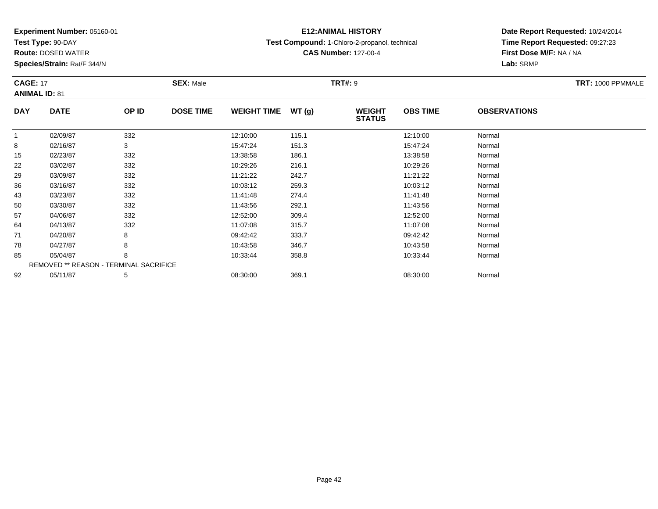**Test Type:** 90-DAY

71

78

85

92

**Route:** DOSED WATER

**Species/Strain:** Rat/F 344/N

REMOVED \*\* REASON - TERMINAL SACRIFICE

# **E12:ANIMAL HISTORY**

**Test Compound:** 1-Chloro-2-propanol, technical

**CAS Number:** 127-00-4

**Date Report Requested:** 10/24/2014**Time Report Requested:** 09:27:23**First Dose M/F:** NA / NA**Lab:** SRMP

| <b>CAGE: 17</b><br><b>ANIMAL ID: 81</b> |             | <b>SEX: Male</b> |                  |                    | <b>TRT#: 9</b> |                                |                 | TRT: 1000 PPMMALE   |  |
|-----------------------------------------|-------------|------------------|------------------|--------------------|----------------|--------------------------------|-----------------|---------------------|--|
| <b>DAY</b>                              | <b>DATE</b> | OP ID            | <b>DOSE TIME</b> | <b>WEIGHT TIME</b> | WT(g)          | <b>WEIGHT</b><br><b>STATUS</b> | <b>OBS TIME</b> | <b>OBSERVATIONS</b> |  |
|                                         | 02/09/87    | 332              |                  | 12:10:00           | 115.1          |                                | 12:10:00        | Normal              |  |
| 8                                       | 02/16/87    | 3                |                  | 15:47:24           | 151.3          |                                | 15:47:24        | Normal              |  |
| 15                                      | 02/23/87    | 332              |                  | 13:38:58           | 186.1          |                                | 13:38:58        | Normal              |  |
| 22                                      | 03/02/87    | 332              |                  | 10:29:26           | 216.1          |                                | 10:29:26        | Normal              |  |
| 29                                      | 03/09/87    | 332              |                  | 11:21:22           | 242.7          |                                | 11:21:22        | Normal              |  |
| 36                                      | 03/16/87    | 332              |                  | 10:03:12           | 259.3          |                                | 10:03:12        | Normal              |  |
| 43                                      | 03/23/87    | 332              |                  | 11:41:48           | 274.4          |                                | 11:41:48        | Normal              |  |
| 50                                      | 03/30/87    | 332              |                  | 11:43:56           | 292.1          |                                | 11:43:56        | Normal              |  |
| 57                                      | 04/06/87    | 332              |                  | 12:52:00           | 309.4          |                                | 12:52:00        | Normal              |  |
| 64                                      | 04/13/87    | 332              |                  | 11:07:08           | 315.7          |                                | 11:07:08        | Normal              |  |

04/20/87 <sup>8</sup> 09:42:42 333.7 09:42:42 Normal

8 04/27/87 8 8 10:43:58 346.7 10:43:58 36.7 10:43:58 Normal

05/04/87 <sup>8</sup> 10:33:44 358.8 10:33:44 Normal

2 05/11/87 5 5 08:30:00 369.1 08:30 00 369.1 08:30:00 08:30:00 08:30:00 08:30:00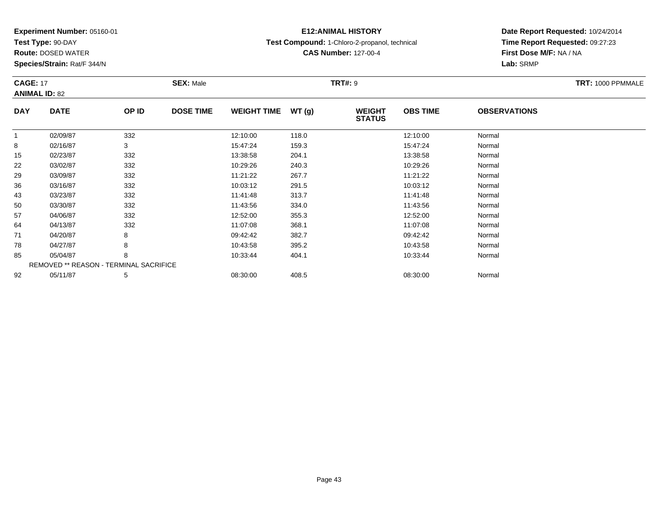**Test Type:** 90-DAY

50

57

64

71

78

85

92

**Route:** DOSED WATER

**Species/Strain:** Rat/F 344/N

# **E12:ANIMAL HISTORY**

**Test Compound:** 1-Chloro-2-propanol, technical

**CAS Number:** 127-00-4

### **Date Report Requested:** 10/24/2014**Time Report Requested:** 09:27:23**First Dose M/F:** NA / NA**Lab:** SRMP

#### **CAGE:** 17 **SEX:** Male **TRT#:** <sup>9</sup> **TRT:** 1000 PPMMALE**ANIMAL ID:** 82**DAY DATE OP IDDOSE TIME WEIGHT TIME WT** (g) **STATUSOBS TIME OBSERVATIONS** 11 02/09/87 332 12:10:00 118.0 12:10:00 Normal 88 02/16/87 3 3 15:47:24 159.3 15:47:24 159.3 15:47:24 Normal 155 02/23/87 332 13:38:58 204.1 13:38:58 Normal 222 03/02/87 332 382 10:29:26 240.3 2003 10:29:26 25 26 25 10:29:26 10:29:26 10:29:26 29 03/09/87 <sup>332</sup> 11:21:22 267.7 11:21:22 Normal 366 03/16/87 332 10:03:12 291.5 10:03:12 Normal 433 03/23/87 332 11:41:48 313.7 11:41:48 Normal

| 4 | 04/13/87 | 332                                           | 11:07:08 | 368.1 | 11:07:08 | Normal |
|---|----------|-----------------------------------------------|----------|-------|----------|--------|
|   | 04/20/87 | 8                                             | 09:42:42 | 382.7 | 09:42:42 | Norma  |
| 8 | 04/27/87 | 8                                             | 10:43:58 | 395.2 | 10:43:58 | Norma  |
| 5 | 05/04/87 | 8                                             | 10:33:44 | 404.1 | 10:33:44 | Normal |
|   |          | <b>REMOVED ** REASON - TERMINAL SACRIFICE</b> |          |       |          |        |
| 2 | 05/11/87 | 5                                             | 08:30:00 | 408.5 | 08:30:00 | Normal |
|   |          |                                               |          |       |          |        |
|   |          |                                               |          |       |          |        |
|   |          |                                               |          |       |          |        |
|   |          |                                               |          |       |          |        |

0 03/30/87 332 11:43:56 334.0 11:43:56 Normal

7 04/06/87 332 32 12:52:00 355.3 12:52:00 355.3 12:52:00 Normal

Page 43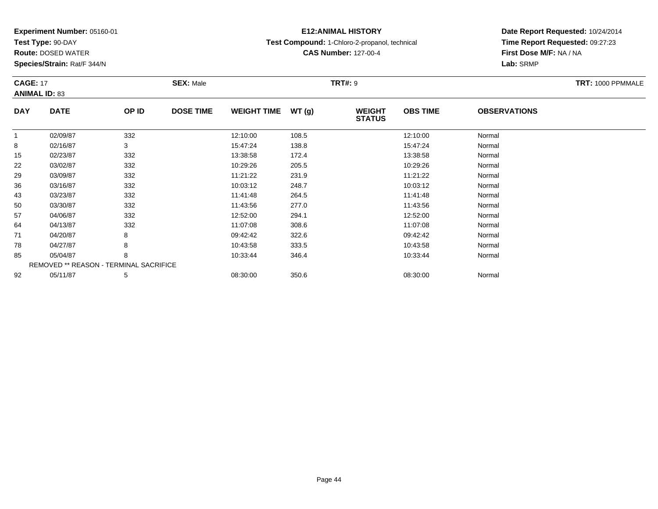**Test Type:** 90-DAY

71

78

85

92

**Route:** DOSED WATER

**Species/Strain:** Rat/F 344/N

REMOVED \*\* REASON - TERMINAL SACRIFICE

# **E12:ANIMAL HISTORY**

**Test Compound:** 1-Chloro-2-propanol, technical

**CAS Number:** 127-00-4

**Date Report Requested:** 10/24/2014**Time Report Requested:** 09:27:23**First Dose M/F:** NA / NA**Lab:** SRMP

| <b>CAGE: 17</b><br><b>ANIMAL ID: 83</b> |             | <b>SEX: Male</b> |                  |                    | <b>TRT#: 9</b> | TRT: 1000 PPMMALE              |                 |                     |  |
|-----------------------------------------|-------------|------------------|------------------|--------------------|----------------|--------------------------------|-----------------|---------------------|--|
| <b>DAY</b>                              | <b>DATE</b> | OP ID            | <b>DOSE TIME</b> | <b>WEIGHT TIME</b> | WT(g)          | <b>WEIGHT</b><br><b>STATUS</b> | <b>OBS TIME</b> | <b>OBSERVATIONS</b> |  |
|                                         | 02/09/87    | 332              |                  | 12:10:00           | 108.5          |                                | 12:10:00        | Normal              |  |
| 8                                       | 02/16/87    | 3                |                  | 15:47:24           | 138.8          |                                | 15:47:24        | Normal              |  |
| 15                                      | 02/23/87    | 332              |                  | 13:38:58           | 172.4          |                                | 13:38:58        | Normal              |  |
| 22                                      | 03/02/87    | 332              |                  | 10:29:26           | 205.5          |                                | 10:29:26        | Normal              |  |
| 29                                      | 03/09/87    | 332              |                  | 11:21:22           | 231.9          |                                | 11:21:22        | Normal              |  |
| 36                                      | 03/16/87    | 332              |                  | 10:03:12           | 248.7          |                                | 10:03:12        | Normal              |  |
| 43                                      | 03/23/87    | 332              |                  | 11:41:48           | 264.5          |                                | 11:41:48        | Normal              |  |
| 50                                      | 03/30/87    | 332              |                  | 11:43:56           | 277.0          |                                | 11:43:56        | Normal              |  |
| 57                                      | 04/06/87    | 332              |                  | 12:52:00           | 294.1          |                                | 12:52:00        | Normal              |  |
| 64                                      | 04/13/87    | 332              |                  | 11:07:08           | 308.6          |                                | 11:07:08        | Normal              |  |

1 04/20/87 8 8 09:42:42 322.6 09:42:42 09:42:42 Normal

8 04/27/87 8 8 10:43:58 333.5 10:43:58 Normal

05/04/87 <sup>8</sup> 10:33:44 346.4 10:33:44 Normal

2 05/11/87 5 5 08:30:00 350.6 08:30:00 08:30:00 08:30:00 08:30:00 08:30:00 08:30:00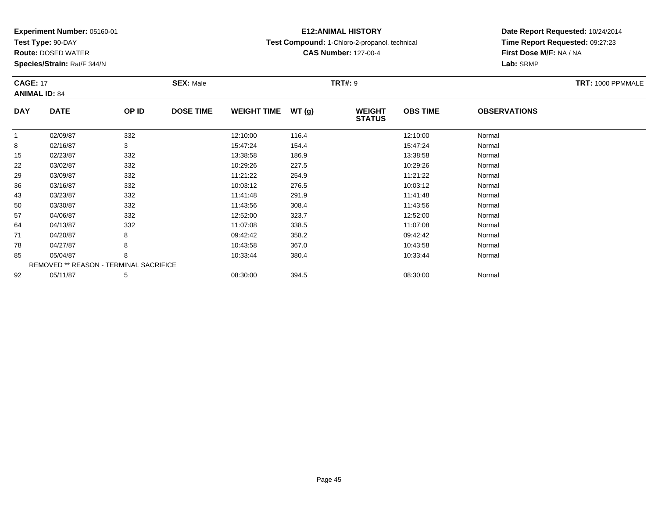**Test Type:** 90-DAY

64

71

78

85

92

**Route:** DOSED WATER

**Species/Strain:** Rat/F 344/N

REMOVED \*\* REASON - TERMINAL SACRIFICE

# **E12:ANIMAL HISTORY**

**Test Compound:** 1-Chloro-2-propanol, technical

**CAS Number:** 127-00-4

**Date Report Requested:** 10/24/2014**Time Report Requested:** 09:27:23**First Dose M/F:** NA / NA**Lab:** SRMP

|            | <b>CAGE: 17</b><br><b>ANIMAL ID: 84</b> |       | <b>SEX: Male</b> |                    |       | <b>TRT#: 9</b>                 | TRT: 1000 PPMMALE |                     |  |
|------------|-----------------------------------------|-------|------------------|--------------------|-------|--------------------------------|-------------------|---------------------|--|
| <b>DAY</b> | <b>DATE</b>                             | OP ID | <b>DOSE TIME</b> | <b>WEIGHT TIME</b> | WT(g) | <b>WEIGHT</b><br><b>STATUS</b> | <b>OBS TIME</b>   | <b>OBSERVATIONS</b> |  |
|            | 02/09/87                                | 332   |                  | 12:10:00           | 116.4 |                                | 12:10:00          | Normal              |  |
| 8          | 02/16/87                                | 3     |                  | 15:47:24           | 154.4 |                                | 15:47:24          | Normal              |  |
| 15         | 02/23/87                                | 332   |                  | 13:38:58           | 186.9 |                                | 13:38:58          | Normal              |  |
| 22         | 03/02/87                                | 332   |                  | 10:29:26           | 227.5 |                                | 10:29:26          | Normal              |  |
| 29         | 03/09/87                                | 332   |                  | 11:21:22           | 254.9 |                                | 11:21:22          | Normal              |  |
| 36         | 03/16/87                                | 332   |                  | 10:03:12           | 276.5 |                                | 10:03:12          | Normal              |  |
| 43         | 03/23/87                                | 332   |                  | 11:41:48           | 291.9 |                                | 11:41:48          | Normal              |  |
| 50         | 03/30/87                                | 332   |                  | 11:43:56           | 308.4 |                                | 11:43:56          | Normal              |  |
| 57         | 04/06/87                                | 332   |                  | 12:52:00           | 323.7 |                                | 12:52:00          | Normal              |  |

4 04/13/87 332 32 11:07:08 338.5 11:07:08 11:07:08 Normal

04/20/87 <sup>8</sup> 09:42:42 358.2 09:42:42 Normal

8 04/27/87 8 8 10:43:58 367.0 10:43:58 367.0 10:43:58 Normal

05/04/87 <sup>8</sup> 10:33:44 380.4 10:33:44 Normal

2 05/11/87 5 5 08:30:00 394.5 08:30 08 08:30:00 394.5 08:30:00 08:30:00 08:30:00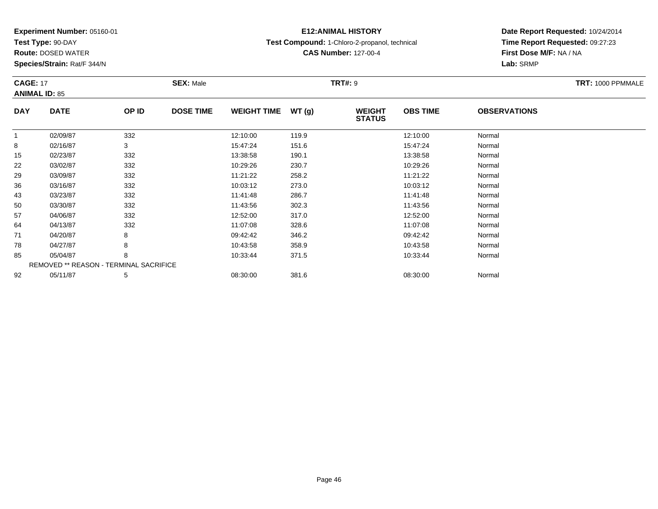**Test Type:** 90-DAY

71

78

85

92

**Route:** DOSED WATER

**Species/Strain:** Rat/F 344/N

REMOVED \*\* REASON - TERMINAL SACRIFICE

# **E12:ANIMAL HISTORY**

**Test Compound:** 1-Chloro-2-propanol, technical

**CAS Number:** 127-00-4

**Date Report Requested:** 10/24/2014**Time Report Requested:** 09:27:23**First Dose M/F:** NA / NA**Lab:** SRMP

| <b>CAGE: 17</b><br><b>ANIMAL ID: 85</b> |             | <b>SEX: Male</b> |                  |                    | <b>TRT#: 9</b> | TRT: 1000 PPMMALE              |                 |                     |  |
|-----------------------------------------|-------------|------------------|------------------|--------------------|----------------|--------------------------------|-----------------|---------------------|--|
| <b>DAY</b>                              | <b>DATE</b> | OP ID            | <b>DOSE TIME</b> | <b>WEIGHT TIME</b> | WT(g)          | <b>WEIGHT</b><br><b>STATUS</b> | <b>OBS TIME</b> | <b>OBSERVATIONS</b> |  |
|                                         | 02/09/87    | 332              |                  | 12:10:00           | 119.9          |                                | 12:10:00        | Normal              |  |
| 8                                       | 02/16/87    | 3                |                  | 15:47:24           | 151.6          |                                | 15:47:24        | Normal              |  |
| 15                                      | 02/23/87    | 332              |                  | 13:38:58           | 190.1          |                                | 13:38:58        | Normal              |  |
| 22                                      | 03/02/87    | 332              |                  | 10:29:26           | 230.7          |                                | 10:29:26        | Normal              |  |
| 29                                      | 03/09/87    | 332              |                  | 11:21:22           | 258.2          |                                | 11:21:22        | Normal              |  |
| 36                                      | 03/16/87    | 332              |                  | 10:03:12           | 273.0          |                                | 10:03:12        | Normal              |  |
| 43                                      | 03/23/87    | 332              |                  | 11:41:48           | 286.7          |                                | 11:41:48        | Normal              |  |
| 50                                      | 03/30/87    | 332              |                  | 11:43:56           | 302.3          |                                | 11:43:56        | Normal              |  |
| 57                                      | 04/06/87    | 332              |                  | 12:52:00           | 317.0          |                                | 12:52:00        | Normal              |  |
| 64                                      | 04/13/87    | 332              |                  | 11:07:08           | 328.6          |                                | 11:07:08        | Normal              |  |

1 04/20/87 8 8 09:42:42 346.2 36.2 09:42:42 09:42:42 Normal

8 04/27/87 8 8 10:43:58 358.9 10:43:58 358.9 10:43:58 Normal

05/04/87 <sup>8</sup> 10:33:44 371.5 10:33:44 Normal

2 05/11/87 5 5 08:30:00 381.6 08:30 08 08:30:00 381.6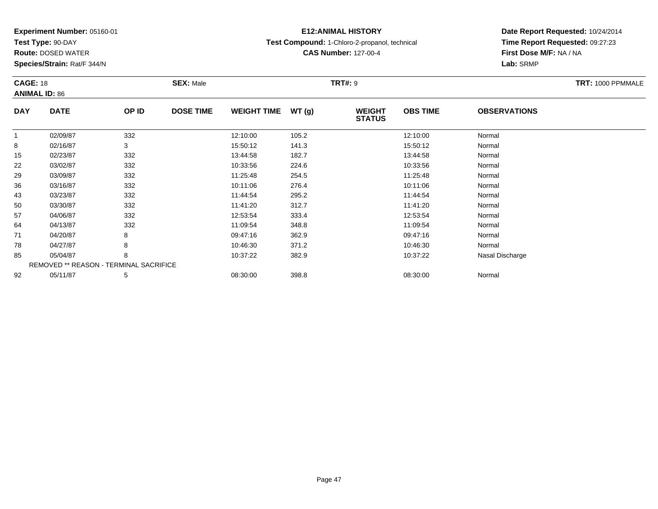**Test Type:** 90-DAY

92

**Route:** DOSED WATER

**Species/Strain:** Rat/F 344/N

REMOVED \*\* REASON - TERMINAL SACRIFICE

# **E12:ANIMAL HISTORY**

**Test Compound:** 1-Chloro-2-propanol, technical

**CAS Number:** 127-00-4

**Date Report Requested:** 10/24/2014**Time Report Requested:** 09:27:23**First Dose M/F:** NA / NA**Lab:** SRMP

#### **CAGE:** 18 **SEX:** Male **TRT#:** <sup>9</sup> **TRT:** 1000 PPMMALE**ANIMAL ID:** 86**DAY DATE OP IDDOSE TIME WEIGHT TIME WT** (g) **STATUSOBS TIME OBSERVATIONS** 11 02/09/87 332 12:10:00 105.2 12:10:00 Normal 88 02/16/87 3 15:50:12 141.3 15:50:12 Normal 155 02/23/87 332 13:44:58 182.7 13:44:58 Normal 222 03/02/87 332 382 10:33:56 224.6 224.6 10:33:56 Normal 29 03/09/87 <sup>332</sup> 11:25:48 254.5 11:25:48 Normal 366 03/16/87 332 10:11:06 276.4 10:11:06 Normal 433 03/23/87 332 11:44:54 295.2 11:44:54 Normal 500 03/30/87 332 11:41:20 312.7 11:41:20 Normal 577 04/06/87 332 32 12:53:54 333.4 12:53:54 Normal 644 04/13/87 332 332 11:09:54 348.8 348.8 11:09:54 Normal 71 04/20/87 <sup>8</sup> 09:47:16 362.9 09:47:16 Normal 788 04/27/87 8 8 10:46:30 371.2 10:46:30 371.2 10:46:30 Normal 8505/04/87 <sup>8</sup> 10:37:22 382.9 10:37:22 Nasal Discharge

2 05/11/87 5 5 08:30:00 398.8 08:30 08 08:30:00 398.8 08:30:00 08:30:00 08:30:00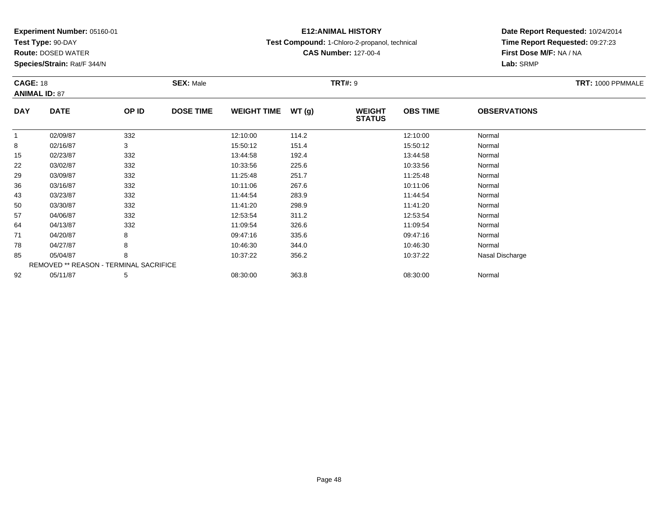**Test Type:** 90-DAY

71

78

85

92

**Route:** DOSED WATER

**Species/Strain:** Rat/F 344/N

REMOVED \*\* REASON - TERMINAL SACRIFICE

# **E12:ANIMAL HISTORY**

**Test Compound:** 1-Chloro-2-propanol, technical

**CAS Number:** 127-00-4

**Date Report Requested:** 10/24/2014**Time Report Requested:** 09:27:23**First Dose M/F:** NA / NA**Lab:** SRMP

#### **CAGE:** 18 **SEX:** Male **TRT#:** <sup>9</sup> **TRT:** 1000 PPMMALE**ANIMAL ID:** 87**DAY DATE OP IDDOSE TIME WEIGHT TIME WT** (g) **STATUSOBS TIME OBSERVATIONS** 11 02/09/87 332 12:10:00 114.2 12:10:00 Normal 8 02/16/87 <sup>3</sup> 15:50:12 151.4 15:50:12 Normal 155 02/23/87 332 332 13:44:58 192.4 392.4 13:44:58 5 02/23/87 222 03/02/87 332 382 10:33:56 225.6 225.6 10:33:56 Normal 299 03/09/87 332 11:25:48 251.7 11:25:48 Normal 366 03/16/87 332 10:11:06 267.6 10:11:06 Normal 433 03/23/87 332 11:44:54 283.9 11:44:54 Normal 500 03/30/87 332 11:41:20 298.9 11:41:20 Normal 577 04/06/87 332 32 12:53:54 311.2 311.2 12:53:54 Normal 644 04/13/87 332 332 11:09:54 326.6 11:09 12 36.6 11:09:54 Normal

04/20/87 <sup>8</sup> 09:47:16 335.6 09:47:16 Normal

8 04/27/87 8 8 10:46:30 344.0 30 10:46:30 344.0

2 05/11/87 5 5 08:30:00 363.8 08:30 08:00 363.8 08:30:00 08:30:00 Normal

05/04/87 <sup>8</sup> 10:37:22 356.2 10:37:22 Nasal Discharge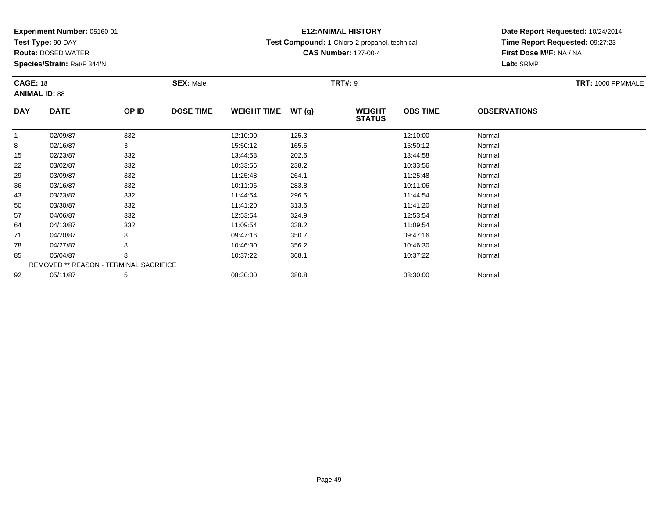**Test Type:** 90-DAY

92

**Route:** DOSED WATER

**Species/Strain:** Rat/F 344/N

REMOVED \*\* REASON - TERMINAL SACRIFICE

# **E12:ANIMAL HISTORY**

**Test Compound:** 1-Chloro-2-propanol, technical

**CAS Number:** 127-00-4

**Date Report Requested:** 10/24/2014**Time Report Requested:** 09:27:23**First Dose M/F:** NA / NA**Lab:** SRMP

| <b>CAGE: 18</b><br><b>ANIMAL ID: 88</b> |             | <b>SEX: Male</b> |                  |                    | <b>TRT#: 9</b> | TRT: 1000 PPMMALE              |                 |                     |  |
|-----------------------------------------|-------------|------------------|------------------|--------------------|----------------|--------------------------------|-----------------|---------------------|--|
| <b>DAY</b>                              | <b>DATE</b> | OP ID            | <b>DOSE TIME</b> | <b>WEIGHT TIME</b> | WT(g)          | <b>WEIGHT</b><br><b>STATUS</b> | <b>OBS TIME</b> | <b>OBSERVATIONS</b> |  |
| -1                                      | 02/09/87    | 332              |                  | 12:10:00           | 125.3          |                                | 12:10:00        | Normal              |  |
| 8                                       | 02/16/87    | 3                |                  | 15:50:12           | 165.5          |                                | 15:50:12        | Normal              |  |
| 15                                      | 02/23/87    | 332              |                  | 13:44:58           | 202.6          |                                | 13:44:58        | Normal              |  |
| 22                                      | 03/02/87    | 332              |                  | 10:33:56           | 238.2          |                                | 10:33:56        | Normal              |  |
| 29                                      | 03/09/87    | 332              |                  | 11:25:48           | 264.1          |                                | 11:25:48        | Normal              |  |
| 36                                      | 03/16/87    | 332              |                  | 10:11:06           | 283.8          |                                | 10:11:06        | Normal              |  |
| 43                                      | 03/23/87    | 332              |                  | 11:44:54           | 296.5          |                                | 11:44:54        | Normal              |  |
| 50                                      | 03/30/87    | 332              |                  | 11:41:20           | 313.6          |                                | 11:41:20        | Normal              |  |
| 57                                      | 04/06/87    | 332              |                  | 12:53:54           | 324.9          |                                | 12:53:54        | Normal              |  |
| 64                                      | 04/13/87    | 332              |                  | 11:09:54           | 338.2          |                                | 11:09:54        | Normal              |  |
| 71                                      | 04/20/87    | 8                |                  | 09:47:16           | 350.7          |                                | 09:47:16        | Normal              |  |
| 78                                      | 04/27/87    | 8                |                  | 10:46:30           | 356.2          |                                | 10:46:30        | Normal              |  |
| 85                                      | 05/04/87    | 8                |                  | 10:37:22           | 368.1          |                                | 10:37:22        | Normal              |  |

2 05/11/87 5 5 08:30:00 380.8 08:00 380.8 08:30:00 08:30:00 Normal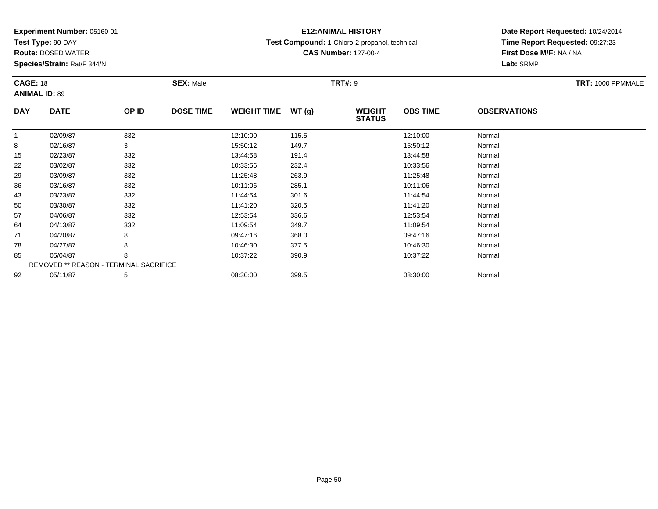**Test Type:** 90-DAY

92

**Route:** DOSED WATER

**Species/Strain:** Rat/F 344/N

# **E12:ANIMAL HISTORY**

**Test Compound:** 1-Chloro-2-propanol, technical

**CAS Number:** 127-00-4

**Date Report Requested:** 10/24/2014**Time Report Requested:** 09:27:23**First Dose M/F:** NA / NA**Lab:** SRMP

|            | <b>CAGE: 18</b>                        |       | <b>SEX: Male</b> |                    |       | <b>TRT#: 9</b>                 |                 | TRT: 1000 PPMMALE   |  |
|------------|----------------------------------------|-------|------------------|--------------------|-------|--------------------------------|-----------------|---------------------|--|
|            | <b>ANIMAL ID: 89</b>                   |       |                  |                    |       |                                |                 |                     |  |
| <b>DAY</b> | <b>DATE</b>                            | OP ID | <b>DOSE TIME</b> | <b>WEIGHT TIME</b> | WT(g) | <b>WEIGHT</b><br><b>STATUS</b> | <b>OBS TIME</b> | <b>OBSERVATIONS</b> |  |
|            | 02/09/87                               | 332   |                  | 12:10:00           | 115.5 |                                | 12:10:00        | Normal              |  |
| 8          | 02/16/87                               | 3     |                  | 15:50:12           | 149.7 |                                | 15:50:12        | Normal              |  |
| 15         | 02/23/87                               | 332   |                  | 13:44:58           | 191.4 |                                | 13:44:58        | Normal              |  |
| 22         | 03/02/87                               | 332   |                  | 10:33:56           | 232.4 |                                | 10:33:56        | Normal              |  |
| 29         | 03/09/87                               | 332   |                  | 11:25:48           | 263.9 |                                | 11:25:48        | Normal              |  |
| 36         | 03/16/87                               | 332   |                  | 10:11:06           | 285.1 |                                | 10:11:06        | Normal              |  |
| 43         | 03/23/87                               | 332   |                  | 11:44:54           | 301.6 |                                | 11:44:54        | Normal              |  |
| 50         | 03/30/87                               | 332   |                  | 11:41:20           | 320.5 |                                | 11:41:20        | Normal              |  |
| 57         | 04/06/87                               | 332   |                  | 12:53:54           | 336.6 |                                | 12:53:54        | Normal              |  |
| 64         | 04/13/87                               | 332   |                  | 11:09:54           | 349.7 |                                | 11:09:54        | Normal              |  |
| 71         | 04/20/87                               | 8     |                  | 09:47:16           | 368.0 |                                | 09:47:16        | Normal              |  |
| 78         | 04/27/87                               | 8     |                  | 10:46:30           | 377.5 |                                | 10:46:30        | Normal              |  |
| 85         | 05/04/87                               | 8     |                  | 10:37:22           | 390.9 |                                | 10:37:22        | Normal              |  |
|            | REMOVED ** REASON - TERMINAL SACRIFICE |       |                  |                    |       |                                |                 |                     |  |

2 05/11/87 5 5 08:30:00 399.5 08:30 08 08:00 399.5 08:30:00 08:30:00 Normal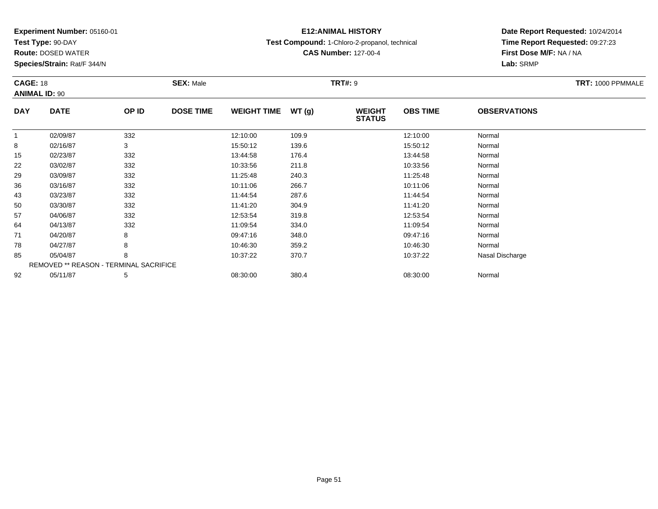**Test Type:** 90-DAY

**Route:** DOSED WATER

**Species/Strain:** Rat/F 344/N

# **E12:ANIMAL HISTORY**

**Test Compound:** 1-Chloro-2-propanol, technical

**CAS Number:** 127-00-4

### **Date Report Requested:** 10/24/2014**Time Report Requested:** 09:27:23**First Dose M/F:** NA / NA**Lab:** SRMP

#### **CAGE:** 18 **SEX:** Male **TRT#:** <sup>9</sup> **TRT:** 1000 PPMMALE**ANIMAL ID:** 90**DAY DATE OP IDDOSE TIME WEIGHT TIME WT** (g) **STATUSOBS TIME OBSERVATIONS** 11 02/09/87 332 12:10:00 109.9 12:10:00 Normal 88 02/16/87 3 15:50:12 139.6 15:50:12 Normal 15 02/23/87 <sup>332</sup> 13:44:58 176.4 13:44:58 Normal 222 03/02/87 332 332 10:33:56 211.8 2010 33:56 33/03/3:56 Normal 29 03/09/87 <sup>332</sup> 11:25:48 240.3 11:25:48 Normal 366 03/16/87 332 10:11:06 266.7 10:11:06 Normal 433 03/23/87 332 11:44:54 287.6 11:44:54 Normal 500 03/30/87 332 11:41:20 304.9 11:41:20 Normal 577 04/06/87 332 32 12:53:54 319.8 319.8 12:53:54 Normal 644 04/13/87 332 332 11:09:54 334.0 334.0 11:09:54 Normal 71 04/20/87 <sup>8</sup> 09:47:16 348.0 09:47:16 Normal 788 04/27/87 8 8 10:46:30 359.2 10:46:30 359.2 10:46:30 Normal 85 05/04/87 <sup>8</sup> 10:37:22 370.7 10:37:22 Nasal Discharge REMOVED \*\* REASON - TERMINAL SACRIFICE922 05/11/87 5 5 08:30:00 380.4 08:30 08 08:30:00 5/11/87 Normal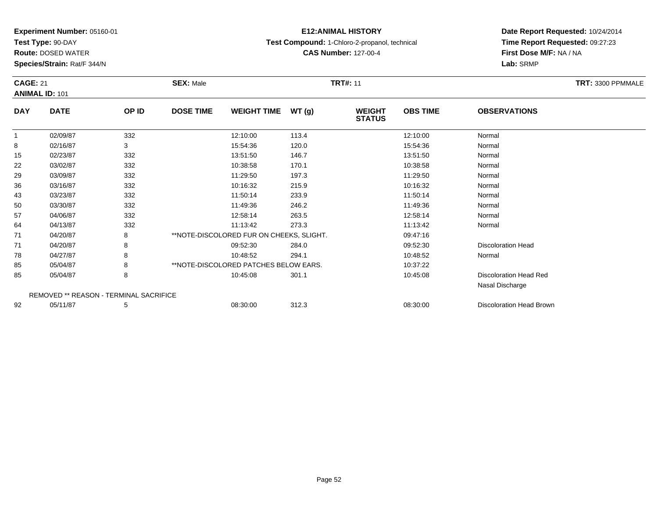**Test Type:** 90-DAY

**Route:** DOSED WATER

**Species/Strain:** Rat/F 344/N

# **E12:ANIMAL HISTORY**

**Test Compound:** 1-Chloro-2-propanol, technical

**CAS Number:** 127-00-4

### **Date Report Requested:** 10/24/2014**Time Report Requested:** 09:27:23**First Dose M/F:** NA / NA**Lab:** SRMP

| <b>CAGE: 21</b><br><b>ANIMAL ID: 101</b> |                                               |       | <b>SEX: Male</b> |                                          | <b>TRT#: 11</b> |                                |                 |                               |  |  |  |
|------------------------------------------|-----------------------------------------------|-------|------------------|------------------------------------------|-----------------|--------------------------------|-----------------|-------------------------------|--|--|--|
| <b>DAY</b>                               | <b>DATE</b>                                   | OP ID | <b>DOSE TIME</b> | <b>WEIGHT TIME</b>                       | WT(g)           | <b>WEIGHT</b><br><b>STATUS</b> | <b>OBS TIME</b> | <b>OBSERVATIONS</b>           |  |  |  |
|                                          | 02/09/87                                      | 332   |                  | 12:10:00                                 | 113.4           |                                | 12:10:00        | Normal                        |  |  |  |
| 8                                        | 02/16/87                                      | 3     |                  | 15:54:36                                 | 120.0           |                                | 15:54:36        | Normal                        |  |  |  |
| 15                                       | 02/23/87                                      | 332   |                  | 13:51:50                                 | 146.7           |                                | 13:51:50        | Normal                        |  |  |  |
| 22                                       | 03/02/87                                      | 332   |                  | 10:38:58                                 | 170.1           |                                | 10:38:58        | Normal                        |  |  |  |
| 29                                       | 03/09/87                                      | 332   |                  | 11:29:50                                 | 197.3           |                                | 11:29:50        | Normal                        |  |  |  |
| 36                                       | 03/16/87                                      | 332   |                  | 10:16:32                                 | 215.9           |                                | 10:16:32        | Normal                        |  |  |  |
| 43                                       | 03/23/87                                      | 332   |                  | 11:50:14                                 | 233.9           |                                | 11:50:14        | Normal                        |  |  |  |
| 50                                       | 03/30/87                                      | 332   |                  | 11:49:36                                 | 246.2           |                                | 11:49:36        | Normal                        |  |  |  |
| 57                                       | 04/06/87                                      | 332   |                  | 12:58:14                                 | 263.5           |                                | 12:58:14        | Normal                        |  |  |  |
| 64                                       | 04/13/87                                      | 332   |                  | 11:13:42                                 | 273.3           |                                | 11:13:42        | Normal                        |  |  |  |
| 71                                       | 04/20/87                                      | 8     |                  | **NOTE-DISCOLORED FUR ON CHEEKS, SLIGHT. |                 |                                | 09:47:16        |                               |  |  |  |
| 71                                       | 04/20/87                                      | 8     |                  | 09:52:30                                 | 284.0           |                                | 09:52:30        | <b>Discoloration Head</b>     |  |  |  |
| 78                                       | 04/27/87                                      | 8     |                  | 10:48:52                                 | 294.1           |                                | 10:48:52        | Normal                        |  |  |  |
| 85                                       | 05/04/87                                      |       |                  | **NOTE-DISCOLORED PATCHES BELOW EARS.    |                 |                                | 10:37:22        |                               |  |  |  |
| 85                                       | 05/04/87                                      | 8     |                  | 10:45:08                                 | 301.1           |                                | 10:45:08        | <b>Discoloration Head Red</b> |  |  |  |
|                                          |                                               |       |                  |                                          |                 |                                |                 | Nasal Discharge               |  |  |  |
|                                          | <b>REMOVED ** REASON - TERMINAL SACRIFICE</b> |       |                  |                                          |                 |                                |                 |                               |  |  |  |
| 92                                       | 05/11/87                                      | 5     |                  | 08:30:00                                 | 312.3           |                                | 08:30:00        | Discoloration Head Brown      |  |  |  |

05/11/87 <sup>5</sup> 08:30:00 312.3 08:30:00 Discoloration Head Brown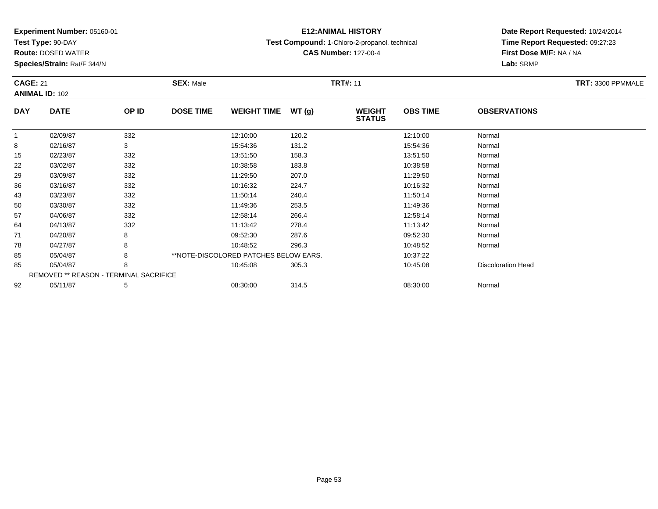**Test Type:** 90-DAY

**Route:** DOSED WATER

**Species/Strain:** Rat/F 344/N

# **E12:ANIMAL HISTORY**

**Test Compound:** 1-Chloro-2-propanol, technical

**CAS Number:** 127-00-4

| <b>CAGE: 21</b><br><b>ANIMAL ID: 102</b> |                                        | <b>SEX: Male</b> | <b>TRT#: 11</b>                        | TRT: 3300 PPMMALE |                                |                 |                           |  |
|------------------------------------------|----------------------------------------|------------------|----------------------------------------|-------------------|--------------------------------|-----------------|---------------------------|--|
| <b>DAY</b>                               | <b>DATE</b>                            | OP ID            | <b>DOSE TIME</b><br><b>WEIGHT TIME</b> | WT(g)             | <b>WEIGHT</b><br><b>STATUS</b> | <b>OBS TIME</b> | <b>OBSERVATIONS</b>       |  |
| $\mathbf{1}$                             | 02/09/87                               | 332              | 12:10:00                               | 120.2             |                                | 12:10:00        | Normal                    |  |
| 8                                        | 02/16/87                               | 3                | 15:54:36                               | 131.2             |                                | 15:54:36        | Normal                    |  |
| 15                                       | 02/23/87                               | 332              | 13:51:50                               | 158.3             |                                | 13:51:50        | Normal                    |  |
| 22                                       | 03/02/87                               | 332              | 10:38:58                               | 183.8             |                                | 10:38:58        | Normal                    |  |
| 29                                       | 03/09/87                               | 332              | 11:29:50                               | 207.0             |                                | 11:29:50        | Normal                    |  |
| 36                                       | 03/16/87                               | 332              | 10:16:32                               | 224.7             |                                | 10:16:32        | Normal                    |  |
| 43                                       | 03/23/87                               | 332              | 11:50:14                               | 240.4             |                                | 11:50:14        | Normal                    |  |
| 50                                       | 03/30/87                               | 332              | 11:49:36                               | 253.5             |                                | 11:49:36        | Normal                    |  |
| 57                                       | 04/06/87                               | 332              | 12:58:14                               | 266.4             |                                | 12:58:14        | Normal                    |  |
| 64                                       | 04/13/87                               | 332              | 11:13:42                               | 278.4             |                                | 11:13:42        | Normal                    |  |
| 71                                       | 04/20/87                               | 8                | 09:52:30                               | 287.6             |                                | 09:52:30        | Normal                    |  |
| 78                                       | 04/27/87                               | 8                | 10:48:52                               | 296.3             |                                | 10:48:52        | Normal                    |  |
| 85                                       | 05/04/87                               | 8                | **NOTE-DISCOLORED PATCHES BELOW EARS.  |                   |                                | 10:37:22        |                           |  |
| 85                                       | 05/04/87                               | 8                | 10:45:08                               | 305.3             |                                | 10:45:08        | <b>Discoloration Head</b> |  |
|                                          | REMOVED ** REASON - TERMINAL SACRIFICE |                  |                                        |                   |                                |                 |                           |  |
| 92                                       | 05/11/87                               | 5                | 08:30:00                               | 314.5             |                                | 08:30:00        | Normal                    |  |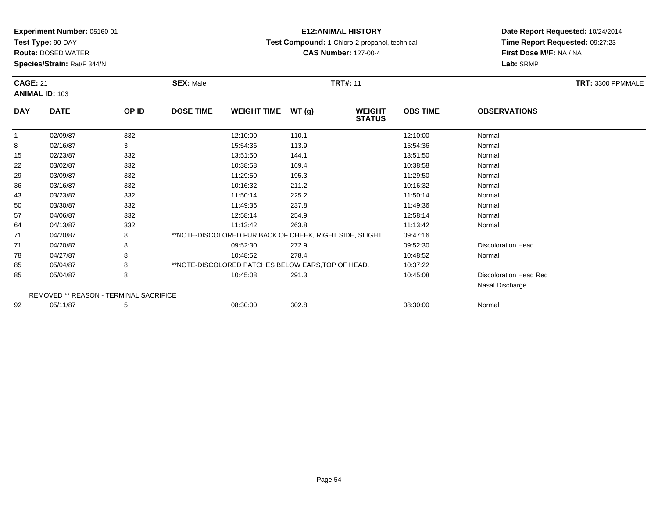**Test Type:** 90-DAY

**Route:** DOSED WATER

**Species/Strain:** Rat/F 344/N

# **E12:ANIMAL HISTORY**

**Test Compound:** 1-Chloro-2-propanol, technical

**CAS Number:** 127-00-4

| <b>CAGE: 21</b> | <b>ANIMAL ID: 103</b>                  |       | <b>SEX: Male</b> |                                                          |       | <b>TRT#: 11</b>                |                 |                               | TRT: 3300 PPMMALE |
|-----------------|----------------------------------------|-------|------------------|----------------------------------------------------------|-------|--------------------------------|-----------------|-------------------------------|-------------------|
| <b>DAY</b>      | <b>DATE</b>                            | OP ID | <b>DOSE TIME</b> | <b>WEIGHT TIME</b>                                       | WT(g) | <b>WEIGHT</b><br><b>STATUS</b> | <b>OBS TIME</b> | <b>OBSERVATIONS</b>           |                   |
| $\mathbf{1}$    | 02/09/87                               | 332   |                  | 12:10:00                                                 | 110.1 |                                | 12:10:00        | Normal                        |                   |
| 8               | 02/16/87                               | 3     |                  | 15:54:36                                                 | 113.9 |                                | 15:54:36        | Normal                        |                   |
| 15              | 02/23/87                               | 332   |                  | 13:51:50                                                 | 144.1 |                                | 13:51:50        | Normal                        |                   |
| 22              | 03/02/87                               | 332   |                  | 10:38:58                                                 | 169.4 |                                | 10:38:58        | Normal                        |                   |
| 29              | 03/09/87                               | 332   |                  | 11:29:50                                                 | 195.3 |                                | 11:29:50        | Normal                        |                   |
| 36              | 03/16/87                               | 332   |                  | 10:16:32                                                 | 211.2 |                                | 10:16:32        | Normal                        |                   |
| 43              | 03/23/87                               | 332   |                  | 11:50:14                                                 | 225.2 |                                | 11:50:14        | Normal                        |                   |
| 50              | 03/30/87                               | 332   |                  | 11:49:36                                                 | 237.8 |                                | 11:49:36        | Normal                        |                   |
| 57              | 04/06/87                               | 332   |                  | 12:58:14                                                 | 254.9 |                                | 12:58:14        | Normal                        |                   |
| 64              | 04/13/87                               | 332   |                  | 11:13:42                                                 | 263.8 |                                | 11:13:42        | Normal                        |                   |
| 71              | 04/20/87                               | 8     |                  | **NOTE-DISCOLORED FUR BACK OF CHEEK, RIGHT SIDE, SLIGHT. |       |                                | 09:47:16        |                               |                   |
| 71              | 04/20/87                               | 8     |                  | 09:52:30                                                 | 272.9 |                                | 09:52:30        | <b>Discoloration Head</b>     |                   |
| 78              | 04/27/87                               | 8     |                  | 10:48:52                                                 | 278.4 |                                | 10:48:52        | Normal                        |                   |
| 85              | 05/04/87                               | 8     |                  | **NOTE-DISCOLORED PATCHES BELOW EARS, TOP OF HEAD.       |       |                                | 10:37:22        |                               |                   |
| 85              | 05/04/87                               | 8     |                  | 10:45:08                                                 | 291.3 |                                | 10:45:08        | <b>Discoloration Head Red</b> |                   |
|                 |                                        |       |                  |                                                          |       |                                |                 | Nasal Discharge               |                   |
|                 | REMOVED ** REASON - TERMINAL SACRIFICE |       |                  |                                                          |       |                                |                 |                               |                   |
| 92              | 05/11/87                               | 5     |                  | 08:30:00                                                 | 302.8 |                                | 08:30:00        | Normal                        |                   |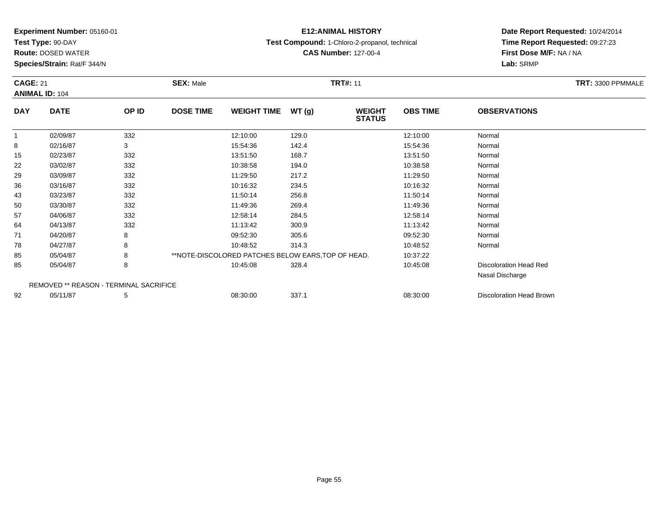**Test Type:** 90-DAY

**Route:** DOSED WATER

**Species/Strain:** Rat/F 344/N

# **E12:ANIMAL HISTORY**

**Test Compound:** 1-Chloro-2-propanol, technical

**CAS Number:** 127-00-4

**Date Report Requested:** 10/24/2014**Time Report Requested:** 09:27:23**First Dose M/F:** NA / NA**Lab:** SRMP

| <b>CAGE: 21</b><br><b>ANIMAL ID: 104</b> |                                               |       | <b>SEX: Male</b>                                   | <b>TRT#: 11</b> |                                | TRT: 3300 PPMMALE |                               |  |
|------------------------------------------|-----------------------------------------------|-------|----------------------------------------------------|-----------------|--------------------------------|-------------------|-------------------------------|--|
| <b>DAY</b>                               | <b>DATE</b>                                   | OP ID | <b>DOSE TIME</b><br><b>WEIGHT TIME</b>             | WT(g)           | <b>WEIGHT</b><br><b>STATUS</b> | <b>OBS TIME</b>   | <b>OBSERVATIONS</b>           |  |
| 1                                        | 02/09/87                                      | 332   | 12:10:00                                           | 129.0           |                                | 12:10:00          | Normal                        |  |
| 8                                        | 02/16/87                                      | 3     | 15:54:36                                           | 142.4           |                                | 15:54:36          | Normal                        |  |
| 15                                       | 02/23/87                                      | 332   | 13:51:50                                           | 168.7           |                                | 13:51:50          | Normal                        |  |
| 22                                       | 03/02/87                                      | 332   | 10:38:58                                           | 194.0           |                                | 10:38:58          | Normal                        |  |
| 29                                       | 03/09/87                                      | 332   | 11:29:50                                           | 217.2           |                                | 11:29:50          | Normal                        |  |
| 36                                       | 03/16/87                                      | 332   | 10:16:32                                           | 234.5           |                                | 10:16:32          | Normal                        |  |
| 43                                       | 03/23/87                                      | 332   | 11:50:14                                           | 256.8           |                                | 11:50:14          | Normal                        |  |
| 50                                       | 03/30/87                                      | 332   | 11:49:36                                           | 269.4           |                                | 11:49:36          | Normal                        |  |
| 57                                       | 04/06/87                                      | 332   | 12:58:14                                           | 284.5           |                                | 12:58:14          | Normal                        |  |
| 64                                       | 04/13/87                                      | 332   | 11:13:42                                           | 300.9           |                                | 11:13:42          | Normal                        |  |
| 71                                       | 04/20/87                                      | 8     | 09:52:30                                           | 305.6           |                                | 09:52:30          | Normal                        |  |
| 78                                       | 04/27/87                                      | 8     | 10:48:52                                           | 314.3           |                                | 10:48:52          | Normal                        |  |
| 85                                       | 05/04/87                                      | 8     | **NOTE-DISCOLORED PATCHES BELOW EARS, TOP OF HEAD. |                 |                                | 10:37:22          |                               |  |
| 85                                       | 05/04/87                                      | 8     | 10:45:08                                           | 328.4           |                                | 10:45:08          | <b>Discoloration Head Red</b> |  |
|                                          |                                               |       |                                                    |                 |                                |                   | Nasal Discharge               |  |
|                                          | <b>REMOVED ** REASON - TERMINAL SACRIFICE</b> |       |                                                    |                 |                                |                   |                               |  |
| 92                                       | 05/11/87                                      | 5     | 08:30:00                                           | 337.1           |                                | 08:30:00          | Discoloration Head Brown      |  |

05/11/87 <sup>5</sup> 08:30:00 337.1 08:30:00 Discoloration Head Brown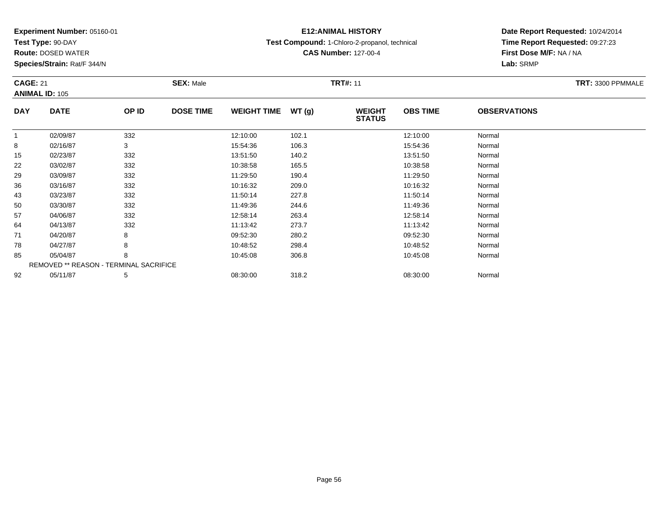**Test Type:** 90-DAY

92

**Route:** DOSED WATER

**Species/Strain:** Rat/F 344/N

REMOVED \*\* REASON - TERMINAL SACRIFICE

# **E12:ANIMAL HISTORY**

**Test Compound:** 1-Chloro-2-propanol, technical

**CAS Number:** 127-00-4

**Date Report Requested:** 10/24/2014**Time Report Requested:** 09:27:23**First Dose M/F:** NA / NA**Lab:** SRMP

|            | <b>CAGE: 21</b><br><b>ANIMAL ID: 105</b> |       | <b>SEX: Male</b> |                    |       | <b>TRT#: 11</b>                | TRT: 3300 PPMMALE |                     |  |
|------------|------------------------------------------|-------|------------------|--------------------|-------|--------------------------------|-------------------|---------------------|--|
| <b>DAY</b> | <b>DATE</b>                              | OP ID | <b>DOSE TIME</b> | <b>WEIGHT TIME</b> | WT(g) | <b>WEIGHT</b><br><b>STATUS</b> | <b>OBS TIME</b>   | <b>OBSERVATIONS</b> |  |
|            | 02/09/87                                 | 332   |                  | 12:10:00           | 102.1 |                                | 12:10:00          | Normal              |  |
| 8          | 02/16/87                                 | 3     |                  | 15:54:36           | 106.3 |                                | 15:54:36          | Normal              |  |
| 15         | 02/23/87                                 | 332   |                  | 13:51:50           | 140.2 |                                | 13:51:50          | Normal              |  |
| 22         | 03/02/87                                 | 332   |                  | 10:38:58           | 165.5 |                                | 10:38:58          | Normal              |  |
| 29         | 03/09/87                                 | 332   |                  | 11:29:50           | 190.4 |                                | 11:29:50          | Normal              |  |
| 36         | 03/16/87                                 | 332   |                  | 10:16:32           | 209.0 |                                | 10:16:32          | Normal              |  |
| 43         | 03/23/87                                 | 332   |                  | 11:50:14           | 227.8 |                                | 11:50:14          | Normal              |  |
| 50         | 03/30/87                                 | 332   |                  | 11:49:36           | 244.6 |                                | 11:49:36          | Normal              |  |
| 57         | 04/06/87                                 | 332   |                  | 12:58:14           | 263.4 |                                | 12:58:14          | Normal              |  |
| 64         | 04/13/87                                 | 332   |                  | 11:13:42           | 273.7 |                                | 11:13:42          | Normal              |  |
| 71         | 04/20/87                                 | 8     |                  | 09:52:30           | 280.2 |                                | 09:52:30          | Normal              |  |
| 78         | 04/27/87                                 | 8     |                  | 10:48:52           | 298.4 |                                | 10:48:52          | Normal              |  |
| 85         | 05/04/87                                 | 8     |                  | 10:45:08           | 306.8 |                                | 10:45:08          | Normal              |  |

2 05/11/87 5 5 08:30:00 318.2 08:30 08 08:30:00 5/11/87 Normal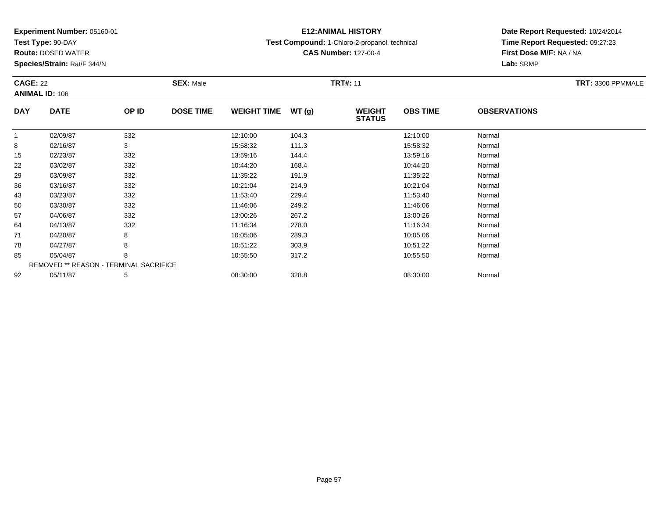**Test Type:** 90-DAY

**Route:** DOSED WATER

**Species/Strain:** Rat/F 344/N

# **E12:ANIMAL HISTORY**

**Test Compound:** 1-Chloro-2-propanol, technical

**CAS Number:** 127-00-4

|            | <b>CAGE: 22</b><br><b>ANIMAL ID: 106</b> |       | <b>SEX: Male</b> |                    |       |                                | <b>TRT#: 11</b> |                     |  |  |
|------------|------------------------------------------|-------|------------------|--------------------|-------|--------------------------------|-----------------|---------------------|--|--|
| <b>DAY</b> | <b>DATE</b>                              | OP ID | <b>DOSE TIME</b> | <b>WEIGHT TIME</b> | WT(g) | <b>WEIGHT</b><br><b>STATUS</b> | <b>OBS TIME</b> | <b>OBSERVATIONS</b> |  |  |
| 1          | 02/09/87                                 | 332   |                  | 12:10:00           | 104.3 |                                | 12:10:00        | Normal              |  |  |
| 8          | 02/16/87                                 | 3     |                  | 15:58:32           | 111.3 |                                | 15:58:32        | Normal              |  |  |
| 15         | 02/23/87                                 | 332   |                  | 13:59:16           | 144.4 |                                | 13:59:16        | Normal              |  |  |
| 22         | 03/02/87                                 | 332   |                  | 10:44:20           | 168.4 |                                | 10:44:20        | Normal              |  |  |
| 29         | 03/09/87                                 | 332   |                  | 11:35:22           | 191.9 |                                | 11:35:22        | Normal              |  |  |
| 36         | 03/16/87                                 | 332   |                  | 10:21:04           | 214.9 |                                | 10:21:04        | Normal              |  |  |
| 43         | 03/23/87                                 | 332   |                  | 11:53:40           | 229.4 |                                | 11:53:40        | Normal              |  |  |
| 50         | 03/30/87                                 | 332   |                  | 11:46:06           | 249.2 |                                | 11:46:06        | Normal              |  |  |
| 57         | 04/06/87                                 | 332   |                  | 13:00:26           | 267.2 |                                | 13:00:26        | Normal              |  |  |
| 64         | 04/13/87                                 | 332   |                  | 11:16:34           | 278.0 |                                | 11:16:34        | Normal              |  |  |
| 71         | 04/20/87                                 | 8     |                  | 10:05:06           | 289.3 |                                | 10:05:06        | Normal              |  |  |
| 78         | 04/27/87                                 | 8     |                  | 10:51:22           | 303.9 |                                | 10:51:22        | Normal              |  |  |
| 85         | 05/04/87                                 | 8     |                  | 10:55:50           | 317.2 |                                | 10:55:50        | Normal              |  |  |
|            | REMOVED ** REASON - TERMINAL SACRIFICE   |       |                  |                    |       |                                |                 |                     |  |  |
| 92         | 05/11/87                                 | 5     |                  | 08:30:00           | 328.8 |                                | 08:30:00        | Normal              |  |  |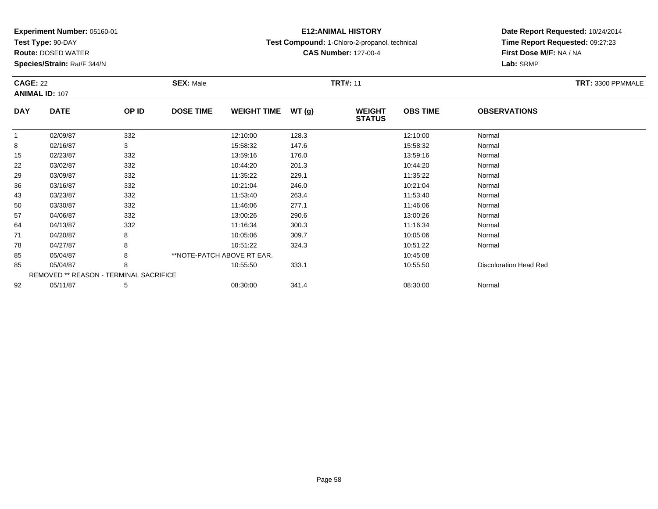**Test Type:** 90-DAY

**Route:** DOSED WATER

**Species/Strain:** Rat/F 344/N

# **E12:ANIMAL HISTORY**

**Test Compound:** 1-Chloro-2-propanol, technical

**CAS Number:** 127-00-4

|              | <b>CAGE: 22</b><br><b>ANIMAL ID: 107</b> |                                        | <b>SEX: Male</b>           |                    |       | <b>TRT#: 11</b>                | TRT: 3300 PPMMALE |                               |  |
|--------------|------------------------------------------|----------------------------------------|----------------------------|--------------------|-------|--------------------------------|-------------------|-------------------------------|--|
| <b>DAY</b>   | <b>DATE</b>                              | OP ID                                  | <b>DOSE TIME</b>           | <b>WEIGHT TIME</b> | WT(g) | <b>WEIGHT</b><br><b>STATUS</b> | <b>OBS TIME</b>   | <b>OBSERVATIONS</b>           |  |
| $\mathbf{1}$ | 02/09/87                                 | 332                                    |                            | 12:10:00           | 128.3 |                                | 12:10:00          | Normal                        |  |
| 8            | 02/16/87                                 | 3                                      |                            | 15:58:32           | 147.6 |                                | 15:58:32          | Normal                        |  |
| 15           | 02/23/87                                 | 332                                    |                            | 13:59:16           | 176.0 |                                | 13:59:16          | Normal                        |  |
| 22           | 03/02/87                                 | 332                                    |                            | 10:44:20           | 201.3 |                                | 10:44:20          | Normal                        |  |
| 29           | 03/09/87                                 | 332                                    |                            | 11:35:22           | 229.1 |                                | 11:35:22          | Normal                        |  |
| 36           | 03/16/87                                 | 332                                    |                            | 10:21:04           | 246.0 |                                | 10:21:04          | Normal                        |  |
| 43           | 03/23/87                                 | 332                                    |                            | 11:53:40           | 263.4 |                                | 11:53:40          | Normal                        |  |
| 50           | 03/30/87                                 | 332                                    |                            | 11:46:06           | 277.1 |                                | 11:46:06          | Normal                        |  |
| 57           | 04/06/87                                 | 332                                    |                            | 13:00:26           | 290.6 |                                | 13:00:26          | Normal                        |  |
| 64           | 04/13/87                                 | 332                                    |                            | 11:16:34           | 300.3 |                                | 11:16:34          | Normal                        |  |
| 71           | 04/20/87                                 | 8                                      |                            | 10:05:06           | 309.7 |                                | 10:05:06          | Normal                        |  |
| 78           | 04/27/87                                 | 8                                      |                            | 10:51:22           | 324.3 |                                | 10:51:22          | Normal                        |  |
| 85           | 05/04/87                                 | 8                                      | **NOTE-PATCH ABOVE RT EAR. |                    |       |                                | 10:45:08          |                               |  |
| 85           | 05/04/87                                 | 8                                      |                            | 10:55:50           | 333.1 |                                | 10:55:50          | <b>Discoloration Head Red</b> |  |
|              |                                          | REMOVED ** REASON - TERMINAL SACRIFICE |                            |                    |       |                                |                   |                               |  |
| 92           | 05/11/87                                 | 5                                      |                            | 08:30:00           | 341.4 |                                | 08:30:00          | Normal                        |  |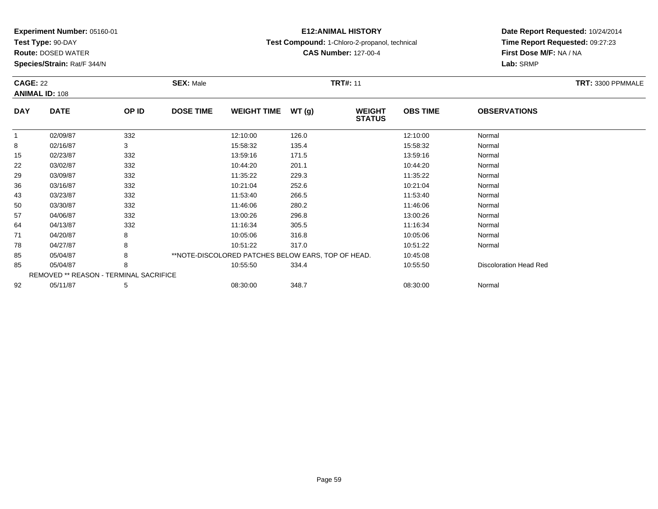**Test Type:** 90-DAY

**Route:** DOSED WATER

**Species/Strain:** Rat/F 344/N

# **E12:ANIMAL HISTORY**

**Test Compound:** 1-Chloro-2-propanol, technical

**CAS Number:** 127-00-4

|            | <b>CAGE: 22</b><br><b>ANIMAL ID: 108</b> |       | <b>SEX: Male</b>                                   | <b>TRT#: 11</b> | TRT: 3300 PPMMALE              |                 |                        |  |
|------------|------------------------------------------|-------|----------------------------------------------------|-----------------|--------------------------------|-----------------|------------------------|--|
| <b>DAY</b> | <b>DATE</b>                              | OP ID | <b>DOSE TIME</b><br><b>WEIGHT TIME</b>             | WT(g)           | <b>WEIGHT</b><br><b>STATUS</b> | <b>OBS TIME</b> | <b>OBSERVATIONS</b>    |  |
| -1         | 02/09/87                                 | 332   | 12:10:00                                           | 126.0           |                                | 12:10:00        | Normal                 |  |
| 8          | 02/16/87                                 | 3     | 15:58:32                                           | 135.4           |                                | 15:58:32        | Normal                 |  |
| 15         | 02/23/87                                 | 332   | 13:59:16                                           | 171.5           |                                | 13:59:16        | Normal                 |  |
| 22         | 03/02/87                                 | 332   | 10:44:20                                           | 201.1           |                                | 10:44:20        | Normal                 |  |
| 29         | 03/09/87                                 | 332   | 11:35:22                                           | 229.3           |                                | 11:35:22        | Normal                 |  |
| 36         | 03/16/87                                 | 332   | 10:21:04                                           | 252.6           |                                | 10:21:04        | Normal                 |  |
| 43         | 03/23/87                                 | 332   | 11:53:40                                           | 266.5           |                                | 11:53:40        | Normal                 |  |
| 50         | 03/30/87                                 | 332   | 11:46:06                                           | 280.2           |                                | 11:46:06        | Normal                 |  |
| 57         | 04/06/87                                 | 332   | 13:00:26                                           | 296.8           |                                | 13:00:26        | Normal                 |  |
| 64         | 04/13/87                                 | 332   | 11:16:34                                           | 305.5           |                                | 11:16:34        | Normal                 |  |
| 71         | 04/20/87                                 | 8     | 10:05:06                                           | 316.8           |                                | 10:05:06        | Normal                 |  |
| 78         | 04/27/87                                 | 8     | 10:51:22                                           | 317.0           |                                | 10:51:22        | Normal                 |  |
| 85         | 05/04/87                                 | 8     | **NOTE-DISCOLORED PATCHES BELOW EARS, TOP OF HEAD. |                 |                                | 10:45:08        |                        |  |
| 85         | 05/04/87                                 | 8     | 10:55:50                                           | 334.4           |                                | 10:55:50        | Discoloration Head Red |  |
|            | REMOVED ** REASON - TERMINAL SACRIFICE   |       |                                                    |                 |                                |                 |                        |  |
| 92         | 05/11/87                                 | 5     | 08:30:00                                           | 348.7           |                                | 08:30:00        | Normal                 |  |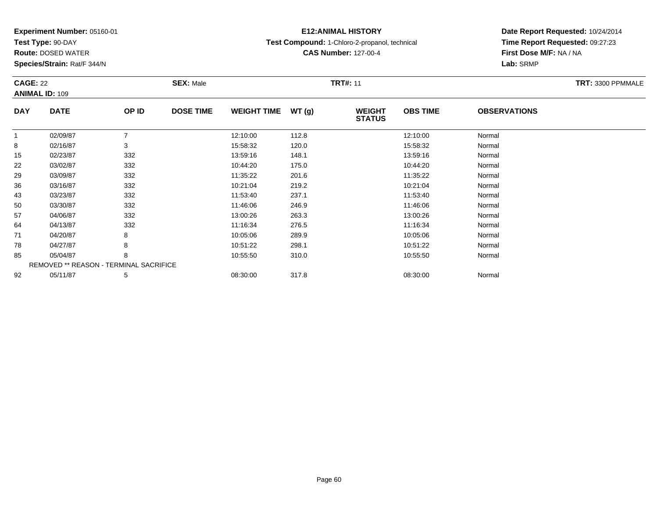**Test Type:** 90-DAY

**Route:** DOSED WATER

**Species/Strain:** Rat/F 344/N

# **E12:ANIMAL HISTORY**

**Test Compound:** 1-Chloro-2-propanol, technical

**CAS Number:** 127-00-4

|            | <b>CAGE: 22</b><br><b>ANIMAL ID: 109</b> |       | <b>SEX: Male</b> |                    |       | <b>TRT#: 11</b>                |                 | TRT: 3300 PPMMALE   |  |
|------------|------------------------------------------|-------|------------------|--------------------|-------|--------------------------------|-----------------|---------------------|--|
| <b>DAY</b> | <b>DATE</b>                              | OP ID | <b>DOSE TIME</b> | <b>WEIGHT TIME</b> | WT(g) | <b>WEIGHT</b><br><b>STATUS</b> | <b>OBS TIME</b> | <b>OBSERVATIONS</b> |  |
|            | 02/09/87                                 | 7     |                  | 12:10:00           | 112.8 |                                | 12:10:00        | Normal              |  |
| 8          | 02/16/87                                 | 3     |                  | 15:58:32           | 120.0 |                                | 15:58:32        | Normal              |  |
| 15         | 02/23/87                                 | 332   |                  | 13:59:16           | 148.1 |                                | 13:59:16        | Normal              |  |
| 22         | 03/02/87                                 | 332   |                  | 10:44:20           | 175.0 |                                | 10:44:20        | Normal              |  |
| 29         | 03/09/87                                 | 332   |                  | 11:35:22           | 201.6 |                                | 11:35:22        | Normal              |  |
| 36         | 03/16/87                                 | 332   |                  | 10:21:04           | 219.2 |                                | 10:21:04        | Normal              |  |
| 43         | 03/23/87                                 | 332   |                  | 11:53:40           | 237.1 |                                | 11:53:40        | Normal              |  |
| 50         | 03/30/87                                 | 332   |                  | 11:46:06           | 246.9 |                                | 11:46:06        | Normal              |  |
| 57         | 04/06/87                                 | 332   |                  | 13:00:26           | 263.3 |                                | 13:00:26        | Normal              |  |
| 64         | 04/13/87                                 | 332   |                  | 11:16:34           | 276.5 |                                | 11:16:34        | Normal              |  |
| 71         | 04/20/87                                 | 8     |                  | 10:05:06           | 289.9 |                                | 10:05:06        | Normal              |  |
| 78         | 04/27/87                                 | 8     |                  | 10:51:22           | 298.1 |                                | 10:51:22        | Normal              |  |
| 85         | 05/04/87                                 | 8     |                  | 10:55:50           | 310.0 |                                | 10:55:50        | Normal              |  |
|            | REMOVED ** REASON - TERMINAL SACRIFICE   |       |                  |                    |       |                                |                 |                     |  |
| 92         | 05/11/87                                 | 5     |                  | 08:30:00           | 317.8 |                                | 08:30:00        | Normal              |  |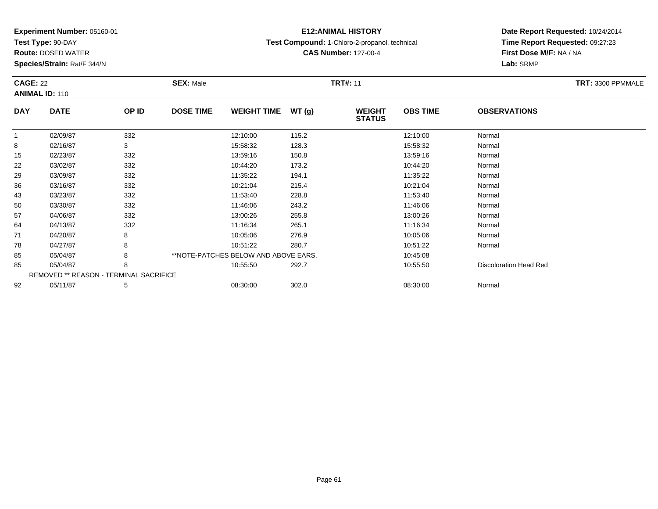**Test Type:** 90-DAY

**Route:** DOSED WATER

**Species/Strain:** Rat/F 344/N

# **E12:ANIMAL HISTORY**

**Test Compound:** 1-Chloro-2-propanol, technical

**CAS Number:** 127-00-4

| <b>CAGE: 22</b><br><b>ANIMAL ID: 110</b> |                                        |       | <b>SEX: Male</b>                       |       | <b>TRT#: 11</b>                | TRT: 3300 PPMMALE |                               |  |
|------------------------------------------|----------------------------------------|-------|----------------------------------------|-------|--------------------------------|-------------------|-------------------------------|--|
| <b>DAY</b>                               | <b>DATE</b>                            | OP ID | <b>DOSE TIME</b><br><b>WEIGHT TIME</b> | WT(g) | <b>WEIGHT</b><br><b>STATUS</b> | <b>OBS TIME</b>   | <b>OBSERVATIONS</b>           |  |
| $\mathbf{1}$                             | 02/09/87                               | 332   | 12:10:00                               | 115.2 |                                | 12:10:00          | Normal                        |  |
| 8                                        | 02/16/87                               | 3     | 15:58:32                               | 128.3 |                                | 15:58:32          | Normal                        |  |
| 15                                       | 02/23/87                               | 332   | 13:59:16                               | 150.8 |                                | 13:59:16          | Normal                        |  |
| 22                                       | 03/02/87                               | 332   | 10:44:20                               | 173.2 |                                | 10:44:20          | Normal                        |  |
| 29                                       | 03/09/87                               | 332   | 11:35:22                               | 194.1 |                                | 11:35:22          | Normal                        |  |
| 36                                       | 03/16/87                               | 332   | 10:21:04                               | 215.4 |                                | 10:21:04          | Normal                        |  |
| 43                                       | 03/23/87                               | 332   | 11:53:40                               | 228.8 |                                | 11:53:40          | Normal                        |  |
| 50                                       | 03/30/87                               | 332   | 11:46:06                               | 243.2 |                                | 11:46:06          | Normal                        |  |
| 57                                       | 04/06/87                               | 332   | 13:00:26                               | 255.8 |                                | 13:00:26          | Normal                        |  |
| 64                                       | 04/13/87                               | 332   | 11:16:34                               | 265.1 |                                | 11:16:34          | Normal                        |  |
| 71                                       | 04/20/87                               | 8     | 10:05:06                               | 276.9 |                                | 10:05:06          | Normal                        |  |
| 78                                       | 04/27/87                               | 8     | 10:51:22                               | 280.7 |                                | 10:51:22          | Normal                        |  |
| 85                                       | 05/04/87                               | 8     | **NOTE-PATCHES BELOW AND ABOVE EARS.   |       |                                | 10:45:08          |                               |  |
| 85                                       | 05/04/87                               | 8     | 10:55:50                               | 292.7 |                                | 10:55:50          | <b>Discoloration Head Red</b> |  |
|                                          | REMOVED ** REASON - TERMINAL SACRIFICE |       |                                        |       |                                |                   |                               |  |
| 92                                       | 05/11/87                               | 5     | 08:30:00                               | 302.0 |                                | 08:30:00          | Normal                        |  |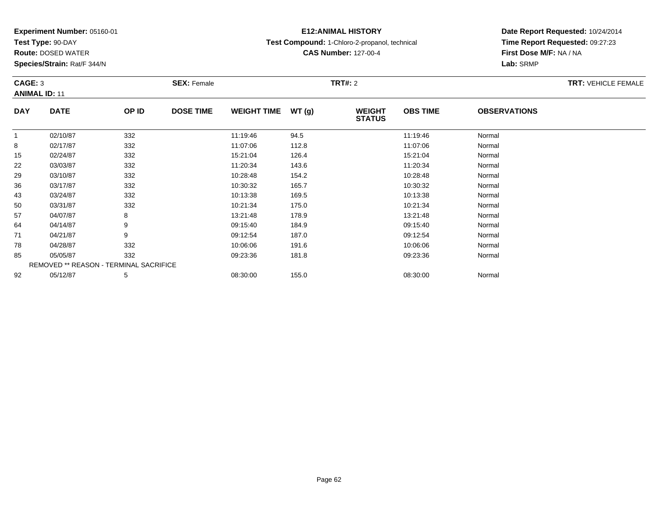**Test Type:** 90-DAY

92

**Route:** DOSED WATER

**Species/Strain:** Rat/F 344/N

# **E12:ANIMAL HISTORY**

**Test Compound:** 1-Chloro-2-propanol, technical

**CAS Number:** 127-00-4

**Date Report Requested:** 10/24/2014**Time Report Requested:** 09:27:23**First Dose M/F:** NA / NA**Lab:** SRMP

|            | CAGE: 3<br><b>ANIMAL ID: 11</b>               |       | <b>SEX: Female</b> |                    |       | <b>TRT#: 2</b>                 | <b>TRT: VEHICLE FEMALE</b> |                     |  |
|------------|-----------------------------------------------|-------|--------------------|--------------------|-------|--------------------------------|----------------------------|---------------------|--|
| <b>DAY</b> | <b>DATE</b>                                   | OP ID | <b>DOSE TIME</b>   | <b>WEIGHT TIME</b> | WT(g) | <b>WEIGHT</b><br><b>STATUS</b> | <b>OBS TIME</b>            | <b>OBSERVATIONS</b> |  |
|            | 02/10/87                                      | 332   |                    | 11:19:46           | 94.5  |                                | 11:19:46                   | Normal              |  |
| 8          | 02/17/87                                      | 332   |                    | 11:07:06           | 112.8 |                                | 11:07:06                   | Normal              |  |
| 15         | 02/24/87                                      | 332   |                    | 15:21:04           | 126.4 |                                | 15:21:04                   | Normal              |  |
| 22         | 03/03/87                                      | 332   |                    | 11:20:34           | 143.6 |                                | 11:20:34                   | Normal              |  |
| 29         | 03/10/87                                      | 332   |                    | 10:28:48           | 154.2 |                                | 10:28:48                   | Normal              |  |
| 36         | 03/17/87                                      | 332   |                    | 10:30:32           | 165.7 |                                | 10:30:32                   | Normal              |  |
| 43         | 03/24/87                                      | 332   |                    | 10:13:38           | 169.5 |                                | 10:13:38                   | Normal              |  |
| 50         | 03/31/87                                      | 332   |                    | 10:21:34           | 175.0 |                                | 10:21:34                   | Normal              |  |
| 57         | 04/07/87                                      | 8     |                    | 13:21:48           | 178.9 |                                | 13:21:48                   | Normal              |  |
| 64         | 04/14/87                                      | 9     |                    | 09:15:40           | 184.9 |                                | 09:15:40                   | Normal              |  |
| 71         | 04/21/87                                      | 9     |                    | 09:12:54           | 187.0 |                                | 09:12:54                   | Normal              |  |
| 78         | 04/28/87                                      | 332   |                    | 10:06:06           | 191.6 |                                | 10:06:06                   | Normal              |  |
| 85         | 05/05/87                                      | 332   |                    | 09:23:36           | 181.8 |                                | 09:23:36                   | Normal              |  |
|            | <b>REMOVED ** REASON - TERMINAL SACRIFICE</b> |       |                    |                    |       |                                |                            |                     |  |

2 05/12/87 5 5 08:30:00 155.0 08:30 00 08:00 08:30:00 08:30:00 08:30:00 08:30:00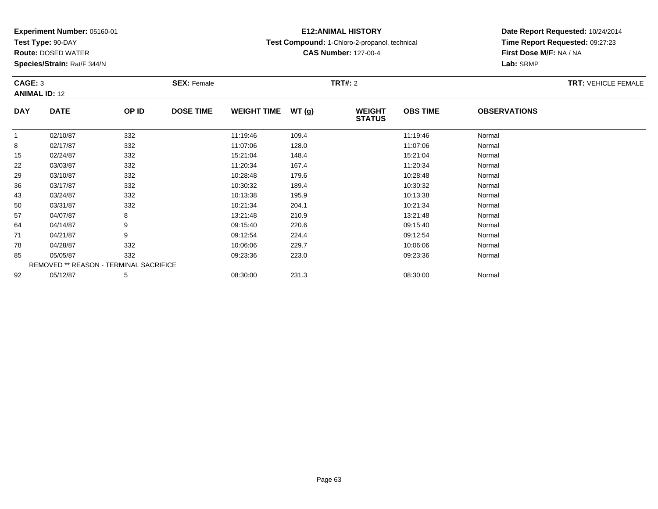**Test Type:** 90-DAY

**Route:** DOSED WATER

**Species/Strain:** Rat/F 344/N

# **E12:ANIMAL HISTORY**

**Test Compound:** 1-Chloro-2-propanol, technical

**CAS Number:** 127-00-4

| CAGE: 3     | <b>ANIMAL ID: 12</b>                   |       | <b>SEX: Female</b> |                    |       |                                | <b>TRT#: 2</b>  |                     |  |  |
|-------------|----------------------------------------|-------|--------------------|--------------------|-------|--------------------------------|-----------------|---------------------|--|--|
| <b>DAY</b>  | <b>DATE</b>                            | OP ID | <b>DOSE TIME</b>   | <b>WEIGHT TIME</b> | WT(g) | <b>WEIGHT</b><br><b>STATUS</b> | <b>OBS TIME</b> | <b>OBSERVATIONS</b> |  |  |
| $\mathbf 1$ | 02/10/87                               | 332   |                    | 11:19:46           | 109.4 |                                | 11:19:46        | Normal              |  |  |
| 8           | 02/17/87                               | 332   |                    | 11:07:06           | 128.0 |                                | 11:07:06        | Normal              |  |  |
| 15          | 02/24/87                               | 332   |                    | 15:21:04           | 148.4 |                                | 15:21:04        | Normal              |  |  |
| 22          | 03/03/87                               | 332   |                    | 11:20:34           | 167.4 |                                | 11:20:34        | Normal              |  |  |
| 29          | 03/10/87                               | 332   |                    | 10:28:48           | 179.6 |                                | 10:28:48        | Normal              |  |  |
| 36          | 03/17/87                               | 332   |                    | 10:30:32           | 189.4 |                                | 10:30:32        | Normal              |  |  |
| 43          | 03/24/87                               | 332   |                    | 10:13:38           | 195.9 |                                | 10:13:38        | Normal              |  |  |
| 50          | 03/31/87                               | 332   |                    | 10:21:34           | 204.1 |                                | 10:21:34        | Normal              |  |  |
| 57          | 04/07/87                               | 8     |                    | 13:21:48           | 210.9 |                                | 13:21:48        | Normal              |  |  |
| 64          | 04/14/87                               | 9     |                    | 09:15:40           | 220.6 |                                | 09:15:40        | Normal              |  |  |
| 71          | 04/21/87                               | 9     |                    | 09:12:54           | 224.4 |                                | 09:12:54        | Normal              |  |  |
| 78          | 04/28/87                               | 332   |                    | 10:06:06           | 229.7 |                                | 10:06:06        | Normal              |  |  |
| 85          | 05/05/87                               | 332   |                    | 09:23:36           | 223.0 |                                | 09:23:36        | Normal              |  |  |
|             | REMOVED ** REASON - TERMINAL SACRIFICE |       |                    |                    |       |                                |                 |                     |  |  |
| 92          | 05/12/87                               | 5     |                    | 08:30:00           | 231.3 |                                | 08:30:00        | Normal              |  |  |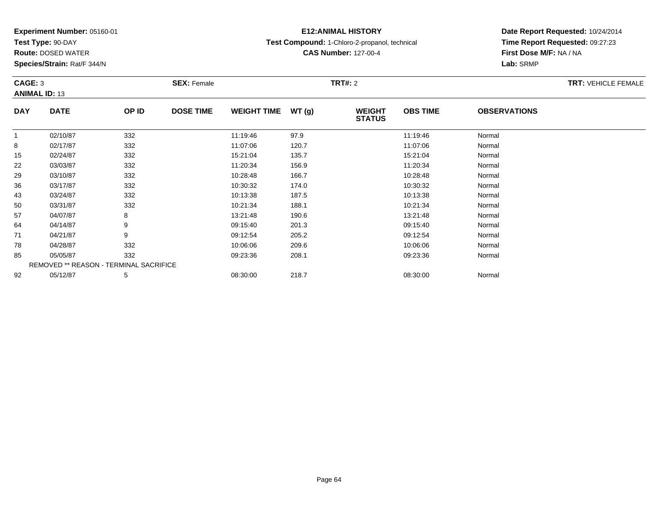**Test Type:** 90-DAY

**Species/Strain:** Rat/F 344/N

# **E12:ANIMAL HISTORY**

**Test Compound:** 1-Chloro-2-propanol, technical

**CAS Number:** 127-00-4

**Date Report Requested:** 10/24/2014 **Time Report Requested:** 09:27:23**First Dose M/F:** NA / NA**Lab:** SRMP

| CAGE: 3<br><b>ANIMAL ID: 13</b> |                                        |       | <b>SEX: Female</b> |                    |       | <b>TRT#: 2</b>                 |                 |                     | <b>TRT: VEHICLE FEMALE</b> |
|---------------------------------|----------------------------------------|-------|--------------------|--------------------|-------|--------------------------------|-----------------|---------------------|----------------------------|
| <b>DAY</b>                      | <b>DATE</b>                            | OP ID | <b>DOSE TIME</b>   | <b>WEIGHT TIME</b> | WT(g) | <b>WEIGHT</b><br><b>STATUS</b> | <b>OBS TIME</b> | <b>OBSERVATIONS</b> |                            |
|                                 | 02/10/87                               | 332   |                    | 11:19:46           | 97.9  |                                | 11:19:46        | Normal              |                            |
| 8                               | 02/17/87                               | 332   |                    | 11:07:06           | 120.7 |                                | 11:07:06        | Normal              |                            |
| 15                              | 02/24/87                               | 332   |                    | 15:21:04           | 135.7 |                                | 15:21:04        | Normal              |                            |
| 22                              | 03/03/87                               | 332   |                    | 11:20:34           | 156.9 |                                | 11:20:34        | Normal              |                            |
| 29                              | 03/10/87                               | 332   |                    | 10:28:48           | 166.7 |                                | 10:28:48        | Normal              |                            |
| 36                              | 03/17/87                               | 332   |                    | 10:30:32           | 174.0 |                                | 10:30:32        | Normal              |                            |
| 43                              | 03/24/87                               | 332   |                    | 10:13:38           | 187.5 |                                | 10:13:38        | Normal              |                            |
| 50                              | 03/31/87                               | 332   |                    | 10:21:34           | 188.1 |                                | 10:21:34        | Normal              |                            |
| 57                              | 04/07/87                               | 8     |                    | 13:21:48           | 190.6 |                                | 13:21:48        | Normal              |                            |
| 64                              | 04/14/87                               | 9     |                    | 09:15:40           | 201.3 |                                | 09:15:40        | Normal              |                            |
| 71                              | 04/21/87                               | 9     |                    | 09:12:54           | 205.2 |                                | 09:12:54        | Normal              |                            |
| 78                              | 04/28/87                               | 332   |                    | 10:06:06           | 209.6 |                                | 10:06:06        | Normal              |                            |
| 85                              | 05/05/87                               | 332   |                    | 09:23:36           | 208.1 |                                | 09:23:36        | Normal              |                            |
|                                 | REMOVED ** REASON - TERMINAL SACRIFICE |       |                    |                    |       |                                |                 |                     |                            |
| 92                              | 05/12/87                               | 5     |                    | 08:30:00           | 218.7 |                                | 08:30:00        | Normal              |                            |

**Route:** DOSED WATER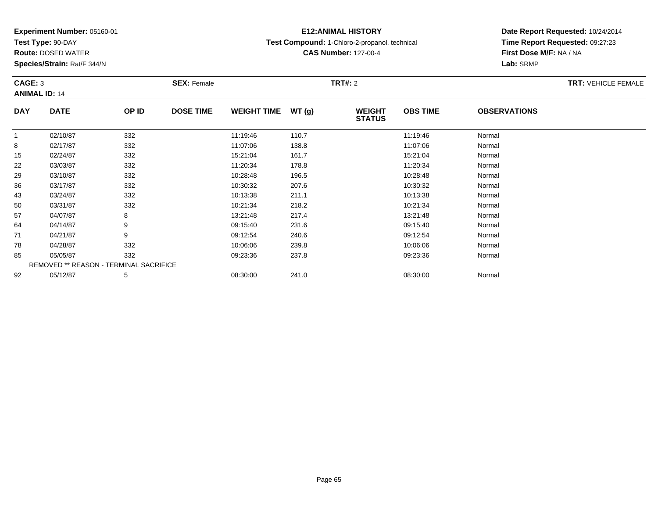**Test Type:** 90-DAY

**Route:** DOSED WATER

**Species/Strain:** Rat/F 344/N

# **E12:ANIMAL HISTORY**

**Test Compound:** 1-Chloro-2-propanol, technical

**CAS Number:** 127-00-4

| CAGE: 3      | <b>ANIMAL ID: 14</b>                   |       | <b>SEX: Female</b> |                    |       | <b>TRT#:</b> 2                 |                 | <b>TRT: VEHICLE FEMALE</b> |  |
|--------------|----------------------------------------|-------|--------------------|--------------------|-------|--------------------------------|-----------------|----------------------------|--|
| <b>DAY</b>   | <b>DATE</b>                            | OP ID | <b>DOSE TIME</b>   | <b>WEIGHT TIME</b> | WT(g) | <b>WEIGHT</b><br><b>STATUS</b> | <b>OBS TIME</b> | <b>OBSERVATIONS</b>        |  |
| $\mathbf{1}$ | 02/10/87                               | 332   |                    | 11:19:46           | 110.7 |                                | 11:19:46        | Normal                     |  |
| 8            | 02/17/87                               | 332   |                    | 11:07:06           | 138.8 |                                | 11:07:06        | Normal                     |  |
| 15           | 02/24/87                               | 332   |                    | 15:21:04           | 161.7 |                                | 15:21:04        | Normal                     |  |
| 22           | 03/03/87                               | 332   |                    | 11:20:34           | 178.8 |                                | 11:20:34        | Normal                     |  |
| 29           | 03/10/87                               | 332   |                    | 10:28:48           | 196.5 |                                | 10:28:48        | Normal                     |  |
| 36           | 03/17/87                               | 332   |                    | 10:30:32           | 207.6 |                                | 10:30:32        | Normal                     |  |
| 43           | 03/24/87                               | 332   |                    | 10:13:38           | 211.1 |                                | 10:13:38        | Normal                     |  |
| 50           | 03/31/87                               | 332   |                    | 10:21:34           | 218.2 |                                | 10:21:34        | Normal                     |  |
| 57           | 04/07/87                               | 8     |                    | 13:21:48           | 217.4 |                                | 13:21:48        | Normal                     |  |
| 64           | 04/14/87                               | 9     |                    | 09:15:40           | 231.6 |                                | 09:15:40        | Normal                     |  |
| 71           | 04/21/87                               | 9     |                    | 09:12:54           | 240.6 |                                | 09:12:54        | Normal                     |  |
| 78           | 04/28/87                               | 332   |                    | 10:06:06           | 239.8 |                                | 10:06:06        | Normal                     |  |
| 85           | 05/05/87                               | 332   |                    | 09:23:36           | 237.8 |                                | 09:23:36        | Normal                     |  |
|              | REMOVED ** REASON - TERMINAL SACRIFICE |       |                    |                    |       |                                |                 |                            |  |
| 92           | 05/12/87                               | 5     |                    | 08:30:00           | 241.0 |                                | 08:30:00        | Normal                     |  |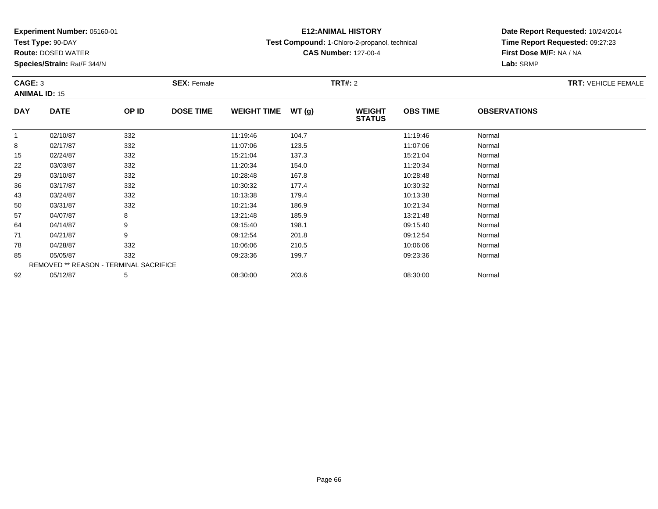**Test Type:** 90-DAY

**Route:** DOSED WATER

**Species/Strain:** Rat/F 344/N

# **E12:ANIMAL HISTORY**

**Test Compound:** 1-Chloro-2-propanol, technical

**CAS Number:** 127-00-4

| CAGE: 3      |                                        |       | <b>SEX: Female</b> |                    |       | <b>TRT#: 2</b>                 |                 |                     | <b>TRT: VEHICLE FEMALE</b> |
|--------------|----------------------------------------|-------|--------------------|--------------------|-------|--------------------------------|-----------------|---------------------|----------------------------|
|              | <b>ANIMAL ID: 15</b>                   |       |                    |                    |       |                                |                 |                     |                            |
| <b>DAY</b>   | <b>DATE</b>                            | OP ID | <b>DOSE TIME</b>   | <b>WEIGHT TIME</b> | WT(g) | <b>WEIGHT</b><br><b>STATUS</b> | <b>OBS TIME</b> | <b>OBSERVATIONS</b> |                            |
| $\mathbf{1}$ | 02/10/87                               | 332   |                    | 11:19:46           | 104.7 |                                | 11:19:46        | Normal              |                            |
| 8            | 02/17/87                               | 332   |                    | 11:07:06           | 123.5 |                                | 11:07:06        | Normal              |                            |
| 15           | 02/24/87                               | 332   |                    | 15:21:04           | 137.3 |                                | 15:21:04        | Normal              |                            |
| 22           | 03/03/87                               | 332   |                    | 11:20:34           | 154.0 |                                | 11:20:34        | Normal              |                            |
| 29           | 03/10/87                               | 332   |                    | 10:28:48           | 167.8 |                                | 10:28:48        | Normal              |                            |
| 36           | 03/17/87                               | 332   |                    | 10:30:32           | 177.4 |                                | 10:30:32        | Normal              |                            |
| 43           | 03/24/87                               | 332   |                    | 10:13:38           | 179.4 |                                | 10:13:38        | Normal              |                            |
| 50           | 03/31/87                               | 332   |                    | 10:21:34           | 186.9 |                                | 10:21:34        | Normal              |                            |
| 57           | 04/07/87                               | 8     |                    | 13:21:48           | 185.9 |                                | 13:21:48        | Normal              |                            |
| 64           | 04/14/87                               | 9     |                    | 09:15:40           | 198.1 |                                | 09:15:40        | Normal              |                            |
| 71           | 04/21/87                               | 9     |                    | 09:12:54           | 201.8 |                                | 09:12:54        | Normal              |                            |
| 78           | 04/28/87                               | 332   |                    | 10:06:06           | 210.5 |                                | 10:06:06        | Normal              |                            |
| 85           | 05/05/87                               | 332   |                    | 09:23:36           | 199.7 |                                | 09:23:36        | Normal              |                            |
|              | REMOVED ** REASON - TERMINAL SACRIFICE |       |                    |                    |       |                                |                 |                     |                            |
| 92           | 05/12/87                               | 5     |                    | 08:30:00           | 203.6 |                                | 08:30:00        | Normal              |                            |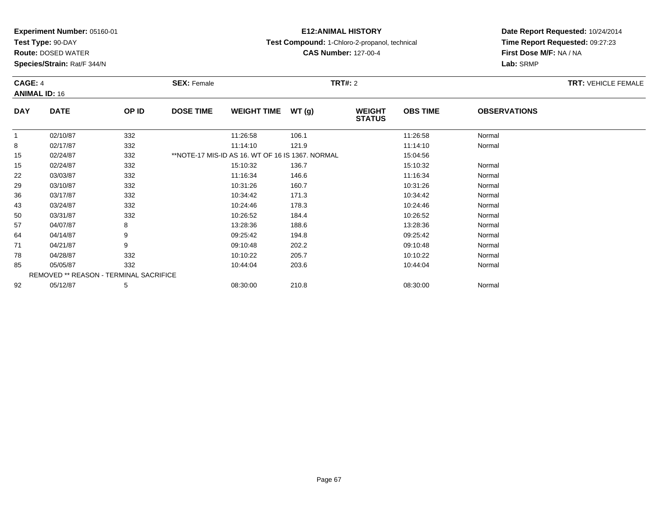**Test Type:** 90-DAY

**Route:** DOSED WATER

**Species/Strain:** Rat/F 344/N

#### **E12:ANIMAL HISTORY**

#### **Test Compound:** 1-Chloro-2-propanol, technical

**CAS Number:** 127-00-4

| CAGE: 4      | <b>ANIMAL ID: 16</b>                   |       | <b>SEX: Female</b> |                                                  |       | <b>TRT#:</b> 2                 |                 |                     | <b>TRT: VEHICLE FEMALE</b> |
|--------------|----------------------------------------|-------|--------------------|--------------------------------------------------|-------|--------------------------------|-----------------|---------------------|----------------------------|
| <b>DAY</b>   | <b>DATE</b>                            | OP ID | <b>DOSE TIME</b>   | <b>WEIGHT TIME</b>                               | WT(g) | <b>WEIGHT</b><br><b>STATUS</b> | <b>OBS TIME</b> | <b>OBSERVATIONS</b> |                            |
| $\mathbf{1}$ | 02/10/87                               | 332   |                    | 11:26:58                                         | 106.1 |                                | 11:26:58        | Normal              |                            |
| 8            | 02/17/87                               | 332   |                    | 11:14:10                                         | 121.9 |                                | 11:14:10        | Normal              |                            |
| 15           | 02/24/87                               | 332   |                    | **NOTE-17 MIS-ID AS 16, WT OF 16 IS 1367, NORMAL |       |                                | 15:04:56        |                     |                            |
| 15           | 02/24/87                               | 332   |                    | 15:10:32                                         | 136.7 |                                | 15:10:32        | Normal              |                            |
| 22           | 03/03/87                               | 332   |                    | 11:16:34                                         | 146.6 |                                | 11:16:34        | Normal              |                            |
| 29           | 03/10/87                               | 332   |                    | 10:31:26                                         | 160.7 |                                | 10:31:26        | Normal              |                            |
| 36           | 03/17/87                               | 332   |                    | 10:34:42                                         | 171.3 |                                | 10:34:42        | Normal              |                            |
| 43           | 03/24/87                               | 332   |                    | 10:24:46                                         | 178.3 |                                | 10:24:46        | Normal              |                            |
| 50           | 03/31/87                               | 332   |                    | 10:26:52                                         | 184.4 |                                | 10:26:52        | Normal              |                            |
| 57           | 04/07/87                               | 8     |                    | 13:28:36                                         | 188.6 |                                | 13:28:36        | Normal              |                            |
| 64           | 04/14/87                               | 9     |                    | 09:25:42                                         | 194.8 |                                | 09:25:42        | Normal              |                            |
| 71           | 04/21/87                               | 9     |                    | 09:10:48                                         | 202.2 |                                | 09:10:48        | Normal              |                            |
| 78           | 04/28/87                               | 332   |                    | 10:10:22                                         | 205.7 |                                | 10:10:22        | Normal              |                            |
| 85           | 05/05/87                               | 332   |                    | 10:44:04                                         | 203.6 |                                | 10:44:04        | Normal              |                            |
|              | REMOVED ** REASON - TERMINAL SACRIFICE |       |                    |                                                  |       |                                |                 |                     |                            |
| 92           | 05/12/87                               | 5     |                    | 08:30:00                                         | 210.8 |                                | 08:30:00        | Normal              |                            |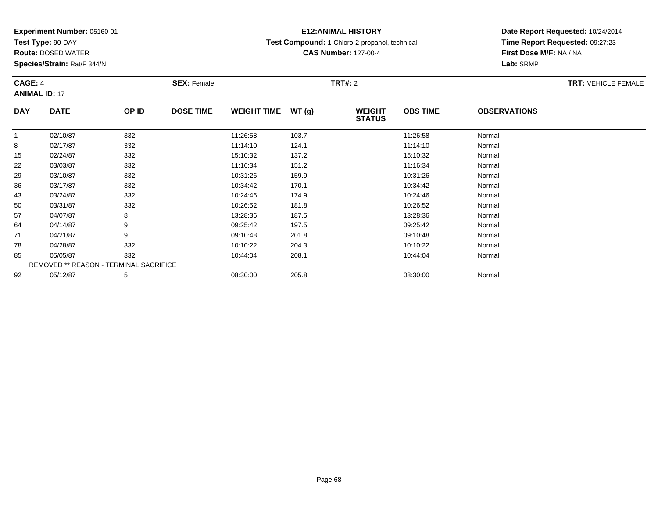**Test Type:** 90-DAY

92

**Route:** DOSED WATER

**Species/Strain:** Rat/F 344/N

# **E12:ANIMAL HISTORY**

**Test Compound:** 1-Chloro-2-propanol, technical

**Date Report Requested:** 10/24/2014**Time Report Requested:** 09:27:23**First Dose M/F:** NA / NA**Lab:** SRMP

| CAGE: 4<br><b>ANIMAL ID: 17</b> |                                               |       | <b>SEX: Female</b> |                    |                                         | <b>TRT: VEHICLE FEMALE</b> |                     |        |  |
|---------------------------------|-----------------------------------------------|-------|--------------------|--------------------|-----------------------------------------|----------------------------|---------------------|--------|--|
| <b>DAY</b>                      | <b>DATE</b>                                   | OP ID | <b>DOSE TIME</b>   | <b>WEIGHT TIME</b> | WT(g)<br><b>WEIGHT</b><br><b>STATUS</b> | <b>OBS TIME</b>            | <b>OBSERVATIONS</b> |        |  |
| 1                               | 02/10/87                                      | 332   |                    | 11:26:58           | 103.7                                   |                            | 11:26:58            | Normal |  |
| 8                               | 02/17/87                                      | 332   |                    | 11:14:10           | 124.1                                   |                            | 11:14:10            | Normal |  |
| 15                              | 02/24/87                                      | 332   |                    | 15:10:32           | 137.2                                   |                            | 15:10:32            | Normal |  |
| 22                              | 03/03/87                                      | 332   |                    | 11:16:34           | 151.2                                   |                            | 11:16:34            | Normal |  |
| 29                              | 03/10/87                                      | 332   |                    | 10:31:26           | 159.9                                   |                            | 10:31:26            | Normal |  |
| 36                              | 03/17/87                                      | 332   |                    | 10:34:42           | 170.1                                   |                            | 10:34:42            | Normal |  |
| 43                              | 03/24/87                                      | 332   |                    | 10:24:46           | 174.9                                   |                            | 10:24:46            | Normal |  |
| 50                              | 03/31/87                                      | 332   |                    | 10:26:52           | 181.8                                   |                            | 10:26:52            | Normal |  |
| 57                              | 04/07/87                                      | 8     |                    | 13:28:36           | 187.5                                   |                            | 13:28:36            | Normal |  |
| 64                              | 04/14/87                                      | 9     |                    | 09:25:42           | 197.5                                   |                            | 09:25:42            | Normal |  |
| 71                              | 04/21/87                                      | 9     |                    | 09:10:48           | 201.8                                   |                            | 09:10:48            | Normal |  |
| 78                              | 04/28/87                                      | 332   |                    | 10:10:22           | 204.3                                   |                            | 10:10:22            | Normal |  |
| 85                              | 05/05/87                                      | 332   |                    | 10:44:04           | 208.1                                   |                            | 10:44:04            | Normal |  |
|                                 | <b>REMOVED ** REASON - TERMINAL SACRIFICE</b> |       |                    |                    |                                         |                            |                     |        |  |

2 05/12/87 5 5 08:30:00 205.8 08:30:00 08:30:00 08:30:00 08:30:00 08:30:00 08:30:00

**CAS Number:** 127-00-4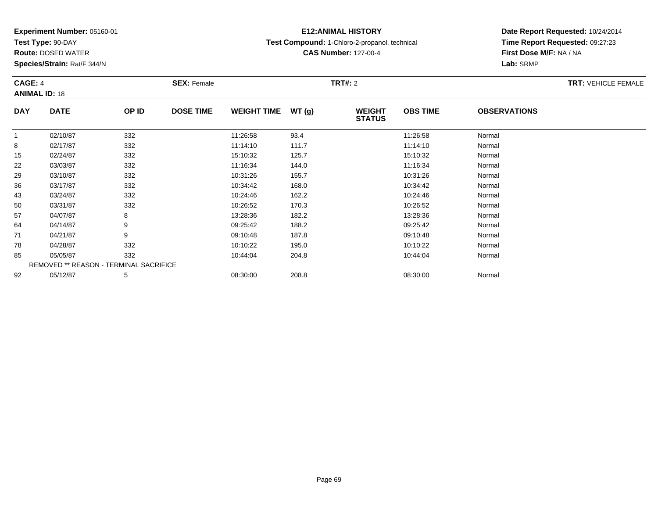**Test Type:** 90-DAY

**Route:** DOSED WATER

**Species/Strain:** Rat/F 344/N

# **E12:ANIMAL HISTORY**

**Test Compound:** 1-Chloro-2-propanol, technical

**CAS Number:** 127-00-4

| CAGE: 4              |                                        | <b>SEX: Female</b> |                  |                    | <b>TRT#: 2</b> | <b>TRT: VEHICLE FEMALE</b>     |                 |                     |  |
|----------------------|----------------------------------------|--------------------|------------------|--------------------|----------------|--------------------------------|-----------------|---------------------|--|
| <b>ANIMAL ID: 18</b> |                                        |                    |                  |                    |                |                                |                 |                     |  |
| <b>DAY</b>           | <b>DATE</b>                            | OP ID              | <b>DOSE TIME</b> | <b>WEIGHT TIME</b> | WT(g)          | <b>WEIGHT</b><br><b>STATUS</b> | <b>OBS TIME</b> | <b>OBSERVATIONS</b> |  |
|                      | 02/10/87                               | 332                |                  | 11:26:58           | 93.4           |                                | 11:26:58        | Normal              |  |
| 8                    | 02/17/87                               | 332                |                  | 11:14:10           | 111.7          |                                | 11:14:10        | Normal              |  |
| 15                   | 02/24/87                               | 332                |                  | 15:10:32           | 125.7          |                                | 15:10:32        | Normal              |  |
| 22                   | 03/03/87                               | 332                |                  | 11:16:34           | 144.0          |                                | 11:16:34        | Normal              |  |
| 29                   | 03/10/87                               | 332                |                  | 10:31:26           | 155.7          |                                | 10:31:26        | Normal              |  |
| 36                   | 03/17/87                               | 332                |                  | 10:34:42           | 168.0          |                                | 10:34:42        | Normal              |  |
| 43                   | 03/24/87                               | 332                |                  | 10:24:46           | 162.2          |                                | 10:24:46        | Normal              |  |
| 50                   | 03/31/87                               | 332                |                  | 10:26:52           | 170.3          |                                | 10:26:52        | Normal              |  |
| 57                   | 04/07/87                               | 8                  |                  | 13:28:36           | 182.2          |                                | 13:28:36        | Normal              |  |
| 64                   | 04/14/87                               | 9                  |                  | 09:25:42           | 188.2          |                                | 09:25:42        | Normal              |  |
| 71                   | 04/21/87                               | 9                  |                  | 09:10:48           | 187.8          |                                | 09:10:48        | Normal              |  |
| 78                   | 04/28/87                               | 332                |                  | 10:10:22           | 195.0          |                                | 10:10:22        | Normal              |  |
| 85                   | 05/05/87                               | 332                |                  | 10:44:04           | 204.8          |                                | 10:44:04        | Normal              |  |
|                      | REMOVED ** REASON - TERMINAL SACRIFICE |                    |                  |                    |                |                                |                 |                     |  |
| 92                   | 05/12/87                               | 5                  |                  | 08:30:00           | 208.8          |                                | 08:30:00        | Normal              |  |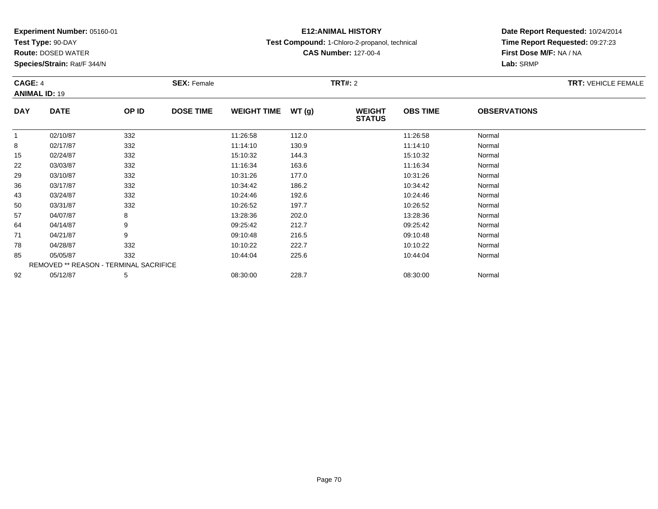**Test Type:** 90-DAY

**Route:** DOSED WATER

**Species/Strain:** Rat/F 344/N

# **E12:ANIMAL HISTORY**

**Test Compound:** 1-Chloro-2-propanol, technical

**CAS Number:** 127-00-4

| CAGE: 4      |                                        | <b>SEX: Female</b> |                  |                     | <b>TRT#: 2</b> | <b>TRT: VEHICLE FEMALE</b>     |                 |                     |  |
|--------------|----------------------------------------|--------------------|------------------|---------------------|----------------|--------------------------------|-----------------|---------------------|--|
|              | <b>ANIMAL ID: 19</b>                   |                    |                  |                     |                |                                |                 |                     |  |
| <b>DAY</b>   | <b>DATE</b>                            | OP ID              | <b>DOSE TIME</b> | WEIGHT TIME $WT(g)$ |                | <b>WEIGHT</b><br><b>STATUS</b> | <b>OBS TIME</b> | <b>OBSERVATIONS</b> |  |
| $\mathbf{1}$ | 02/10/87                               | 332                |                  | 11:26:58            | 112.0          |                                | 11:26:58        | Normal              |  |
| 8            | 02/17/87                               | 332                |                  | 11:14:10            | 130.9          |                                | 11:14:10        | Normal              |  |
| 15           | 02/24/87                               | 332                |                  | 15:10:32            | 144.3          |                                | 15:10:32        | Normal              |  |
| 22           | 03/03/87                               | 332                |                  | 11:16:34            | 163.6          |                                | 11:16:34        | Normal              |  |
| 29           | 03/10/87                               | 332                |                  | 10:31:26            | 177.0          |                                | 10:31:26        | Normal              |  |
| 36           | 03/17/87                               | 332                |                  | 10:34:42            | 186.2          |                                | 10:34:42        | Normal              |  |
| 43           | 03/24/87                               | 332                |                  | 10:24:46            | 192.6          |                                | 10:24:46        | Normal              |  |
| 50           | 03/31/87                               | 332                |                  | 10:26:52            | 197.7          |                                | 10:26:52        | Normal              |  |
| 57           | 04/07/87                               | 8                  |                  | 13:28:36            | 202.0          |                                | 13:28:36        | Normal              |  |
| 64           | 04/14/87                               | 9                  |                  | 09:25:42            | 212.7          |                                | 09:25:42        | Normal              |  |
| 71           | 04/21/87                               | 9                  |                  | 09:10:48            | 216.5          |                                | 09:10:48        | Normal              |  |
| 78           | 04/28/87                               | 332                |                  | 10:10:22            | 222.7          |                                | 10:10:22        | Normal              |  |
| 85           | 05/05/87                               | 332                |                  | 10:44:04            | 225.6          |                                | 10:44:04        | Normal              |  |
|              | REMOVED ** REASON - TERMINAL SACRIFICE |                    |                  |                     |                |                                |                 |                     |  |
| 92           | 05/12/87                               | 5                  |                  | 08:30:00            | 228.7          |                                | 08:30:00        | Normal              |  |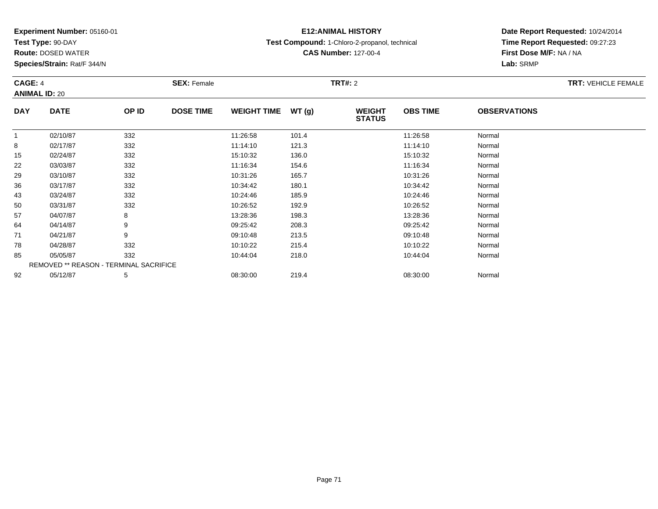**Test Type:** 90-DAY

**Route:** DOSED WATER

**Species/Strain:** Rat/F 344/N

# **E12:ANIMAL HISTORY**

**Test Compound:** 1-Chloro-2-propanol, technical

**CAS Number:** 127-00-4

| CAGE: 4<br><b>ANIMAL ID: 20</b> |                                        | <b>SEX: Female</b> |                  | <b>TRT#: 2</b>     |        |                                |                 | <b>TRT: VEHICLE FEMALE</b> |  |
|---------------------------------|----------------------------------------|--------------------|------------------|--------------------|--------|--------------------------------|-----------------|----------------------------|--|
| <b>DAY</b>                      | <b>DATE</b>                            | OP ID              | <b>DOSE TIME</b> | <b>WEIGHT TIME</b> | WT (g) | <b>WEIGHT</b><br><b>STATUS</b> | <b>OBS TIME</b> | <b>OBSERVATIONS</b>        |  |
| $\mathbf 1$                     | 02/10/87                               | 332                |                  | 11:26:58           | 101.4  |                                | 11:26:58        | Normal                     |  |
| 8                               | 02/17/87                               | 332                |                  | 11:14:10           | 121.3  |                                | 11:14:10        | Normal                     |  |
| 15                              | 02/24/87                               | 332                |                  | 15:10:32           | 136.0  |                                | 15:10:32        | Normal                     |  |
| 22                              | 03/03/87                               | 332                |                  | 11:16:34           | 154.6  |                                | 11:16:34        | Normal                     |  |
| 29                              | 03/10/87                               | 332                |                  | 10:31:26           | 165.7  |                                | 10:31:26        | Normal                     |  |
| 36                              | 03/17/87                               | 332                |                  | 10:34:42           | 180.1  |                                | 10:34:42        | Normal                     |  |
| 43                              | 03/24/87                               | 332                |                  | 10:24:46           | 185.9  |                                | 10:24:46        | Normal                     |  |
| 50                              | 03/31/87                               | 332                |                  | 10:26:52           | 192.9  |                                | 10:26:52        | Normal                     |  |
| 57                              | 04/07/87                               | 8                  |                  | 13:28:36           | 198.3  |                                | 13:28:36        | Normal                     |  |
| 64                              | 04/14/87                               | 9                  |                  | 09:25:42           | 208.3  |                                | 09:25:42        | Normal                     |  |
| 71                              | 04/21/87                               | 9                  |                  | 09:10:48           | 213.5  |                                | 09:10:48        | Normal                     |  |
| 78                              | 04/28/87                               | 332                |                  | 10:10:22           | 215.4  |                                | 10:10:22        | Normal                     |  |
| 85                              | 05/05/87                               | 332                |                  | 10:44:04           | 218.0  |                                | 10:44:04        | Normal                     |  |
|                                 | REMOVED ** REASON - TERMINAL SACRIFICE |                    |                  |                    |        |                                |                 |                            |  |
| 92                              | 05/12/87                               | 5                  |                  | 08:30:00           | 219.4  |                                | 08:30:00        | Normal                     |  |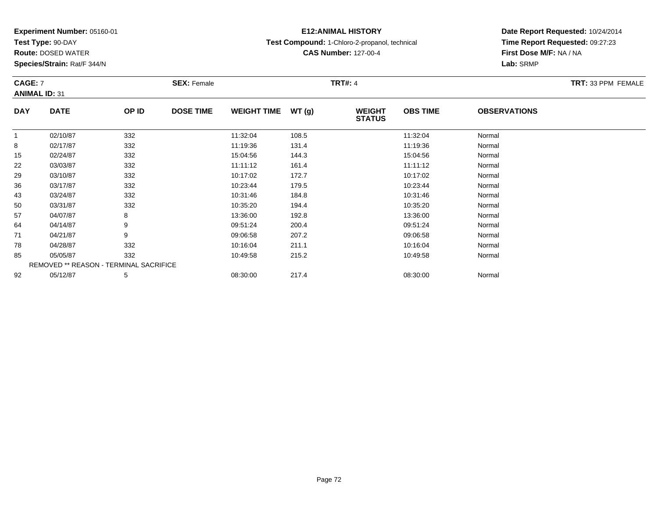**Test Type:** 90-DAY

**Route:** DOSED WATER

**Species/Strain:** Rat/F 344/N

# **E12:ANIMAL HISTORY**

**Test Compound:** 1-Chloro-2-propanol, technical

**CAS Number:** 127-00-4

**Date Report Requested:** 10/24/2014**Time Report Requested:** 09:27:23**First Dose M/F:** NA / NA**Lab:** SRMP

| CAGE: 7    |                                        | <b>SEX: Female</b> |                  |                    | <b>TRT#: 4</b> | TRT: 33 PPM FEMALE             |                 |                     |  |
|------------|----------------------------------------|--------------------|------------------|--------------------|----------------|--------------------------------|-----------------|---------------------|--|
|            | <b>ANIMAL ID: 31</b>                   |                    |                  |                    |                |                                |                 |                     |  |
| <b>DAY</b> | <b>DATE</b>                            | OP ID              | <b>DOSE TIME</b> | <b>WEIGHT TIME</b> | WT(g)          | <b>WEIGHT</b><br><b>STATUS</b> | <b>OBS TIME</b> | <b>OBSERVATIONS</b> |  |
|            | 02/10/87                               | 332                |                  | 11:32:04           | 108.5          |                                | 11:32:04        | Normal              |  |
| 8          | 02/17/87                               | 332                |                  | 11:19:36           | 131.4          |                                | 11:19:36        | Normal              |  |
| 15         | 02/24/87                               | 332                |                  | 15:04:56           | 144.3          |                                | 15:04:56        | Normal              |  |
| 22         | 03/03/87                               | 332                |                  | 11:11:12           | 161.4          |                                | 11:11:12        | Normal              |  |
| 29         | 03/10/87                               | 332                |                  | 10:17:02           | 172.7          |                                | 10:17:02        | Normal              |  |
| 36         | 03/17/87                               | 332                |                  | 10:23:44           | 179.5          |                                | 10:23:44        | Normal              |  |
| 43         | 03/24/87                               | 332                |                  | 10:31:46           | 184.8          |                                | 10:31:46        | Normal              |  |
| 50         | 03/31/87                               | 332                |                  | 10:35:20           | 194.4          |                                | 10:35:20        | Normal              |  |
| 57         | 04/07/87                               | 8                  |                  | 13:36:00           | 192.8          |                                | 13:36:00        | Normal              |  |
| 64         | 04/14/87                               | 9                  |                  | 09:51:24           | 200.4          |                                | 09:51:24        | Normal              |  |
| 71         | 04/21/87                               | 9                  |                  | 09:06:58           | 207.2          |                                | 09:06:58        | Normal              |  |
| 78         | 04/28/87                               | 332                |                  | 10:16:04           | 211.1          |                                | 10:16:04        | Normal              |  |
| 85         | 05/05/87                               | 332                |                  | 10:49:58           | 215.2          |                                | 10:49:58        | Normal              |  |
|            | REMOVED ** REASON - TERMINAL SACRIFICE |                    |                  |                    |                |                                |                 |                     |  |
| 92         | 05/12/87                               | 5                  |                  | 08:30:00           | 217.4          |                                | 08:30:00        | Normal              |  |

2 05/12/87 5 5 08:30:00 217.4 08:30 08:30:00 08:30:00 08:30:00 08:30:00 08:30:00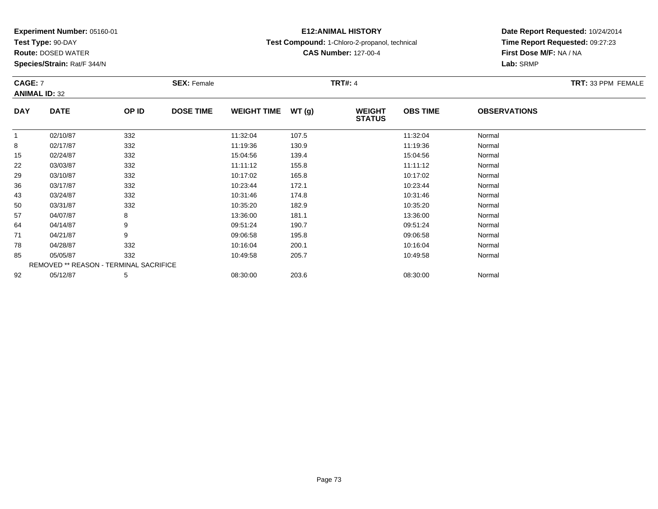**Test Type:** 90-DAY

**Route:** DOSED WATER

**Species/Strain:** Rat/F 344/N

# **E12:ANIMAL HISTORY**

**Test Compound:** 1-Chloro-2-propanol, technical

**CAS Number:** 127-00-4

| <b>CAGE: 7</b> | <b>ANIMAL ID: 32</b>                          |       | <b>SEX: Female</b> |                    |       | <b>TRT#: 4</b>                 |                 |                     | TRT: 33 PPM FEMALE |
|----------------|-----------------------------------------------|-------|--------------------|--------------------|-------|--------------------------------|-----------------|---------------------|--------------------|
| <b>DAY</b>     | <b>DATE</b>                                   | OP ID | <b>DOSE TIME</b>   | <b>WEIGHT TIME</b> | WT(g) | <b>WEIGHT</b><br><b>STATUS</b> | <b>OBS TIME</b> | <b>OBSERVATIONS</b> |                    |
| $\mathbf{1}$   | 02/10/87                                      | 332   |                    | 11:32:04           | 107.5 |                                | 11:32:04        | Normal              |                    |
| 8              | 02/17/87                                      | 332   |                    | 11:19:36           | 130.9 |                                | 11:19:36        | Normal              |                    |
| 15             | 02/24/87                                      | 332   |                    | 15:04:56           | 139.4 |                                | 15:04:56        | Normal              |                    |
| 22             | 03/03/87                                      | 332   |                    | 11:11:12           | 155.8 |                                | 11:11:12        | Normal              |                    |
| 29             | 03/10/87                                      | 332   |                    | 10:17:02           | 165.8 |                                | 10:17:02        | Normal              |                    |
| 36             | 03/17/87                                      | 332   |                    | 10:23:44           | 172.1 |                                | 10:23:44        | Normal              |                    |
| 43             | 03/24/87                                      | 332   |                    | 10:31:46           | 174.8 |                                | 10:31:46        | Normal              |                    |
| 50             | 03/31/87                                      | 332   |                    | 10:35:20           | 182.9 |                                | 10:35:20        | Normal              |                    |
| 57             | 04/07/87                                      | 8     |                    | 13:36:00           | 181.1 |                                | 13:36:00        | Normal              |                    |
| 64             | 04/14/87                                      | 9     |                    | 09:51:24           | 190.7 |                                | 09:51:24        | Normal              |                    |
| 71             | 04/21/87                                      | 9     |                    | 09:06:58           | 195.8 |                                | 09:06:58        | Normal              |                    |
| 78             | 04/28/87                                      | 332   |                    | 10:16:04           | 200.1 |                                | 10:16:04        | Normal              |                    |
| 85             | 05/05/87                                      | 332   |                    | 10:49:58           | 205.7 |                                | 10:49:58        | Normal              |                    |
|                | <b>REMOVED ** REASON - TERMINAL SACRIFICE</b> |       |                    |                    |       |                                |                 |                     |                    |
| 92             | 05/12/87                                      | 5     |                    | 08:30:00           | 203.6 |                                | 08:30:00        | Normal              |                    |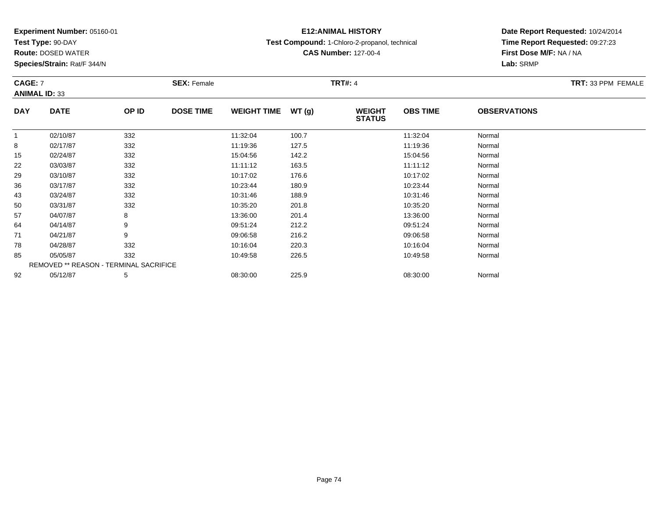**Test Type:** 90-DAY

**Route:** DOSED WATER

**Species/Strain:** Rat/F 344/N

# **E12:ANIMAL HISTORY**

**Test Compound:** 1-Chloro-2-propanol, technical

**CAS Number:** 127-00-4

| CAGE: 7<br><b>ANIMAL ID: 33</b> |                                        |       | <b>SEX: Female</b> |                    |       | <b>TRT#: 4</b>                 |                 |                     | TRT: 33 PPM FEMALE |
|---------------------------------|----------------------------------------|-------|--------------------|--------------------|-------|--------------------------------|-----------------|---------------------|--------------------|
| <b>DAY</b>                      | <b>DATE</b>                            | OP ID | <b>DOSE TIME</b>   | <b>WEIGHT TIME</b> | WT(g) | <b>WEIGHT</b><br><b>STATUS</b> | <b>OBS TIME</b> | <b>OBSERVATIONS</b> |                    |
|                                 | 02/10/87                               | 332   |                    | 11:32:04           | 100.7 |                                | 11:32:04        | Normal              |                    |
| 8                               | 02/17/87                               | 332   |                    | 11:19:36           | 127.5 |                                | 11:19:36        | Normal              |                    |
| 15                              | 02/24/87                               | 332   |                    | 15:04:56           | 142.2 |                                | 15:04:56        | Normal              |                    |
| 22                              | 03/03/87                               | 332   |                    | 11:11:12           | 163.5 |                                | 11:11:12        | Normal              |                    |
| 29                              | 03/10/87                               | 332   |                    | 10:17:02           | 176.6 |                                | 10:17:02        | Normal              |                    |
| 36                              | 03/17/87                               | 332   |                    | 10:23:44           | 180.9 |                                | 10:23:44        | Normal              |                    |
| 43                              | 03/24/87                               | 332   |                    | 10:31:46           | 188.9 |                                | 10:31:46        | Normal              |                    |
| 50                              | 03/31/87                               | 332   |                    | 10:35:20           | 201.8 |                                | 10:35:20        | Normal              |                    |
| 57                              | 04/07/87                               | 8     |                    | 13:36:00           | 201.4 |                                | 13:36:00        | Normal              |                    |
| 64                              | 04/14/87                               | 9     |                    | 09:51:24           | 212.2 |                                | 09:51:24        | Normal              |                    |
| 71                              | 04/21/87                               | 9     |                    | 09:06:58           | 216.2 |                                | 09:06:58        | Normal              |                    |
| 78                              | 04/28/87                               | 332   |                    | 10:16:04           | 220.3 |                                | 10:16:04        | Normal              |                    |
| 85                              | 05/05/87                               | 332   |                    | 10:49:58           | 226.5 |                                | 10:49:58        | Normal              |                    |
|                                 | REMOVED ** REASON - TERMINAL SACRIFICE |       |                    |                    |       |                                |                 |                     |                    |
| 92                              | 05/12/87                               | 5     |                    | 08:30:00           | 225.9 |                                | 08:30:00        | Normal              |                    |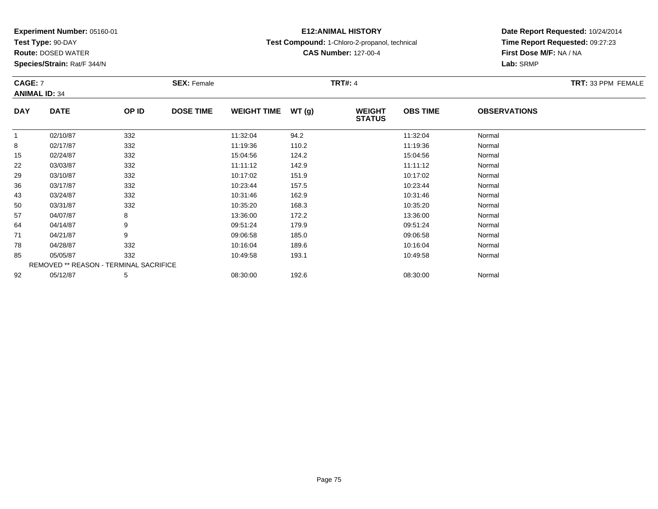**Test Type:** 90-DAY

92

**Route:** DOSED WATER

**Species/Strain:** Rat/F 344/N

# **E12:ANIMAL HISTORY**

**Test Compound:** 1-Chloro-2-propanol, technical

**CAS Number:** 127-00-4

**Date Report Requested:** 10/24/2014**Time Report Requested:** 09:27:23**First Dose M/F:** NA / NA**Lab:** SRMP

| <b>CAGE: 7</b> | <b>ANIMAL ID: 34</b>                          |       | <b>SEX: Female</b> |                     |       | <b>TRT#: 4</b>                 |                 |                     | TRT: 33 PPM FEMALE |
|----------------|-----------------------------------------------|-------|--------------------|---------------------|-------|--------------------------------|-----------------|---------------------|--------------------|
| <b>DAY</b>     | <b>DATE</b>                                   | OP ID | <b>DOSE TIME</b>   | WEIGHT TIME $WT(g)$ |       | <b>WEIGHT</b><br><b>STATUS</b> | <b>OBS TIME</b> | <b>OBSERVATIONS</b> |                    |
|                | 02/10/87                                      | 332   |                    | 11:32:04            | 94.2  |                                | 11:32:04        | Normal              |                    |
| 8              | 02/17/87                                      | 332   |                    | 11:19:36            | 110.2 |                                | 11:19:36        | Normal              |                    |
| 15             | 02/24/87                                      | 332   |                    | 15:04:56            | 124.2 |                                | 15:04:56        | Normal              |                    |
| 22             | 03/03/87                                      | 332   |                    | 11:11:12            | 142.9 |                                | 11:11:12        | Normal              |                    |
| 29             | 03/10/87                                      | 332   |                    | 10:17:02            | 151.9 |                                | 10:17:02        | Normal              |                    |
| 36             | 03/17/87                                      | 332   |                    | 10:23:44            | 157.5 |                                | 10:23:44        | Normal              |                    |
| 43             | 03/24/87                                      | 332   |                    | 10:31:46            | 162.9 |                                | 10:31:46        | Normal              |                    |
| 50             | 03/31/87                                      | 332   |                    | 10:35:20            | 168.3 |                                | 10:35:20        | Normal              |                    |
| 57             | 04/07/87                                      | 8     |                    | 13:36:00            | 172.2 |                                | 13:36:00        | Normal              |                    |
| 64             | 04/14/87                                      | 9     |                    | 09:51:24            | 179.9 |                                | 09:51:24        | Normal              |                    |
| 71             | 04/21/87                                      | 9     |                    | 09:06:58            | 185.0 |                                | 09:06:58        | Normal              |                    |
| 78             | 04/28/87                                      | 332   |                    | 10:16:04            | 189.6 |                                | 10:16:04        | Normal              |                    |
| 85             | 05/05/87                                      | 332   |                    | 10:49:58            | 193.1 |                                | 10:49:58        | Normal              |                    |
|                | <b>REMOVED ** REASON - TERMINAL SACRIFICE</b> |       |                    |                     |       |                                |                 |                     |                    |

2 05/12/87 5 5 08:30:00 192.6 08:30 08 08:30:00 192.6 08:30:00 08:30:00 Normal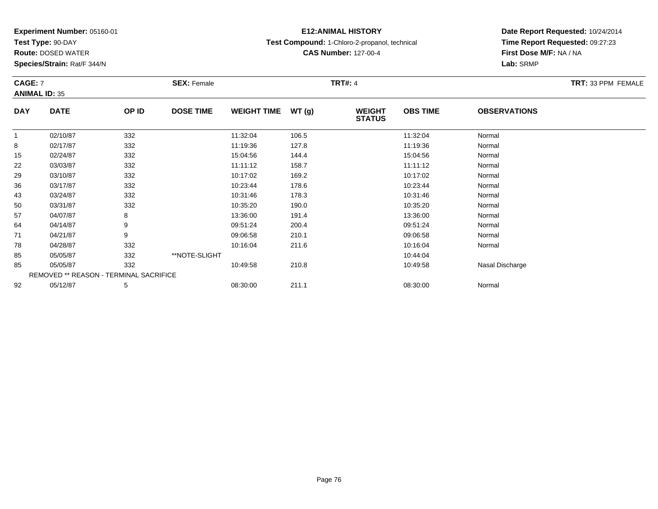**Test Type:** 90-DAY

**Route:** DOSED WATER

**Species/Strain:** Rat/F 344/N

# **E12:ANIMAL HISTORY**

**Test Compound:** 1-Chloro-2-propanol, technical

**CAS Number:** 127-00-4

| CAGE: 7    | <b>ANIMAL ID: 35</b>                   |       | <b>SEX: Female</b> |                    |       | <b>TRT#:</b> 4                 |                 |                     | <b>TRT: 33 PPM FEMALE</b> |
|------------|----------------------------------------|-------|--------------------|--------------------|-------|--------------------------------|-----------------|---------------------|---------------------------|
| <b>DAY</b> | <b>DATE</b>                            | OP ID | <b>DOSE TIME</b>   | <b>WEIGHT TIME</b> | WT(g) | <b>WEIGHT</b><br><b>STATUS</b> | <b>OBS TIME</b> | <b>OBSERVATIONS</b> |                           |
|            | 02/10/87                               | 332   |                    | 11:32:04           | 106.5 |                                | 11:32:04        | Normal              |                           |
| 8          | 02/17/87                               | 332   |                    | 11:19:36           | 127.8 |                                | 11:19:36        | Normal              |                           |
| 15         | 02/24/87                               | 332   |                    | 15:04:56           | 144.4 |                                | 15:04:56        | Normal              |                           |
| 22         | 03/03/87                               | 332   |                    | 11:11:12           | 158.7 |                                | 11:11:12        | Normal              |                           |
| 29         | 03/10/87                               | 332   |                    | 10:17:02           | 169.2 |                                | 10:17:02        | Normal              |                           |
| 36         | 03/17/87                               | 332   |                    | 10:23:44           | 178.6 |                                | 10:23:44        | Normal              |                           |
| 43         | 03/24/87                               | 332   |                    | 10:31:46           | 178.3 |                                | 10:31:46        | Normal              |                           |
| 50         | 03/31/87                               | 332   |                    | 10:35:20           | 190.0 |                                | 10:35:20        | Normal              |                           |
| 57         | 04/07/87                               | 8     |                    | 13:36:00           | 191.4 |                                | 13:36:00        | Normal              |                           |
| 64         | 04/14/87                               | 9     |                    | 09:51:24           | 200.4 |                                | 09:51:24        | Normal              |                           |
| 71         | 04/21/87                               | 9     |                    | 09:06:58           | 210.1 |                                | 09:06:58        | Normal              |                           |
| 78         | 04/28/87                               | 332   |                    | 10:16:04           | 211.6 |                                | 10:16:04        | Normal              |                           |
| 85         | 05/05/87                               | 332   | **NOTE-SLIGHT      |                    |       |                                | 10:44:04        |                     |                           |
| 85         | 05/05/87                               | 332   |                    | 10:49:58           | 210.8 |                                | 10:49:58        | Nasal Discharge     |                           |
|            | REMOVED ** REASON - TERMINAL SACRIFICE |       |                    |                    |       |                                |                 |                     |                           |
| 92         | 05/12/87                               | 5     |                    | 08:30:00           | 211.1 |                                | 08:30:00        | Normal              |                           |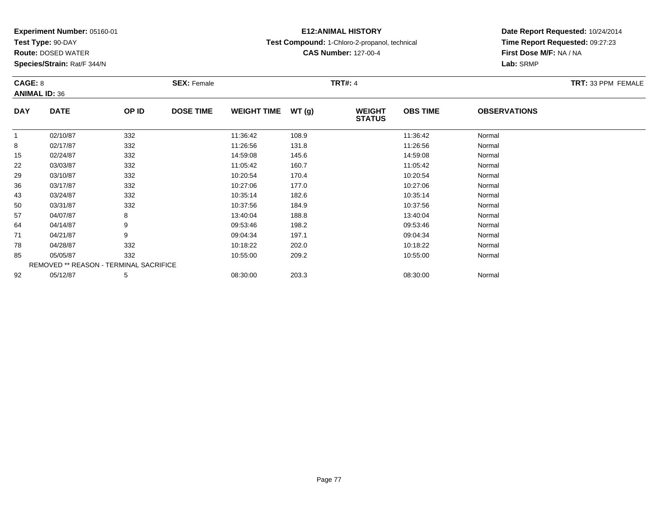**Test Type:** 90-DAY

**Route:** DOSED WATER

**Species/Strain:** Rat/F 344/N

# **E12:ANIMAL HISTORY**

**Test Compound:** 1-Chloro-2-propanol, technical

**CAS Number:** 127-00-4

**Date Report Requested:** 10/24/2014 **Time Report Requested:** 09:27:23**Lab:** SRMP

| CAGE: 8    |                                        |       | <b>SEX: Female</b> |                    |       | TRT#: 4                        |                 |                     | <b>TRT: 33 PPM FEMALE</b> |
|------------|----------------------------------------|-------|--------------------|--------------------|-------|--------------------------------|-----------------|---------------------|---------------------------|
|            | <b>ANIMAL ID: 36</b>                   |       |                    |                    |       |                                |                 |                     |                           |
| <b>DAY</b> | <b>DATE</b>                            | OP ID | <b>DOSE TIME</b>   | <b>WEIGHT TIME</b> | WT(g) | <b>WEIGHT</b><br><b>STATUS</b> | <b>OBS TIME</b> | <b>OBSERVATIONS</b> |                           |
|            | 02/10/87                               | 332   |                    | 11:36:42           | 108.9 |                                | 11:36:42        | Normal              |                           |
| 8          | 02/17/87                               | 332   |                    | 11:26:56           | 131.8 |                                | 11:26:56        | Normal              |                           |
| 15         | 02/24/87                               | 332   |                    | 14:59:08           | 145.6 |                                | 14:59:08        | Normal              |                           |
| 22         | 03/03/87                               | 332   |                    | 11:05:42           | 160.7 |                                | 11:05:42        | Normal              |                           |
| 29         | 03/10/87                               | 332   |                    | 10:20:54           | 170.4 |                                | 10:20:54        | Normal              |                           |
| 36         | 03/17/87                               | 332   |                    | 10:27:06           | 177.0 |                                | 10:27:06        | Normal              |                           |
| 43         | 03/24/87                               | 332   |                    | 10:35:14           | 182.6 |                                | 10:35:14        | Normal              |                           |
| 50         | 03/31/87                               | 332   |                    | 10:37:56           | 184.9 |                                | 10:37:56        | Normal              |                           |
| 57         | 04/07/87                               | 8     |                    | 13:40:04           | 188.8 |                                | 13:40:04        | Normal              |                           |
| 64         | 04/14/87                               | 9     |                    | 09:53:46           | 198.2 |                                | 09:53:46        | Normal              |                           |
| 71         | 04/21/87                               | 9     |                    | 09:04:34           | 197.1 |                                | 09:04:34        | Normal              |                           |
| 78         | 04/28/87                               | 332   |                    | 10:18:22           | 202.0 |                                | 10:18:22        | Normal              |                           |
| 85         | 05/05/87                               | 332   |                    | 10:55:00           | 209.2 |                                | 10:55:00        | Normal              |                           |
|            | REMOVED ** REASON - TERMINAL SACRIFICE |       |                    |                    |       |                                |                 |                     |                           |
| 92         | 05/12/87                               | 5     |                    | 08:30:00           | 203.3 |                                | 08:30:00        | Normal              |                           |

# **First Dose M/F:** NA / NA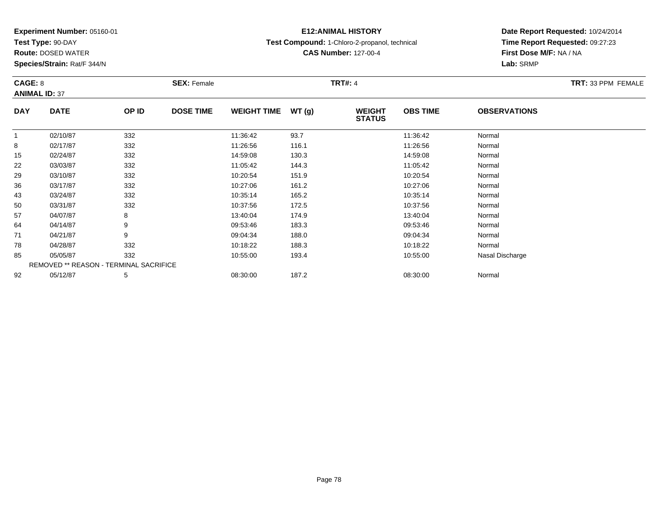**Test Type:** 90-DAY

**Route:** DOSED WATER

**Species/Strain:** Rat/F 344/N

# **E12:ANIMAL HISTORY**

**Test Compound:** 1-Chloro-2-propanol, technical

**CAS Number:** 127-00-4

| CAGE: 8<br><b>ANIMAL ID: 37</b> |                                        |       | <b>SEX: Female</b> |                    |       | <b>TRT#: 4</b>                 |                 |                     | TRT: 33 PPM FEMALE |
|---------------------------------|----------------------------------------|-------|--------------------|--------------------|-------|--------------------------------|-----------------|---------------------|--------------------|
| <b>DAY</b>                      | <b>DATE</b>                            | OP ID | <b>DOSE TIME</b>   | <b>WEIGHT TIME</b> | WT(g) | <b>WEIGHT</b><br><b>STATUS</b> | <b>OBS TIME</b> | <b>OBSERVATIONS</b> |                    |
| $\mathbf{1}$                    | 02/10/87                               | 332   |                    | 11:36:42           | 93.7  |                                | 11:36:42        | Normal              |                    |
| 8                               | 02/17/87                               | 332   |                    | 11:26:56           | 116.1 |                                | 11:26:56        | Normal              |                    |
| 15                              | 02/24/87                               | 332   |                    | 14:59:08           | 130.3 |                                | 14:59:08        | Normal              |                    |
| 22                              | 03/03/87                               | 332   |                    | 11:05:42           | 144.3 |                                | 11:05:42        | Normal              |                    |
| 29                              | 03/10/87                               | 332   |                    | 10:20:54           | 151.9 |                                | 10:20:54        | Normal              |                    |
| 36                              | 03/17/87                               | 332   |                    | 10:27:06           | 161.2 |                                | 10:27:06        | Normal              |                    |
| 43                              | 03/24/87                               | 332   |                    | 10:35:14           | 165.2 |                                | 10:35:14        | Normal              |                    |
| 50                              | 03/31/87                               | 332   |                    | 10:37:56           | 172.5 |                                | 10:37:56        | Normal              |                    |
| 57                              | 04/07/87                               | 8     |                    | 13:40:04           | 174.9 |                                | 13:40:04        | Normal              |                    |
| 64                              | 04/14/87                               | 9     |                    | 09:53:46           | 183.3 |                                | 09:53:46        | Normal              |                    |
| 71                              | 04/21/87                               | 9     |                    | 09:04:34           | 188.0 |                                | 09:04:34        | Normal              |                    |
| 78                              | 04/28/87                               | 332   |                    | 10:18:22           | 188.3 |                                | 10:18:22        | Normal              |                    |
| 85                              | 05/05/87                               | 332   |                    | 10:55:00           | 193.4 |                                | 10:55:00        | Nasal Discharge     |                    |
|                                 | REMOVED ** REASON - TERMINAL SACRIFICE |       |                    |                    |       |                                |                 |                     |                    |
| 92                              | 05/12/87                               | 5     |                    | 08:30:00           | 187.2 |                                | 08:30:00        | Normal              |                    |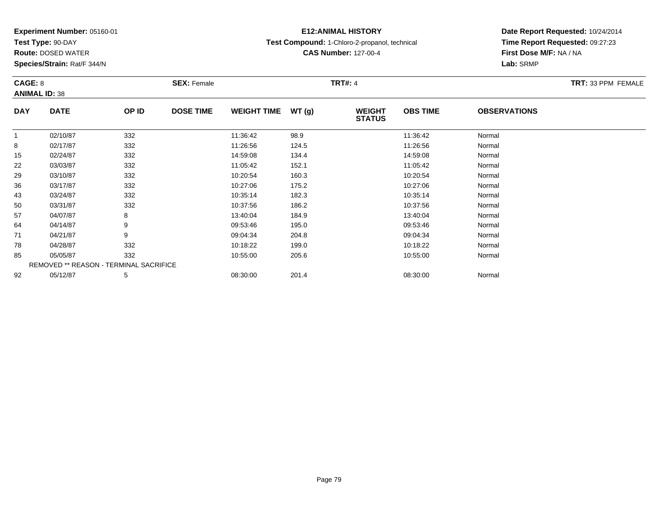**Test Type:** 90-DAY

**Route:** DOSED WATER

**Species/Strain:** Rat/F 344/N

# **E12:ANIMAL HISTORY**

**Test Compound:** 1-Chloro-2-propanol, technical

**CAS Number:** 127-00-4

| CAGE: 8      | <b>ANIMAL ID: 38</b>                   |       | <b>SEX: Female</b> |                    |       | <b>TRT#: 4</b>                 |                 |                     | TRT: 33 PPM FEMALE |
|--------------|----------------------------------------|-------|--------------------|--------------------|-------|--------------------------------|-----------------|---------------------|--------------------|
| <b>DAY</b>   | <b>DATE</b>                            | OP ID | <b>DOSE TIME</b>   | <b>WEIGHT TIME</b> | WT(g) | <b>WEIGHT</b><br><b>STATUS</b> | <b>OBS TIME</b> | <b>OBSERVATIONS</b> |                    |
| $\mathbf{1}$ | 02/10/87                               | 332   |                    | 11:36:42           | 98.9  |                                | 11:36:42        | Normal              |                    |
| 8            | 02/17/87                               | 332   |                    | 11:26:56           | 124.5 |                                | 11:26:56        | Normal              |                    |
| 15           | 02/24/87                               | 332   |                    | 14:59:08           | 134.4 |                                | 14:59:08        | Normal              |                    |
| 22           | 03/03/87                               | 332   |                    | 11:05:42           | 152.1 |                                | 11:05:42        | Normal              |                    |
| 29           | 03/10/87                               | 332   |                    | 10:20:54           | 160.3 |                                | 10:20:54        | Normal              |                    |
| 36           | 03/17/87                               | 332   |                    | 10:27:06           | 175.2 |                                | 10:27:06        | Normal              |                    |
| 43           | 03/24/87                               | 332   |                    | 10:35:14           | 182.3 |                                | 10:35:14        | Normal              |                    |
| 50           | 03/31/87                               | 332   |                    | 10:37:56           | 186.2 |                                | 10:37:56        | Normal              |                    |
| 57           | 04/07/87                               | 8     |                    | 13:40:04           | 184.9 |                                | 13:40:04        | Normal              |                    |
| 64           | 04/14/87                               | 9     |                    | 09:53:46           | 195.0 |                                | 09:53:46        | Normal              |                    |
| 71           | 04/21/87                               | 9     |                    | 09:04:34           | 204.8 |                                | 09:04:34        | Normal              |                    |
| 78           | 04/28/87                               | 332   |                    | 10:18:22           | 199.0 |                                | 10:18:22        | Normal              |                    |
| 85           | 05/05/87                               | 332   |                    | 10:55:00           | 205.6 |                                | 10:55:00        | Normal              |                    |
|              | REMOVED ** REASON - TERMINAL SACRIFICE |       |                    |                    |       |                                |                 |                     |                    |
| 92           | 05/12/87                               | 5     |                    | 08:30:00           | 201.4 |                                | 08:30:00        | Normal              |                    |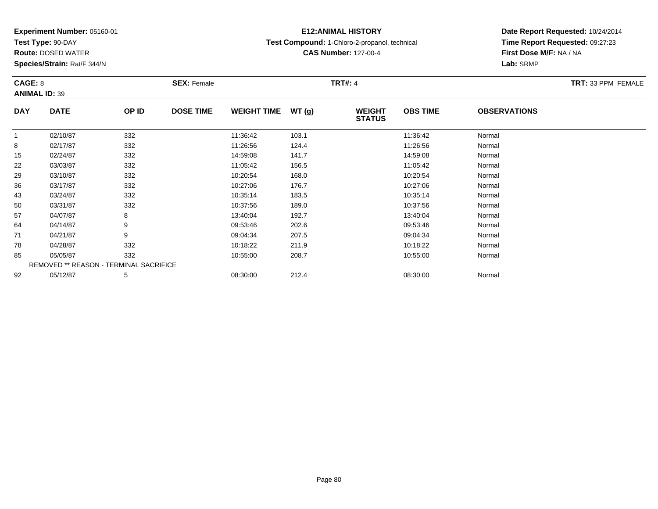**Test Type:** 90-DAY

**Route:** DOSED WATER

**Species/Strain:** Rat/F 344/N

# **E12:ANIMAL HISTORY**

**Test Compound:** 1-Chloro-2-propanol, technical

**CAS Number:** 127-00-4

| CAGE: 8      | <b>ANIMAL ID: 39</b>                   |       | <b>SEX: Female</b> |                    |       | <b>TRT#: 4</b>                 |                 |                     | TRT: 33 PPM FEMALE |
|--------------|----------------------------------------|-------|--------------------|--------------------|-------|--------------------------------|-----------------|---------------------|--------------------|
| <b>DAY</b>   | <b>DATE</b>                            | OP ID | <b>DOSE TIME</b>   | <b>WEIGHT TIME</b> | WT(g) | <b>WEIGHT</b><br><b>STATUS</b> | <b>OBS TIME</b> | <b>OBSERVATIONS</b> |                    |
| $\mathbf{1}$ | 02/10/87                               | 332   |                    | 11:36:42           | 103.1 |                                | 11:36:42        | Normal              |                    |
| 8            | 02/17/87                               | 332   |                    | 11:26:56           | 124.4 |                                | 11:26:56        | Normal              |                    |
| 15           | 02/24/87                               | 332   |                    | 14:59:08           | 141.7 |                                | 14:59:08        | Normal              |                    |
| 22           | 03/03/87                               | 332   |                    | 11:05:42           | 156.5 |                                | 11:05:42        | Normal              |                    |
| 29           | 03/10/87                               | 332   |                    | 10:20:54           | 168.0 |                                | 10:20:54        | Normal              |                    |
| 36           | 03/17/87                               | 332   |                    | 10:27:06           | 176.7 |                                | 10:27:06        | Normal              |                    |
| 43           | 03/24/87                               | 332   |                    | 10:35:14           | 183.5 |                                | 10:35:14        | Normal              |                    |
| 50           | 03/31/87                               | 332   |                    | 10:37:56           | 189.0 |                                | 10:37:56        | Normal              |                    |
| 57           | 04/07/87                               | 8     |                    | 13:40:04           | 192.7 |                                | 13:40:04        | Normal              |                    |
| 64           | 04/14/87                               | 9     |                    | 09:53:46           | 202.6 |                                | 09:53:46        | Normal              |                    |
| 71           | 04/21/87                               | 9     |                    | 09:04:34           | 207.5 |                                | 09:04:34        | Normal              |                    |
| 78           | 04/28/87                               | 332   |                    | 10:18:22           | 211.9 |                                | 10:18:22        | Normal              |                    |
| 85           | 05/05/87                               | 332   |                    | 10:55:00           | 208.7 |                                | 10:55:00        | Normal              |                    |
|              | REMOVED ** REASON - TERMINAL SACRIFICE |       |                    |                    |       |                                |                 |                     |                    |
| 92           | 05/12/87                               | 5     |                    | 08:30:00           | 212.4 |                                | 08:30:00        | Normal              |                    |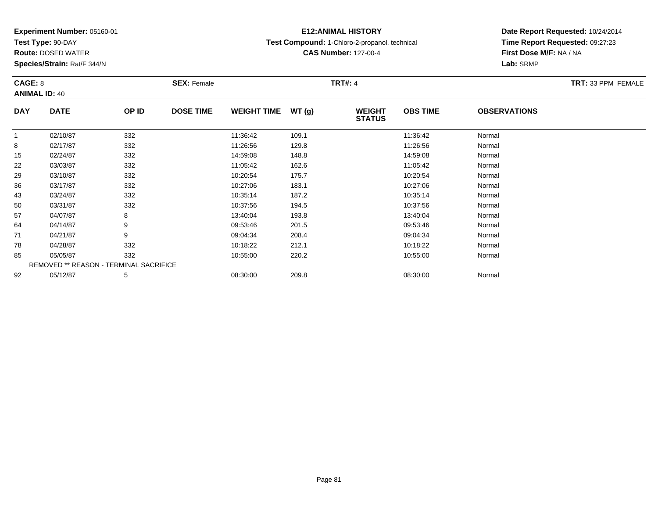**Test Type:** 90-DAY

**Route:** DOSED WATER

**Species/Strain:** Rat/F 344/N

# **E12:ANIMAL HISTORY**

**Test Compound:** 1-Chloro-2-propanol, technical

**CAS Number:** 127-00-4

|            | CAGE: 8<br><b>ANIMAL ID: 40</b>               |       | <b>SEX: Female</b> |                    |       | <b>TRT#: 4</b>                 | TRT: 33 PPM FEMALE |                     |  |
|------------|-----------------------------------------------|-------|--------------------|--------------------|-------|--------------------------------|--------------------|---------------------|--|
| <b>DAY</b> | <b>DATE</b>                                   | OP ID | <b>DOSE TIME</b>   | <b>WEIGHT TIME</b> | WT(g) | <b>WEIGHT</b><br><b>STATUS</b> | <b>OBS TIME</b>    | <b>OBSERVATIONS</b> |  |
|            | 02/10/87                                      | 332   |                    | 11:36:42           | 109.1 |                                | 11:36:42           | Normal              |  |
| 8          | 02/17/87                                      | 332   |                    | 11:26:56           | 129.8 |                                | 11:26:56           | Normal              |  |
| 15         | 02/24/87                                      | 332   |                    | 14:59:08           | 148.8 |                                | 14:59:08           | Normal              |  |
| 22         | 03/03/87                                      | 332   |                    | 11:05:42           | 162.6 |                                | 11:05:42           | Normal              |  |
| 29         | 03/10/87                                      | 332   |                    | 10:20:54           | 175.7 |                                | 10:20:54           | Normal              |  |
| 36         | 03/17/87                                      | 332   |                    | 10:27:06           | 183.1 |                                | 10:27:06           | Normal              |  |
| 43         | 03/24/87                                      | 332   |                    | 10:35:14           | 187.2 |                                | 10:35:14           | Normal              |  |
| 50         | 03/31/87                                      | 332   |                    | 10:37:56           | 194.5 |                                | 10:37:56           | Normal              |  |
| 57         | 04/07/87                                      | 8     |                    | 13:40:04           | 193.8 |                                | 13:40:04           | Normal              |  |
| 64         | 04/14/87                                      | 9     |                    | 09:53:46           | 201.5 |                                | 09:53:46           | Normal              |  |
| 71         | 04/21/87                                      | 9     |                    | 09:04:34           | 208.4 |                                | 09:04:34           | Normal              |  |
| 78         | 04/28/87                                      | 332   |                    | 10:18:22           | 212.1 |                                | 10:18:22           | Normal              |  |
| 85         | 05/05/87                                      | 332   |                    | 10:55:00           | 220.2 |                                | 10:55:00           | Normal              |  |
|            | <b>REMOVED ** REASON - TERMINAL SACRIFICE</b> |       |                    |                    |       |                                |                    |                     |  |
| 92         | 05/12/87                                      | 5     |                    | 08:30:00           | 209.8 |                                | 08:30:00           | Normal              |  |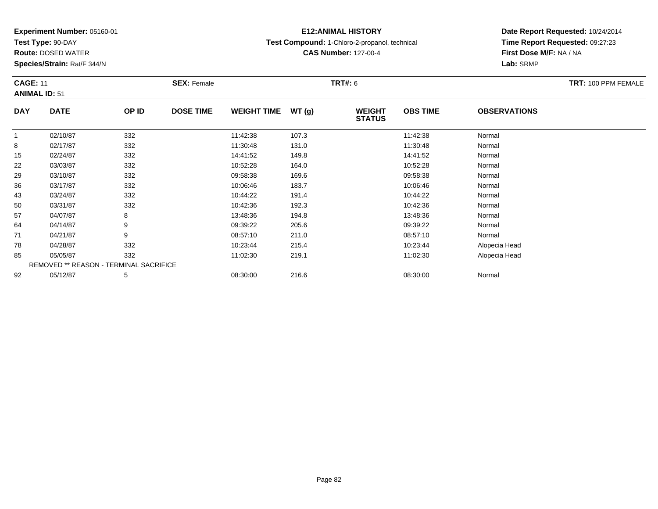**Test Type:** 90-DAY

**Route:** DOSED WATER

**Species/Strain:** Rat/F 344/N

# **E12:ANIMAL HISTORY**

**Test Compound:** 1-Chloro-2-propanol, technical

**CAS Number:** 127-00-4

| <b>CAGE: 11</b> |                                        |       | <b>SEX: Female</b> |                    |       | <b>TRT#: 6</b>                 |                 |                     | TRT: 100 PPM FEMALE |
|-----------------|----------------------------------------|-------|--------------------|--------------------|-------|--------------------------------|-----------------|---------------------|---------------------|
|                 | <b>ANIMAL ID: 51</b>                   |       |                    |                    |       |                                |                 |                     |                     |
| <b>DAY</b>      | <b>DATE</b>                            | OP ID | <b>DOSE TIME</b>   | <b>WEIGHT TIME</b> | WT(g) | <b>WEIGHT</b><br><b>STATUS</b> | <b>OBS TIME</b> | <b>OBSERVATIONS</b> |                     |
| $\mathbf{1}$    | 02/10/87                               | 332   |                    | 11:42:38           | 107.3 |                                | 11:42:38        | Normal              |                     |
| 8               | 02/17/87                               | 332   |                    | 11:30:48           | 131.0 |                                | 11:30:48        | Normal              |                     |
| 15              | 02/24/87                               | 332   |                    | 14:41:52           | 149.8 |                                | 14:41:52        | Normal              |                     |
| 22              | 03/03/87                               | 332   |                    | 10:52:28           | 164.0 |                                | 10:52:28        | Normal              |                     |
| 29              | 03/10/87                               | 332   |                    | 09:58:38           | 169.6 |                                | 09:58:38        | Normal              |                     |
| 36              | 03/17/87                               | 332   |                    | 10:06:46           | 183.7 |                                | 10:06:46        | Normal              |                     |
| 43              | 03/24/87                               | 332   |                    | 10:44:22           | 191.4 |                                | 10:44:22        | Normal              |                     |
| 50              | 03/31/87                               | 332   |                    | 10:42:36           | 192.3 |                                | 10:42:36        | Normal              |                     |
| 57              | 04/07/87                               | 8     |                    | 13:48:36           | 194.8 |                                | 13:48:36        | Normal              |                     |
| 64              | 04/14/87                               | 9     |                    | 09:39:22           | 205.6 |                                | 09:39:22        | Normal              |                     |
| 71              | 04/21/87                               | 9     |                    | 08:57:10           | 211.0 |                                | 08:57:10        | Normal              |                     |
| 78              | 04/28/87                               | 332   |                    | 10:23:44           | 215.4 |                                | 10:23:44        | Alopecia Head       |                     |
| 85              | 05/05/87                               | 332   |                    | 11:02:30           | 219.1 |                                | 11:02:30        | Alopecia Head       |                     |
|                 | REMOVED ** REASON - TERMINAL SACRIFICE |       |                    |                    |       |                                |                 |                     |                     |
| 92              | 05/12/87                               | 5     |                    | 08:30:00           | 216.6 |                                | 08:30:00        | Normal              |                     |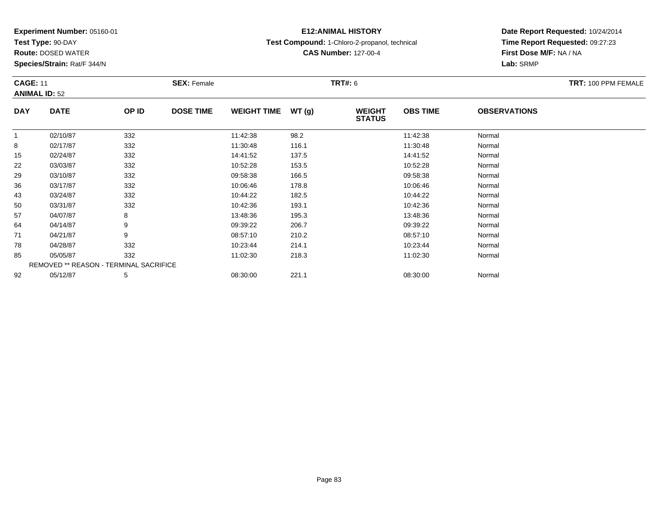**Test Type:** 90-DAY

**Route:** DOSED WATER

**Species/Strain:** Rat/F 344/N

# **E12:ANIMAL HISTORY**

**Test Compound:** 1-Chloro-2-propanol, technical

**CAS Number:** 127-00-4

| <b>CAGE: 11</b><br><b>ANIMAL ID: 52</b> |                                        |       | <b>SEX: Female</b> |                    |       | <b>TRT#: 6</b>                 |                 |                     | <b>TRT: 100 PPM FEMALE</b> |
|-----------------------------------------|----------------------------------------|-------|--------------------|--------------------|-------|--------------------------------|-----------------|---------------------|----------------------------|
| <b>DAY</b>                              | <b>DATE</b>                            | OP ID | <b>DOSE TIME</b>   | <b>WEIGHT TIME</b> | WT(g) | <b>WEIGHT</b><br><b>STATUS</b> | <b>OBS TIME</b> | <b>OBSERVATIONS</b> |                            |
|                                         | 02/10/87                               | 332   |                    | 11:42:38           | 98.2  |                                | 11:42:38        | Normal              |                            |
| 8                                       | 02/17/87                               | 332   |                    | 11:30:48           | 116.1 |                                | 11:30:48        | Normal              |                            |
| 15                                      | 02/24/87                               | 332   |                    | 14:41:52           | 137.5 |                                | 14:41:52        | Normal              |                            |
| 22                                      | 03/03/87                               | 332   |                    | 10:52:28           | 153.5 |                                | 10:52:28        | Normal              |                            |
| 29                                      | 03/10/87                               | 332   |                    | 09:58:38           | 166.5 |                                | 09:58:38        | Normal              |                            |
| 36                                      | 03/17/87                               | 332   |                    | 10:06:46           | 178.8 |                                | 10:06:46        | Normal              |                            |
| 43                                      | 03/24/87                               | 332   |                    | 10:44:22           | 182.5 |                                | 10:44:22        | Normal              |                            |
| 50                                      | 03/31/87                               | 332   |                    | 10:42:36           | 193.1 |                                | 10:42:36        | Normal              |                            |
| 57                                      | 04/07/87                               | 8     |                    | 13:48:36           | 195.3 |                                | 13:48:36        | Normal              |                            |
| 64                                      | 04/14/87                               | 9     |                    | 09:39:22           | 206.7 |                                | 09:39:22        | Normal              |                            |
| 71                                      | 04/21/87                               | 9     |                    | 08:57:10           | 210.2 |                                | 08:57:10        | Normal              |                            |
| 78                                      | 04/28/87                               | 332   |                    | 10:23:44           | 214.1 |                                | 10:23:44        | Normal              |                            |
| 85                                      | 05/05/87                               | 332   |                    | 11:02:30           | 218.3 |                                | 11:02:30        | Normal              |                            |
|                                         | REMOVED ** REASON - TERMINAL SACRIFICE |       |                    |                    |       |                                |                 |                     |                            |
| 92                                      | 05/12/87                               | 5     |                    | 08:30:00           | 221.1 |                                | 08:30:00        | Normal              |                            |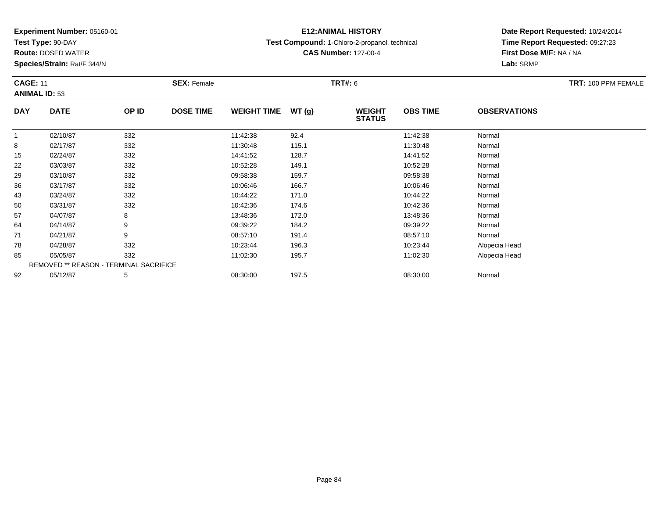**Test Type:** 90-DAY

**Route:** DOSED WATER

**Species/Strain:** Rat/F 344/N

# **E12:ANIMAL HISTORY**

**Test Compound:** 1-Chloro-2-propanol, technical

**CAS Number:** 127-00-4

| <b>CAGE: 11</b> | <b>ANIMAL ID: 53</b>                   |       | <b>SEX: Female</b> |                    |       | <b>TRT#: 6</b>                 |                 |                     | TRT: 100 PPM FEMALE |
|-----------------|----------------------------------------|-------|--------------------|--------------------|-------|--------------------------------|-----------------|---------------------|---------------------|
| <b>DAY</b>      | <b>DATE</b>                            | OP ID | <b>DOSE TIME</b>   | <b>WEIGHT TIME</b> | WT(g) | <b>WEIGHT</b><br><b>STATUS</b> | <b>OBS TIME</b> | <b>OBSERVATIONS</b> |                     |
|                 | 02/10/87                               | 332   |                    | 11:42:38           | 92.4  |                                | 11:42:38        | Normal              |                     |
| 8               | 02/17/87                               | 332   |                    | 11:30:48           | 115.1 |                                | 11:30:48        | Normal              |                     |
| 15              | 02/24/87                               | 332   |                    | 14:41:52           | 128.7 |                                | 14:41:52        | Normal              |                     |
| 22              | 03/03/87                               | 332   |                    | 10:52:28           | 149.1 |                                | 10:52:28        | Normal              |                     |
| 29              | 03/10/87                               | 332   |                    | 09:58:38           | 159.7 |                                | 09:58:38        | Normal              |                     |
| 36              | 03/17/87                               | 332   |                    | 10:06:46           | 166.7 |                                | 10:06:46        | Normal              |                     |
| 43              | 03/24/87                               | 332   |                    | 10:44:22           | 171.0 |                                | 10:44:22        | Normal              |                     |
| 50              | 03/31/87                               | 332   |                    | 10:42:36           | 174.6 |                                | 10:42:36        | Normal              |                     |
| 57              | 04/07/87                               | 8     |                    | 13:48:36           | 172.0 |                                | 13:48:36        | Normal              |                     |
| 64              | 04/14/87                               | 9     |                    | 09:39:22           | 184.2 |                                | 09:39:22        | Normal              |                     |
| 71              | 04/21/87                               | 9     |                    | 08:57:10           | 191.4 |                                | 08:57:10        | Normal              |                     |
| 78              | 04/28/87                               | 332   |                    | 10:23:44           | 196.3 |                                | 10:23:44        | Alopecia Head       |                     |
| 85              | 05/05/87                               | 332   |                    | 11:02:30           | 195.7 |                                | 11:02:30        | Alopecia Head       |                     |
|                 | REMOVED ** REASON - TERMINAL SACRIFICE |       |                    |                    |       |                                |                 |                     |                     |
| 92              | 05/12/87                               | 5     |                    | 08:30:00           | 197.5 |                                | 08:30:00        | Normal              |                     |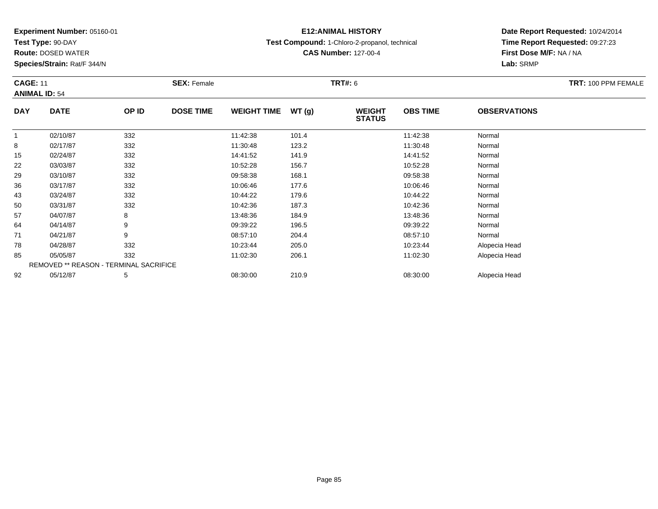**Test Type:** 90-DAY

**Route:** DOSED WATER

**Species/Strain:** Rat/F 344/N

# **E12:ANIMAL HISTORY**

**Test Compound:** 1-Chloro-2-propanol, technical

**CAS Number:** 127-00-4

| <b>CAGE: 11</b> |                                        |       | <b>SEX: Female</b> |                    |       | <b>TRT#: 6</b>                 |                 |                     | TRT: 100 PPM FEMALE |
|-----------------|----------------------------------------|-------|--------------------|--------------------|-------|--------------------------------|-----------------|---------------------|---------------------|
|                 | <b>ANIMAL ID: 54</b>                   |       |                    |                    |       |                                |                 |                     |                     |
| <b>DAY</b>      | <b>DATE</b>                            | OP ID | <b>DOSE TIME</b>   | <b>WEIGHT TIME</b> | WT(g) | <b>WEIGHT</b><br><b>STATUS</b> | <b>OBS TIME</b> | <b>OBSERVATIONS</b> |                     |
| $\mathbf 1$     | 02/10/87                               | 332   |                    | 11:42:38           | 101.4 |                                | 11:42:38        | Normal              |                     |
| 8               | 02/17/87                               | 332   |                    | 11:30:48           | 123.2 |                                | 11:30:48        | Normal              |                     |
| 15              | 02/24/87                               | 332   |                    | 14:41:52           | 141.9 |                                | 14:41:52        | Normal              |                     |
| 22              | 03/03/87                               | 332   |                    | 10:52:28           | 156.7 |                                | 10:52:28        | Normal              |                     |
| 29              | 03/10/87                               | 332   |                    | 09:58:38           | 168.1 |                                | 09:58:38        | Normal              |                     |
| 36              | 03/17/87                               | 332   |                    | 10:06:46           | 177.6 |                                | 10:06:46        | Normal              |                     |
| 43              | 03/24/87                               | 332   |                    | 10:44:22           | 179.6 |                                | 10:44:22        | Normal              |                     |
| 50              | 03/31/87                               | 332   |                    | 10:42:36           | 187.3 |                                | 10:42:36        | Normal              |                     |
| 57              | 04/07/87                               | 8     |                    | 13:48:36           | 184.9 |                                | 13:48:36        | Normal              |                     |
| 64              | 04/14/87                               | 9     |                    | 09:39:22           | 196.5 |                                | 09:39:22        | Normal              |                     |
| 71              | 04/21/87                               | 9     |                    | 08:57:10           | 204.4 |                                | 08:57:10        | Normal              |                     |
| 78              | 04/28/87                               | 332   |                    | 10:23:44           | 205.0 |                                | 10:23:44        | Alopecia Head       |                     |
| 85              | 05/05/87                               | 332   |                    | 11:02:30           | 206.1 |                                | 11:02:30        | Alopecia Head       |                     |
|                 | REMOVED ** REASON - TERMINAL SACRIFICE |       |                    |                    |       |                                |                 |                     |                     |
| 92              | 05/12/87                               | 5     |                    | 08:30:00           | 210.9 |                                | 08:30:00        | Alopecia Head       |                     |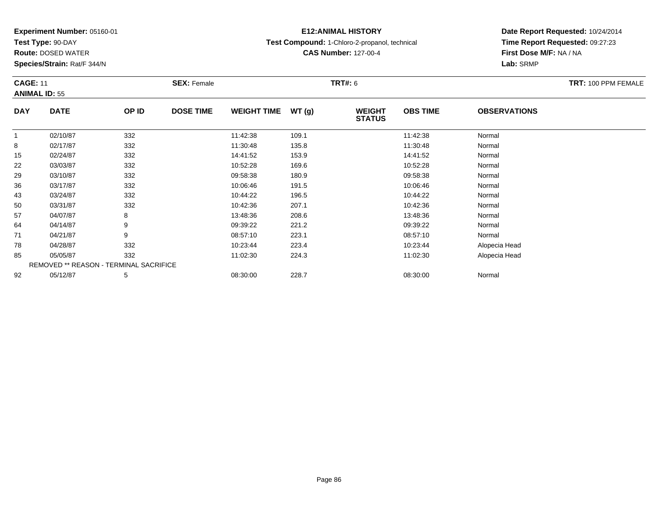**Test Type:** 90-DAY

**Route:** DOSED WATER

**Species/Strain:** Rat/F 344/N

# **E12:ANIMAL HISTORY**

**Test Compound:** 1-Chloro-2-propanol, technical

**CAS Number:** 127-00-4

| <b>CAGE: 11</b> | <b>ANIMAL ID: 55</b> |                                        | <b>SEX: Female</b> |                    |       | <b>TRT#:</b> 6                 |                 |                     | TRT: 100 PPM FEMALE |
|-----------------|----------------------|----------------------------------------|--------------------|--------------------|-------|--------------------------------|-----------------|---------------------|---------------------|
| <b>DAY</b>      | <b>DATE</b>          | OP ID                                  | <b>DOSE TIME</b>   | <b>WEIGHT TIME</b> | WT(g) | <b>WEIGHT</b><br><b>STATUS</b> | <b>OBS TIME</b> | <b>OBSERVATIONS</b> |                     |
| 1               | 02/10/87             | 332                                    |                    | 11:42:38           | 109.1 |                                | 11:42:38        | Normal              |                     |
| 8               | 02/17/87             | 332                                    |                    | 11:30:48           | 135.8 |                                | 11:30:48        | Normal              |                     |
| 15              | 02/24/87             | 332                                    |                    | 14:41:52           | 153.9 |                                | 14:41:52        | Normal              |                     |
| 22              | 03/03/87             | 332                                    |                    | 10:52:28           | 169.6 |                                | 10:52:28        | Normal              |                     |
| 29              | 03/10/87             | 332                                    |                    | 09:58:38           | 180.9 |                                | 09:58:38        | Normal              |                     |
| 36              | 03/17/87             | 332                                    |                    | 10:06:46           | 191.5 |                                | 10:06:46        | Normal              |                     |
| 43              | 03/24/87             | 332                                    |                    | 10:44:22           | 196.5 |                                | 10:44:22        | Normal              |                     |
| 50              | 03/31/87             | 332                                    |                    | 10:42:36           | 207.1 |                                | 10:42:36        | Normal              |                     |
| 57              | 04/07/87             | 8                                      |                    | 13:48:36           | 208.6 |                                | 13:48:36        | Normal              |                     |
| 64              | 04/14/87             | 9                                      |                    | 09:39:22           | 221.2 |                                | 09:39:22        | Normal              |                     |
| 71              | 04/21/87             | 9                                      |                    | 08:57:10           | 223.1 |                                | 08:57:10        | Normal              |                     |
| 78              | 04/28/87             | 332                                    |                    | 10:23:44           | 223.4 |                                | 10:23:44        | Alopecia Head       |                     |
| 85              | 05/05/87             | 332                                    |                    | 11:02:30           | 224.3 |                                | 11:02:30        | Alopecia Head       |                     |
|                 |                      | REMOVED ** REASON - TERMINAL SACRIFICE |                    |                    |       |                                |                 |                     |                     |
| 92              | 05/12/87             | 5                                      |                    | 08:30:00           | 228.7 |                                | 08:30:00        | Normal              |                     |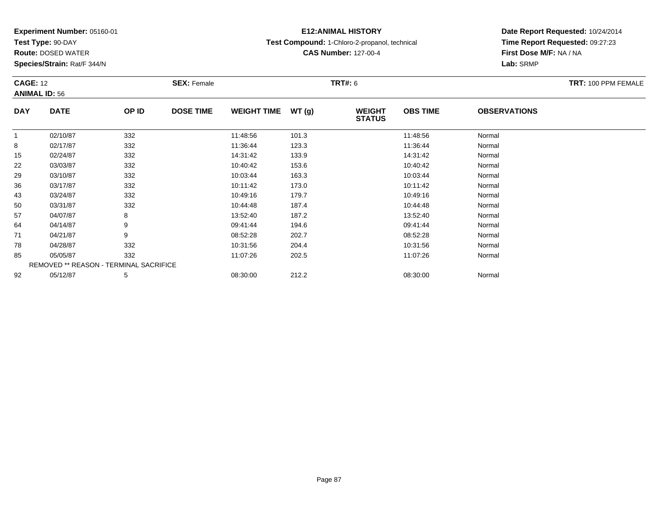**Test Type:** 90-DAY

**Route:** DOSED WATER

**Species/Strain:** Rat/F 344/N

# **E12:ANIMAL HISTORY**

**Test Compound:** 1-Chloro-2-propanol, technical

**CAS Number:** 127-00-4

| <b>CAGE: 12</b> | <b>ANIMAL ID: 56</b>                   |       | <b>SEX: Female</b> |                    |       | <b>TRT#: 6</b>                 |                 |                     | TRT: 100 PPM FEMALE |
|-----------------|----------------------------------------|-------|--------------------|--------------------|-------|--------------------------------|-----------------|---------------------|---------------------|
| <b>DAY</b>      | <b>DATE</b>                            | OP ID | <b>DOSE TIME</b>   | <b>WEIGHT TIME</b> | WT(g) | <b>WEIGHT</b><br><b>STATUS</b> | <b>OBS TIME</b> | <b>OBSERVATIONS</b> |                     |
| $\overline{1}$  | 02/10/87                               | 332   |                    | 11:48:56           | 101.3 |                                | 11:48:56        | Normal              |                     |
| 8               | 02/17/87                               | 332   |                    | 11:36:44           | 123.3 |                                | 11:36:44        | Normal              |                     |
| 15              | 02/24/87                               | 332   |                    | 14:31:42           | 133.9 |                                | 14:31:42        | Normal              |                     |
| 22              | 03/03/87                               | 332   |                    | 10:40:42           | 153.6 |                                | 10:40:42        | Normal              |                     |
| 29              | 03/10/87                               | 332   |                    | 10:03:44           | 163.3 |                                | 10:03:44        | Normal              |                     |
| 36              | 03/17/87                               | 332   |                    | 10:11:42           | 173.0 |                                | 10:11:42        | Normal              |                     |
| 43              | 03/24/87                               | 332   |                    | 10:49:16           | 179.7 |                                | 10:49:16        | Normal              |                     |
| 50              | 03/31/87                               | 332   |                    | 10:44:48           | 187.4 |                                | 10:44:48        | Normal              |                     |
| 57              | 04/07/87                               | 8     |                    | 13:52:40           | 187.2 |                                | 13:52:40        | Normal              |                     |
| 64              | 04/14/87                               | 9     |                    | 09:41:44           | 194.6 |                                | 09:41:44        | Normal              |                     |
| 71              | 04/21/87                               | 9     |                    | 08:52:28           | 202.7 |                                | 08:52:28        | Normal              |                     |
| 78              | 04/28/87                               | 332   |                    | 10:31:56           | 204.4 |                                | 10:31:56        | Normal              |                     |
| 85              | 05/05/87                               | 332   |                    | 11:07:26           | 202.5 |                                | 11:07:26        | Normal              |                     |
|                 | REMOVED ** REASON - TERMINAL SACRIFICE |       |                    |                    |       |                                |                 |                     |                     |
| 92              | 05/12/87                               | 5     |                    | 08:30:00           | 212.2 |                                | 08:30:00        | Normal              |                     |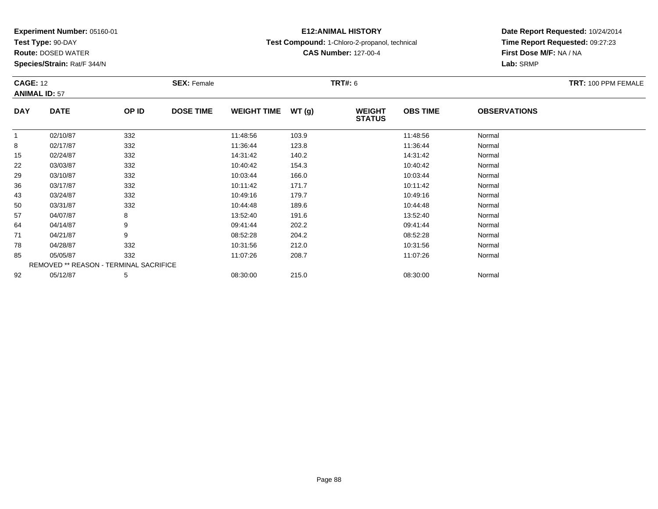**Test Type:** 90-DAY

**Route:** DOSED WATER

**Species/Strain:** Rat/F 344/N

# **E12:ANIMAL HISTORY**

**Test Compound:** 1-Chloro-2-propanol, technical

**CAS Number:** 127-00-4

| <b>CAGE: 12</b> | <b>ANIMAL ID: 57</b>                   |       | <b>SEX: Female</b> |                    |       | <b>TRT#: 6</b>                 |                 |                     | TRT: 100 PPM FEMALE |
|-----------------|----------------------------------------|-------|--------------------|--------------------|-------|--------------------------------|-----------------|---------------------|---------------------|
|                 |                                        |       |                    |                    |       |                                |                 |                     |                     |
| <b>DAY</b>      | <b>DATE</b>                            | OP ID | <b>DOSE TIME</b>   | <b>WEIGHT TIME</b> | WT(g) | <b>WEIGHT</b><br><b>STATUS</b> | <b>OBS TIME</b> | <b>OBSERVATIONS</b> |                     |
| $\mathbf{1}$    | 02/10/87                               | 332   |                    | 11:48:56           | 103.9 |                                | 11:48:56        | Normal              |                     |
| 8               | 02/17/87                               | 332   |                    | 11:36:44           | 123.8 |                                | 11:36:44        | Normal              |                     |
| 15              | 02/24/87                               | 332   |                    | 14:31:42           | 140.2 |                                | 14:31:42        | Normal              |                     |
| 22              | 03/03/87                               | 332   |                    | 10:40:42           | 154.3 |                                | 10:40:42        | Normal              |                     |
| 29              | 03/10/87                               | 332   |                    | 10:03:44           | 166.0 |                                | 10:03:44        | Normal              |                     |
| 36              | 03/17/87                               | 332   |                    | 10:11:42           | 171.7 |                                | 10:11:42        | Normal              |                     |
| 43              | 03/24/87                               | 332   |                    | 10:49:16           | 179.7 |                                | 10:49:16        | Normal              |                     |
| 50              | 03/31/87                               | 332   |                    | 10:44:48           | 189.6 |                                | 10:44:48        | Normal              |                     |
| 57              | 04/07/87                               | 8     |                    | 13:52:40           | 191.6 |                                | 13:52:40        | Normal              |                     |
| 64              | 04/14/87                               | 9     |                    | 09:41:44           | 202.2 |                                | 09:41:44        | Normal              |                     |
| 71              | 04/21/87                               | 9     |                    | 08:52:28           | 204.2 |                                | 08:52:28        | Normal              |                     |
| 78              | 04/28/87                               | 332   |                    | 10:31:56           | 212.0 |                                | 10:31:56        | Normal              |                     |
| 85              | 05/05/87                               | 332   |                    | 11:07:26           | 208.7 |                                | 11:07:26        | Normal              |                     |
|                 | REMOVED ** REASON - TERMINAL SACRIFICE |       |                    |                    |       |                                |                 |                     |                     |
| 92              | 05/12/87                               | 5     |                    | 08:30:00           | 215.0 |                                | 08:30:00        | Normal              |                     |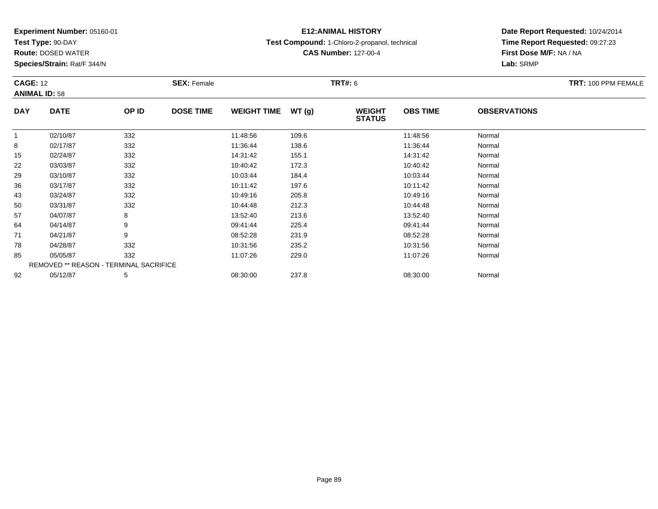**Test Type:** 90-DAY

**Route:** DOSED WATER

**Species/Strain:** Rat/F 344/N

# **E12:ANIMAL HISTORY**

**Test Compound:** 1-Chloro-2-propanol, technical

**CAS Number:** 127-00-4

| <b>CAGE: 12</b> | <b>ANIMAL ID: 58</b>                   |       | <b>SEX: Female</b> |                    |       | <b>TRT#: 6</b>                 |                 |                     | <b>TRT: 100 PPM FEMALE</b> |
|-----------------|----------------------------------------|-------|--------------------|--------------------|-------|--------------------------------|-----------------|---------------------|----------------------------|
| <b>DAY</b>      | <b>DATE</b>                            | OP ID | <b>DOSE TIME</b>   | <b>WEIGHT TIME</b> | WT(g) | <b>WEIGHT</b><br><b>STATUS</b> | <b>OBS TIME</b> | <b>OBSERVATIONS</b> |                            |
| $\mathbf 1$     | 02/10/87                               | 332   |                    | 11:48:56           | 109.6 |                                | 11:48:56        | Normal              |                            |
| 8               | 02/17/87                               | 332   |                    | 11:36:44           | 138.6 |                                | 11:36:44        | Normal              |                            |
| 15              | 02/24/87                               | 332   |                    | 14:31:42           | 155.1 |                                | 14:31:42        | Normal              |                            |
| 22              | 03/03/87                               | 332   |                    | 10:40:42           | 172.3 |                                | 10:40:42        | Normal              |                            |
| 29              | 03/10/87                               | 332   |                    | 10:03:44           | 184.4 |                                | 10:03:44        | Normal              |                            |
| 36              | 03/17/87                               | 332   |                    | 10:11:42           | 197.6 |                                | 10:11:42        | Normal              |                            |
| 43              | 03/24/87                               | 332   |                    | 10:49:16           | 205.8 |                                | 10:49:16        | Normal              |                            |
| 50              | 03/31/87                               | 332   |                    | 10:44:48           | 212.3 |                                | 10:44:48        | Normal              |                            |
| 57              | 04/07/87                               | 8     |                    | 13:52:40           | 213.6 |                                | 13:52:40        | Normal              |                            |
| 64              | 04/14/87                               | 9     |                    | 09:41:44           | 225.4 |                                | 09:41:44        | Normal              |                            |
| 71              | 04/21/87                               | 9     |                    | 08:52:28           | 231.9 |                                | 08:52:28        | Normal              |                            |
| 78              | 04/28/87                               | 332   |                    | 10:31:56           | 235.2 |                                | 10:31:56        | Normal              |                            |
| 85              | 05/05/87                               | 332   |                    | 11:07:26           | 229.0 |                                | 11:07:26        | Normal              |                            |
|                 | REMOVED ** REASON - TERMINAL SACRIFICE |       |                    |                    |       |                                |                 |                     |                            |
| 92              | 05/12/87                               | 5     |                    | 08:30:00           | 237.8 |                                | 08:30:00        | Normal              |                            |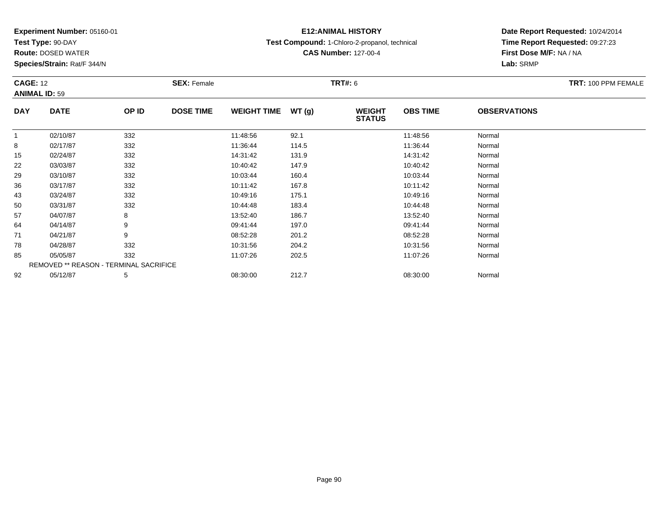**Test Type:** 90-DAY

**Route:** DOSED WATER

**Species/Strain:** Rat/F 344/N

# **E12:ANIMAL HISTORY**

**Test Compound:** 1-Chloro-2-propanol, technical

**CAS Number:** 127-00-4

| <b>CAGE: 12</b><br><b>ANIMAL ID: 59</b> |                                        |       | <b>SEX: Female</b> |                    |       | <b>TRT#: 6</b>                 |                 |                     | TRT: 100 PPM FEMALE |
|-----------------------------------------|----------------------------------------|-------|--------------------|--------------------|-------|--------------------------------|-----------------|---------------------|---------------------|
| <b>DAY</b>                              | <b>DATE</b>                            | OP ID | <b>DOSE TIME</b>   | <b>WEIGHT TIME</b> | WT(g) | <b>WEIGHT</b><br><b>STATUS</b> | <b>OBS TIME</b> | <b>OBSERVATIONS</b> |                     |
| $\overline{1}$                          | 02/10/87                               | 332   |                    | 11:48:56           | 92.1  |                                | 11:48:56        | Normal              |                     |
| 8                                       | 02/17/87                               | 332   |                    | 11:36:44           | 114.5 |                                | 11:36:44        | Normal              |                     |
| 15                                      | 02/24/87                               | 332   |                    | 14:31:42           | 131.9 |                                | 14:31:42        | Normal              |                     |
| 22                                      | 03/03/87                               | 332   |                    | 10:40:42           | 147.9 |                                | 10:40:42        | Normal              |                     |
| 29                                      | 03/10/87                               | 332   |                    | 10:03:44           | 160.4 |                                | 10:03:44        | Normal              |                     |
| 36                                      | 03/17/87                               | 332   |                    | 10:11:42           | 167.8 |                                | 10:11:42        | Normal              |                     |
| 43                                      | 03/24/87                               | 332   |                    | 10:49:16           | 175.1 |                                | 10:49:16        | Normal              |                     |
| 50                                      | 03/31/87                               | 332   |                    | 10:44:48           | 183.4 |                                | 10:44:48        | Normal              |                     |
| 57                                      | 04/07/87                               | 8     |                    | 13:52:40           | 186.7 |                                | 13:52:40        | Normal              |                     |
| 64                                      | 04/14/87                               | 9     |                    | 09:41:44           | 197.0 |                                | 09:41:44        | Normal              |                     |
| 71                                      | 04/21/87                               | 9     |                    | 08:52:28           | 201.2 |                                | 08:52:28        | Normal              |                     |
| 78                                      | 04/28/87                               | 332   |                    | 10:31:56           | 204.2 |                                | 10:31:56        | Normal              |                     |
| 85                                      | 05/05/87                               | 332   |                    | 11:07:26           | 202.5 |                                | 11:07:26        | Normal              |                     |
|                                         | REMOVED ** REASON - TERMINAL SACRIFICE |       |                    |                    |       |                                |                 |                     |                     |
| 92                                      | 05/12/87                               | 5     |                    | 08:30:00           | 212.7 |                                | 08:30:00        | Normal              |                     |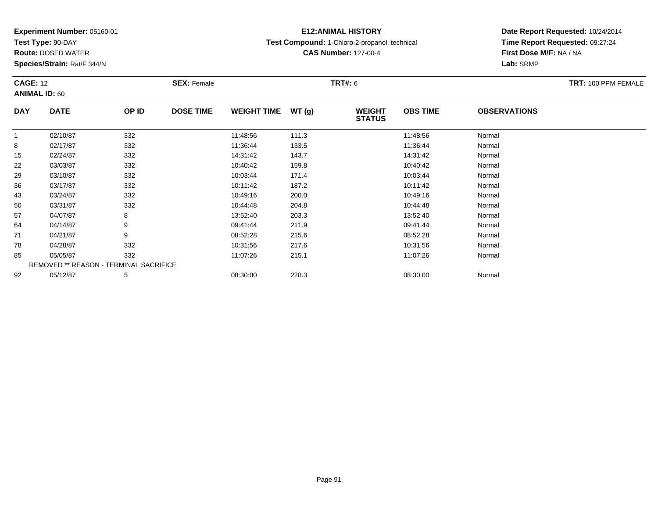**Test Type:** 90-DAY

**Route:** DOSED WATER

**Species/Strain:** Rat/F 344/N

# **E12:ANIMAL HISTORY**

**Test Compound:** 1-Chloro-2-propanol, technical

**CAS Number:** 127-00-4

| <b>CAGE: 12</b><br><b>ANIMAL ID: 60</b> |                                        |       | <b>SEX: Female</b> |                    |       | <b>TRT#: 6</b>                 |                 |                     | TRT: 100 PPM FEMALE |
|-----------------------------------------|----------------------------------------|-------|--------------------|--------------------|-------|--------------------------------|-----------------|---------------------|---------------------|
| <b>DAY</b>                              | <b>DATE</b>                            | OP ID | <b>DOSE TIME</b>   | <b>WEIGHT TIME</b> | WT(g) | <b>WEIGHT</b><br><b>STATUS</b> | <b>OBS TIME</b> | <b>OBSERVATIONS</b> |                     |
|                                         | 02/10/87                               | 332   |                    | 11:48:56           | 111.3 |                                | 11:48:56        | Normal              |                     |
| 8                                       | 02/17/87                               | 332   |                    | 11:36:44           | 133.5 |                                | 11:36:44        | Normal              |                     |
| 15                                      | 02/24/87                               | 332   |                    | 14:31:42           | 143.7 |                                | 14:31:42        | Normal              |                     |
| 22                                      | 03/03/87                               | 332   |                    | 10:40:42           | 159.8 |                                | 10:40:42        | Normal              |                     |
| 29                                      | 03/10/87                               | 332   |                    | 10:03:44           | 171.4 |                                | 10:03:44        | Normal              |                     |
| 36                                      | 03/17/87                               | 332   |                    | 10:11:42           | 187.2 |                                | 10:11:42        | Normal              |                     |
| 43                                      | 03/24/87                               | 332   |                    | 10:49:16           | 200.0 |                                | 10:49:16        | Normal              |                     |
| 50                                      | 03/31/87                               | 332   |                    | 10:44:48           | 204.8 |                                | 10:44:48        | Normal              |                     |
| 57                                      | 04/07/87                               | 8     |                    | 13:52:40           | 203.3 |                                | 13:52:40        | Normal              |                     |
| 64                                      | 04/14/87                               | 9     |                    | 09:41:44           | 211.9 |                                | 09:41:44        | Normal              |                     |
| 71                                      | 04/21/87                               | 9     |                    | 08:52:28           | 215.6 |                                | 08:52:28        | Normal              |                     |
| 78                                      | 04/28/87                               | 332   |                    | 10:31:56           | 217.6 |                                | 10:31:56        | Normal              |                     |
| 85                                      | 05/05/87                               | 332   |                    | 11:07:26           | 215.1 |                                | 11:07:26        | Normal              |                     |
|                                         | REMOVED ** REASON - TERMINAL SACRIFICE |       |                    |                    |       |                                |                 |                     |                     |
| 92                                      | 05/12/87                               | 5     |                    | 08:30:00           | 228.3 |                                | 08:30:00        | Normal              |                     |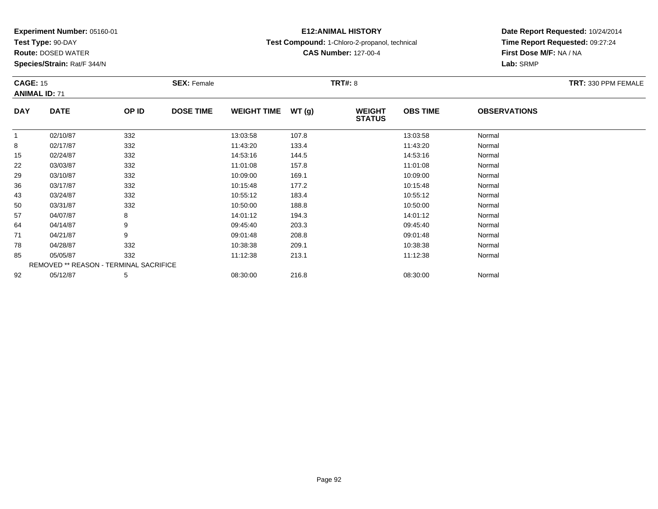**Test Type:** 90-DAY

**Route:** DOSED WATER

**Species/Strain:** Rat/F 344/N

# **E12:ANIMAL HISTORY**

**Test Compound:** 1-Chloro-2-propanol, technical

**CAS Number:** 127-00-4

**Date Report Requested:** 10/24/2014**Time Report Requested:** 09:27:24**First Dose M/F:** NA / NA**Lab:** SRMP

| <b>CAGE: 15</b> | <b>ANIMAL ID: 71</b>                   |       | <b>SEX: Female</b> |                    |       | <b>TRT#: 8</b>                 |                 |                     | TRT: 330 PPM FEMALE |
|-----------------|----------------------------------------|-------|--------------------|--------------------|-------|--------------------------------|-----------------|---------------------|---------------------|
| <b>DAY</b>      | <b>DATE</b>                            | OP ID | <b>DOSE TIME</b>   | <b>WEIGHT TIME</b> | WT(g) | <b>WEIGHT</b><br><b>STATUS</b> | <b>OBS TIME</b> | <b>OBSERVATIONS</b> |                     |
|                 | 02/10/87                               | 332   |                    | 13:03:58           | 107.8 |                                | 13:03:58        | Normal              |                     |
| 8               | 02/17/87                               | 332   |                    | 11:43:20           | 133.4 |                                | 11:43:20        | Normal              |                     |
| 15              | 02/24/87                               | 332   |                    | 14:53:16           | 144.5 |                                | 14:53:16        | Normal              |                     |
| 22              | 03/03/87                               | 332   |                    | 11:01:08           | 157.8 |                                | 11:01:08        | Normal              |                     |
| 29              | 03/10/87                               | 332   |                    | 10:09:00           | 169.1 |                                | 10:09:00        | Normal              |                     |
| 36              | 03/17/87                               | 332   |                    | 10:15:48           | 177.2 |                                | 10:15:48        | Normal              |                     |
| 43              | 03/24/87                               | 332   |                    | 10:55:12           | 183.4 |                                | 10:55:12        | Normal              |                     |
| 50              | 03/31/87                               | 332   |                    | 10:50:00           | 188.8 |                                | 10:50:00        | Normal              |                     |
| 57              | 04/07/87                               | 8     |                    | 14:01:12           | 194.3 |                                | 14:01:12        | Normal              |                     |
| 64              | 04/14/87                               | 9     |                    | 09:45:40           | 203.3 |                                | 09:45:40        | Normal              |                     |
| 71              | 04/21/87                               | 9     |                    | 09:01:48           | 208.8 |                                | 09:01:48        | Normal              |                     |
| 78              | 04/28/87                               | 332   |                    | 10:38:38           | 209.1 |                                | 10:38:38        | Normal              |                     |
| 85              | 05/05/87                               | 332   |                    | 11:12:38           | 213.1 |                                | 11:12:38        | Normal              |                     |
|                 | REMOVED ** REASON - TERMINAL SACRIFICE |       |                    |                    |       |                                |                 |                     |                     |
| 92              | 05/12/87                               | 5     |                    | 08:30:00           | 216.8 |                                | 08:30:00        | Normal              |                     |

2 05/12/87 5 5 08:30:00 216.8 08:30 00 08:30:00 08:30:00 08:30:00 08:30:00 08:30:00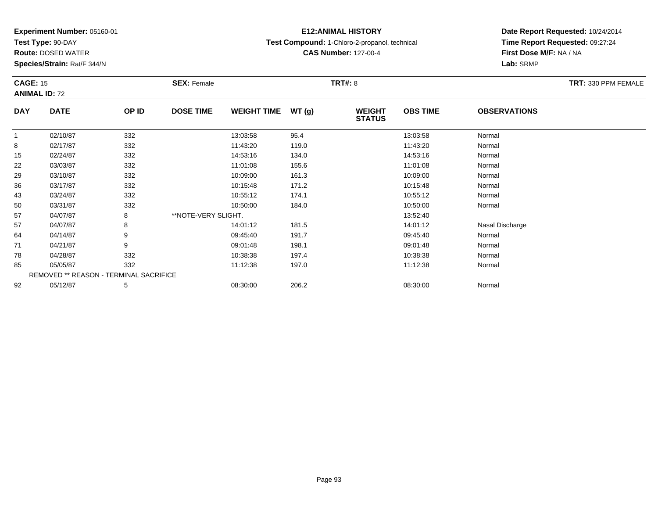**Test Type:** 90-DAY

**Route:** DOSED WATER

**Species/Strain:** Rat/F 344/N

# **E12:ANIMAL HISTORY**

**Test Compound:** 1-Chloro-2-propanol, technical

**CAS Number:** 127-00-4

| <b>CAGE: 15</b> | <b>ANIMAL ID: 72</b>                   |       | <b>SEX: Female</b>  |                    |       | <b>TRT#: 8</b>                 |                 |                     | TRT: 330 PPM FEMALE |
|-----------------|----------------------------------------|-------|---------------------|--------------------|-------|--------------------------------|-----------------|---------------------|---------------------|
| <b>DAY</b>      | <b>DATE</b>                            | OP ID | <b>DOSE TIME</b>    | <b>WEIGHT TIME</b> | WT(g) | <b>WEIGHT</b><br><b>STATUS</b> | <b>OBS TIME</b> | <b>OBSERVATIONS</b> |                     |
| $\mathbf{1}$    | 02/10/87                               | 332   |                     | 13:03:58           | 95.4  |                                | 13:03:58        | Normal              |                     |
| 8               | 02/17/87                               | 332   |                     | 11:43:20           | 119.0 |                                | 11:43:20        | Normal              |                     |
| 15              | 02/24/87                               | 332   |                     | 14:53:16           | 134.0 |                                | 14:53:16        | Normal              |                     |
| 22              | 03/03/87                               | 332   |                     | 11:01:08           | 155.6 |                                | 11:01:08        | Normal              |                     |
| 29              | 03/10/87                               | 332   |                     | 10:09:00           | 161.3 |                                | 10:09:00        | Normal              |                     |
| 36              | 03/17/87                               | 332   |                     | 10:15:48           | 171.2 |                                | 10:15:48        | Normal              |                     |
| 43              | 03/24/87                               | 332   |                     | 10:55:12           | 174.1 |                                | 10:55:12        | Normal              |                     |
| 50              | 03/31/87                               | 332   |                     | 10:50:00           | 184.0 |                                | 10:50:00        | Normal              |                     |
| 57              | 04/07/87                               | 8     | **NOTE-VERY SLIGHT. |                    |       |                                | 13:52:40        |                     |                     |
| 57              | 04/07/87                               | 8     |                     | 14:01:12           | 181.5 |                                | 14:01:12        | Nasal Discharge     |                     |
| 64              | 04/14/87                               | 9     |                     | 09:45:40           | 191.7 |                                | 09:45:40        | Normal              |                     |
| 71              | 04/21/87                               | 9     |                     | 09:01:48           | 198.1 |                                | 09:01:48        | Normal              |                     |
| 78              | 04/28/87                               | 332   |                     | 10:38:38           | 197.4 |                                | 10:38:38        | Normal              |                     |
| 85              | 05/05/87                               | 332   |                     | 11:12:38           | 197.0 |                                | 11:12:38        | Normal              |                     |
|                 | REMOVED ** REASON - TERMINAL SACRIFICE |       |                     |                    |       |                                |                 |                     |                     |
| 92              | 05/12/87                               | 5     |                     | 08:30:00           | 206.2 |                                | 08:30:00        | Normal              |                     |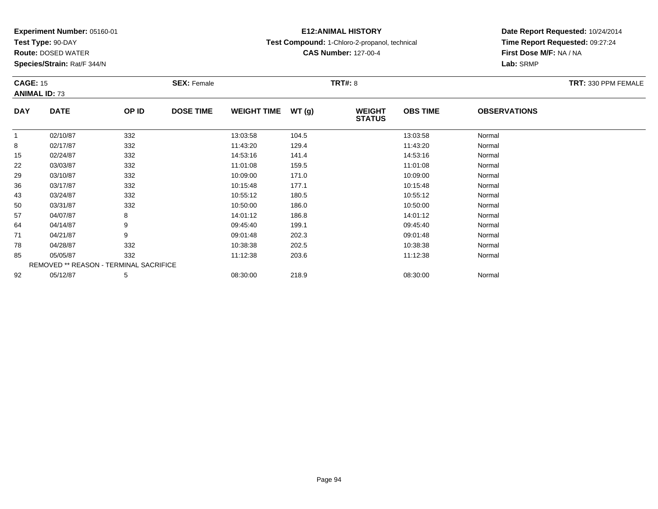**Test Type:** 90-DAY

**Route:** DOSED WATER

**Species/Strain:** Rat/F 344/N

# **E12:ANIMAL HISTORY**

**Test Compound:** 1-Chloro-2-propanol, technical

**CAS Number:** 127-00-4

| <b>CAGE: 15</b> | <b>ANIMAL ID: 73</b>                   |       | <b>SEX: Female</b> |                    |       | <b>TRT#: 8</b>                 |                 |                     | TRT: 330 PPM FEMALE |
|-----------------|----------------------------------------|-------|--------------------|--------------------|-------|--------------------------------|-----------------|---------------------|---------------------|
| <b>DAY</b>      | <b>DATE</b>                            | OP ID | <b>DOSE TIME</b>   | <b>WEIGHT TIME</b> | WT(g) | <b>WEIGHT</b><br><b>STATUS</b> | <b>OBS TIME</b> | <b>OBSERVATIONS</b> |                     |
| $\mathbf{1}$    | 02/10/87                               | 332   |                    | 13:03:58           | 104.5 |                                | 13:03:58        | Normal              |                     |
| 8               | 02/17/87                               | 332   |                    | 11:43:20           | 129.4 |                                | 11:43:20        | Normal              |                     |
| 15              | 02/24/87                               | 332   |                    | 14:53:16           | 141.4 |                                | 14:53:16        | Normal              |                     |
| 22              | 03/03/87                               | 332   |                    | 11:01:08           | 159.5 |                                | 11:01:08        | Normal              |                     |
| 29              | 03/10/87                               | 332   |                    | 10:09:00           | 171.0 |                                | 10:09:00        | Normal              |                     |
| 36              | 03/17/87                               | 332   |                    | 10:15:48           | 177.1 |                                | 10:15:48        | Normal              |                     |
| 43              | 03/24/87                               | 332   |                    | 10:55:12           | 180.5 |                                | 10:55:12        | Normal              |                     |
| 50              | 03/31/87                               | 332   |                    | 10:50:00           | 186.0 |                                | 10:50:00        | Normal              |                     |
| 57              | 04/07/87                               | 8     |                    | 14:01:12           | 186.8 |                                | 14:01:12        | Normal              |                     |
| 64              | 04/14/87                               | 9     |                    | 09:45:40           | 199.1 |                                | 09:45:40        | Normal              |                     |
| 71              | 04/21/87                               | 9     |                    | 09:01:48           | 202.3 |                                | 09:01:48        | Normal              |                     |
| 78              | 04/28/87                               | 332   |                    | 10:38:38           | 202.5 |                                | 10:38:38        | Normal              |                     |
| 85              | 05/05/87                               | 332   |                    | 11:12:38           | 203.6 |                                | 11:12:38        | Normal              |                     |
|                 | REMOVED ** REASON - TERMINAL SACRIFICE |       |                    |                    |       |                                |                 |                     |                     |
| 92              | 05/12/87                               | 5     |                    | 08:30:00           | 218.9 |                                | 08:30:00        | Normal              |                     |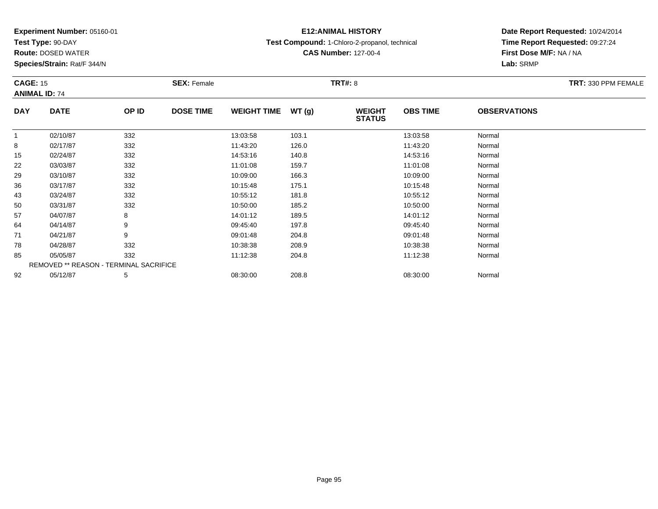**Test Type:** 90-DAY

**Route:** DOSED WATER

**Species/Strain:** Rat/F 344/N

# **E12:ANIMAL HISTORY**

**Test Compound:** 1-Chloro-2-propanol, technical

**CAS Number:** 127-00-4

| <b>CAGE: 15</b> | <b>ANIMAL ID: 74</b>                   |       | <b>SEX: Female</b> |                    |        | <b>TRT#: 8</b>                 |                 |                     | TRT: 330 PPM FEMALE |
|-----------------|----------------------------------------|-------|--------------------|--------------------|--------|--------------------------------|-----------------|---------------------|---------------------|
| <b>DAY</b>      | <b>DATE</b>                            | OP ID | <b>DOSE TIME</b>   | <b>WEIGHT TIME</b> | WT (g) | <b>WEIGHT</b><br><b>STATUS</b> | <b>OBS TIME</b> | <b>OBSERVATIONS</b> |                     |
| $\mathbf 1$     | 02/10/87                               | 332   |                    | 13:03:58           | 103.1  |                                | 13:03:58        | Normal              |                     |
| 8               | 02/17/87                               | 332   |                    | 11:43:20           | 126.0  |                                | 11:43:20        | Normal              |                     |
| 15              | 02/24/87                               | 332   |                    | 14:53:16           | 140.8  |                                | 14:53:16        | Normal              |                     |
| 22              | 03/03/87                               | 332   |                    | 11:01:08           | 159.7  |                                | 11:01:08        | Normal              |                     |
| 29              | 03/10/87                               | 332   |                    | 10:09:00           | 166.3  |                                | 10:09:00        | Normal              |                     |
| 36              | 03/17/87                               | 332   |                    | 10:15:48           | 175.1  |                                | 10:15:48        | Normal              |                     |
| 43              | 03/24/87                               | 332   |                    | 10:55:12           | 181.8  |                                | 10:55:12        | Normal              |                     |
| 50              | 03/31/87                               | 332   |                    | 10:50:00           | 185.2  |                                | 10:50:00        | Normal              |                     |
| 57              | 04/07/87                               | 8     |                    | 14:01:12           | 189.5  |                                | 14:01:12        | Normal              |                     |
| 64              | 04/14/87                               | 9     |                    | 09:45:40           | 197.8  |                                | 09:45:40        | Normal              |                     |
| 71              | 04/21/87                               | 9     |                    | 09:01:48           | 204.8  |                                | 09:01:48        | Normal              |                     |
| 78              | 04/28/87                               | 332   |                    | 10:38:38           | 208.9  |                                | 10:38:38        | Normal              |                     |
| 85              | 05/05/87                               | 332   |                    | 11:12:38           | 204.8  |                                | 11:12:38        | Normal              |                     |
|                 | REMOVED ** REASON - TERMINAL SACRIFICE |       |                    |                    |        |                                |                 |                     |                     |
| 92              | 05/12/87                               | 5     |                    | 08:30:00           | 208.8  |                                | 08:30:00        | Normal              |                     |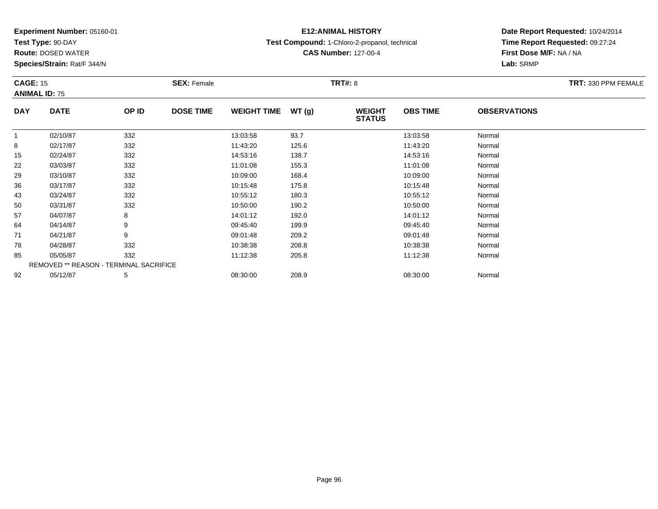**Test Type:** 90-DAY

**Route:** DOSED WATER

**Species/Strain:** Rat/F 344/N

# **E12:ANIMAL HISTORY**

**Test Compound:** 1-Chloro-2-propanol, technical

**CAS Number:** 127-00-4

| <b>CAGE: 15</b> |                                        |       | <b>SEX: Female</b> |                    |       | <b>TRT#: 8</b>                 |                 |                     | TRT: 330 PPM FEMALE |
|-----------------|----------------------------------------|-------|--------------------|--------------------|-------|--------------------------------|-----------------|---------------------|---------------------|
|                 | <b>ANIMAL ID: 75</b>                   |       |                    |                    |       |                                |                 |                     |                     |
| <b>DAY</b>      | <b>DATE</b>                            | OP ID | <b>DOSE TIME</b>   | <b>WEIGHT TIME</b> | WT(g) | <b>WEIGHT</b><br><b>STATUS</b> | <b>OBS TIME</b> | <b>OBSERVATIONS</b> |                     |
| $\mathbf{1}$    | 02/10/87                               | 332   |                    | 13:03:58           | 93.7  |                                | 13:03:58        | Normal              |                     |
| 8               | 02/17/87                               | 332   |                    | 11:43:20           | 125.6 |                                | 11:43:20        | Normal              |                     |
| 15              | 02/24/87                               | 332   |                    | 14:53:16           | 138.7 |                                | 14:53:16        | Normal              |                     |
| 22              | 03/03/87                               | 332   |                    | 11:01:08           | 155.3 |                                | 11:01:08        | Normal              |                     |
| 29              | 03/10/87                               | 332   |                    | 10:09:00           | 168.4 |                                | 10:09:00        | Normal              |                     |
| 36              | 03/17/87                               | 332   |                    | 10:15:48           | 175.8 |                                | 10:15:48        | Normal              |                     |
| 43              | 03/24/87                               | 332   |                    | 10:55:12           | 180.3 |                                | 10:55:12        | Normal              |                     |
| 50              | 03/31/87                               | 332   |                    | 10:50:00           | 190.2 |                                | 10:50:00        | Normal              |                     |
| 57              | 04/07/87                               | 8     |                    | 14:01:12           | 192.0 |                                | 14:01:12        | Normal              |                     |
| 64              | 04/14/87                               | 9     |                    | 09:45:40           | 199.9 |                                | 09:45:40        | Normal              |                     |
| 71              | 04/21/87                               | 9     |                    | 09:01:48           | 209.2 |                                | 09:01:48        | Normal              |                     |
| 78              | 04/28/87                               | 332   |                    | 10:38:38           | 208.8 |                                | 10:38:38        | Normal              |                     |
| 85              | 05/05/87                               | 332   |                    | 11:12:38           | 205.8 |                                | 11:12:38        | Normal              |                     |
|                 | REMOVED ** REASON - TERMINAL SACRIFICE |       |                    |                    |       |                                |                 |                     |                     |
| 92              | 05/12/87                               | 5     |                    | 08:30:00           | 208.9 |                                | 08:30:00        | Normal              |                     |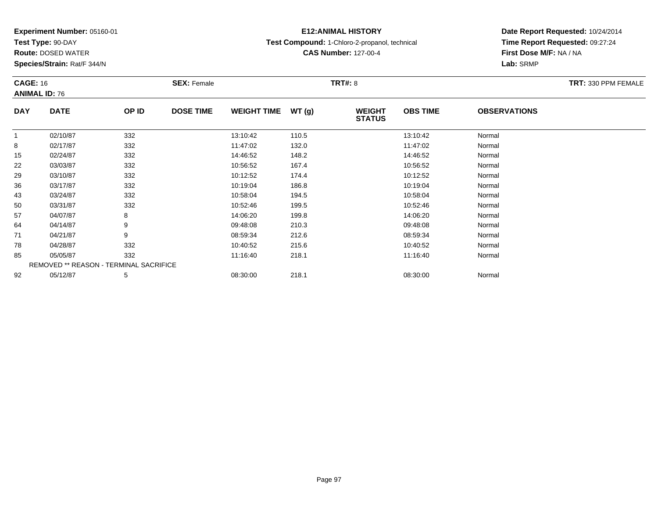**Test Type:** 90-DAY

**Route:** DOSED WATER

**Species/Strain:** Rat/F 344/N

# **E12:ANIMAL HISTORY**

**Test Compound:** 1-Chloro-2-propanol, technical

**CAS Number:** 127-00-4

| <b>CAGE: 16</b> |                      |                                        | <b>SEX: Female</b> |                    |       | <b>TRT#: 8</b>                 |                 |                     | <b>TRT: 330 PPM FEMALE</b> |
|-----------------|----------------------|----------------------------------------|--------------------|--------------------|-------|--------------------------------|-----------------|---------------------|----------------------------|
|                 | <b>ANIMAL ID: 76</b> |                                        |                    |                    |       |                                |                 |                     |                            |
| <b>DAY</b>      | <b>DATE</b>          | OP ID                                  | <b>DOSE TIME</b>   | <b>WEIGHT TIME</b> | WT(g) | <b>WEIGHT</b><br><b>STATUS</b> | <b>OBS TIME</b> | <b>OBSERVATIONS</b> |                            |
|                 | 02/10/87             | 332                                    |                    | 13:10:42           | 110.5 |                                | 13:10:42        | Normal              |                            |
| 8               | 02/17/87             | 332                                    |                    | 11:47:02           | 132.0 |                                | 11:47:02        | Normal              |                            |
| 15              | 02/24/87             | 332                                    |                    | 14:46:52           | 148.2 |                                | 14:46:52        | Normal              |                            |
| 22              | 03/03/87             | 332                                    |                    | 10:56:52           | 167.4 |                                | 10:56:52        | Normal              |                            |
| 29              | 03/10/87             | 332                                    |                    | 10:12:52           | 174.4 |                                | 10:12:52        | Normal              |                            |
| 36              | 03/17/87             | 332                                    |                    | 10:19:04           | 186.8 |                                | 10:19:04        | Normal              |                            |
| 43              | 03/24/87             | 332                                    |                    | 10:58:04           | 194.5 |                                | 10:58:04        | Normal              |                            |
| 50              | 03/31/87             | 332                                    |                    | 10:52:46           | 199.5 |                                | 10:52:46        | Normal              |                            |
| 57              | 04/07/87             | 8                                      |                    | 14:06:20           | 199.8 |                                | 14:06:20        | Normal              |                            |
| 64              | 04/14/87             | 9                                      |                    | 09:48:08           | 210.3 |                                | 09:48:08        | Normal              |                            |
| 71              | 04/21/87             | 9                                      |                    | 08:59:34           | 212.6 |                                | 08:59:34        | Normal              |                            |
| 78              | 04/28/87             | 332                                    |                    | 10:40:52           | 215.6 |                                | 10:40:52        | Normal              |                            |
| 85              | 05/05/87             | 332                                    |                    | 11:16:40           | 218.1 |                                | 11:16:40        | Normal              |                            |
|                 |                      | REMOVED ** REASON - TERMINAL SACRIFICE |                    |                    |       |                                |                 |                     |                            |
| 92              | 05/12/87             | 5                                      |                    | 08:30:00           | 218.1 |                                | 08:30:00        | Normal              |                            |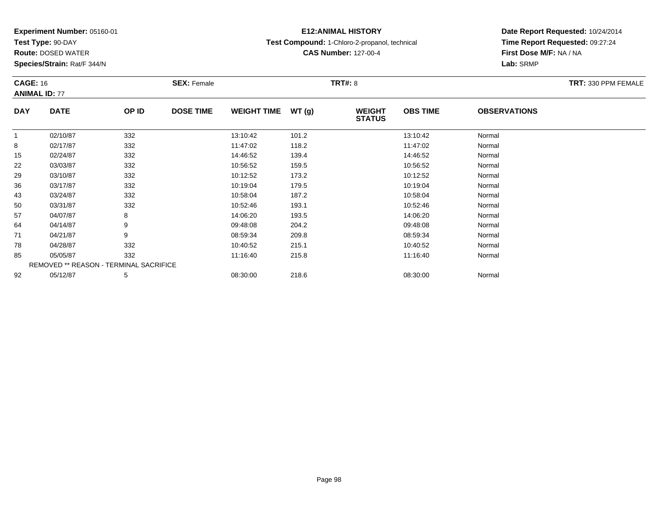**Test Type:** 90-DAY

92

**Route:** DOSED WATER

**Species/Strain:** Rat/F 344/N

# **E12:ANIMAL HISTORY**

**Test Compound:** 1-Chloro-2-propanol, technical

**CAS Number:** 127-00-4

**Date Report Requested:** 10/24/2014**Time Report Requested:** 09:27:24**First Dose M/F:** NA / NA**Lab:** SRMP

| <b>CAGE: 16</b> |                      |                                               | <b>SEX: Female</b> |                    |       | <b>TRT#: 8</b>                 |                 |                     | TRT: 330 PPM FEMALE |
|-----------------|----------------------|-----------------------------------------------|--------------------|--------------------|-------|--------------------------------|-----------------|---------------------|---------------------|
|                 | <b>ANIMAL ID: 77</b> |                                               |                    |                    |       |                                |                 |                     |                     |
| <b>DAY</b>      | <b>DATE</b>          | OP ID                                         | <b>DOSE TIME</b>   | <b>WEIGHT TIME</b> | WT(g) | <b>WEIGHT</b><br><b>STATUS</b> | <b>OBS TIME</b> | <b>OBSERVATIONS</b> |                     |
| $\mathbf{1}$    | 02/10/87             | 332                                           |                    | 13:10:42           | 101.2 |                                | 13:10:42        | Normal              |                     |
| 8               | 02/17/87             | 332                                           |                    | 11:47:02           | 118.2 |                                | 11:47:02        | Normal              |                     |
| 15              | 02/24/87             | 332                                           |                    | 14:46:52           | 139.4 |                                | 14:46:52        | Normal              |                     |
| 22              | 03/03/87             | 332                                           |                    | 10:56:52           | 159.5 |                                | 10:56:52        | Normal              |                     |
| 29              | 03/10/87             | 332                                           |                    | 10:12:52           | 173.2 |                                | 10:12:52        | Normal              |                     |
| 36              | 03/17/87             | 332                                           |                    | 10:19:04           | 179.5 |                                | 10:19:04        | Normal              |                     |
| 43              | 03/24/87             | 332                                           |                    | 10:58:04           | 187.2 |                                | 10:58:04        | Normal              |                     |
| 50              | 03/31/87             | 332                                           |                    | 10:52:46           | 193.1 |                                | 10:52:46        | Normal              |                     |
| 57              | 04/07/87             | 8                                             |                    | 14:06:20           | 193.5 |                                | 14:06:20        | Normal              |                     |
| 64              | 04/14/87             | 9                                             |                    | 09:48:08           | 204.2 |                                | 09:48:08        | Normal              |                     |
| 71              | 04/21/87             | 9                                             |                    | 08:59:34           | 209.8 |                                | 08:59:34        | Normal              |                     |
| 78              | 04/28/87             | 332                                           |                    | 10:40:52           | 215.1 |                                | 10:40:52        | Normal              |                     |
| 85              | 05/05/87             | 332                                           |                    | 11:16:40           | 215.8 |                                | 11:16:40        | Normal              |                     |
|                 |                      | <b>REMOVED ** REASON - TERMINAL SACRIFICE</b> |                    |                    |       |                                |                 |                     |                     |

2 05/12/87 5 5 08:30:00 218.6 08:30 08 08:30:00 08:30:00 08:30:00 08:30:00 08:30:00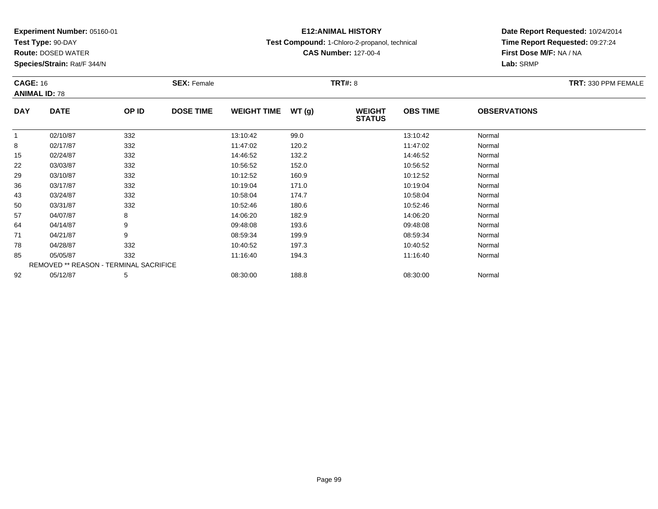**Test Type:** 90-DAY

**Route:** DOSED WATER

**Species/Strain:** Rat/F 344/N

# **E12:ANIMAL HISTORY**

**Test Compound:** 1-Chloro-2-propanol, technical

**CAS Number:** 127-00-4

| <b>CAGE: 16</b> | <b>ANIMAL ID: 78</b>                   |       | <b>SEX: Female</b> |                    |        | <b>TRT#: 8</b>                 |                 |                     | TRT: 330 PPM FEMALE |
|-----------------|----------------------------------------|-------|--------------------|--------------------|--------|--------------------------------|-----------------|---------------------|---------------------|
| <b>DAY</b>      | <b>DATE</b>                            | OP ID | <b>DOSE TIME</b>   | <b>WEIGHT TIME</b> | WT (g) | <b>WEIGHT</b><br><b>STATUS</b> | <b>OBS TIME</b> | <b>OBSERVATIONS</b> |                     |
|                 | 02/10/87                               | 332   |                    | 13:10:42           | 99.0   |                                | 13:10:42        | Normal              |                     |
| 8               | 02/17/87                               | 332   |                    | 11:47:02           | 120.2  |                                | 11:47:02        | Normal              |                     |
| 15              | 02/24/87                               | 332   |                    | 14:46:52           | 132.2  |                                | 14:46:52        | Normal              |                     |
| 22              | 03/03/87                               | 332   |                    | 10:56:52           | 152.0  |                                | 10:56:52        | Normal              |                     |
| 29              | 03/10/87                               | 332   |                    | 10:12:52           | 160.9  |                                | 10:12:52        | Normal              |                     |
| 36              | 03/17/87                               | 332   |                    | 10:19:04           | 171.0  |                                | 10:19:04        | Normal              |                     |
| 43              | 03/24/87                               | 332   |                    | 10:58:04           | 174.7  |                                | 10:58:04        | Normal              |                     |
| 50              | 03/31/87                               | 332   |                    | 10:52:46           | 180.6  |                                | 10:52:46        | Normal              |                     |
| 57              | 04/07/87                               | 8     |                    | 14:06:20           | 182.9  |                                | 14:06:20        | Normal              |                     |
| 64              | 04/14/87                               | 9     |                    | 09:48:08           | 193.6  |                                | 09:48:08        | Normal              |                     |
| 71              | 04/21/87                               | 9     |                    | 08:59:34           | 199.9  |                                | 08:59:34        | Normal              |                     |
| 78              | 04/28/87                               | 332   |                    | 10:40:52           | 197.3  |                                | 10:40:52        | Normal              |                     |
| 85              | 05/05/87                               | 332   |                    | 11:16:40           | 194.3  |                                | 11:16:40        | Normal              |                     |
|                 | REMOVED ** REASON - TERMINAL SACRIFICE |       |                    |                    |        |                                |                 |                     |                     |
| 92              | 05/12/87                               | 5     |                    | 08:30:00           | 188.8  |                                | 08:30:00        | Normal              |                     |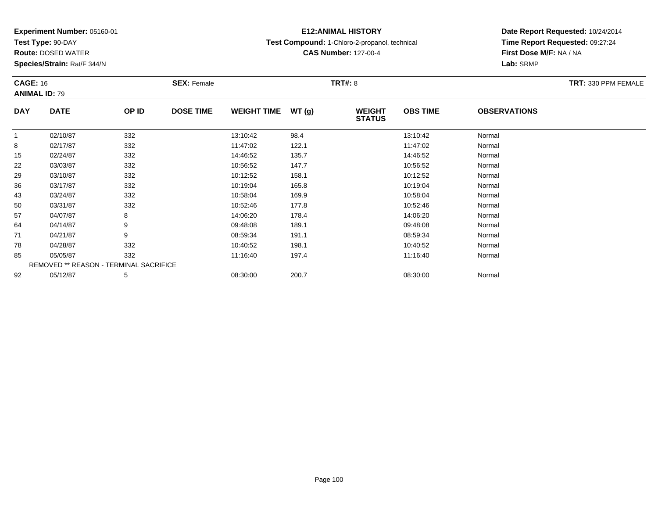**Test Type:** 90-DAY

**Route:** DOSED WATER

**Species/Strain:** Rat/F 344/N

# **E12:ANIMAL HISTORY**

**Test Compound:** 1-Chloro-2-propanol, technical

**CAS Number:** 127-00-4

| <b>CAGE: 16</b> |                                        |       | <b>SEX: Female</b> |                    |       | <b>TRT#: 8</b>                 |                 |                     | <b>TRT: 330 PPM FEMALE</b> |
|-----------------|----------------------------------------|-------|--------------------|--------------------|-------|--------------------------------|-----------------|---------------------|----------------------------|
|                 | <b>ANIMAL ID: 79</b>                   |       |                    |                    |       |                                |                 |                     |                            |
| <b>DAY</b>      | <b>DATE</b>                            | OP ID | <b>DOSE TIME</b>   | <b>WEIGHT TIME</b> | WT(g) | <b>WEIGHT</b><br><b>STATUS</b> | <b>OBS TIME</b> | <b>OBSERVATIONS</b> |                            |
| 1               | 02/10/87                               | 332   |                    | 13:10:42           | 98.4  |                                | 13:10:42        | Normal              |                            |
| 8               | 02/17/87                               | 332   |                    | 11:47:02           | 122.1 |                                | 11:47:02        | Normal              |                            |
| 15              | 02/24/87                               | 332   |                    | 14:46:52           | 135.7 |                                | 14:46:52        | Normal              |                            |
| 22              | 03/03/87                               | 332   |                    | 10:56:52           | 147.7 |                                | 10:56:52        | Normal              |                            |
| 29              | 03/10/87                               | 332   |                    | 10:12:52           | 158.1 |                                | 10:12:52        | Normal              |                            |
| 36              | 03/17/87                               | 332   |                    | 10:19:04           | 165.8 |                                | 10:19:04        | Normal              |                            |
| 43              | 03/24/87                               | 332   |                    | 10:58:04           | 169.9 |                                | 10:58:04        | Normal              |                            |
| 50              | 03/31/87                               | 332   |                    | 10:52:46           | 177.8 |                                | 10:52:46        | Normal              |                            |
| 57              | 04/07/87                               | 8     |                    | 14:06:20           | 178.4 |                                | 14:06:20        | Normal              |                            |
| 64              | 04/14/87                               | 9     |                    | 09:48:08           | 189.1 |                                | 09:48:08        | Normal              |                            |
| 71              | 04/21/87                               | 9     |                    | 08:59:34           | 191.1 |                                | 08:59:34        | Normal              |                            |
| 78              | 04/28/87                               | 332   |                    | 10:40:52           | 198.1 |                                | 10:40:52        | Normal              |                            |
| 85              | 05/05/87                               | 332   |                    | 11:16:40           | 197.4 |                                | 11:16:40        | Normal              |                            |
|                 | REMOVED ** REASON - TERMINAL SACRIFICE |       |                    |                    |       |                                |                 |                     |                            |
| 92              | 05/12/87                               | 5     |                    | 08:30:00           | 200.7 |                                | 08:30:00        | Normal              |                            |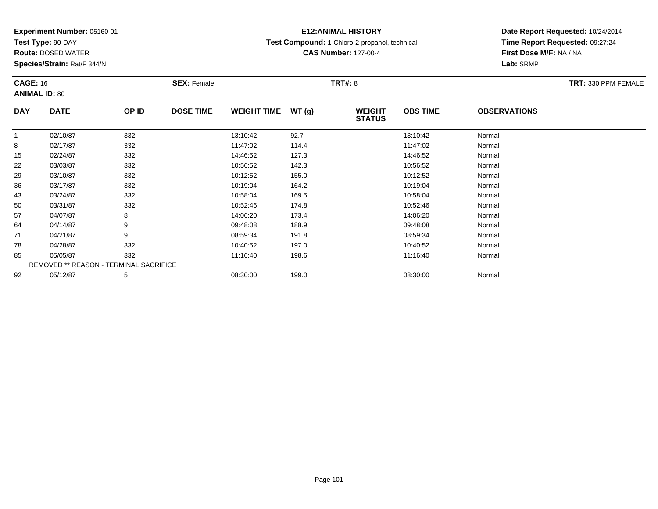**Test Type:** 90-DAY

**Route:** DOSED WATER

**Species/Strain:** Rat/F 344/N

# **E12:ANIMAL HISTORY**

**Test Compound:** 1-Chloro-2-propanol, technical

**CAS Number:** 127-00-4

| <b>CAGE: 16</b> | <b>ANIMAL ID: 80</b> |                                        | <b>SEX: Female</b> |                    |       | <b>TRT#:</b> 8                 |                 |                     | <b>TRT: 330 PPM FEMALE</b> |
|-----------------|----------------------|----------------------------------------|--------------------|--------------------|-------|--------------------------------|-----------------|---------------------|----------------------------|
| <b>DAY</b>      | <b>DATE</b>          | OP ID                                  | <b>DOSE TIME</b>   | <b>WEIGHT TIME</b> | WT(g) | <b>WEIGHT</b><br><b>STATUS</b> | <b>OBS TIME</b> | <b>OBSERVATIONS</b> |                            |
| 1               | 02/10/87             | 332                                    |                    | 13:10:42           | 92.7  |                                | 13:10:42        | Normal              |                            |
| 8               | 02/17/87             | 332                                    |                    | 11:47:02           | 114.4 |                                | 11:47:02        | Normal              |                            |
| 15              | 02/24/87             | 332                                    |                    | 14:46:52           | 127.3 |                                | 14:46:52        | Normal              |                            |
| 22              | 03/03/87             | 332                                    |                    | 10:56:52           | 142.3 |                                | 10:56:52        | Normal              |                            |
| 29              | 03/10/87             | 332                                    |                    | 10:12:52           | 155.0 |                                | 10:12:52        | Normal              |                            |
| 36              | 03/17/87             | 332                                    |                    | 10:19:04           | 164.2 |                                | 10:19:04        | Normal              |                            |
| 43              | 03/24/87             | 332                                    |                    | 10:58:04           | 169.5 |                                | 10:58:04        | Normal              |                            |
| 50              | 03/31/87             | 332                                    |                    | 10:52:46           | 174.8 |                                | 10:52:46        | Normal              |                            |
| 57              | 04/07/87             | 8                                      |                    | 14:06:20           | 173.4 |                                | 14:06:20        | Normal              |                            |
| 64              | 04/14/87             | 9                                      |                    | 09:48:08           | 188.9 |                                | 09:48:08        | Normal              |                            |
| 71              | 04/21/87             | 9                                      |                    | 08:59:34           | 191.8 |                                | 08:59:34        | Normal              |                            |
| 78              | 04/28/87             | 332                                    |                    | 10:40:52           | 197.0 |                                | 10:40:52        | Normal              |                            |
| 85              | 05/05/87             | 332                                    |                    | 11:16:40           | 198.6 |                                | 11:16:40        | Normal              |                            |
|                 |                      | REMOVED ** REASON - TERMINAL SACRIFICE |                    |                    |       |                                |                 |                     |                            |
| 92              | 05/12/87             | 5                                      |                    | 08:30:00           | 199.0 |                                | 08:30:00        | Normal              |                            |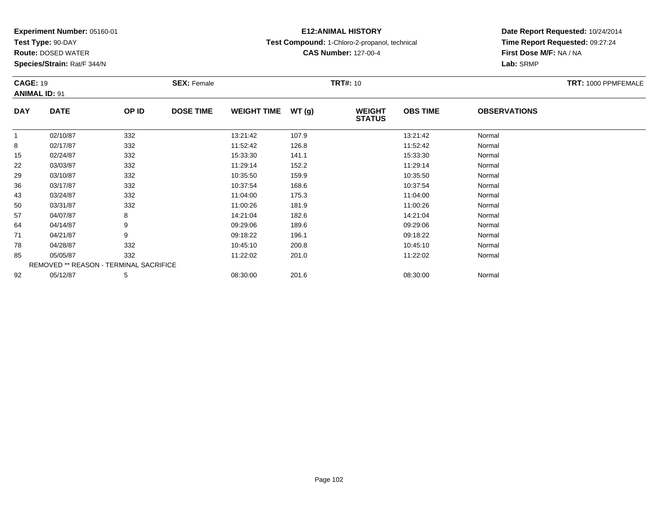**Test Type:** 90-DAY

**Route:** DOSED WATER

**Species/Strain:** Rat/F 344/N

# **E12:ANIMAL HISTORY**

**Test Compound:** 1-Chloro-2-propanol, technical

**CAS Number:** 127-00-4

| <b>CAGE: 19</b> | <b>ANIMAL ID: 91</b>                   |       | <b>SEX: Female</b> |                     |       | <b>TRT#: 10</b>                |                 |                     | TRT: 1000 PPMFEMALE |
|-----------------|----------------------------------------|-------|--------------------|---------------------|-------|--------------------------------|-----------------|---------------------|---------------------|
| <b>DAY</b>      | <b>DATE</b>                            | OP ID | <b>DOSE TIME</b>   | WEIGHT TIME $WT(g)$ |       | <b>WEIGHT</b><br><b>STATUS</b> | <b>OBS TIME</b> | <b>OBSERVATIONS</b> |                     |
|                 | 02/10/87                               | 332   |                    | 13:21:42            | 107.9 |                                | 13:21:42        | Normal              |                     |
| 8               | 02/17/87                               | 332   |                    | 11:52:42            | 126.8 |                                | 11:52:42        | Normal              |                     |
| 15              | 02/24/87                               | 332   |                    | 15:33:30            | 141.1 |                                | 15:33:30        | Normal              |                     |
| 22              | 03/03/87                               | 332   |                    | 11:29:14            | 152.2 |                                | 11:29:14        | Normal              |                     |
| 29              | 03/10/87                               | 332   |                    | 10:35:50            | 159.9 |                                | 10:35:50        | Normal              |                     |
| 36              | 03/17/87                               | 332   |                    | 10:37:54            | 168.6 |                                | 10:37:54        | Normal              |                     |
| 43              | 03/24/87                               | 332   |                    | 11:04:00            | 175.3 |                                | 11:04:00        | Normal              |                     |
| 50              | 03/31/87                               | 332   |                    | 11:00:26            | 181.9 |                                | 11:00:26        | Normal              |                     |
| 57              | 04/07/87                               | 8     |                    | 14:21:04            | 182.6 |                                | 14:21:04        | Normal              |                     |
| 64              | 04/14/87                               | 9     |                    | 09:29:06            | 189.6 |                                | 09:29:06        | Normal              |                     |
| 71              | 04/21/87                               | 9     |                    | 09:18:22            | 196.1 |                                | 09:18:22        | Normal              |                     |
| 78              | 04/28/87                               | 332   |                    | 10:45:10            | 200.8 |                                | 10:45:10        | Normal              |                     |
| 85              | 05/05/87                               | 332   |                    | 11:22:02            | 201.0 |                                | 11:22:02        | Normal              |                     |
|                 | REMOVED ** REASON - TERMINAL SACRIFICE |       |                    |                     |       |                                |                 |                     |                     |
| 92              | 05/12/87                               | 5     |                    | 08:30:00            | 201.6 |                                | 08:30:00        | Normal              |                     |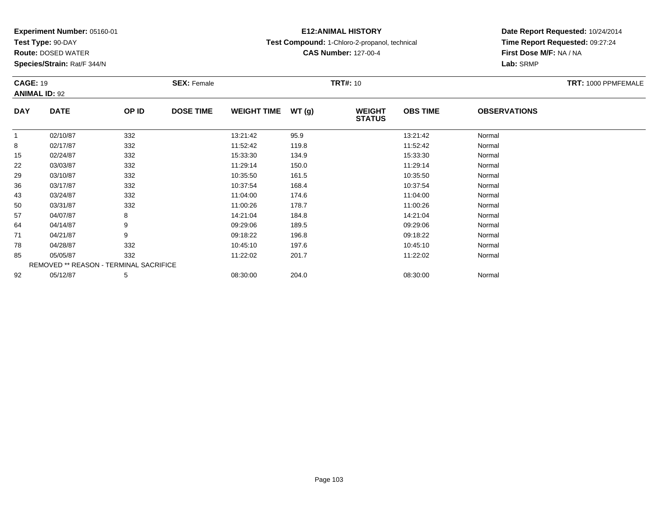**Test Type:** 90-DAY

**Route:** DOSED WATER

**Species/Strain:** Rat/F 344/N

# **E12:ANIMAL HISTORY**

**Test Compound:** 1-Chloro-2-propanol, technical

**CAS Number:** 127-00-4

| <b>CAGE: 19</b><br><b>ANIMAL ID: 92</b> |                                        |       | <b>SEX: Female</b> |                    |       | <b>TRT#: 10</b>                |                 |                     | TRT: 1000 PPMFEMALE |
|-----------------------------------------|----------------------------------------|-------|--------------------|--------------------|-------|--------------------------------|-----------------|---------------------|---------------------|
| <b>DAY</b>                              | <b>DATE</b>                            | OP ID | <b>DOSE TIME</b>   | <b>WEIGHT TIME</b> | WT(g) | <b>WEIGHT</b><br><b>STATUS</b> | <b>OBS TIME</b> | <b>OBSERVATIONS</b> |                     |
|                                         | 02/10/87                               | 332   |                    | 13:21:42           | 95.9  |                                | 13:21:42        | Normal              |                     |
| 8                                       | 02/17/87                               | 332   |                    | 11:52:42           | 119.8 |                                | 11:52:42        | Normal              |                     |
| 15                                      | 02/24/87                               | 332   |                    | 15:33:30           | 134.9 |                                | 15:33:30        | Normal              |                     |
| 22                                      | 03/03/87                               | 332   |                    | 11:29:14           | 150.0 |                                | 11:29:14        | Normal              |                     |
| 29                                      | 03/10/87                               | 332   |                    | 10:35:50           | 161.5 |                                | 10:35:50        | Normal              |                     |
| 36                                      | 03/17/87                               | 332   |                    | 10:37:54           | 168.4 |                                | 10:37:54        | Normal              |                     |
| 43                                      | 03/24/87                               | 332   |                    | 11:04:00           | 174.6 |                                | 11:04:00        | Normal              |                     |
| 50                                      | 03/31/87                               | 332   |                    | 11:00:26           | 178.7 |                                | 11:00:26        | Normal              |                     |
| 57                                      | 04/07/87                               | 8     |                    | 14:21:04           | 184.8 |                                | 14:21:04        | Normal              |                     |
| 64                                      | 04/14/87                               | 9     |                    | 09:29:06           | 189.5 |                                | 09:29:06        | Normal              |                     |
| 71                                      | 04/21/87                               | 9     |                    | 09:18:22           | 196.8 |                                | 09:18:22        | Normal              |                     |
| 78                                      | 04/28/87                               | 332   |                    | 10:45:10           | 197.6 |                                | 10:45:10        | Normal              |                     |
| 85                                      | 05/05/87                               | 332   |                    | 11:22:02           | 201.7 |                                | 11:22:02        | Normal              |                     |
|                                         | REMOVED ** REASON - TERMINAL SACRIFICE |       |                    |                    |       |                                |                 |                     |                     |
| 92                                      | 05/12/87                               | 5     |                    | 08:30:00           | 204.0 |                                | 08:30:00        | Normal              |                     |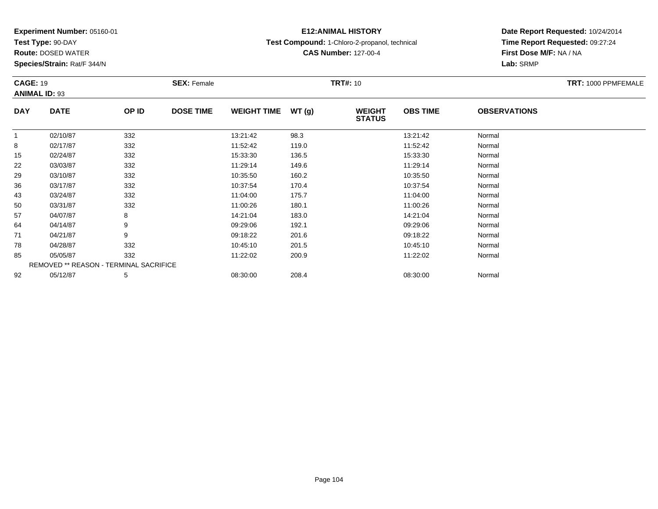**Test Type:** 90-DAY

**Species/Strain:** Rat/F 344/N

# **E12:ANIMAL HISTORY**

**Test Compound:** 1-Chloro-2-propanol, technical

**CAS Number:** 127-00-4

**Date Report Requested:** 10/24/2014 **Time Report Requested:** 09:27:24**First Dose M/F:** NA / NA**Lab:** SRMP

| <b>CAGE: 19</b> | <b>ANIMAL ID: 93</b>                   |       | <b>SEX: Female</b> |                    |       | <b>TRT#: 10</b>                |                 |                     | TRT: 1000 PPMFEMALE |
|-----------------|----------------------------------------|-------|--------------------|--------------------|-------|--------------------------------|-----------------|---------------------|---------------------|
| <b>DAY</b>      | <b>DATE</b>                            | OP ID | <b>DOSE TIME</b>   | <b>WEIGHT TIME</b> | WT(g) | <b>WEIGHT</b><br><b>STATUS</b> | <b>OBS TIME</b> | <b>OBSERVATIONS</b> |                     |
| $\mathbf{1}$    | 02/10/87                               | 332   |                    | 13:21:42           | 98.3  |                                | 13:21:42        | Normal              |                     |
| 8               | 02/17/87                               | 332   |                    | 11:52:42           | 119.0 |                                | 11:52:42        | Normal              |                     |
| 15              | 02/24/87                               | 332   |                    | 15:33:30           | 136.5 |                                | 15:33:30        | Normal              |                     |
| 22              | 03/03/87                               | 332   |                    | 11:29:14           | 149.6 |                                | 11:29:14        | Normal              |                     |
| 29              | 03/10/87                               | 332   |                    | 10:35:50           | 160.2 |                                | 10:35:50        | Normal              |                     |
| 36              | 03/17/87                               | 332   |                    | 10:37:54           | 170.4 |                                | 10:37:54        | Normal              |                     |
| 43              | 03/24/87                               | 332   |                    | 11:04:00           | 175.7 |                                | 11:04:00        | Normal              |                     |
| 50              | 03/31/87                               | 332   |                    | 11:00:26           | 180.1 |                                | 11:00:26        | Normal              |                     |
| 57              | 04/07/87                               | 8     |                    | 14:21:04           | 183.0 |                                | 14:21:04        | Normal              |                     |
| 64              | 04/14/87                               | 9     |                    | 09:29:06           | 192.1 |                                | 09:29:06        | Normal              |                     |
| 71              | 04/21/87                               | 9     |                    | 09:18:22           | 201.6 |                                | 09:18:22        | Normal              |                     |
| 78              | 04/28/87                               | 332   |                    | 10:45:10           | 201.5 |                                | 10:45:10        | Normal              |                     |
| 85              | 05/05/87                               | 332   |                    | 11:22:02           | 200.9 |                                | 11:22:02        | Normal              |                     |
|                 | REMOVED ** REASON - TERMINAL SACRIFICE |       |                    |                    |       |                                |                 |                     |                     |
| 92              | 05/12/87                               | 5     |                    | 08:30:00           | 208.4 |                                | 08:30:00        | Normal              |                     |

**Route:** DOSED WATER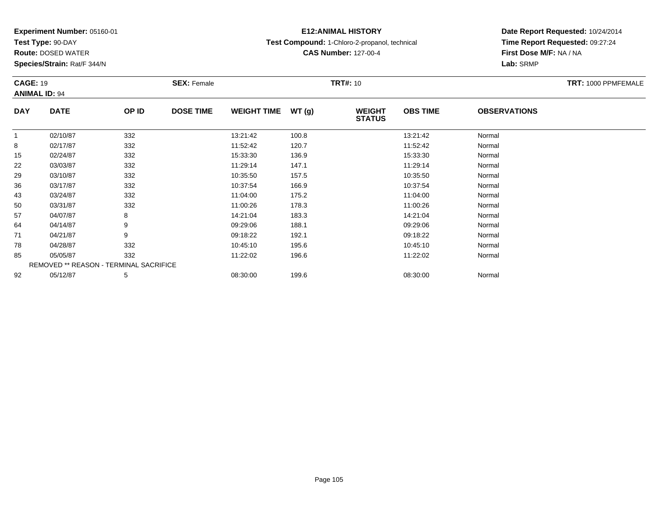**Test Type:** 90-DAY

**Route:** DOSED WATER

**Species/Strain:** Rat/F 344/N

# **E12:ANIMAL HISTORY**

**Test Compound:** 1-Chloro-2-propanol, technical

**CAS Number:** 127-00-4

| <b>CAGE: 19</b> | <b>ANIMAL ID: 94</b>                          |       | <b>SEX: Female</b> |                    |        | <b>TRT#: 10</b>                |                 |                     | TRT: 1000 PPMFEMALE |
|-----------------|-----------------------------------------------|-------|--------------------|--------------------|--------|--------------------------------|-----------------|---------------------|---------------------|
| <b>DAY</b>      | <b>DATE</b>                                   | OP ID | <b>DOSE TIME</b>   | <b>WEIGHT TIME</b> | WT (g) | <b>WEIGHT</b><br><b>STATUS</b> | <b>OBS TIME</b> | <b>OBSERVATIONS</b> |                     |
| $\mathbf{1}$    | 02/10/87                                      | 332   |                    | 13:21:42           | 100.8  |                                | 13:21:42        | Normal              |                     |
| 8               | 02/17/87                                      | 332   |                    | 11:52:42           | 120.7  |                                | 11:52:42        | Normal              |                     |
| 15              | 02/24/87                                      | 332   |                    | 15:33:30           | 136.9  |                                | 15:33:30        | Normal              |                     |
| 22              | 03/03/87                                      | 332   |                    | 11:29:14           | 147.1  |                                | 11:29:14        | Normal              |                     |
| 29              | 03/10/87                                      | 332   |                    | 10:35:50           | 157.5  |                                | 10:35:50        | Normal              |                     |
| 36              | 03/17/87                                      | 332   |                    | 10:37:54           | 166.9  |                                | 10:37:54        | Normal              |                     |
| 43              | 03/24/87                                      | 332   |                    | 11:04:00           | 175.2  |                                | 11:04:00        | Normal              |                     |
| 50              | 03/31/87                                      | 332   |                    | 11:00:26           | 178.3  |                                | 11:00:26        | Normal              |                     |
| 57              | 04/07/87                                      | 8     |                    | 14:21:04           | 183.3  |                                | 14:21:04        | Normal              |                     |
| 64              | 04/14/87                                      | 9     |                    | 09:29:06           | 188.1  |                                | 09:29:06        | Normal              |                     |
| 71              | 04/21/87                                      | 9     |                    | 09:18:22           | 192.1  |                                | 09:18:22        | Normal              |                     |
| 78              | 04/28/87                                      | 332   |                    | 10:45:10           | 195.6  |                                | 10:45:10        | Normal              |                     |
| 85              | 05/05/87                                      | 332   |                    | 11:22:02           | 196.6  |                                | 11:22:02        | Normal              |                     |
|                 | <b>REMOVED ** REASON - TERMINAL SACRIFICE</b> |       |                    |                    |        |                                |                 |                     |                     |
| 92              | 05/12/87                                      | 5     |                    | 08:30:00           | 199.6  |                                | 08:30:00        | Normal              |                     |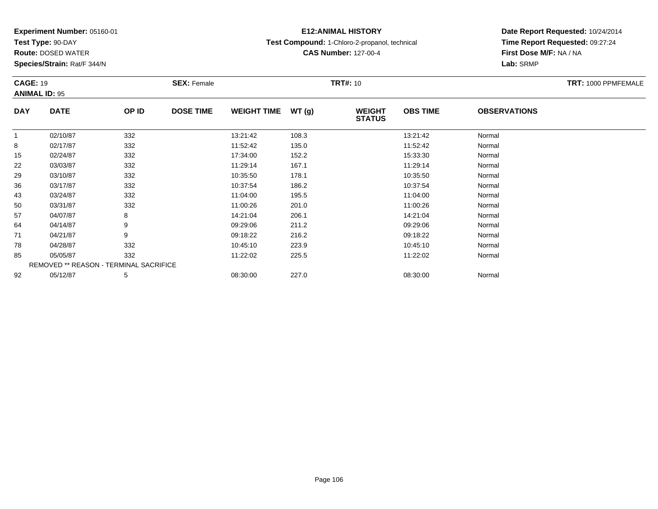**Test Type:** 90-DAY

**Route:** DOSED WATER

**Species/Strain:** Rat/F 344/N

# **E12:ANIMAL HISTORY**

**Test Compound:** 1-Chloro-2-propanol, technical

**CAS Number:** 127-00-4

| <b>CAGE: 19</b> |                                               |       | <b>SEX: Female</b> |                    |       | <b>TRT#: 10</b>                |                 |                     | TRT: 1000 PPMFEMALE |
|-----------------|-----------------------------------------------|-------|--------------------|--------------------|-------|--------------------------------|-----------------|---------------------|---------------------|
|                 | <b>ANIMAL ID: 95</b>                          |       |                    |                    |       |                                |                 |                     |                     |
| <b>DAY</b>      | <b>DATE</b>                                   | OP ID | <b>DOSE TIME</b>   | <b>WEIGHT TIME</b> | WT(g) | <b>WEIGHT</b><br><b>STATUS</b> | <b>OBS TIME</b> | <b>OBSERVATIONS</b> |                     |
| $\mathbf{1}$    | 02/10/87                                      | 332   |                    | 13:21:42           | 108.3 |                                | 13:21:42        | Normal              |                     |
| 8               | 02/17/87                                      | 332   |                    | 11:52:42           | 135.0 |                                | 11:52:42        | Normal              |                     |
| 15              | 02/24/87                                      | 332   |                    | 17:34:00           | 152.2 |                                | 15:33:30        | Normal              |                     |
| 22              | 03/03/87                                      | 332   |                    | 11:29:14           | 167.1 |                                | 11:29:14        | Normal              |                     |
| 29              | 03/10/87                                      | 332   |                    | 10:35:50           | 178.1 |                                | 10:35:50        | Normal              |                     |
| 36              | 03/17/87                                      | 332   |                    | 10:37:54           | 186.2 |                                | 10:37:54        | Normal              |                     |
| 43              | 03/24/87                                      | 332   |                    | 11:04:00           | 195.5 |                                | 11:04:00        | Normal              |                     |
| 50              | 03/31/87                                      | 332   |                    | 11:00:26           | 201.0 |                                | 11:00:26        | Normal              |                     |
| 57              | 04/07/87                                      | 8     |                    | 14:21:04           | 206.1 |                                | 14:21:04        | Normal              |                     |
| 64              | 04/14/87                                      | 9     |                    | 09:29:06           | 211.2 |                                | 09:29:06        | Normal              |                     |
| 71              | 04/21/87                                      | 9     |                    | 09:18:22           | 216.2 |                                | 09:18:22        | Normal              |                     |
| 78              | 04/28/87                                      | 332   |                    | 10:45:10           | 223.9 |                                | 10:45:10        | Normal              |                     |
| 85              | 05/05/87                                      | 332   |                    | 11:22:02           | 225.5 |                                | 11:22:02        | Normal              |                     |
|                 | <b>REMOVED ** REASON - TERMINAL SACRIFICE</b> |       |                    |                    |       |                                |                 |                     |                     |
| 92              | 05/12/87                                      | 5     |                    | 08:30:00           | 227.0 |                                | 08:30:00        | Normal              |                     |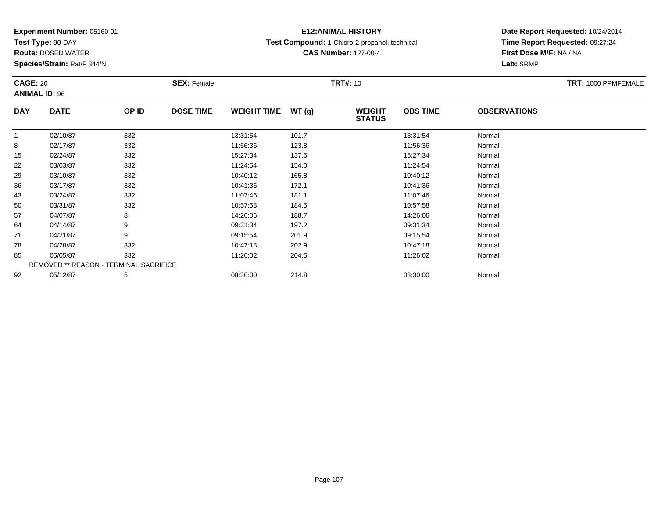**Test Type:** 90-DAY

**Route:** DOSED WATER

**Species/Strain:** Rat/F 344/N

# **E12:ANIMAL HISTORY**

**Test Compound:** 1-Chloro-2-propanol, technical

**CAS Number:** 127-00-4

| <b>CAGE: 20</b> |                                        |       | <b>SEX: Female</b> |                    |       | <b>TRT#: 10</b>                |                 |                     | TRT: 1000 PPMFEMALE |
|-----------------|----------------------------------------|-------|--------------------|--------------------|-------|--------------------------------|-----------------|---------------------|---------------------|
|                 | <b>ANIMAL ID: 96</b>                   |       |                    |                    |       |                                |                 |                     |                     |
| <b>DAY</b>      | <b>DATE</b>                            | OP ID | <b>DOSE TIME</b>   | <b>WEIGHT TIME</b> | WT(g) | <b>WEIGHT</b><br><b>STATUS</b> | <b>OBS TIME</b> | <b>OBSERVATIONS</b> |                     |
| $\mathbf 1$     | 02/10/87                               | 332   |                    | 13:31:54           | 101.7 |                                | 13:31:54        | Normal              |                     |
| 8               | 02/17/87                               | 332   |                    | 11:56:36           | 123.8 |                                | 11:56:36        | Normal              |                     |
| 15              | 02/24/87                               | 332   |                    | 15:27:34           | 137.6 |                                | 15:27:34        | Normal              |                     |
| 22              | 03/03/87                               | 332   |                    | 11:24:54           | 154.0 |                                | 11:24:54        | Normal              |                     |
| 29              | 03/10/87                               | 332   |                    | 10:40:12           | 165.8 |                                | 10:40:12        | Normal              |                     |
| 36              | 03/17/87                               | 332   |                    | 10:41:36           | 172.1 |                                | 10:41:36        | Normal              |                     |
| 43              | 03/24/87                               | 332   |                    | 11:07:46           | 181.1 |                                | 11:07:46        | Normal              |                     |
| 50              | 03/31/87                               | 332   |                    | 10:57:58           | 184.5 |                                | 10:57:58        | Normal              |                     |
| 57              | 04/07/87                               | 8     |                    | 14:26:06           | 188.7 |                                | 14:26:06        | Normal              |                     |
| 64              | 04/14/87                               | 9     |                    | 09:31:34           | 197.2 |                                | 09:31:34        | Normal              |                     |
| 71              | 04/21/87                               | 9     |                    | 09:15:54           | 201.9 |                                | 09:15:54        | Normal              |                     |
| 78              | 04/28/87                               | 332   |                    | 10:47:18           | 202.9 |                                | 10:47:18        | Normal              |                     |
| 85              | 05/05/87                               | 332   |                    | 11:26:02           | 204.5 |                                | 11:26:02        | Normal              |                     |
|                 | REMOVED ** REASON - TERMINAL SACRIFICE |       |                    |                    |       |                                |                 |                     |                     |
| 92              | 05/12/87                               | 5     |                    | 08:30:00           | 214.8 |                                | 08:30:00        | Normal              |                     |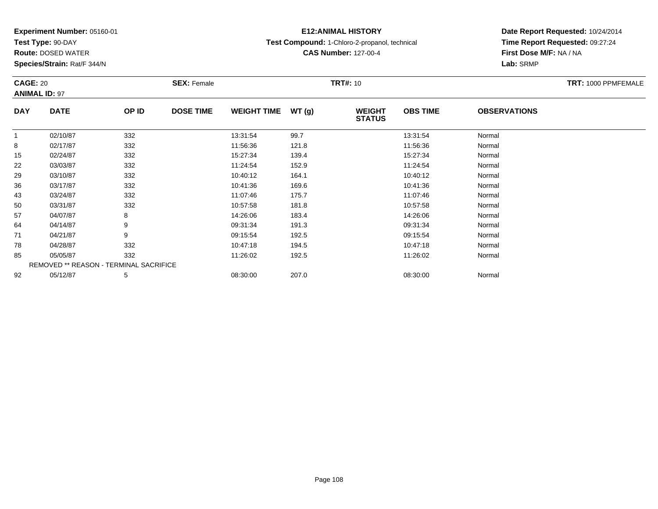**Test Type:** 90-DAY

**Route:** DOSED WATER

**Species/Strain:** Rat/F 344/N

# **E12:ANIMAL HISTORY**

**Test Compound:** 1-Chloro-2-propanol, technical

**CAS Number:** 127-00-4

| <b>CAGE: 20</b> | <b>ANIMAL ID: 97</b>                   |       | <b>SEX: Female</b> |                     |       | <b>TRT#:</b> 10                |                 |                     | TRT: 1000 PPMFEMALE |
|-----------------|----------------------------------------|-------|--------------------|---------------------|-------|--------------------------------|-----------------|---------------------|---------------------|
| <b>DAY</b>      | <b>DATE</b>                            | OP ID | <b>DOSE TIME</b>   | WEIGHT TIME $WT(g)$ |       | <b>WEIGHT</b><br><b>STATUS</b> | <b>OBS TIME</b> | <b>OBSERVATIONS</b> |                     |
| $\mathbf{1}$    | 02/10/87                               | 332   |                    | 13:31:54            | 99.7  |                                | 13:31:54        | Normal              |                     |
| 8               | 02/17/87                               | 332   |                    | 11:56:36            | 121.8 |                                | 11:56:36        | Normal              |                     |
| 15              | 02/24/87                               | 332   |                    | 15:27:34            | 139.4 |                                | 15:27:34        | Normal              |                     |
| 22              | 03/03/87                               | 332   |                    | 11:24:54            | 152.9 |                                | 11:24:54        | Normal              |                     |
| 29              | 03/10/87                               | 332   |                    | 10:40:12            | 164.1 |                                | 10:40:12        | Normal              |                     |
| 36              | 03/17/87                               | 332   |                    | 10:41:36            | 169.6 |                                | 10:41:36        | Normal              |                     |
| 43              | 03/24/87                               | 332   |                    | 11:07:46            | 175.7 |                                | 11:07:46        | Normal              |                     |
| 50              | 03/31/87                               | 332   |                    | 10:57:58            | 181.8 |                                | 10:57:58        | Normal              |                     |
| 57              | 04/07/87                               | 8     |                    | 14:26:06            | 183.4 |                                | 14:26:06        | Normal              |                     |
| 64              | 04/14/87                               | 9     |                    | 09:31:34            | 191.3 |                                | 09:31:34        | Normal              |                     |
| 71              | 04/21/87                               | 9     |                    | 09:15:54            | 192.5 |                                | 09:15:54        | Normal              |                     |
| 78              | 04/28/87                               | 332   |                    | 10:47:18            | 194.5 |                                | 10:47:18        | Normal              |                     |
| 85              | 05/05/87                               | 332   |                    | 11:26:02            | 192.5 |                                | 11:26:02        | Normal              |                     |
|                 | REMOVED ** REASON - TERMINAL SACRIFICE |       |                    |                     |       |                                |                 |                     |                     |
| 92              | 05/12/87                               | 5     |                    | 08:30:00            | 207.0 |                                | 08:30:00        | Normal              |                     |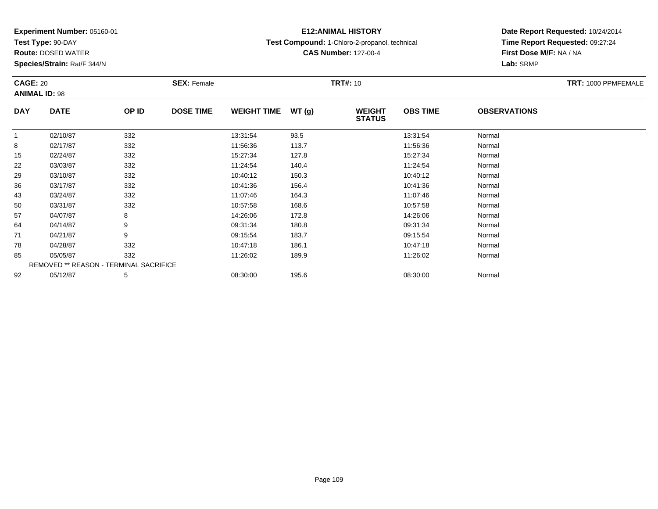**Test Type:** 90-DAY

**Route:** DOSED WATER

**Species/Strain:** Rat/F 344/N

# **E12:ANIMAL HISTORY**

**Test Compound:** 1-Chloro-2-propanol, technical

**CAS Number:** 127-00-4

| <b>CAGE: 20</b> |                                        |       | <b>SEX: Female</b> |                    |       | <b>TRT#: 10</b>                |                 |                     | TRT: 1000 PPMFEMALE |
|-----------------|----------------------------------------|-------|--------------------|--------------------|-------|--------------------------------|-----------------|---------------------|---------------------|
|                 | <b>ANIMAL ID: 98</b>                   |       |                    |                    |       |                                |                 |                     |                     |
| <b>DAY</b>      | <b>DATE</b>                            | OP ID | <b>DOSE TIME</b>   | <b>WEIGHT TIME</b> | WT(g) | <b>WEIGHT</b><br><b>STATUS</b> | <b>OBS TIME</b> | <b>OBSERVATIONS</b> |                     |
| 1               | 02/10/87                               | 332   |                    | 13:31:54           | 93.5  |                                | 13:31:54        | Normal              |                     |
| 8               | 02/17/87                               | 332   |                    | 11:56:36           | 113.7 |                                | 11:56:36        | Normal              |                     |
| 15              | 02/24/87                               | 332   |                    | 15:27:34           | 127.8 |                                | 15:27:34        | Normal              |                     |
| 22              | 03/03/87                               | 332   |                    | 11:24:54           | 140.4 |                                | 11:24:54        | Normal              |                     |
| 29              | 03/10/87                               | 332   |                    | 10:40:12           | 150.3 |                                | 10:40:12        | Normal              |                     |
| 36              | 03/17/87                               | 332   |                    | 10:41:36           | 156.4 |                                | 10:41:36        | Normal              |                     |
| 43              | 03/24/87                               | 332   |                    | 11:07:46           | 164.3 |                                | 11:07:46        | Normal              |                     |
| 50              | 03/31/87                               | 332   |                    | 10:57:58           | 168.6 |                                | 10:57:58        | Normal              |                     |
| 57              | 04/07/87                               | 8     |                    | 14:26:06           | 172.8 |                                | 14:26:06        | Normal              |                     |
| 64              | 04/14/87                               | 9     |                    | 09:31:34           | 180.8 |                                | 09:31:34        | Normal              |                     |
| 71              | 04/21/87                               | 9     |                    | 09:15:54           | 183.7 |                                | 09:15:54        | Normal              |                     |
| 78              | 04/28/87                               | 332   |                    | 10:47:18           | 186.1 |                                | 10:47:18        | Normal              |                     |
| 85              | 05/05/87                               | 332   |                    | 11:26:02           | 189.9 |                                | 11:26:02        | Normal              |                     |
|                 | REMOVED ** REASON - TERMINAL SACRIFICE |       |                    |                    |       |                                |                 |                     |                     |
| 92              | 05/12/87                               | 5     |                    | 08:30:00           | 195.6 |                                | 08:30:00        | Normal              |                     |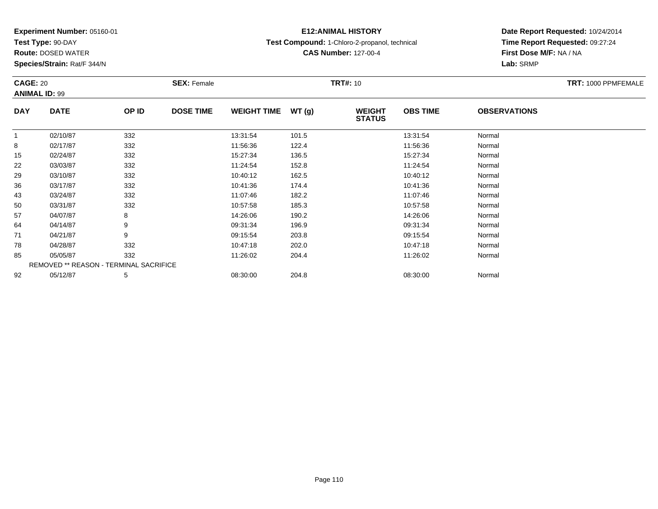**Test Type:** 90-DAY

**Route:** DOSED WATER

**Species/Strain:** Rat/F 344/N

# **E12:ANIMAL HISTORY**

**Test Compound:** 1-Chloro-2-propanol, technical

**CAS Number:** 127-00-4

| <b>CAGE: 20</b> |                                        |       | <b>SEX: Female</b> |                    |       | <b>TRT#: 10</b>                |                 |                     | TRT: 1000 PPMFEMALE |
|-----------------|----------------------------------------|-------|--------------------|--------------------|-------|--------------------------------|-----------------|---------------------|---------------------|
|                 | <b>ANIMAL ID: 99</b>                   |       |                    |                    |       |                                |                 |                     |                     |
| <b>DAY</b>      | <b>DATE</b>                            | OP ID | <b>DOSE TIME</b>   | <b>WEIGHT TIME</b> | WT(g) | <b>WEIGHT</b><br><b>STATUS</b> | <b>OBS TIME</b> | <b>OBSERVATIONS</b> |                     |
|                 | 02/10/87                               | 332   |                    | 13:31:54           | 101.5 |                                | 13:31:54        | Normal              |                     |
| 8               | 02/17/87                               | 332   |                    | 11:56:36           | 122.4 |                                | 11:56:36        | Normal              |                     |
| 15              | 02/24/87                               | 332   |                    | 15:27:34           | 136.5 |                                | 15:27:34        | Normal              |                     |
| 22              | 03/03/87                               | 332   |                    | 11:24:54           | 152.8 |                                | 11:24:54        | Normal              |                     |
| 29              | 03/10/87                               | 332   |                    | 10:40:12           | 162.5 |                                | 10:40:12        | Normal              |                     |
| 36              | 03/17/87                               | 332   |                    | 10:41:36           | 174.4 |                                | 10:41:36        | Normal              |                     |
| 43              | 03/24/87                               | 332   |                    | 11:07:46           | 182.2 |                                | 11:07:46        | Normal              |                     |
| 50              | 03/31/87                               | 332   |                    | 10:57:58           | 185.3 |                                | 10:57:58        | Normal              |                     |
| 57              | 04/07/87                               | 8     |                    | 14:26:06           | 190.2 |                                | 14:26:06        | Normal              |                     |
| 64              | 04/14/87                               | 9     |                    | 09:31:34           | 196.9 |                                | 09:31:34        | Normal              |                     |
| 71              | 04/21/87                               | 9     |                    | 09:15:54           | 203.8 |                                | 09:15:54        | Normal              |                     |
| 78              | 04/28/87                               | 332   |                    | 10:47:18           | 202.0 |                                | 10:47:18        | Normal              |                     |
| 85              | 05/05/87                               | 332   |                    | 11:26:02           | 204.4 |                                | 11:26:02        | Normal              |                     |
|                 | REMOVED ** REASON - TERMINAL SACRIFICE |       |                    |                    |       |                                |                 |                     |                     |
| 92              | 05/12/87                               | 5     |                    | 08:30:00           | 204.8 |                                | 08:30:00        | Normal              |                     |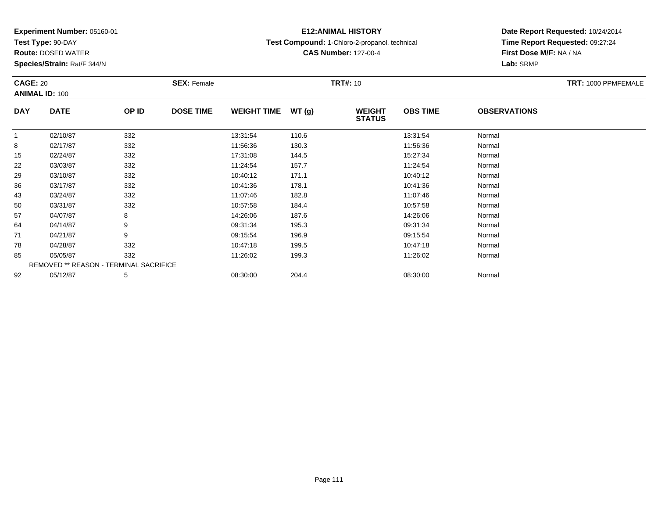**Test Type:** 90-DAY

**Route:** DOSED WATER

**Species/Strain:** Rat/F 344/N

# **E12:ANIMAL HISTORY**

**Test Compound:** 1-Chloro-2-propanol, technical

**CAS Number:** 127-00-4

| <b>CAGE: 20</b> |                                               |       | <b>SEX: Female</b> |                    |       | <b>TRT#: 10</b>                |                 |                     | TRT: 1000 PPMFEMALE |
|-----------------|-----------------------------------------------|-------|--------------------|--------------------|-------|--------------------------------|-----------------|---------------------|---------------------|
|                 | <b>ANIMAL ID: 100</b>                         |       |                    |                    |       |                                |                 |                     |                     |
| <b>DAY</b>      | <b>DATE</b>                                   | OP ID | <b>DOSE TIME</b>   | <b>WEIGHT TIME</b> | WT(g) | <b>WEIGHT</b><br><b>STATUS</b> | <b>OBS TIME</b> | <b>OBSERVATIONS</b> |                     |
|                 | 02/10/87                                      | 332   |                    | 13:31:54           | 110.6 |                                | 13:31:54        | Normal              |                     |
| 8               | 02/17/87                                      | 332   |                    | 11:56:36           | 130.3 |                                | 11:56:36        | Normal              |                     |
| 15              | 02/24/87                                      | 332   |                    | 17:31:08           | 144.5 |                                | 15:27:34        | Normal              |                     |
| 22              | 03/03/87                                      | 332   |                    | 11:24:54           | 157.7 |                                | 11:24:54        | Normal              |                     |
| 29              | 03/10/87                                      | 332   |                    | 10:40:12           | 171.1 |                                | 10:40:12        | Normal              |                     |
| 36              | 03/17/87                                      | 332   |                    | 10:41:36           | 178.1 |                                | 10:41:36        | Normal              |                     |
| 43              | 03/24/87                                      | 332   |                    | 11:07:46           | 182.8 |                                | 11:07:46        | Normal              |                     |
| 50              | 03/31/87                                      | 332   |                    | 10:57:58           | 184.4 |                                | 10:57:58        | Normal              |                     |
| 57              | 04/07/87                                      | 8     |                    | 14:26:06           | 187.6 |                                | 14:26:06        | Normal              |                     |
| 64              | 04/14/87                                      | 9     |                    | 09:31:34           | 195.3 |                                | 09:31:34        | Normal              |                     |
| 71              | 04/21/87                                      | 9     |                    | 09:15:54           | 196.9 |                                | 09:15:54        | Normal              |                     |
| 78              | 04/28/87                                      | 332   |                    | 10:47:18           | 199.5 |                                | 10:47:18        | Normal              |                     |
| 85              | 05/05/87                                      | 332   |                    | 11:26:02           | 199.3 |                                | 11:26:02        | Normal              |                     |
|                 | <b>REMOVED ** REASON - TERMINAL SACRIFICE</b> |       |                    |                    |       |                                |                 |                     |                     |
| 92              | 05/12/87                                      | 5     |                    | 08:30:00           | 204.4 |                                | 08:30:00        | Normal              |                     |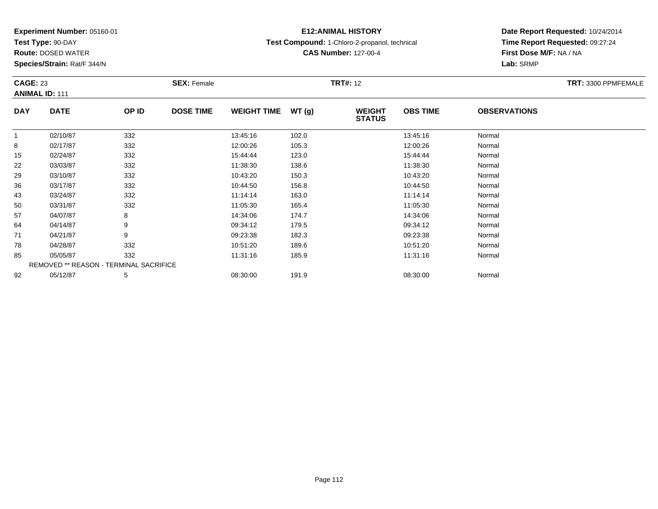**Test Type:** 90-DAY

**Route:** DOSED WATER

**Species/Strain:** Rat/F 344/N

# **E12:ANIMAL HISTORY**

**Test Compound:** 1-Chloro-2-propanol, technical

**CAS Number:** 127-00-4

| <b>CAGE: 23</b> | <b>ANIMAL ID: 111</b>                  |       | <b>SEX: Female</b> |                    |       | <b>TRT#: 12</b>                |                 |                     | TRT: 3300 PPMFEMALE |
|-----------------|----------------------------------------|-------|--------------------|--------------------|-------|--------------------------------|-----------------|---------------------|---------------------|
| <b>DAY</b>      | <b>DATE</b>                            | OP ID | <b>DOSE TIME</b>   | <b>WEIGHT TIME</b> | WT(g) | <b>WEIGHT</b><br><b>STATUS</b> | <b>OBS TIME</b> | <b>OBSERVATIONS</b> |                     |
| 1               | 02/10/87                               | 332   |                    | 13:45:16           | 102.0 |                                | 13:45:16        | Normal              |                     |
| 8               | 02/17/87                               | 332   |                    | 12:00:26           | 105.3 |                                | 12:00:26        | Normal              |                     |
| 15              | 02/24/87                               | 332   |                    | 15:44:44           | 123.0 |                                | 15:44:44        | Normal              |                     |
| 22              | 03/03/87                               | 332   |                    | 11:38:30           | 138.6 |                                | 11:38:30        | Normal              |                     |
| 29              | 03/10/87                               | 332   |                    | 10:43:20           | 150.3 |                                | 10:43:20        | Normal              |                     |
| 36              | 03/17/87                               | 332   |                    | 10:44:50           | 156.8 |                                | 10:44:50        | Normal              |                     |
| 43              | 03/24/87                               | 332   |                    | 11:14:14           | 163.0 |                                | 11:14:14        | Normal              |                     |
| 50              | 03/31/87                               | 332   |                    | 11:05:30           | 165.4 |                                | 11:05:30        | Normal              |                     |
| 57              | 04/07/87                               | 8     |                    | 14:34:06           | 174.7 |                                | 14:34:06        | Normal              |                     |
| 64              | 04/14/87                               | 9     |                    | 09:34:12           | 179.5 |                                | 09:34:12        | Normal              |                     |
| 71              | 04/21/87                               | 9     |                    | 09:23:38           | 182.3 |                                | 09:23:38        | Normal              |                     |
| 78              | 04/28/87                               | 332   |                    | 10:51:20           | 189.6 |                                | 10:51:20        | Normal              |                     |
| 85              | 05/05/87                               | 332   |                    | 11:31:16           | 185.9 |                                | 11:31:16        | Normal              |                     |
|                 | REMOVED ** REASON - TERMINAL SACRIFICE |       |                    |                    |       |                                |                 |                     |                     |
| 92              | 05/12/87                               | 5     |                    | 08:30:00           | 191.9 |                                | 08:30:00        | Normal              |                     |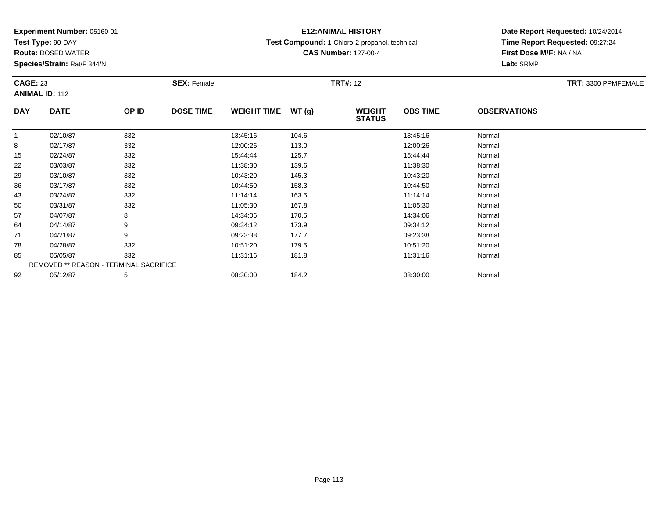**Test Type:** 90-DAY

**Route:** DOSED WATER

**Species/Strain:** Rat/F 344/N

# **E12:ANIMAL HISTORY**

**Test Compound:** 1-Chloro-2-propanol, technical

**CAS Number:** 127-00-4

| <b>CAGE: 23</b> | <b>ANIMAL ID: 112</b> |                                        | <b>SEX: Female</b> |                    |       | <b>TRT#: 12</b>                |                 |                     | TRT: 3300 PPMFEMALE |
|-----------------|-----------------------|----------------------------------------|--------------------|--------------------|-------|--------------------------------|-----------------|---------------------|---------------------|
| <b>DAY</b>      | <b>DATE</b>           | OP ID                                  | <b>DOSE TIME</b>   | <b>WEIGHT TIME</b> | WT(g) | <b>WEIGHT</b><br><b>STATUS</b> | <b>OBS TIME</b> | <b>OBSERVATIONS</b> |                     |
| $\mathbf{1}$    | 02/10/87              | 332                                    |                    | 13:45:16           | 104.6 |                                | 13:45:16        | Normal              |                     |
| 8               | 02/17/87              | 332                                    |                    | 12:00:26           | 113.0 |                                | 12:00:26        | Normal              |                     |
| 15              | 02/24/87              | 332                                    |                    | 15:44:44           | 125.7 |                                | 15:44:44        | Normal              |                     |
| 22              | 03/03/87              | 332                                    |                    | 11:38:30           | 139.6 |                                | 11:38:30        | Normal              |                     |
| 29              | 03/10/87              | 332                                    |                    | 10:43:20           | 145.3 |                                | 10:43:20        | Normal              |                     |
| 36              | 03/17/87              | 332                                    |                    | 10:44:50           | 158.3 |                                | 10:44:50        | Normal              |                     |
| 43              | 03/24/87              | 332                                    |                    | 11:14:14           | 163.5 |                                | 11:14:14        | Normal              |                     |
| 50              | 03/31/87              | 332                                    |                    | 11:05:30           | 167.8 |                                | 11:05:30        | Normal              |                     |
| 57              | 04/07/87              | 8                                      |                    | 14:34:06           | 170.5 |                                | 14:34:06        | Normal              |                     |
| 64              | 04/14/87              | 9                                      |                    | 09:34:12           | 173.9 |                                | 09:34:12        | Normal              |                     |
| 71              | 04/21/87              | 9                                      |                    | 09:23:38           | 177.7 |                                | 09:23:38        | Normal              |                     |
| 78              | 04/28/87              | 332                                    |                    | 10:51:20           | 179.5 |                                | 10:51:20        | Normal              |                     |
| 85              | 05/05/87              | 332                                    |                    | 11:31:16           | 181.8 |                                | 11:31:16        | Normal              |                     |
|                 |                       | REMOVED ** REASON - TERMINAL SACRIFICE |                    |                    |       |                                |                 |                     |                     |
| 92              | 05/12/87              | 5                                      |                    | 08:30:00           | 184.2 |                                | 08:30:00        | Normal              |                     |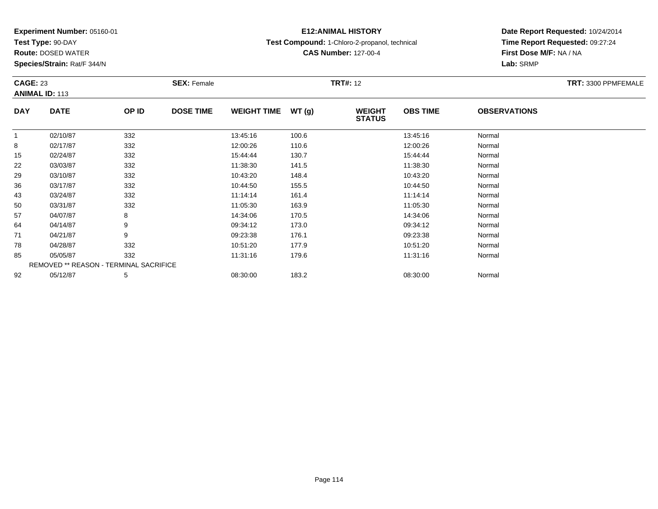**Test Type:** 90-DAY

**Route:** DOSED WATER

**Species/Strain:** Rat/F 344/N

## **E12:ANIMAL HISTORY**

**Test Compound:** 1-Chloro-2-propanol, technical

**CAS Number:** 127-00-4

| <b>CAGE: 23</b> | <b>ANIMAL ID: 113</b>                  |       | <b>SEX: Female</b> |                    |       | <b>TRT#: 12</b>                |                 |                     | TRT: 3300 PPMFEMALE |
|-----------------|----------------------------------------|-------|--------------------|--------------------|-------|--------------------------------|-----------------|---------------------|---------------------|
| <b>DAY</b>      | <b>DATE</b>                            | OP ID | <b>DOSE TIME</b>   | <b>WEIGHT TIME</b> | WT(g) | <b>WEIGHT</b><br><b>STATUS</b> | <b>OBS TIME</b> | <b>OBSERVATIONS</b> |                     |
|                 | 02/10/87                               | 332   |                    | 13:45:16           | 100.6 |                                | 13:45:16        | Normal              |                     |
| 8               | 02/17/87                               | 332   |                    | 12:00:26           | 110.6 |                                | 12:00:26        | Normal              |                     |
| 15              | 02/24/87                               | 332   |                    | 15:44:44           | 130.7 |                                | 15:44:44        | Normal              |                     |
| 22              | 03/03/87                               | 332   |                    | 11:38:30           | 141.5 |                                | 11:38:30        | Normal              |                     |
| 29              | 03/10/87                               | 332   |                    | 10:43:20           | 148.4 |                                | 10:43:20        | Normal              |                     |
| 36              | 03/17/87                               | 332   |                    | 10:44:50           | 155.5 |                                | 10:44:50        | Normal              |                     |
| 43              | 03/24/87                               | 332   |                    | 11:14:14           | 161.4 |                                | 11:14:14        | Normal              |                     |
| 50              | 03/31/87                               | 332   |                    | 11:05:30           | 163.9 |                                | 11:05:30        | Normal              |                     |
| 57              | 04/07/87                               | 8     |                    | 14:34:06           | 170.5 |                                | 14:34:06        | Normal              |                     |
| 64              | 04/14/87                               | 9     |                    | 09:34:12           | 173.0 |                                | 09:34:12        | Normal              |                     |
| 71              | 04/21/87                               | 9     |                    | 09:23:38           | 176.1 |                                | 09:23:38        | Normal              |                     |
| 78              | 04/28/87                               | 332   |                    | 10:51:20           | 177.9 |                                | 10:51:20        | Normal              |                     |
| 85              | 05/05/87                               | 332   |                    | 11:31:16           | 179.6 |                                | 11:31:16        | Normal              |                     |
|                 | REMOVED ** REASON - TERMINAL SACRIFICE |       |                    |                    |       |                                |                 |                     |                     |
| 92              | 05/12/87                               | 5     |                    | 08:30:00           | 183.2 |                                | 08:30:00        | Normal              |                     |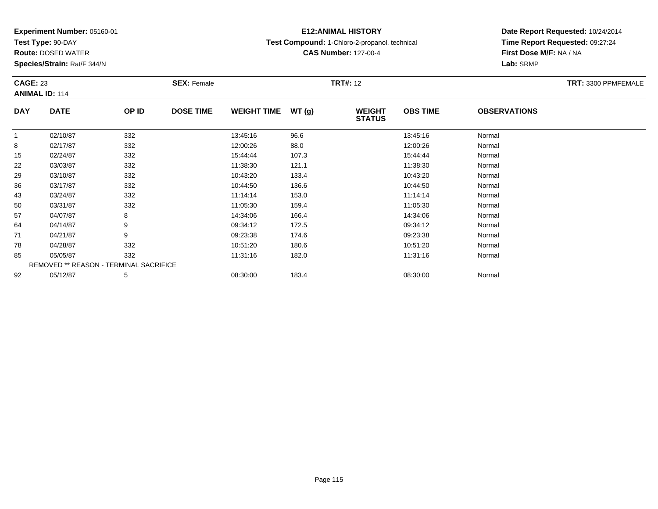**Test Type:** 90-DAY

**Route:** DOSED WATER

**Species/Strain:** Rat/F 344/N

# **E12:ANIMAL HISTORY**

**Test Compound:** 1-Chloro-2-propanol, technical

**CAS Number:** 127-00-4

| <b>CAGE: 23</b> | <b>ANIMAL ID: 114</b> |                                               | <b>SEX: Female</b> |                    |        | <b>TRT#: 12</b>                |                 |                     | TRT: 3300 PPMFEMALE |
|-----------------|-----------------------|-----------------------------------------------|--------------------|--------------------|--------|--------------------------------|-----------------|---------------------|---------------------|
| <b>DAY</b>      | <b>DATE</b>           | OP ID                                         | <b>DOSE TIME</b>   | <b>WEIGHT TIME</b> | WT (g) | <b>WEIGHT</b><br><b>STATUS</b> | <b>OBS TIME</b> | <b>OBSERVATIONS</b> |                     |
| $\mathbf{1}$    | 02/10/87              | 332                                           |                    | 13:45:16           | 96.6   |                                | 13:45:16        | Normal              |                     |
| 8               | 02/17/87              | 332                                           |                    | 12:00:26           | 88.0   |                                | 12:00:26        | Normal              |                     |
| 15              | 02/24/87              | 332                                           |                    | 15:44:44           | 107.3  |                                | 15:44:44        | Normal              |                     |
| 22              | 03/03/87              | 332                                           |                    | 11:38:30           | 121.1  |                                | 11:38:30        | Normal              |                     |
| 29              | 03/10/87              | 332                                           |                    | 10:43:20           | 133.4  |                                | 10:43:20        | Normal              |                     |
| 36              | 03/17/87              | 332                                           |                    | 10:44:50           | 136.6  |                                | 10:44:50        | Normal              |                     |
| 43              | 03/24/87              | 332                                           |                    | 11:14:14           | 153.0  |                                | 11:14:14        | Normal              |                     |
| 50              | 03/31/87              | 332                                           |                    | 11:05:30           | 159.4  |                                | 11:05:30        | Normal              |                     |
| 57              | 04/07/87              | 8                                             |                    | 14:34:06           | 166.4  |                                | 14:34:06        | Normal              |                     |
| 64              | 04/14/87              | 9                                             |                    | 09:34:12           | 172.5  |                                | 09:34:12        | Normal              |                     |
| 71              | 04/21/87              | 9                                             |                    | 09:23:38           | 174.6  |                                | 09:23:38        | Normal              |                     |
| 78              | 04/28/87              | 332                                           |                    | 10:51:20           | 180.6  |                                | 10:51:20        | Normal              |                     |
| 85              | 05/05/87              | 332                                           |                    | 11:31:16           | 182.0  |                                | 11:31:16        | Normal              |                     |
|                 |                       | <b>REMOVED ** REASON - TERMINAL SACRIFICE</b> |                    |                    |        |                                |                 |                     |                     |
| 92              | 05/12/87              | 5                                             |                    | 08:30:00           | 183.4  |                                | 08:30:00        | Normal              |                     |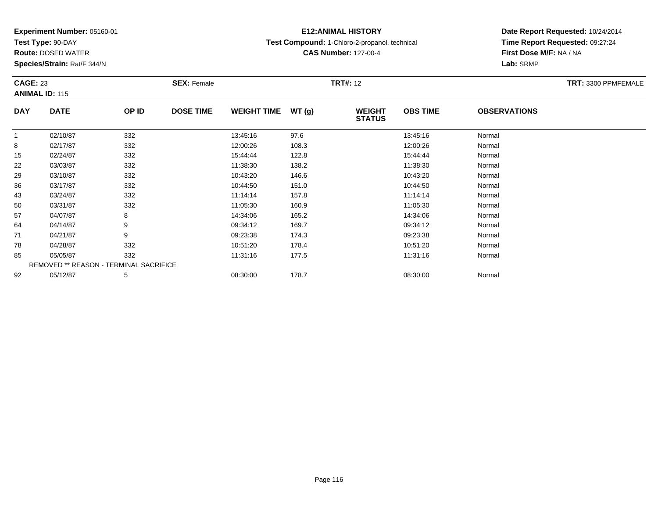**Test Type:** 90-DAY

**Route:** DOSED WATER

**Species/Strain:** Rat/F 344/N

## **E12:ANIMAL HISTORY**

**Test Compound:** 1-Chloro-2-propanol, technical

**CAS Number:** 127-00-4

| <b>CAGE: 23</b> | <b>ANIMAL ID: 115</b>                  |       | <b>SEX: Female</b> |                    |        | <b>TRT#: 12</b>                |                 |                     | TRT: 3300 PPMFEMALE |
|-----------------|----------------------------------------|-------|--------------------|--------------------|--------|--------------------------------|-----------------|---------------------|---------------------|
| <b>DAY</b>      | <b>DATE</b>                            | OP ID | <b>DOSE TIME</b>   | <b>WEIGHT TIME</b> | WT (g) | <b>WEIGHT</b><br><b>STATUS</b> | <b>OBS TIME</b> | <b>OBSERVATIONS</b> |                     |
| $\mathbf 1$     | 02/10/87                               | 332   |                    | 13:45:16           | 97.6   |                                | 13:45:16        | Normal              |                     |
| 8               | 02/17/87                               | 332   |                    | 12:00:26           | 108.3  |                                | 12:00:26        | Normal              |                     |
| 15              | 02/24/87                               | 332   |                    | 15:44:44           | 122.8  |                                | 15:44:44        | Normal              |                     |
| 22              | 03/03/87                               | 332   |                    | 11:38:30           | 138.2  |                                | 11:38:30        | Normal              |                     |
| 29              | 03/10/87                               | 332   |                    | 10:43:20           | 146.6  |                                | 10:43:20        | Normal              |                     |
| 36              | 03/17/87                               | 332   |                    | 10:44:50           | 151.0  |                                | 10:44:50        | Normal              |                     |
| 43              | 03/24/87                               | 332   |                    | 11:14:14           | 157.8  |                                | 11:14:14        | Normal              |                     |
| 50              | 03/31/87                               | 332   |                    | 11:05:30           | 160.9  |                                | 11:05:30        | Normal              |                     |
| 57              | 04/07/87                               | 8     |                    | 14:34:06           | 165.2  |                                | 14:34:06        | Normal              |                     |
| 64              | 04/14/87                               | 9     |                    | 09:34:12           | 169.7  |                                | 09:34:12        | Normal              |                     |
| 71              | 04/21/87                               | 9     |                    | 09:23:38           | 174.3  |                                | 09:23:38        | Normal              |                     |
| 78              | 04/28/87                               | 332   |                    | 10:51:20           | 178.4  |                                | 10:51:20        | Normal              |                     |
| 85              | 05/05/87                               | 332   |                    | 11:31:16           | 177.5  |                                | 11:31:16        | Normal              |                     |
|                 | REMOVED ** REASON - TERMINAL SACRIFICE |       |                    |                    |        |                                |                 |                     |                     |
| 92              | 05/12/87                               | 5     |                    | 08:30:00           | 178.7  |                                | 08:30:00        | Normal              |                     |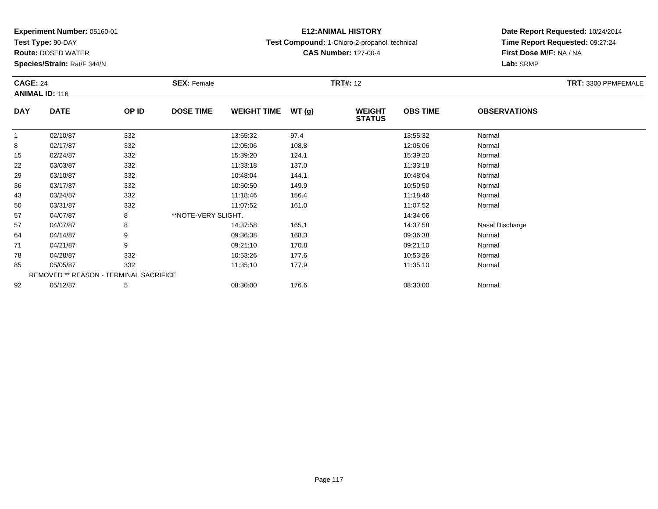**Test Type:** 90-DAY

**Route:** DOSED WATER

**Species/Strain:** Rat/F 344/N

#### **E12:ANIMAL HISTORY**

**Test Compound:** 1-Chloro-2-propanol, technical

**CAS Number:** 127-00-4

|              | <b>CAGE: 24</b><br><b>ANIMAL ID: 116</b> |                                        | <b>SEX: Female</b>  |                    |       | <b>TRT#: 12</b>                | TRT: 3300 PPMFEMALE |                     |  |
|--------------|------------------------------------------|----------------------------------------|---------------------|--------------------|-------|--------------------------------|---------------------|---------------------|--|
| <b>DAY</b>   | <b>DATE</b>                              | OP ID                                  | <b>DOSE TIME</b>    | <b>WEIGHT TIME</b> | WT(g) | <b>WEIGHT</b><br><b>STATUS</b> | <b>OBS TIME</b>     | <b>OBSERVATIONS</b> |  |
| $\mathbf{1}$ | 02/10/87                                 | 332                                    |                     | 13:55:32           | 97.4  |                                | 13:55:32            | Normal              |  |
| 8            | 02/17/87                                 | 332                                    |                     | 12:05:06           | 108.8 |                                | 12:05:06            | Normal              |  |
| 15           | 02/24/87                                 | 332                                    |                     | 15:39:20           | 124.1 |                                | 15:39:20            | Normal              |  |
| 22           | 03/03/87                                 | 332                                    |                     | 11:33:18           | 137.0 |                                | 11:33:18            | Normal              |  |
| 29           | 03/10/87                                 | 332                                    |                     | 10:48:04           | 144.1 |                                | 10:48:04            | Normal              |  |
| 36           | 03/17/87                                 | 332                                    |                     | 10:50:50           | 149.9 |                                | 10:50:50            | Normal              |  |
| 43           | 03/24/87                                 | 332                                    |                     | 11:18:46           | 156.4 |                                | 11:18:46            | Normal              |  |
| 50           | 03/31/87                                 | 332                                    |                     | 11:07:52           | 161.0 |                                | 11:07:52            | Normal              |  |
| 57           | 04/07/87                                 | 8                                      | **NOTE-VERY SLIGHT. |                    |       |                                | 14:34:06            |                     |  |
| 57           | 04/07/87                                 | 8                                      |                     | 14:37:58           | 165.1 |                                | 14:37:58            | Nasal Discharge     |  |
| 64           | 04/14/87                                 | 9                                      |                     | 09:36:38           | 168.3 |                                | 09:36:38            | Normal              |  |
| 71           | 04/21/87                                 | 9                                      |                     | 09:21:10           | 170.8 |                                | 09:21:10            | Normal              |  |
| 78           | 04/28/87                                 | 332                                    |                     | 10:53:26           | 177.6 |                                | 10:53:26            | Normal              |  |
| 85           | 05/05/87                                 | 332                                    |                     | 11:35:10           | 177.9 |                                | 11:35:10            | Normal              |  |
|              |                                          | REMOVED ** REASON - TERMINAL SACRIFICE |                     |                    |       |                                |                     |                     |  |
| 92           | 05/12/87                                 | 5                                      |                     | 08:30:00           | 176.6 |                                | 08:30:00            | Normal              |  |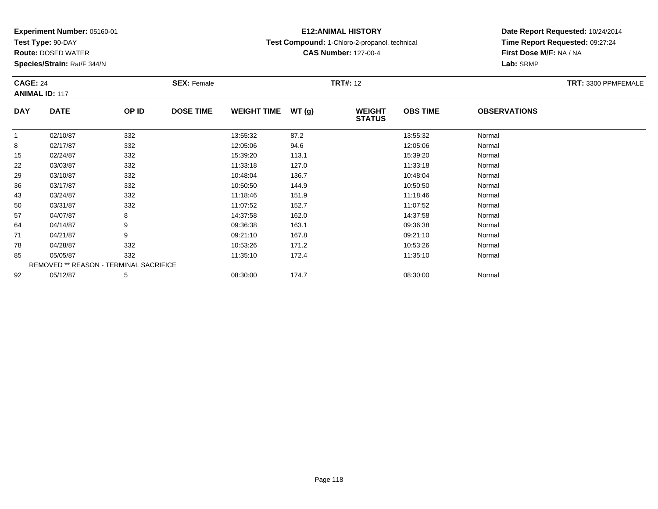**Test Type:** 90-DAY

92

**Route:** DOSED WATER

**Species/Strain:** Rat/F 344/N

# **E12:ANIMAL HISTORY**

**Test Compound:** 1-Chloro-2-propanol, technical

**CAS Number:** 127-00-4

**Date Report Requested:** 10/24/2014**Time Report Requested:** 09:27:24**First Dose M/F:** NA / NA**Lab:** SRMP

| <b>CAGE: 24</b> | <b>ANIMAL ID: 117</b>                         |       | <b>SEX: Female</b> |                    |       | <b>TRT#: 12</b>                |                 |                     | TRT: 3300 PPMFEMALE |
|-----------------|-----------------------------------------------|-------|--------------------|--------------------|-------|--------------------------------|-----------------|---------------------|---------------------|
| <b>DAY</b>      | <b>DATE</b>                                   | OP ID | <b>DOSE TIME</b>   | <b>WEIGHT TIME</b> | WT(g) | <b>WEIGHT</b><br><b>STATUS</b> | <b>OBS TIME</b> | <b>OBSERVATIONS</b> |                     |
| 1               | 02/10/87                                      | 332   |                    | 13:55:32           | 87.2  |                                | 13:55:32        | Normal              |                     |
| 8               | 02/17/87                                      | 332   |                    | 12:05:06           | 94.6  |                                | 12:05:06        | Normal              |                     |
| 15              | 02/24/87                                      | 332   |                    | 15:39:20           | 113.1 |                                | 15:39:20        | Normal              |                     |
| 22              | 03/03/87                                      | 332   |                    | 11:33:18           | 127.0 |                                | 11:33:18        | Normal              |                     |
| 29              | 03/10/87                                      | 332   |                    | 10:48:04           | 136.7 |                                | 10:48:04        | Normal              |                     |
| 36              | 03/17/87                                      | 332   |                    | 10:50:50           | 144.9 |                                | 10:50:50        | Normal              |                     |
| 43              | 03/24/87                                      | 332   |                    | 11:18:46           | 151.9 |                                | 11:18:46        | Normal              |                     |
| 50              | 03/31/87                                      | 332   |                    | 11:07:52           | 152.7 |                                | 11:07:52        | Normal              |                     |
| 57              | 04/07/87                                      | 8     |                    | 14:37:58           | 162.0 |                                | 14:37:58        | Normal              |                     |
| 64              | 04/14/87                                      | 9     |                    | 09:36:38           | 163.1 |                                | 09:36:38        | Normal              |                     |
| 71              | 04/21/87                                      | 9     |                    | 09:21:10           | 167.8 |                                | 09:21:10        | Normal              |                     |
| 78              | 04/28/87                                      | 332   |                    | 10:53:26           | 171.2 |                                | 10:53:26        | Normal              |                     |
| 85              | 05/05/87                                      | 332   |                    | 11:35:10           | 172.4 |                                | 11:35:10        | Normal              |                     |
|                 | <b>REMOVED ** REASON - TERMINAL SACRIFICE</b> |       |                    |                    |       |                                |                 |                     |                     |

2 05/12/87 5 5 08:30:00 174.7 08:30 08:30:00 08:30:00 08:30:00 08:30:00 08:30:00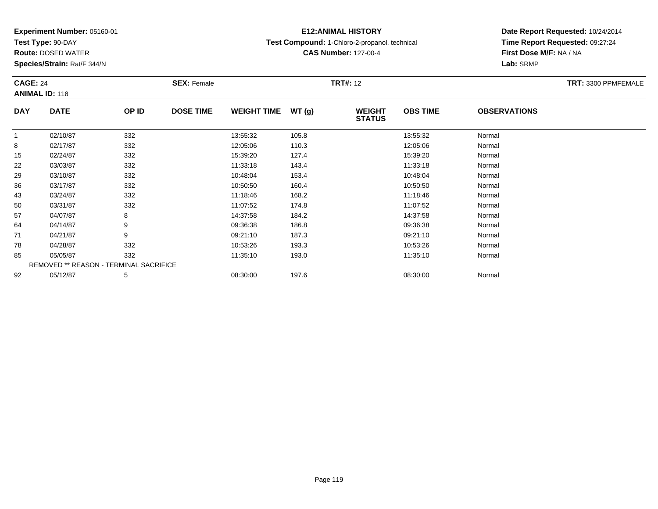**Test Type:** 90-DAY

**Route:** DOSED WATER

**Species/Strain:** Rat/F 344/N

# **E12:ANIMAL HISTORY**

**Test Compound:** 1-Chloro-2-propanol, technical

**CAS Number:** 127-00-4

| <b>CAGE: 24</b> | <b>ANIMAL ID: 118</b>                         |       | <b>SEX: Female</b> |                    |       | <b>TRT#: 12</b>                |                 |                     | TRT: 3300 PPMFEMALE |
|-----------------|-----------------------------------------------|-------|--------------------|--------------------|-------|--------------------------------|-----------------|---------------------|---------------------|
| <b>DAY</b>      | <b>DATE</b>                                   | OP ID | <b>DOSE TIME</b>   | <b>WEIGHT TIME</b> | WT(g) | <b>WEIGHT</b><br><b>STATUS</b> | <b>OBS TIME</b> | <b>OBSERVATIONS</b> |                     |
| 1               | 02/10/87                                      | 332   |                    | 13:55:32           | 105.8 |                                | 13:55:32        | Normal              |                     |
| 8               | 02/17/87                                      | 332   |                    | 12:05:06           | 110.3 |                                | 12:05:06        | Normal              |                     |
| 15              | 02/24/87                                      | 332   |                    | 15:39:20           | 127.4 |                                | 15:39:20        | Normal              |                     |
| 22              | 03/03/87                                      | 332   |                    | 11:33:18           | 143.4 |                                | 11:33:18        | Normal              |                     |
| 29              | 03/10/87                                      | 332   |                    | 10:48:04           | 153.4 |                                | 10:48:04        | Normal              |                     |
| 36              | 03/17/87                                      | 332   |                    | 10:50:50           | 160.4 |                                | 10:50:50        | Normal              |                     |
| 43              | 03/24/87                                      | 332   |                    | 11:18:46           | 168.2 |                                | 11:18:46        | Normal              |                     |
| 50              | 03/31/87                                      | 332   |                    | 11:07:52           | 174.8 |                                | 11:07:52        | Normal              |                     |
| 57              | 04/07/87                                      | 8     |                    | 14:37:58           | 184.2 |                                | 14:37:58        | Normal              |                     |
| 64              | 04/14/87                                      | 9     |                    | 09:36:38           | 186.8 |                                | 09:36:38        | Normal              |                     |
| 71              | 04/21/87                                      | 9     |                    | 09:21:10           | 187.3 |                                | 09:21:10        | Normal              |                     |
| 78              | 04/28/87                                      | 332   |                    | 10:53:26           | 193.3 |                                | 10:53:26        | Normal              |                     |
| 85              | 05/05/87                                      | 332   |                    | 11:35:10           | 193.0 |                                | 11:35:10        | Normal              |                     |
|                 | <b>REMOVED ** REASON - TERMINAL SACRIFICE</b> |       |                    |                    |       |                                |                 |                     |                     |
| 92              | 05/12/87                                      | 5     |                    | 08:30:00           | 197.6 |                                | 08:30:00        | Normal              |                     |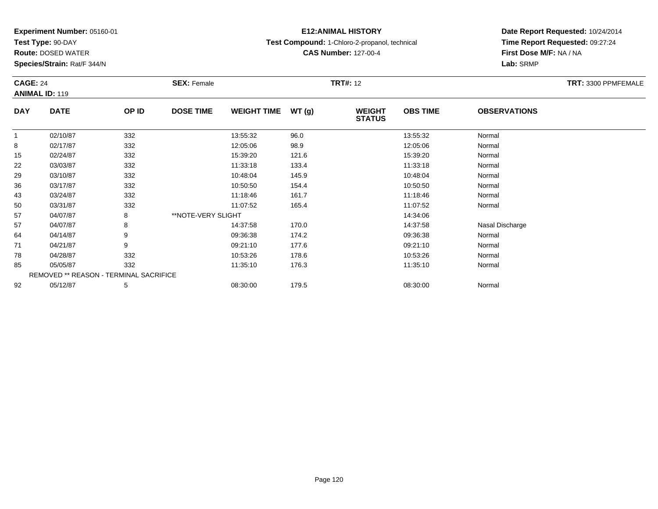**Test Type:** 90-DAY

**Route:** DOSED WATER

**Species/Strain:** Rat/F 344/N

### **E12:ANIMAL HISTORY**

**Test Compound:** 1-Chloro-2-propanol, technical

**CAS Number:** 127-00-4

|             | <b>CAGE: 24</b><br><b>ANIMAL ID: 119</b> |                                        | <b>SEX: Female</b> |                    |       | <b>TRT#:</b> 12                | TRT: 3300 PPMFEMALE |                     |  |
|-------------|------------------------------------------|----------------------------------------|--------------------|--------------------|-------|--------------------------------|---------------------|---------------------|--|
| <b>DAY</b>  | <b>DATE</b>                              | OP ID                                  | <b>DOSE TIME</b>   | <b>WEIGHT TIME</b> | WT(g) | <b>WEIGHT</b><br><b>STATUS</b> | <b>OBS TIME</b>     | <b>OBSERVATIONS</b> |  |
| $\mathbf 1$ | 02/10/87                                 | 332                                    |                    | 13:55:32           | 96.0  |                                | 13:55:32            | Normal              |  |
| 8           | 02/17/87                                 | 332                                    |                    | 12:05:06           | 98.9  |                                | 12:05:06            | Normal              |  |
| 15          | 02/24/87                                 | 332                                    |                    | 15:39:20           | 121.6 |                                | 15:39:20            | Normal              |  |
| 22          | 03/03/87                                 | 332                                    |                    | 11:33:18           | 133.4 |                                | 11:33:18            | Normal              |  |
| 29          | 03/10/87                                 | 332                                    |                    | 10:48:04           | 145.9 |                                | 10:48:04            | Normal              |  |
| 36          | 03/17/87                                 | 332                                    |                    | 10:50:50           | 154.4 |                                | 10:50:50            | Normal              |  |
| 43          | 03/24/87                                 | 332                                    |                    | 11:18:46           | 161.7 |                                | 11:18:46            | Normal              |  |
| 50          | 03/31/87                                 | 332                                    |                    | 11:07:52           | 165.4 |                                | 11:07:52            | Normal              |  |
| 57          | 04/07/87                                 | 8                                      | **NOTE-VERY SLIGHT |                    |       |                                | 14:34:06            |                     |  |
| 57          | 04/07/87                                 | 8                                      |                    | 14:37:58           | 170.0 |                                | 14:37:58            | Nasal Discharge     |  |
| 64          | 04/14/87                                 | 9                                      |                    | 09:36:38           | 174.2 |                                | 09:36:38            | Normal              |  |
| 71          | 04/21/87                                 | 9                                      |                    | 09:21:10           | 177.6 |                                | 09:21:10            | Normal              |  |
| 78          | 04/28/87                                 | 332                                    |                    | 10:53:26           | 178.6 |                                | 10:53:26            | Normal              |  |
| 85          | 05/05/87                                 | 332                                    |                    | 11:35:10           | 176.3 |                                | 11:35:10            | Normal              |  |
|             |                                          | REMOVED ** REASON - TERMINAL SACRIFICE |                    |                    |       |                                |                     |                     |  |
| 92          | 05/12/87                                 | 5                                      |                    | 08:30:00           | 179.5 |                                | 08:30:00            | Normal              |  |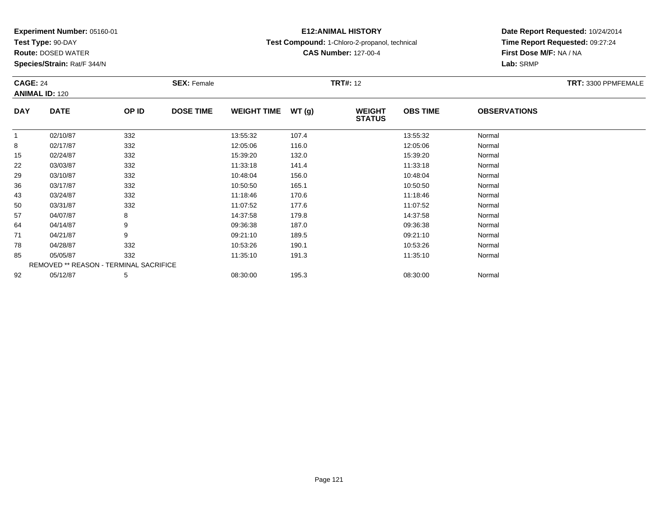**Test Type:** 90-DAY

**Route:** DOSED WATER

**Species/Strain:** Rat/F 344/N

# **E12:ANIMAL HISTORY**

**Test Compound:** 1-Chloro-2-propanol, technical

**CAS Number:** 127-00-4

| <b>CAGE: 24</b><br><b>ANIMAL ID: 120</b> |                                        |       | <b>SEX: Female</b> | <b>TRT#: 12</b>    |       |                                |                 |                     | TRT: 3300 PPMFEMALE |
|------------------------------------------|----------------------------------------|-------|--------------------|--------------------|-------|--------------------------------|-----------------|---------------------|---------------------|
| <b>DAY</b>                               | <b>DATE</b>                            | OP ID | <b>DOSE TIME</b>   | <b>WEIGHT TIME</b> | WT(g) | <b>WEIGHT</b><br><b>STATUS</b> | <b>OBS TIME</b> | <b>OBSERVATIONS</b> |                     |
|                                          | 02/10/87                               | 332   |                    | 13:55:32           | 107.4 |                                | 13:55:32        | Normal              |                     |
| 8                                        | 02/17/87                               | 332   |                    | 12:05:06           | 116.0 |                                | 12:05:06        | Normal              |                     |
| 15                                       | 02/24/87                               | 332   |                    | 15:39:20           | 132.0 |                                | 15:39:20        | Normal              |                     |
| 22                                       | 03/03/87                               | 332   |                    | 11:33:18           | 141.4 |                                | 11:33:18        | Normal              |                     |
| 29                                       | 03/10/87                               | 332   |                    | 10:48:04           | 156.0 |                                | 10:48:04        | Normal              |                     |
| 36                                       | 03/17/87                               | 332   |                    | 10:50:50           | 165.1 |                                | 10:50:50        | Normal              |                     |
| 43                                       | 03/24/87                               | 332   |                    | 11:18:46           | 170.6 |                                | 11:18:46        | Normal              |                     |
| 50                                       | 03/31/87                               | 332   |                    | 11:07:52           | 177.6 |                                | 11:07:52        | Normal              |                     |
| 57                                       | 04/07/87                               | 8     |                    | 14:37:58           | 179.8 |                                | 14:37:58        | Normal              |                     |
| 64                                       | 04/14/87                               | 9     |                    | 09:36:38           | 187.0 |                                | 09:36:38        | Normal              |                     |
| 71                                       | 04/21/87                               | 9     |                    | 09:21:10           | 189.5 |                                | 09:21:10        | Normal              |                     |
| 78                                       | 04/28/87                               | 332   |                    | 10:53:26           | 190.1 |                                | 10:53:26        | Normal              |                     |
| 85                                       | 05/05/87                               | 332   |                    | 11:35:10           | 191.3 |                                | 11:35:10        | Normal              |                     |
|                                          | REMOVED ** REASON - TERMINAL SACRIFICE |       |                    |                    |       |                                |                 |                     |                     |
| 92                                       | 05/12/87                               | 5     |                    | 08:30:00           | 195.3 |                                | 08:30:00        | Normal              |                     |